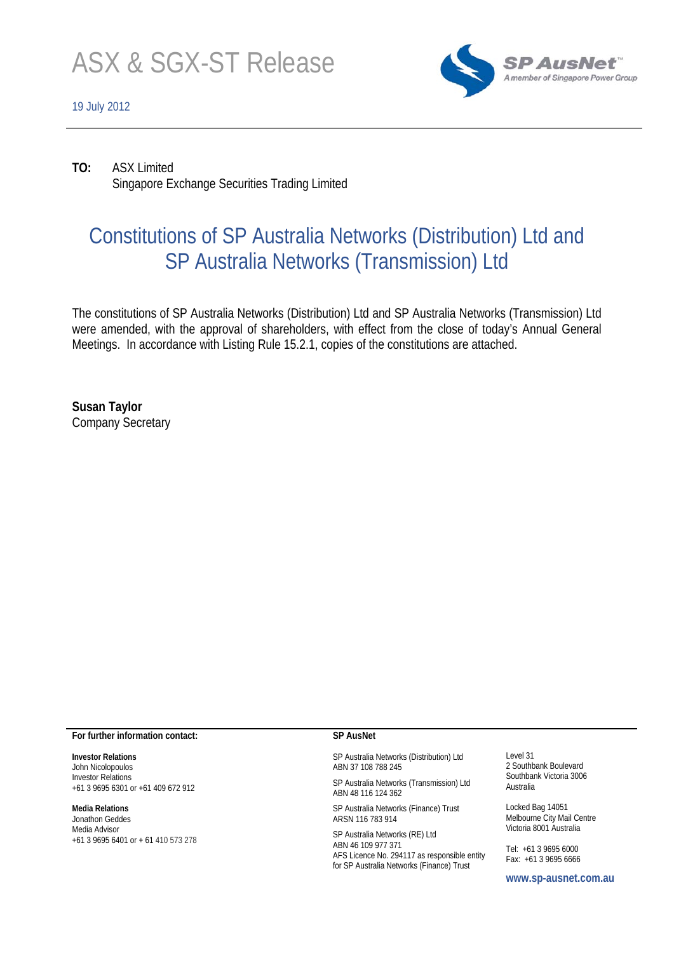

#### 19 July 2012



**TO:** ASX Limited Singapore Exchange Securities Trading Limited

# Constitutions of SP Australia Networks (Distribution) Ltd and SP Australia Networks (Transmission) Ltd

The constitutions of SP Australia Networks (Distribution) Ltd and SP Australia Networks (Transmission) Ltd were amended, with the approval of shareholders, with effect from the close of today's Annual General Meetings. In accordance with Listing Rule 15.2.1, copies of the constitutions are attached.

**Susan Taylor**  Company Secretary

#### **For further information contact:**

**Investor Relations**  John Nicolopoulos Investor Relations +61 3 9695 6301 or +61 409 672 912

#### **Media Relations**

Jonathon Geddes Media Advisor +61 3 9695 6401 or + 61 410 573 278

#### **SP AusNet**

SP Australia Networks (Distribution) Ltd ABN 37 108 788 245

SP Australia Networks (Transmission) Ltd ABN 48 116 124 362

SP Australia Networks (Finance) Trust ARSN 116 783 914

SP Australia Networks (RE) Ltd ABN 46 109 977 371 AFS Licence No. 294117 as responsible entity for SP Australia Networks (Finance) Trust

Level 31 2 Southbank Boulevard Southbank Victoria 3006 Australia

Locked Bag 14051 Melbourne City Mail Centre Victoria 8001 Australia

Tel: +61 3 9695 6000 Fax: +61 3 9695 6666

**www.sp-ausnet.com.au**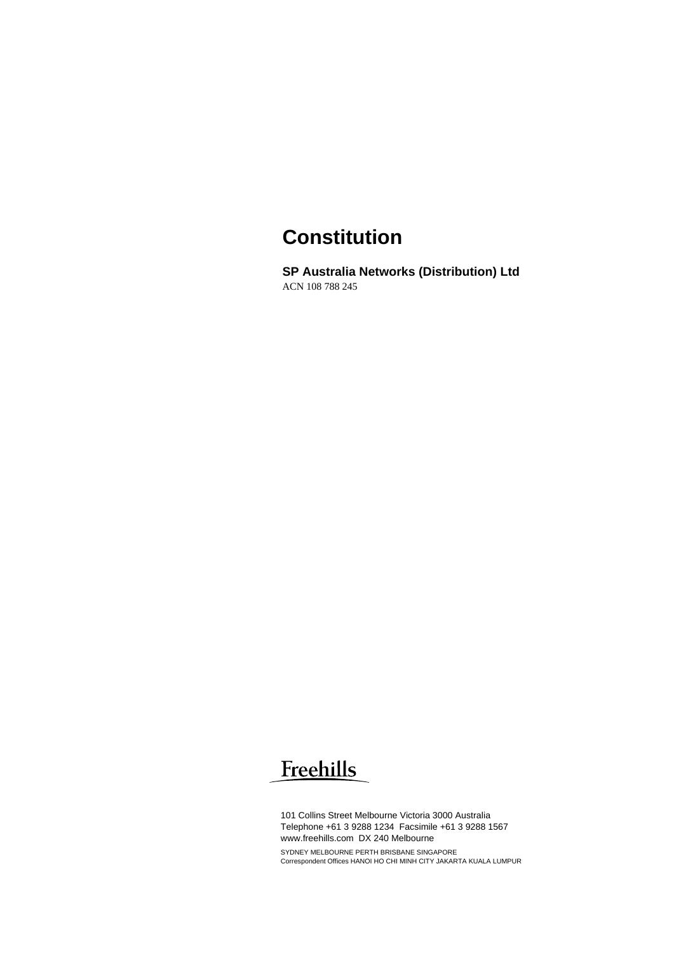# **Constitution**

**SP Australia Networks (Distribution) Ltd**  ACN 108 788 245

# Freehills

101 Collins Street Melbourne Victoria 3000 Australia Telephone +61 3 9288 1234 Facsimile +61 3 9288 1567 www.freehills.com DX 240 Melbourne SYDNEY MELBOURNE PERTH BRISBANE SINGAPORE Correspondent Offices HANOI HO CHI MINH CITY JAKARTA KUALA LUMPUR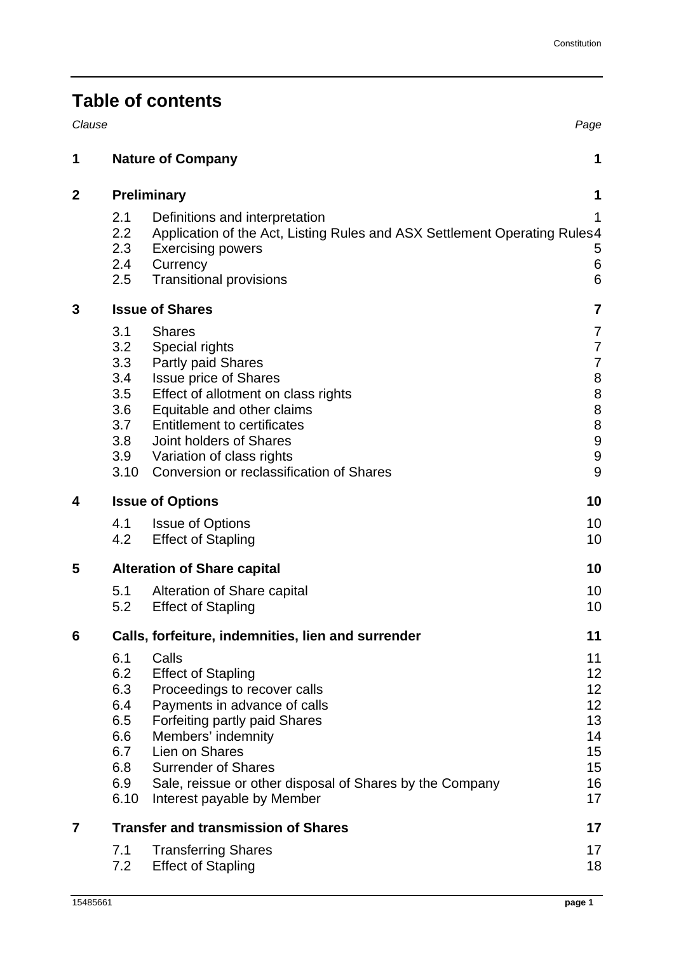|  | <b>Table of contents</b> |
|--|--------------------------|
|  |                          |

| Clause      |                                                                     |                                                                                                                                                                                                                                                                                                      | Page                                                                                                                                        |  |  |
|-------------|---------------------------------------------------------------------|------------------------------------------------------------------------------------------------------------------------------------------------------------------------------------------------------------------------------------------------------------------------------------------------------|---------------------------------------------------------------------------------------------------------------------------------------------|--|--|
| 1           |                                                                     | <b>Nature of Company</b>                                                                                                                                                                                                                                                                             | 1                                                                                                                                           |  |  |
| $\mathbf 2$ |                                                                     | <b>Preliminary</b>                                                                                                                                                                                                                                                                                   |                                                                                                                                             |  |  |
|             | 2.1<br>2.2<br>2.3<br>2.4<br>2.5                                     | Definitions and interpretation<br>Application of the Act, Listing Rules and ASX Settlement Operating Rules 4<br><b>Exercising powers</b><br>Currency<br><b>Transitional provisions</b>                                                                                                               | 1<br>5<br>$\,6$<br>$6\phantom{1}$                                                                                                           |  |  |
| 3           |                                                                     | <b>Issue of Shares</b>                                                                                                                                                                                                                                                                               | $\overline{7}$                                                                                                                              |  |  |
|             | 3.1<br>3.2<br>3.3<br>3.4<br>3.5<br>3.6<br>3.7<br>3.8<br>3.9<br>3.10 | <b>Shares</b><br>Special rights<br>Partly paid Shares<br><b>Issue price of Shares</b><br>Effect of allotment on class rights<br>Equitable and other claims<br><b>Entitlement to certificates</b><br>Joint holders of Shares<br>Variation of class rights<br>Conversion or reclassification of Shares | 7<br>$\overline{7}$<br>$\overline{7}$<br>$\begin{array}{c} 8 \\ 8 \\ 8 \end{array}$<br>$\bf 8$<br>$\boldsymbol{9}$<br>$\boldsymbol{9}$<br>9 |  |  |
| 4           |                                                                     | <b>Issue of Options</b>                                                                                                                                                                                                                                                                              | 10                                                                                                                                          |  |  |
|             | 4.1<br>4.2                                                          | <b>Issue of Options</b><br><b>Effect of Stapling</b>                                                                                                                                                                                                                                                 | 10<br>10                                                                                                                                    |  |  |
| 5           |                                                                     | <b>Alteration of Share capital</b>                                                                                                                                                                                                                                                                   | 10                                                                                                                                          |  |  |
|             | 5.1<br>5.2                                                          | Alteration of Share capital<br><b>Effect of Stapling</b>                                                                                                                                                                                                                                             | 10<br>10                                                                                                                                    |  |  |
| 6           |                                                                     | Calls, forfeiture, indemnities, lien and surrender                                                                                                                                                                                                                                                   | 11                                                                                                                                          |  |  |
|             | 6.1<br>6.2<br>6.3<br>6.4<br>6.5<br>6.6<br>6.7<br>6.8<br>6.9<br>6.10 | Calls<br><b>Effect of Stapling</b><br>Proceedings to recover calls<br>Payments in advance of calls<br>Forfeiting partly paid Shares<br>Members' indemnity<br>Lien on Shares<br><b>Surrender of Shares</b><br>Sale, reissue or other disposal of Shares by the Company<br>Interest payable by Member  | 11<br>12<br>12<br>12<br>13<br>14<br>15<br>15<br>16<br>17                                                                                    |  |  |
| 7           |                                                                     | <b>Transfer and transmission of Shares</b>                                                                                                                                                                                                                                                           | 17                                                                                                                                          |  |  |
|             | 7.1<br>7.2                                                          | <b>Transferring Shares</b><br><b>Effect of Stapling</b>                                                                                                                                                                                                                                              | 17<br>18                                                                                                                                    |  |  |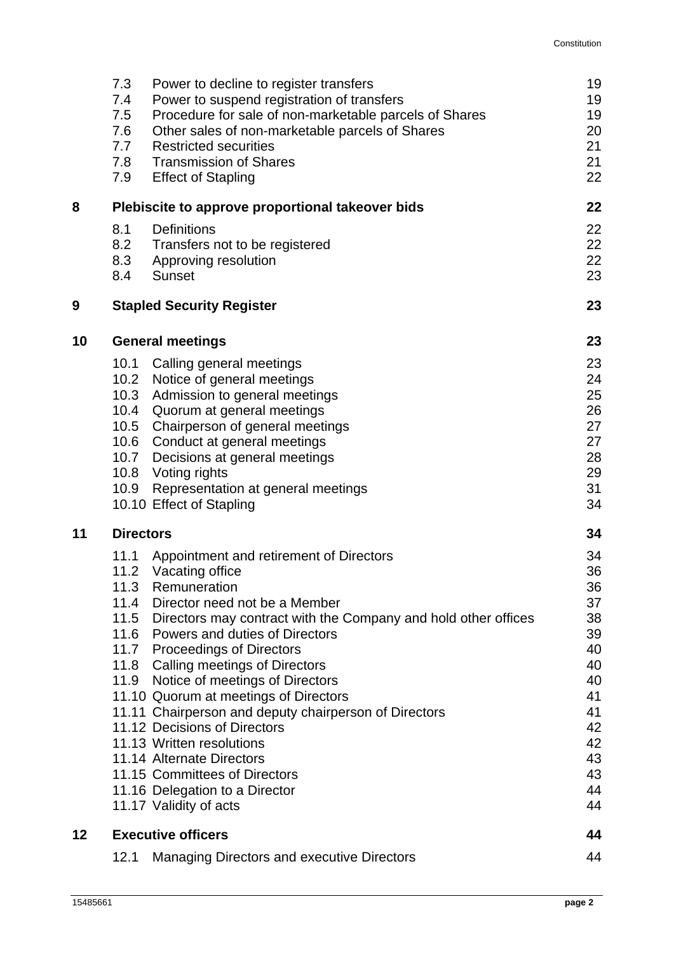|        | 7.3<br>7.4<br>7.5<br>7.6<br>7.7<br>7.8<br>7.9 | Power to decline to register transfers<br>Power to suspend registration of transfers<br>Procedure for sale of non-marketable parcels of Shares<br>Other sales of non-marketable parcels of Shares<br><b>Restricted securities</b><br><b>Transmission of Shares</b><br><b>Effect of Stapling</b>                                                                                                                                                                                                                                                                                                                                        | 19<br>19<br>19<br>20<br>21<br>21<br>22                                                                   |
|--------|-----------------------------------------------|----------------------------------------------------------------------------------------------------------------------------------------------------------------------------------------------------------------------------------------------------------------------------------------------------------------------------------------------------------------------------------------------------------------------------------------------------------------------------------------------------------------------------------------------------------------------------------------------------------------------------------------|----------------------------------------------------------------------------------------------------------|
| 8<br>9 | 8.1<br>8.2<br>8.3<br>8.4                      | Plebiscite to approve proportional takeover bids<br><b>Definitions</b><br>Transfers not to be registered<br>Approving resolution<br><b>Sunset</b><br><b>Stapled Security Register</b>                                                                                                                                                                                                                                                                                                                                                                                                                                                  | 22<br>22<br>22<br>22<br>23<br>23                                                                         |
| 10     |                                               | <b>General meetings</b>                                                                                                                                                                                                                                                                                                                                                                                                                                                                                                                                                                                                                | 23                                                                                                       |
|        | 10.1<br>10.2<br>10.3<br>10.4<br>10.7          | Calling general meetings<br>Notice of general meetings<br>Admission to general meetings<br>Quorum at general meetings<br>10.5 Chairperson of general meetings<br>10.6 Conduct at general meetings<br>Decisions at general meetings<br>10.8 Voting rights<br>10.9 Representation at general meetings<br>10.10 Effect of Stapling                                                                                                                                                                                                                                                                                                        | 23<br>24<br>25<br>26<br>27<br>27<br>28<br>29<br>31<br>34                                                 |
| 11     | <b>Directors</b><br>11.1<br>11.2<br>11.3      | Appointment and retirement of Directors<br>Vacating office<br>Remuneration<br>11.4 Director need not be a Member<br>11.5 Directors may contract with the Company and hold other offices<br>11.6 Powers and duties of Directors<br>11.7 Proceedings of Directors<br>11.8 Calling meetings of Directors<br>11.9 Notice of meetings of Directors<br>11.10 Quorum at meetings of Directors<br>11.11 Chairperson and deputy chairperson of Directors<br>11.12 Decisions of Directors<br>11.13 Written resolutions<br>11.14 Alternate Directors<br>11.15 Committees of Directors<br>11.16 Delegation to a Director<br>11.17 Validity of acts | 34<br>34<br>36<br>36<br>37<br>38<br>39<br>40<br>40<br>40<br>41<br>41<br>42<br>42<br>43<br>43<br>44<br>44 |
| 12     |                                               | <b>Executive officers</b>                                                                                                                                                                                                                                                                                                                                                                                                                                                                                                                                                                                                              | 44                                                                                                       |
|        | 12.1                                          | <b>Managing Directors and executive Directors</b>                                                                                                                                                                                                                                                                                                                                                                                                                                                                                                                                                                                      | 44                                                                                                       |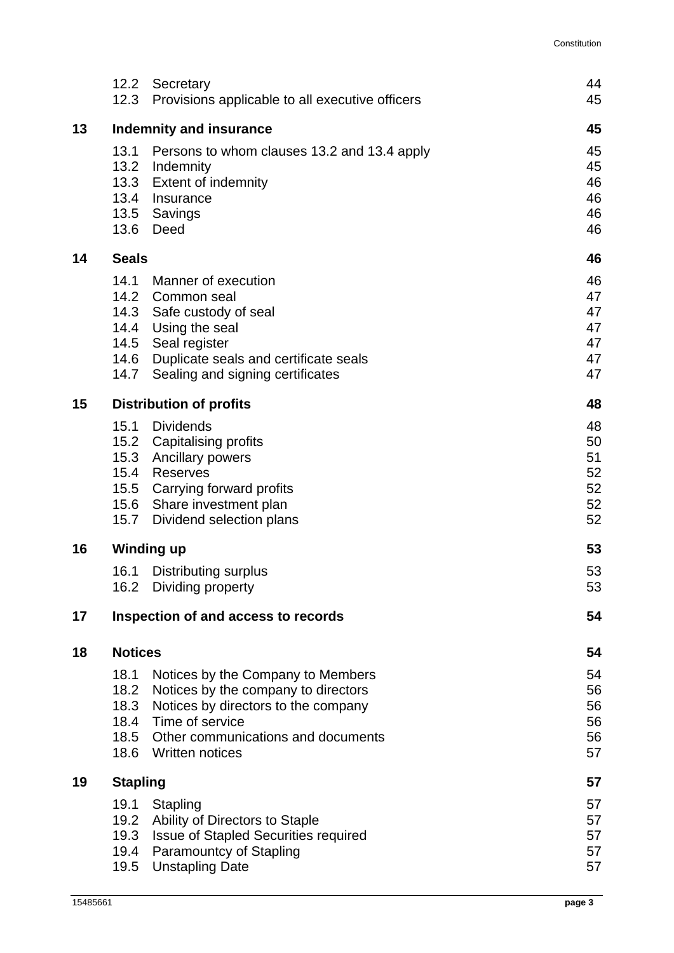|    | 12.3                           | 12.2 Secretary<br>Provisions applicable to all executive officers | 44<br>45 |  |
|----|--------------------------------|-------------------------------------------------------------------|----------|--|
| 13 | <b>Indemnity and insurance</b> |                                                                   |          |  |
|    | 13.1                           | Persons to whom clauses 13.2 and 13.4 apply                       | 45       |  |
|    |                                | 13.2 Indemnity                                                    | 45       |  |
|    | 13.3                           | <b>Extent of indemnity</b>                                        | 46       |  |
|    | 13.4                           | Insurance                                                         | 46       |  |
|    |                                | 13.5 Savings<br>13.6 Deed                                         | 46<br>46 |  |
| 14 | <b>Seals</b>                   |                                                                   | 46       |  |
|    | 14.1                           | Manner of execution                                               | 46       |  |
|    |                                | 14.2 Common seal                                                  | 47       |  |
|    |                                | 14.3 Safe custody of seal                                         | 47       |  |
|    |                                | 14.4 Using the seal                                               | 47       |  |
|    |                                | 14.5 Seal register                                                | 47       |  |
|    |                                | 14.6 Duplicate seals and certificate seals                        | 47       |  |
|    | 14.7                           | Sealing and signing certificates                                  | 47       |  |
| 15 |                                | <b>Distribution of profits</b>                                    | 48       |  |
|    | 15.1                           | <b>Dividends</b>                                                  | 48       |  |
|    |                                | 15.2 Capitalising profits                                         | 50       |  |
|    |                                | 15.3 Ancillary powers<br>15.4 Reserves                            | 51<br>52 |  |
|    |                                | 15.5 Carrying forward profits                                     | 52       |  |
|    |                                | 15.6 Share investment plan                                        | 52       |  |
|    | 15.7                           | Dividend selection plans                                          | 52       |  |
| 16 |                                | <b>Winding up</b>                                                 | 53       |  |
|    | 16.1                           | Distributing surplus                                              | 53       |  |
|    | 16.2                           | Dividing property                                                 | 53       |  |
| 17 |                                | Inspection of and access to records                               | 54       |  |
| 18 | <b>Notices</b>                 |                                                                   | 54       |  |
|    | 18.1                           | Notices by the Company to Members                                 | 54       |  |
|    | 18.2                           | Notices by the company to directors                               | 56       |  |
|    | 18.3                           | Notices by directors to the company                               | 56       |  |
|    | 18.4                           | Time of service                                                   | 56       |  |
|    | 18.5<br>18.6                   | Other communications and documents<br>Written notices             | 56<br>57 |  |
| 19 | <b>Stapling</b>                |                                                                   | 57       |  |
|    | 19.1                           | Stapling                                                          | 57       |  |
|    | 19.2                           | Ability of Directors to Staple                                    | 57       |  |
|    | 19.3                           | <b>Issue of Stapled Securities required</b>                       | 57       |  |
|    |                                | 19.4 Paramountcy of Stapling                                      | 57       |  |
|    | 19.5                           | <b>Unstapling Date</b>                                            | 57       |  |
|    |                                |                                                                   |          |  |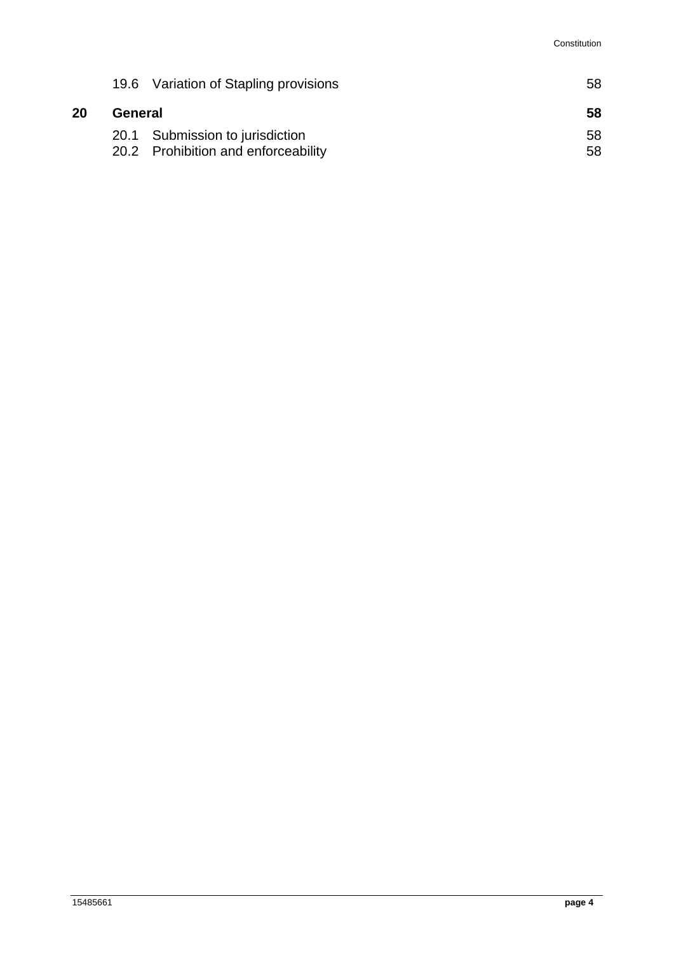|    |         | 19.6 Variation of Stapling provisions | 58 |  |
|----|---------|---------------------------------------|----|--|
| 20 | General |                                       | 58 |  |
|    |         | 20.1 Submission to jurisdiction       | 58 |  |
|    |         | 20.2 Prohibition and enforceability   | 58 |  |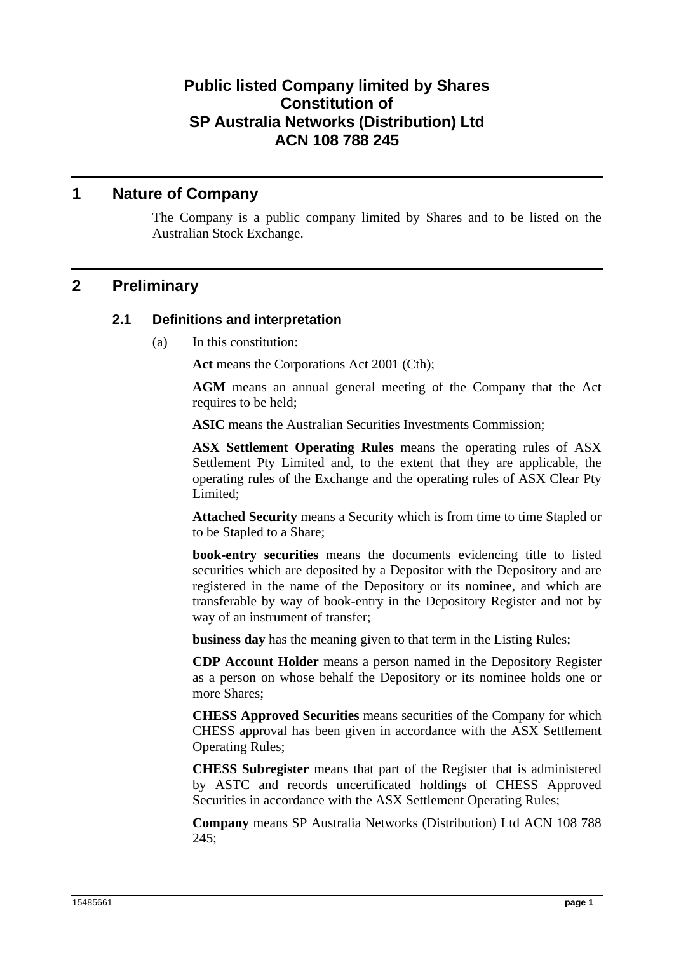## **Public listed Company limited by Shares Constitution of SP Australia Networks (Distribution) Ltd ACN 108 788 245**

## **1 Nature of Company**

The Company is a public company limited by Shares and to be listed on the Australian Stock Exchange.

## **2 Preliminary**

#### **2.1 Definitions and interpretation**

(a) In this constitution:

**Act** means the Corporations Act 2001 (Cth);

**AGM** means an annual general meeting of the Company that the Act requires to be held;

**ASIC** means the Australian Securities Investments Commission;

**ASX Settlement Operating Rules** means the operating rules of ASX Settlement Pty Limited and, to the extent that they are applicable, the operating rules of the Exchange and the operating rules of ASX Clear Pty Limited;

**Attached Security** means a Security which is from time to time Stapled or to be Stapled to a Share;

**book-entry securities** means the documents evidencing title to listed securities which are deposited by a Depositor with the Depository and are registered in the name of the Depository or its nominee, and which are transferable by way of book-entry in the Depository Register and not by way of an instrument of transfer;

**business day** has the meaning given to that term in the Listing Rules;

**CDP Account Holder** means a person named in the Depository Register as a person on whose behalf the Depository or its nominee holds one or more Shares;

**CHESS Approved Securities** means securities of the Company for which CHESS approval has been given in accordance with the ASX Settlement Operating Rules;

**CHESS Subregister** means that part of the Register that is administered by ASTC and records uncertificated holdings of CHESS Approved Securities in accordance with the ASX Settlement Operating Rules;

**Company** means SP Australia Networks (Distribution) Ltd ACN 108 788  $245:$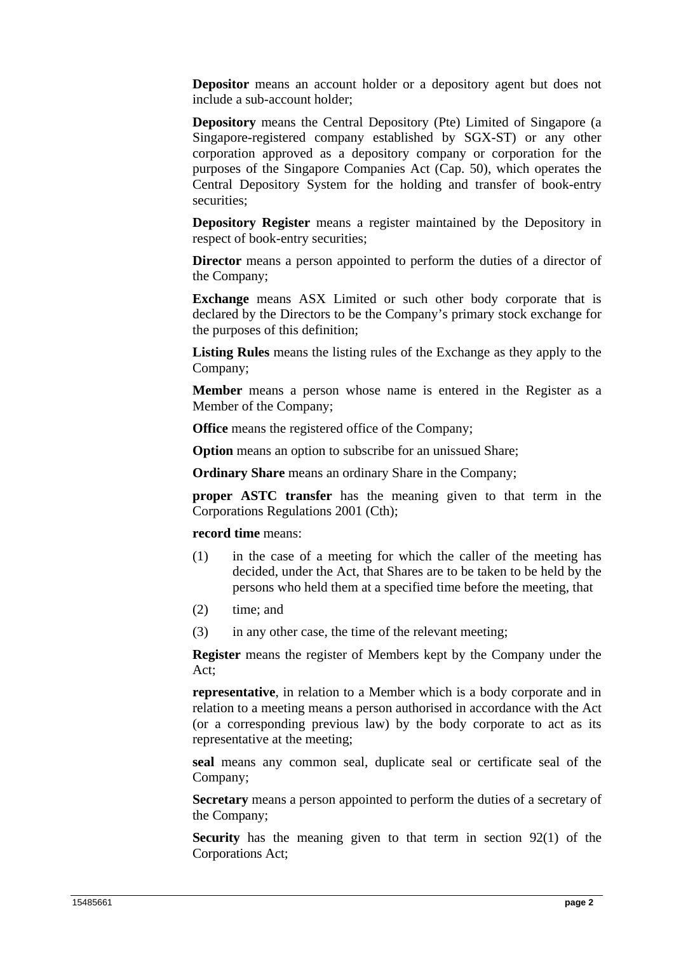**Depositor** means an account holder or a depository agent but does not include a sub-account holder;

**Depository** means the Central Depository (Pte) Limited of Singapore (a Singapore-registered company established by SGX-ST) or any other corporation approved as a depository company or corporation for the purposes of the Singapore Companies Act (Cap. 50), which operates the Central Depository System for the holding and transfer of book-entry securities;

**Depository Register** means a register maintained by the Depository in respect of book-entry securities;

**Director** means a person appointed to perform the duties of a director of the Company;

**Exchange** means ASX Limited or such other body corporate that is declared by the Directors to be the Company's primary stock exchange for the purposes of this definition;

**Listing Rules** means the listing rules of the Exchange as they apply to the Company;

**Member** means a person whose name is entered in the Register as a Member of the Company;

**Office** means the registered office of the Company;

**Option** means an option to subscribe for an unissued Share;

**Ordinary Share** means an ordinary Share in the Company;

**proper ASTC transfer** has the meaning given to that term in the Corporations Regulations 2001 (Cth);

**record time** means:

- (1) in the case of a meeting for which the caller of the meeting has decided, under the Act, that Shares are to be taken to be held by the persons who held them at a specified time before the meeting, that
- (2) time; and
- (3) in any other case, the time of the relevant meeting;

**Register** means the register of Members kept by the Company under the Act;

**representative**, in relation to a Member which is a body corporate and in relation to a meeting means a person authorised in accordance with the Act (or a corresponding previous law) by the body corporate to act as its representative at the meeting;

**seal** means any common seal, duplicate seal or certificate seal of the Company;

**Secretary** means a person appointed to perform the duties of a secretary of the Company;

**Security** has the meaning given to that term in section 92(1) of the Corporations Act;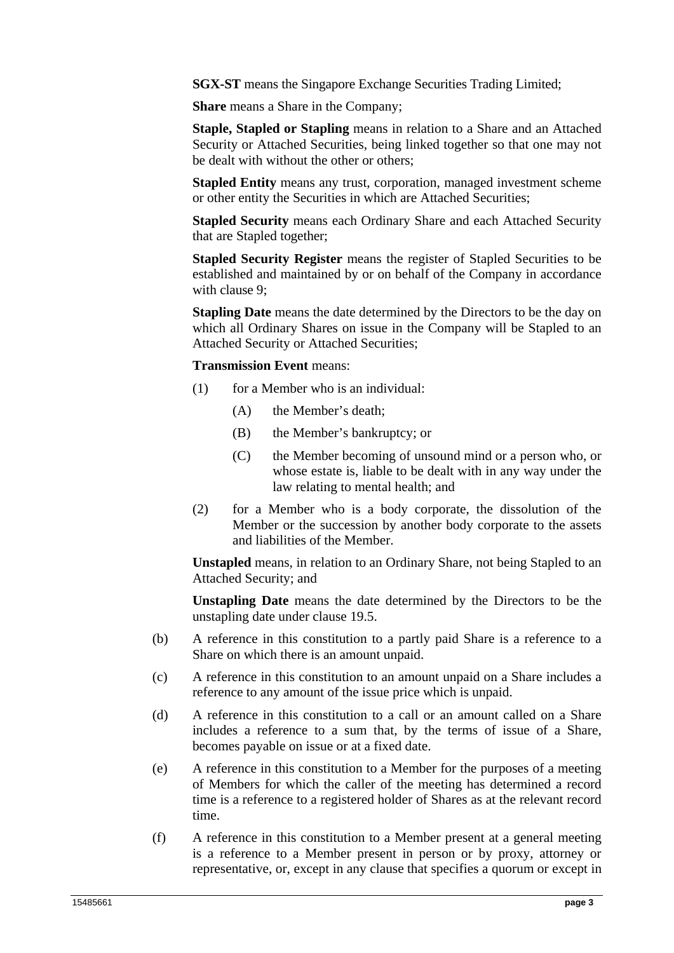**SGX-ST** means the Singapore Exchange Securities Trading Limited:

**Share** means a Share in the Company;

**Staple, Stapled or Stapling** means in relation to a Share and an Attached Security or Attached Securities, being linked together so that one may not be dealt with without the other or others;

**Stapled Entity** means any trust, corporation, managed investment scheme or other entity the Securities in which are Attached Securities;

**Stapled Security** means each Ordinary Share and each Attached Security that are Stapled together;

**Stapled Security Register** means the register of Stapled Securities to be established and maintained by or on behalf of the Company in accordance with clause 9;

**Stapling Date** means the date determined by the Directors to be the day on which all Ordinary Shares on issue in the Company will be Stapled to an Attached Security or Attached Securities;

#### **Transmission Event** means:

- (1) for a Member who is an individual:
	- (A) the Member's death;
	- (B) the Member's bankruptcy; or
	- (C) the Member becoming of unsound mind or a person who, or whose estate is, liable to be dealt with in any way under the law relating to mental health; and
- (2) for a Member who is a body corporate, the dissolution of the Member or the succession by another body corporate to the assets and liabilities of the Member.

**Unstapled** means, in relation to an Ordinary Share, not being Stapled to an Attached Security; and

**Unstapling Date** means the date determined by the Directors to be the unstapling date under clause 19.5.

- (b) A reference in this constitution to a partly paid Share is a reference to a Share on which there is an amount unpaid.
- (c) A reference in this constitution to an amount unpaid on a Share includes a reference to any amount of the issue price which is unpaid.
- (d) A reference in this constitution to a call or an amount called on a Share includes a reference to a sum that, by the terms of issue of a Share, becomes payable on issue or at a fixed date.
- (e) A reference in this constitution to a Member for the purposes of a meeting of Members for which the caller of the meeting has determined a record time is a reference to a registered holder of Shares as at the relevant record time.
- (f) A reference in this constitution to a Member present at a general meeting is a reference to a Member present in person or by proxy, attorney or representative, or, except in any clause that specifies a quorum or except in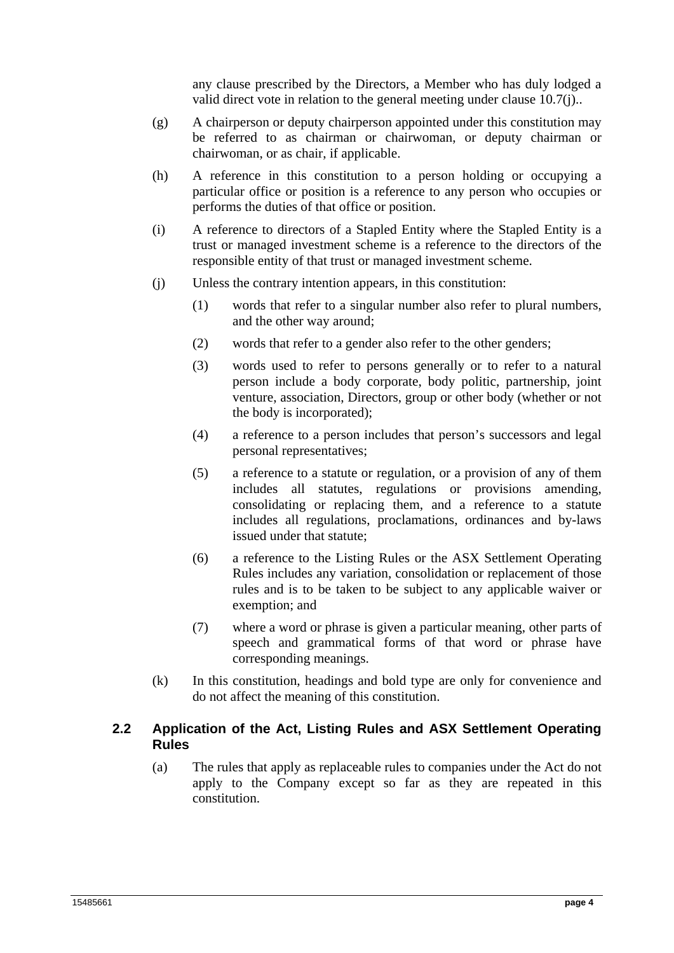any clause prescribed by the Directors, a Member who has duly lodged a valid direct vote in relation to the general meeting under clause 10.7(j)..

- (g) A chairperson or deputy chairperson appointed under this constitution may be referred to as chairman or chairwoman, or deputy chairman or chairwoman, or as chair, if applicable.
- (h) A reference in this constitution to a person holding or occupying a particular office or position is a reference to any person who occupies or performs the duties of that office or position.
- (i) A reference to directors of a Stapled Entity where the Stapled Entity is a trust or managed investment scheme is a reference to the directors of the responsible entity of that trust or managed investment scheme.
- (j) Unless the contrary intention appears, in this constitution:
	- (1) words that refer to a singular number also refer to plural numbers, and the other way around;
	- (2) words that refer to a gender also refer to the other genders;
	- (3) words used to refer to persons generally or to refer to a natural person include a body corporate, body politic, partnership, joint venture, association, Directors, group or other body (whether or not the body is incorporated);
	- (4) a reference to a person includes that person's successors and legal personal representatives;
	- (5) a reference to a statute or regulation, or a provision of any of them includes all statutes, regulations or provisions amending, consolidating or replacing them, and a reference to a statute includes all regulations, proclamations, ordinances and by-laws issued under that statute;
	- (6) a reference to the Listing Rules or the ASX Settlement Operating Rules includes any variation, consolidation or replacement of those rules and is to be taken to be subject to any applicable waiver or exemption; and
	- (7) where a word or phrase is given a particular meaning, other parts of speech and grammatical forms of that word or phrase have corresponding meanings.
- (k) In this constitution, headings and bold type are only for convenience and do not affect the meaning of this constitution.

## **2.2 Application of the Act, Listing Rules and ASX Settlement Operating Rules**

(a) The rules that apply as replaceable rules to companies under the Act do not apply to the Company except so far as they are repeated in this constitution.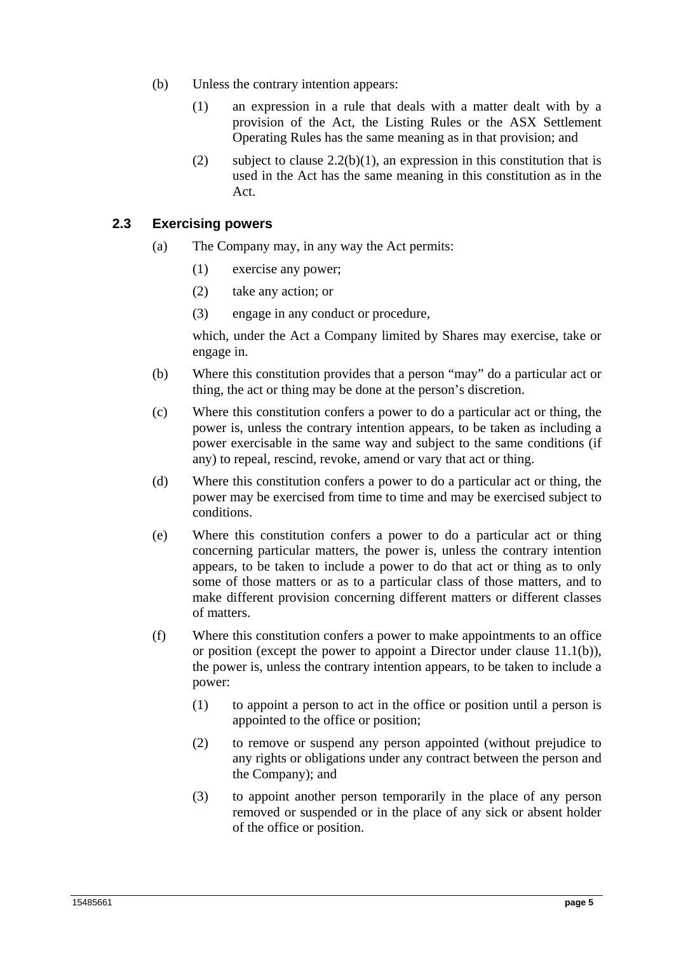- (b) Unless the contrary intention appears:
	- (1) an expression in a rule that deals with a matter dealt with by a provision of the Act, the Listing Rules or the ASX Settlement Operating Rules has the same meaning as in that provision; and
	- (2) subject to clause  $2.2(b)(1)$ , an expression in this constitution that is used in the Act has the same meaning in this constitution as in the Act.

### **2.3 Exercising powers**

- (a) The Company may, in any way the Act permits:
	- (1) exercise any power;
	- (2) take any action; or
	- (3) engage in any conduct or procedure,

which, under the Act a Company limited by Shares may exercise, take or engage in.

- (b) Where this constitution provides that a person "may" do a particular act or thing, the act or thing may be done at the person's discretion.
- (c) Where this constitution confers a power to do a particular act or thing, the power is, unless the contrary intention appears, to be taken as including a power exercisable in the same way and subject to the same conditions (if any) to repeal, rescind, revoke, amend or vary that act or thing.
- (d) Where this constitution confers a power to do a particular act or thing, the power may be exercised from time to time and may be exercised subject to conditions.
- (e) Where this constitution confers a power to do a particular act or thing concerning particular matters, the power is, unless the contrary intention appears, to be taken to include a power to do that act or thing as to only some of those matters or as to a particular class of those matters, and to make different provision concerning different matters or different classes of matters.
- (f) Where this constitution confers a power to make appointments to an office or position (except the power to appoint a Director under clause 11.1(b)), the power is, unless the contrary intention appears, to be taken to include a power:
	- (1) to appoint a person to act in the office or position until a person is appointed to the office or position;
	- (2) to remove or suspend any person appointed (without prejudice to any rights or obligations under any contract between the person and the Company); and
	- (3) to appoint another person temporarily in the place of any person removed or suspended or in the place of any sick or absent holder of the office or position.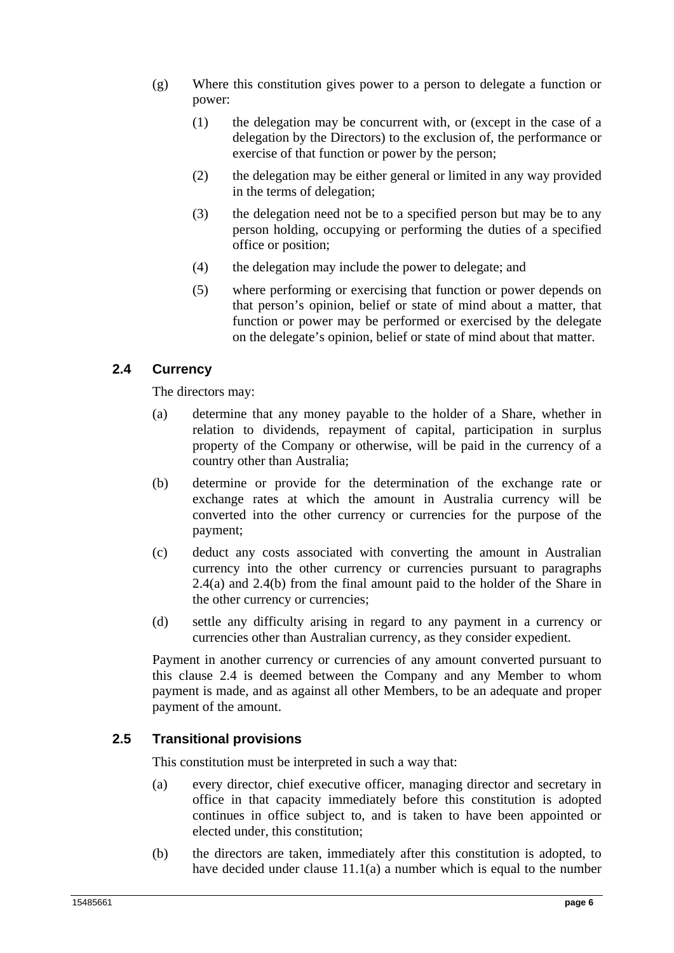- (g) Where this constitution gives power to a person to delegate a function or power:
	- (1) the delegation may be concurrent with, or (except in the case of a delegation by the Directors) to the exclusion of, the performance or exercise of that function or power by the person;
	- (2) the delegation may be either general or limited in any way provided in the terms of delegation;
	- (3) the delegation need not be to a specified person but may be to any person holding, occupying or performing the duties of a specified office or position;
	- (4) the delegation may include the power to delegate; and
	- (5) where performing or exercising that function or power depends on that person's opinion, belief or state of mind about a matter, that function or power may be performed or exercised by the delegate on the delegate's opinion, belief or state of mind about that matter.

## **2.4 Currency**

The directors may:

- (a) determine that any money payable to the holder of a Share, whether in relation to dividends, repayment of capital, participation in surplus property of the Company or otherwise, will be paid in the currency of a country other than Australia;
- (b) determine or provide for the determination of the exchange rate or exchange rates at which the amount in Australia currency will be converted into the other currency or currencies for the purpose of the payment;
- (c) deduct any costs associated with converting the amount in Australian currency into the other currency or currencies pursuant to paragraphs 2.4(a) and 2.4(b) from the final amount paid to the holder of the Share in the other currency or currencies;
- (d) settle any difficulty arising in regard to any payment in a currency or currencies other than Australian currency, as they consider expedient.

Payment in another currency or currencies of any amount converted pursuant to this clause 2.4 is deemed between the Company and any Member to whom payment is made, and as against all other Members, to be an adequate and proper payment of the amount.

## **2.5 Transitional provisions**

This constitution must be interpreted in such a way that:

- (a) every director, chief executive officer, managing director and secretary in office in that capacity immediately before this constitution is adopted continues in office subject to, and is taken to have been appointed or elected under, this constitution;
- (b) the directors are taken, immediately after this constitution is adopted, to have decided under clause 11.1(a) a number which is equal to the number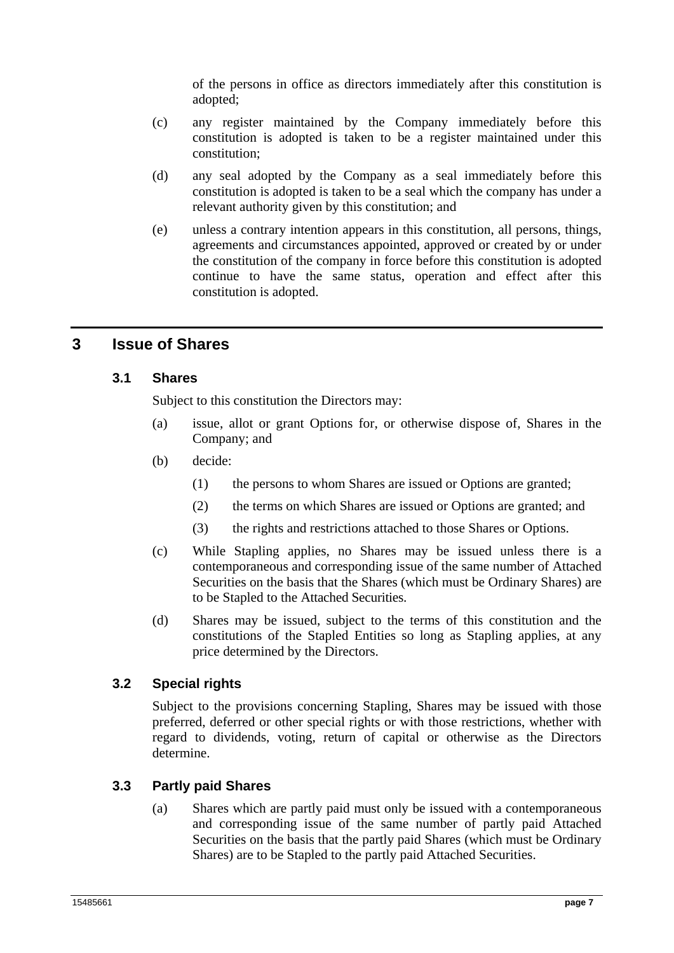of the persons in office as directors immediately after this constitution is adopted;

- (c) any register maintained by the Company immediately before this constitution is adopted is taken to be a register maintained under this constitution;
- (d) any seal adopted by the Company as a seal immediately before this constitution is adopted is taken to be a seal which the company has under a relevant authority given by this constitution; and
- (e) unless a contrary intention appears in this constitution, all persons, things, agreements and circumstances appointed, approved or created by or under the constitution of the company in force before this constitution is adopted continue to have the same status, operation and effect after this constitution is adopted.

## **3 Issue of Shares**

## **3.1 Shares**

Subject to this constitution the Directors may:

- (a) issue, allot or grant Options for, or otherwise dispose of, Shares in the Company; and
- (b) decide:
	- (1) the persons to whom Shares are issued or Options are granted;
	- (2) the terms on which Shares are issued or Options are granted; and
	- (3) the rights and restrictions attached to those Shares or Options.
- (c) While Stapling applies, no Shares may be issued unless there is a contemporaneous and corresponding issue of the same number of Attached Securities on the basis that the Shares (which must be Ordinary Shares) are to be Stapled to the Attached Securities.
- (d) Shares may be issued, subject to the terms of this constitution and the constitutions of the Stapled Entities so long as Stapling applies, at any price determined by the Directors.

## **3.2 Special rights**

Subject to the provisions concerning Stapling, Shares may be issued with those preferred, deferred or other special rights or with those restrictions, whether with regard to dividends, voting, return of capital or otherwise as the Directors determine.

## **3.3 Partly paid Shares**

(a) Shares which are partly paid must only be issued with a contemporaneous and corresponding issue of the same number of partly paid Attached Securities on the basis that the partly paid Shares (which must be Ordinary Shares) are to be Stapled to the partly paid Attached Securities.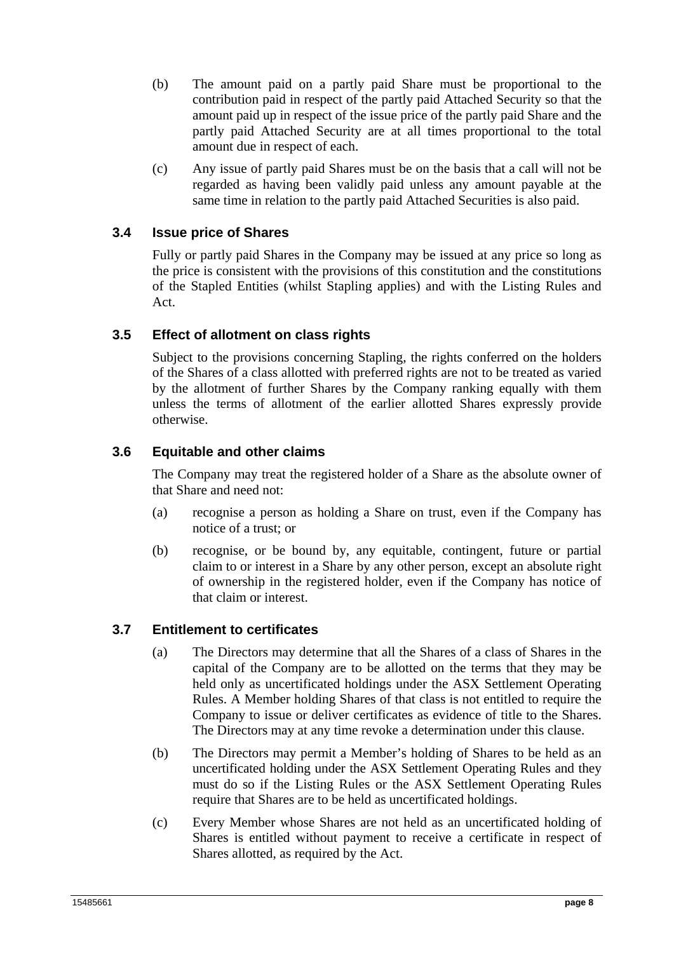- (b) The amount paid on a partly paid Share must be proportional to the contribution paid in respect of the partly paid Attached Security so that the amount paid up in respect of the issue price of the partly paid Share and the partly paid Attached Security are at all times proportional to the total amount due in respect of each.
- (c) Any issue of partly paid Shares must be on the basis that a call will not be regarded as having been validly paid unless any amount payable at the same time in relation to the partly paid Attached Securities is also paid.

## **3.4 Issue price of Shares**

Fully or partly paid Shares in the Company may be issued at any price so long as the price is consistent with the provisions of this constitution and the constitutions of the Stapled Entities (whilst Stapling applies) and with the Listing Rules and Act.

## **3.5 Effect of allotment on class rights**

Subject to the provisions concerning Stapling, the rights conferred on the holders of the Shares of a class allotted with preferred rights are not to be treated as varied by the allotment of further Shares by the Company ranking equally with them unless the terms of allotment of the earlier allotted Shares expressly provide otherwise.

## **3.6 Equitable and other claims**

The Company may treat the registered holder of a Share as the absolute owner of that Share and need not:

- (a) recognise a person as holding a Share on trust, even if the Company has notice of a trust; or
- (b) recognise, or be bound by, any equitable, contingent, future or partial claim to or interest in a Share by any other person, except an absolute right of ownership in the registered holder, even if the Company has notice of that claim or interest.

## **3.7 Entitlement to certificates**

- (a) The Directors may determine that all the Shares of a class of Shares in the capital of the Company are to be allotted on the terms that they may be held only as uncertificated holdings under the ASX Settlement Operating Rules. A Member holding Shares of that class is not entitled to require the Company to issue or deliver certificates as evidence of title to the Shares. The Directors may at any time revoke a determination under this clause.
- (b) The Directors may permit a Member's holding of Shares to be held as an uncertificated holding under the ASX Settlement Operating Rules and they must do so if the Listing Rules or the ASX Settlement Operating Rules require that Shares are to be held as uncertificated holdings.
- (c) Every Member whose Shares are not held as an uncertificated holding of Shares is entitled without payment to receive a certificate in respect of Shares allotted, as required by the Act.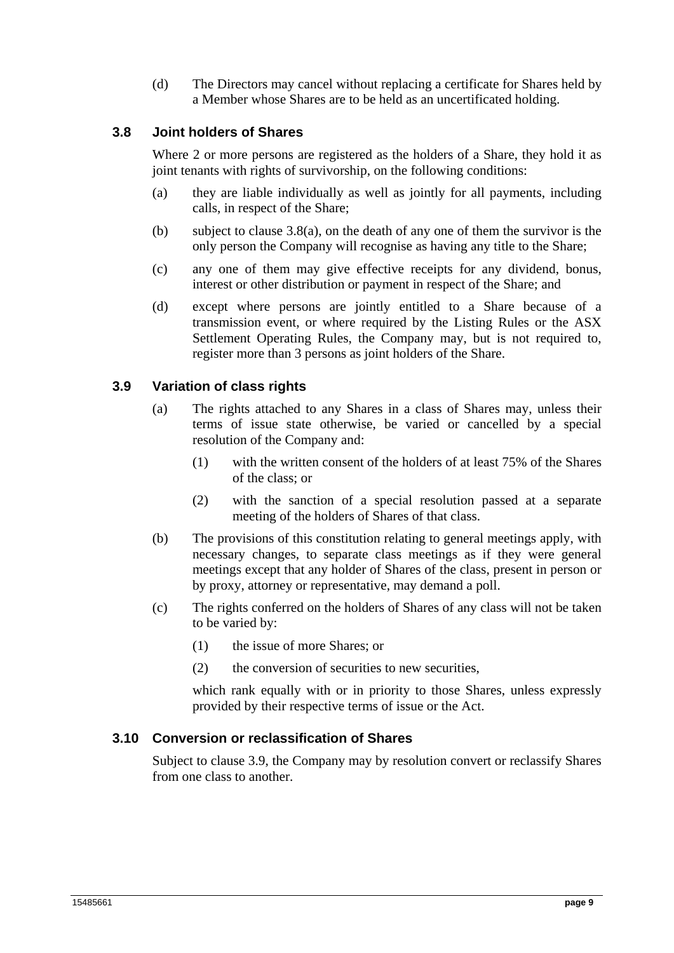(d) The Directors may cancel without replacing a certificate for Shares held by a Member whose Shares are to be held as an uncertificated holding.

## **3.8 Joint holders of Shares**

Where 2 or more persons are registered as the holders of a Share, they hold it as joint tenants with rights of survivorship, on the following conditions:

- (a) they are liable individually as well as jointly for all payments, including calls, in respect of the Share;
- (b) subject to clause  $3.8(a)$ , on the death of any one of them the survivor is the only person the Company will recognise as having any title to the Share;
- (c) any one of them may give effective receipts for any dividend, bonus, interest or other distribution or payment in respect of the Share; and
- (d) except where persons are jointly entitled to a Share because of a transmission event, or where required by the Listing Rules or the ASX Settlement Operating Rules, the Company may, but is not required to, register more than 3 persons as joint holders of the Share.

#### **3.9 Variation of class rights**

- (a) The rights attached to any Shares in a class of Shares may, unless their terms of issue state otherwise, be varied or cancelled by a special resolution of the Company and:
	- (1) with the written consent of the holders of at least 75% of the Shares of the class; or
	- (2) with the sanction of a special resolution passed at a separate meeting of the holders of Shares of that class.
- (b) The provisions of this constitution relating to general meetings apply, with necessary changes, to separate class meetings as if they were general meetings except that any holder of Shares of the class, present in person or by proxy, attorney or representative, may demand a poll.
- (c) The rights conferred on the holders of Shares of any class will not be taken to be varied by:
	- (1) the issue of more Shares; or
	- (2) the conversion of securities to new securities,

which rank equally with or in priority to those Shares, unless expressly provided by their respective terms of issue or the Act.

## **3.10 Conversion or reclassification of Shares**

Subject to clause 3.9, the Company may by resolution convert or reclassify Shares from one class to another.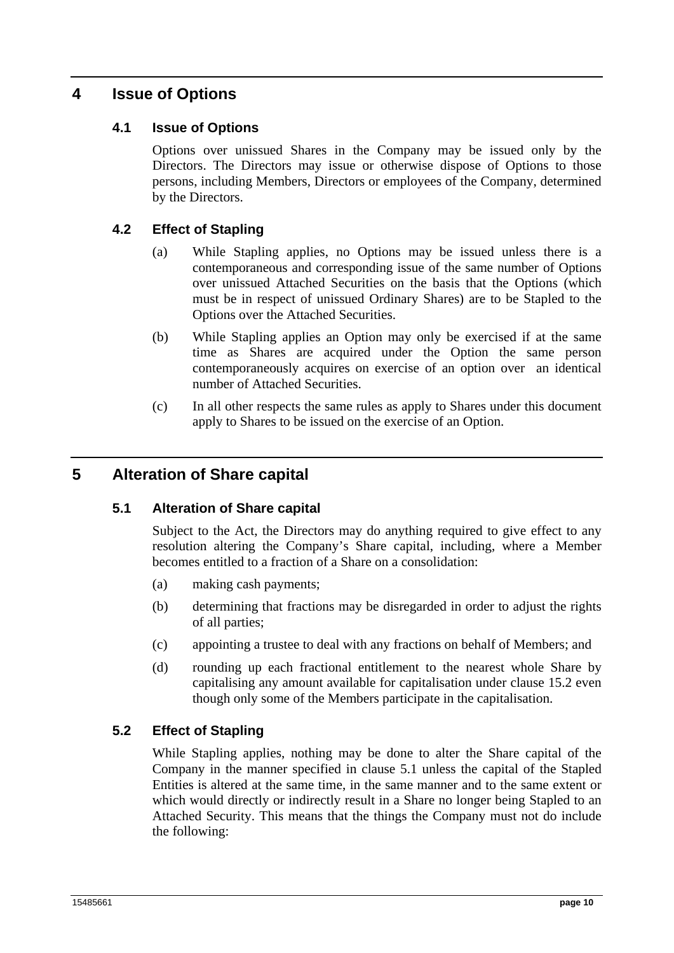## **4 Issue of Options**

## **4.1 Issue of Options**

Options over unissued Shares in the Company may be issued only by the Directors. The Directors may issue or otherwise dispose of Options to those persons, including Members, Directors or employees of the Company, determined by the Directors.

## **4.2 Effect of Stapling**

- (a) While Stapling applies, no Options may be issued unless there is a contemporaneous and corresponding issue of the same number of Options over unissued Attached Securities on the basis that the Options (which must be in respect of unissued Ordinary Shares) are to be Stapled to the Options over the Attached Securities.
- (b) While Stapling applies an Option may only be exercised if at the same time as Shares are acquired under the Option the same person contemporaneously acquires on exercise of an option over an identical number of Attached Securities.
- (c) In all other respects the same rules as apply to Shares under this document apply to Shares to be issued on the exercise of an Option.

## **5 Alteration of Share capital**

#### **5.1 Alteration of Share capital**

Subject to the Act, the Directors may do anything required to give effect to any resolution altering the Company's Share capital, including, where a Member becomes entitled to a fraction of a Share on a consolidation:

- (a) making cash payments;
- (b) determining that fractions may be disregarded in order to adjust the rights of all parties;
- (c) appointing a trustee to deal with any fractions on behalf of Members; and
- (d) rounding up each fractional entitlement to the nearest whole Share by capitalising any amount available for capitalisation under clause 15.2 even though only some of the Members participate in the capitalisation.

#### **5.2 Effect of Stapling**

While Stapling applies, nothing may be done to alter the Share capital of the Company in the manner specified in clause 5.1 unless the capital of the Stapled Entities is altered at the same time, in the same manner and to the same extent or which would directly or indirectly result in a Share no longer being Stapled to an Attached Security. This means that the things the Company must not do include the following: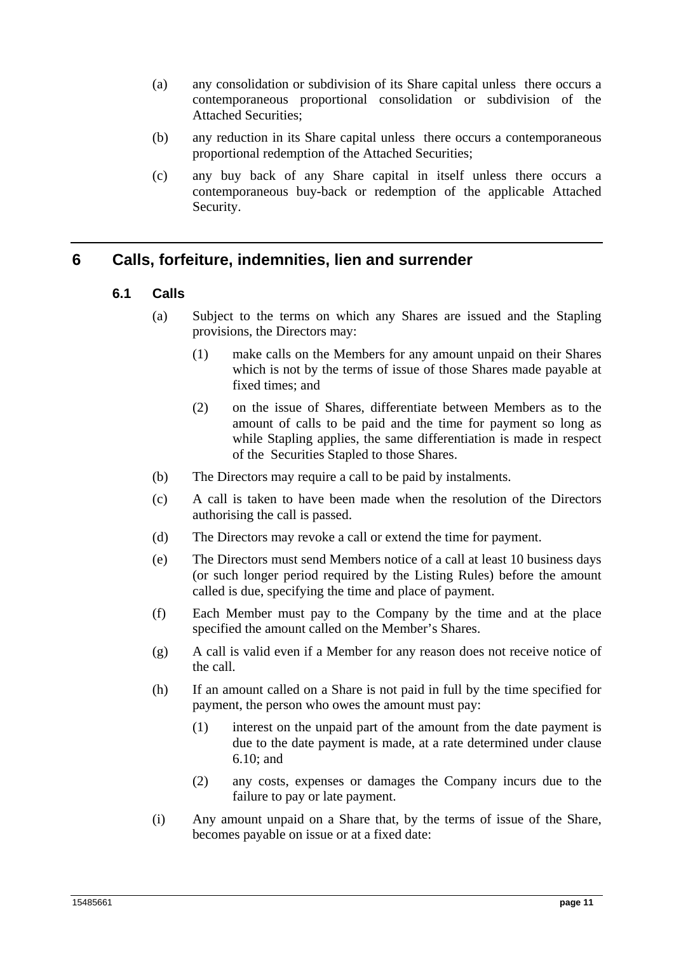- (a) any consolidation or subdivision of its Share capital unless there occurs a contemporaneous proportional consolidation or subdivision of the Attached Securities;
- (b) any reduction in its Share capital unless there occurs a contemporaneous proportional redemption of the Attached Securities;
- (c) any buy back of any Share capital in itself unless there occurs a contemporaneous buy-back or redemption of the applicable Attached Security.

## **6 Calls, forfeiture, indemnities, lien and surrender**

- **6.1 Calls** 
	- (a) Subject to the terms on which any Shares are issued and the Stapling provisions, the Directors may:
		- (1) make calls on the Members for any amount unpaid on their Shares which is not by the terms of issue of those Shares made payable at fixed times; and
		- (2) on the issue of Shares, differentiate between Members as to the amount of calls to be paid and the time for payment so long as while Stapling applies, the same differentiation is made in respect of the Securities Stapled to those Shares.
	- (b) The Directors may require a call to be paid by instalments.
	- (c) A call is taken to have been made when the resolution of the Directors authorising the call is passed.
	- (d) The Directors may revoke a call or extend the time for payment.
	- (e) The Directors must send Members notice of a call at least 10 business days (or such longer period required by the Listing Rules) before the amount called is due, specifying the time and place of payment.
	- (f) Each Member must pay to the Company by the time and at the place specified the amount called on the Member's Shares.
	- (g) A call is valid even if a Member for any reason does not receive notice of the call.
	- (h) If an amount called on a Share is not paid in full by the time specified for payment, the person who owes the amount must pay:
		- (1) interest on the unpaid part of the amount from the date payment is due to the date payment is made, at a rate determined under clause 6.10; and
		- (2) any costs, expenses or damages the Company incurs due to the failure to pay or late payment.
	- (i) Any amount unpaid on a Share that, by the terms of issue of the Share, becomes payable on issue or at a fixed date: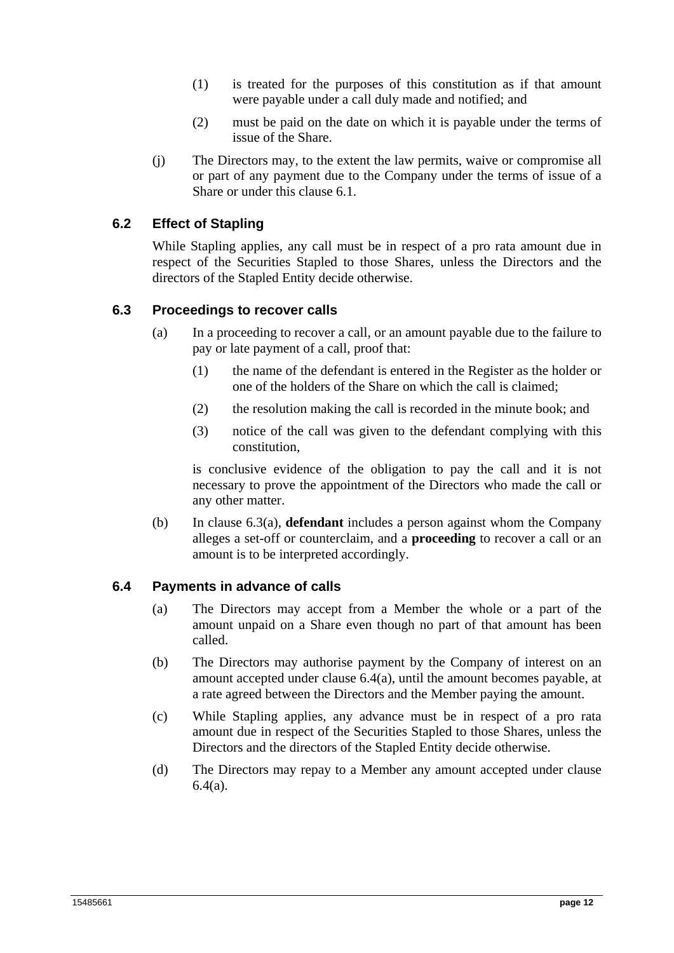- (1) is treated for the purposes of this constitution as if that amount were payable under a call duly made and notified; and
- (2) must be paid on the date on which it is payable under the terms of issue of the Share.
- (j) The Directors may, to the extent the law permits, waive or compromise all or part of any payment due to the Company under the terms of issue of a Share or under this clause 6.1.

## **6.2 Effect of Stapling**

While Stapling applies, any call must be in respect of a pro rata amount due in respect of the Securities Stapled to those Shares, unless the Directors and the directors of the Stapled Entity decide otherwise.

#### **6.3 Proceedings to recover calls**

- (a) In a proceeding to recover a call, or an amount payable due to the failure to pay or late payment of a call, proof that:
	- (1) the name of the defendant is entered in the Register as the holder or one of the holders of the Share on which the call is claimed;
	- (2) the resolution making the call is recorded in the minute book; and
	- (3) notice of the call was given to the defendant complying with this constitution,

is conclusive evidence of the obligation to pay the call and it is not necessary to prove the appointment of the Directors who made the call or any other matter.

(b) In clause 6.3(a), **defendant** includes a person against whom the Company alleges a set-off or counterclaim, and a **proceeding** to recover a call or an amount is to be interpreted accordingly.

#### **6.4 Payments in advance of calls**

- (a) The Directors may accept from a Member the whole or a part of the amount unpaid on a Share even though no part of that amount has been called.
- (b) The Directors may authorise payment by the Company of interest on an amount accepted under clause 6.4(a), until the amount becomes payable, at a rate agreed between the Directors and the Member paying the amount.
- (c) While Stapling applies, any advance must be in respect of a pro rata amount due in respect of the Securities Stapled to those Shares, unless the Directors and the directors of the Stapled Entity decide otherwise.
- (d) The Directors may repay to a Member any amount accepted under clause 6.4(a).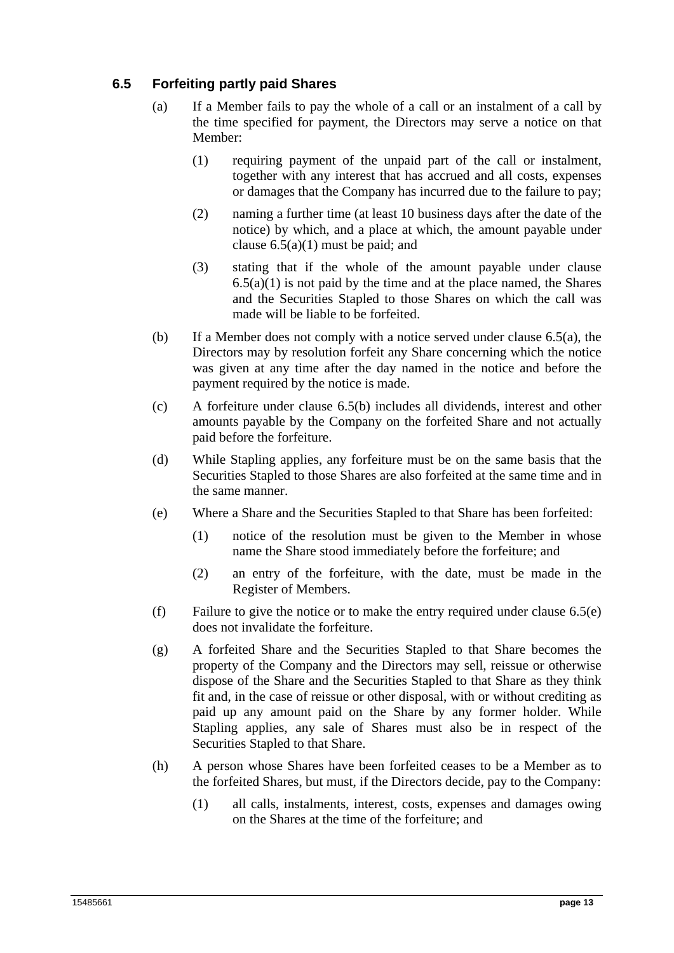## **6.5 Forfeiting partly paid Shares**

- (a) If a Member fails to pay the whole of a call or an instalment of a call by the time specified for payment, the Directors may serve a notice on that Member:
	- (1) requiring payment of the unpaid part of the call or instalment, together with any interest that has accrued and all costs, expenses or damages that the Company has incurred due to the failure to pay;
	- (2) naming a further time (at least 10 business days after the date of the notice) by which, and a place at which, the amount payable under clause  $6.5(a)(1)$  must be paid; and
	- (3) stating that if the whole of the amount payable under clause  $6.5(a)(1)$  is not paid by the time and at the place named, the Shares and the Securities Stapled to those Shares on which the call was made will be liable to be forfeited.
- (b) If a Member does not comply with a notice served under clause 6.5(a), the Directors may by resolution forfeit any Share concerning which the notice was given at any time after the day named in the notice and before the payment required by the notice is made.
- (c) A forfeiture under clause 6.5(b) includes all dividends, interest and other amounts payable by the Company on the forfeited Share and not actually paid before the forfeiture.
- (d) While Stapling applies, any forfeiture must be on the same basis that the Securities Stapled to those Shares are also forfeited at the same time and in the same manner.
- (e) Where a Share and the Securities Stapled to that Share has been forfeited:
	- (1) notice of the resolution must be given to the Member in whose name the Share stood immediately before the forfeiture; and
	- (2) an entry of the forfeiture, with the date, must be made in the Register of Members.
- (f) Failure to give the notice or to make the entry required under clause 6.5(e) does not invalidate the forfeiture.
- (g) A forfeited Share and the Securities Stapled to that Share becomes the property of the Company and the Directors may sell, reissue or otherwise dispose of the Share and the Securities Stapled to that Share as they think fit and, in the case of reissue or other disposal, with or without crediting as paid up any amount paid on the Share by any former holder. While Stapling applies, any sale of Shares must also be in respect of the Securities Stapled to that Share.
- (h) A person whose Shares have been forfeited ceases to be a Member as to the forfeited Shares, but must, if the Directors decide, pay to the Company:
	- (1) all calls, instalments, interest, costs, expenses and damages owing on the Shares at the time of the forfeiture; and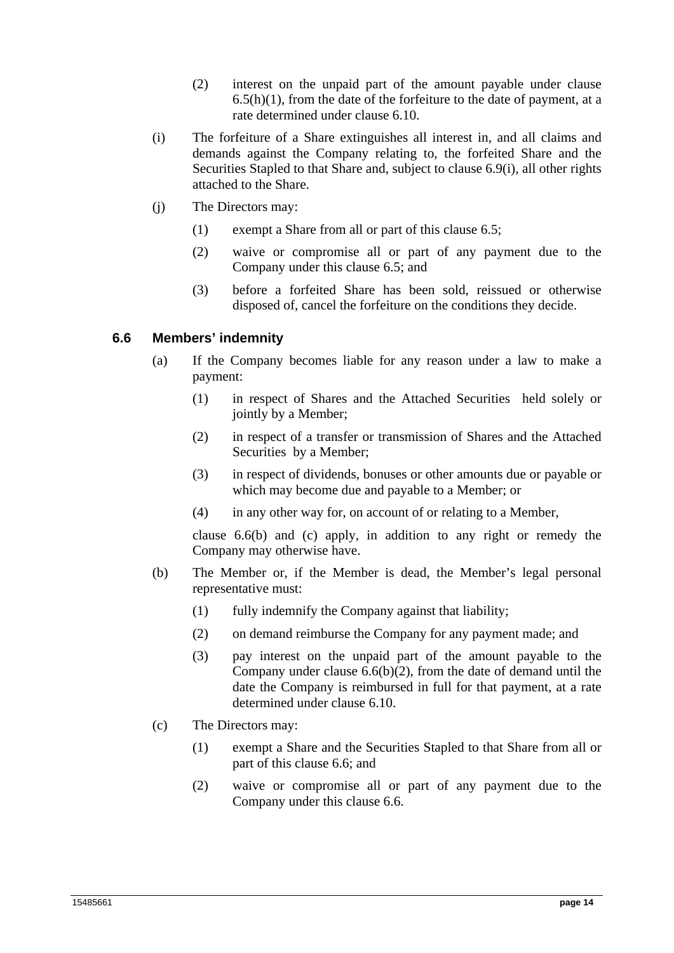- (2) interest on the unpaid part of the amount payable under clause  $6.5(h)(1)$ , from the date of the forfeiture to the date of payment, at a rate determined under clause 6.10.
- (i) The forfeiture of a Share extinguishes all interest in, and all claims and demands against the Company relating to, the forfeited Share and the Securities Stapled to that Share and, subject to clause 6.9(i), all other rights attached to the Share.
- (j) The Directors may:
	- (1) exempt a Share from all or part of this clause 6.5;
	- (2) waive or compromise all or part of any payment due to the Company under this clause 6.5; and
	- (3) before a forfeited Share has been sold, reissued or otherwise disposed of, cancel the forfeiture on the conditions they decide.

#### **6.6 Members' indemnity**

- (a) If the Company becomes liable for any reason under a law to make a payment:
	- (1) in respect of Shares and the Attached Securities held solely or jointly by a Member;
	- (2) in respect of a transfer or transmission of Shares and the Attached Securities by a Member;
	- (3) in respect of dividends, bonuses or other amounts due or payable or which may become due and payable to a Member; or
	- (4) in any other way for, on account of or relating to a Member,

clause 6.6(b) and (c) apply, in addition to any right or remedy the Company may otherwise have.

- (b) The Member or, if the Member is dead, the Member's legal personal representative must:
	- (1) fully indemnify the Company against that liability;
	- (2) on demand reimburse the Company for any payment made; and
	- (3) pay interest on the unpaid part of the amount payable to the Company under clause 6.6(b)(2), from the date of demand until the date the Company is reimbursed in full for that payment, at a rate determined under clause 6.10.
- (c) The Directors may:
	- (1) exempt a Share and the Securities Stapled to that Share from all or part of this clause 6.6; and
	- (2) waive or compromise all or part of any payment due to the Company under this clause 6.6.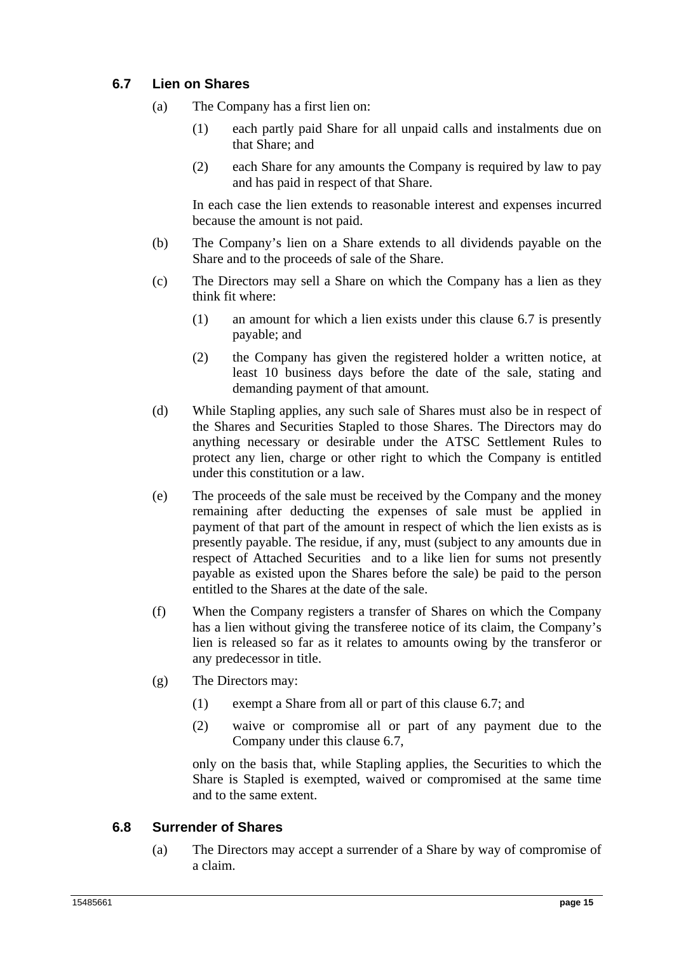## **6.7 Lien on Shares**

- (a) The Company has a first lien on:
	- (1) each partly paid Share for all unpaid calls and instalments due on that Share; and
	- (2) each Share for any amounts the Company is required by law to pay and has paid in respect of that Share.

In each case the lien extends to reasonable interest and expenses incurred because the amount is not paid.

- (b) The Company's lien on a Share extends to all dividends payable on the Share and to the proceeds of sale of the Share.
- (c) The Directors may sell a Share on which the Company has a lien as they think fit where:
	- (1) an amount for which a lien exists under this clause 6.7 is presently payable; and
	- (2) the Company has given the registered holder a written notice, at least 10 business days before the date of the sale, stating and demanding payment of that amount.
- (d) While Stapling applies, any such sale of Shares must also be in respect of the Shares and Securities Stapled to those Shares. The Directors may do anything necessary or desirable under the ATSC Settlement Rules to protect any lien, charge or other right to which the Company is entitled under this constitution or a law.
- (e) The proceeds of the sale must be received by the Company and the money remaining after deducting the expenses of sale must be applied in payment of that part of the amount in respect of which the lien exists as is presently payable. The residue, if any, must (subject to any amounts due in respect of Attached Securities and to a like lien for sums not presently payable as existed upon the Shares before the sale) be paid to the person entitled to the Shares at the date of the sale.
- (f) When the Company registers a transfer of Shares on which the Company has a lien without giving the transferee notice of its claim, the Company's lien is released so far as it relates to amounts owing by the transferor or any predecessor in title.
- (g) The Directors may:
	- (1) exempt a Share from all or part of this clause 6.7; and
	- (2) waive or compromise all or part of any payment due to the Company under this clause 6.7,

only on the basis that, while Stapling applies, the Securities to which the Share is Stapled is exempted, waived or compromised at the same time and to the same extent.

## **6.8 Surrender of Shares**

(a) The Directors may accept a surrender of a Share by way of compromise of a claim.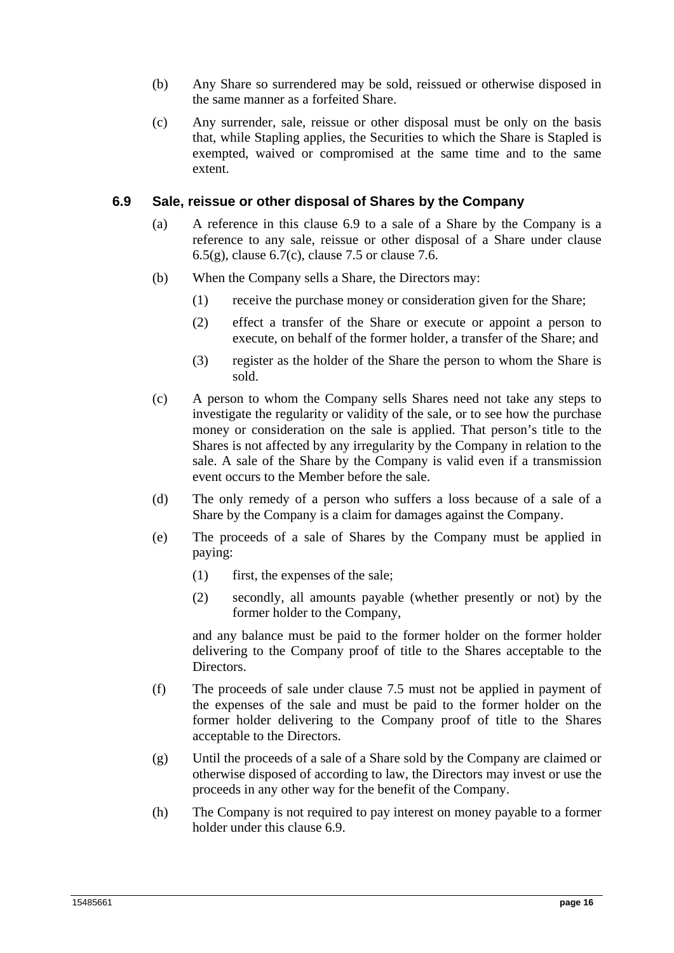- (b) Any Share so surrendered may be sold, reissued or otherwise disposed in the same manner as a forfeited Share.
- (c) Any surrender, sale, reissue or other disposal must be only on the basis that, while Stapling applies, the Securities to which the Share is Stapled is exempted, waived or compromised at the same time and to the same extent.

#### **6.9 Sale, reissue or other disposal of Shares by the Company**

- (a) A reference in this clause 6.9 to a sale of a Share by the Company is a reference to any sale, reissue or other disposal of a Share under clause  $6.5(g)$ , clause  $6.7(c)$ , clause 7.5 or clause 7.6.
- (b) When the Company sells a Share, the Directors may:
	- (1) receive the purchase money or consideration given for the Share;
	- (2) effect a transfer of the Share or execute or appoint a person to execute, on behalf of the former holder, a transfer of the Share; and
	- (3) register as the holder of the Share the person to whom the Share is sold.
- (c) A person to whom the Company sells Shares need not take any steps to investigate the regularity or validity of the sale, or to see how the purchase money or consideration on the sale is applied. That person's title to the Shares is not affected by any irregularity by the Company in relation to the sale. A sale of the Share by the Company is valid even if a transmission event occurs to the Member before the sale.
- (d) The only remedy of a person who suffers a loss because of a sale of a Share by the Company is a claim for damages against the Company.
- (e) The proceeds of a sale of Shares by the Company must be applied in paying:
	- (1) first, the expenses of the sale;
	- (2) secondly, all amounts payable (whether presently or not) by the former holder to the Company,

and any balance must be paid to the former holder on the former holder delivering to the Company proof of title to the Shares acceptable to the Directors.

- (f) The proceeds of sale under clause 7.5 must not be applied in payment of the expenses of the sale and must be paid to the former holder on the former holder delivering to the Company proof of title to the Shares acceptable to the Directors.
- (g) Until the proceeds of a sale of a Share sold by the Company are claimed or otherwise disposed of according to law, the Directors may invest or use the proceeds in any other way for the benefit of the Company.
- (h) The Company is not required to pay interest on money payable to a former holder under this clause 6.9.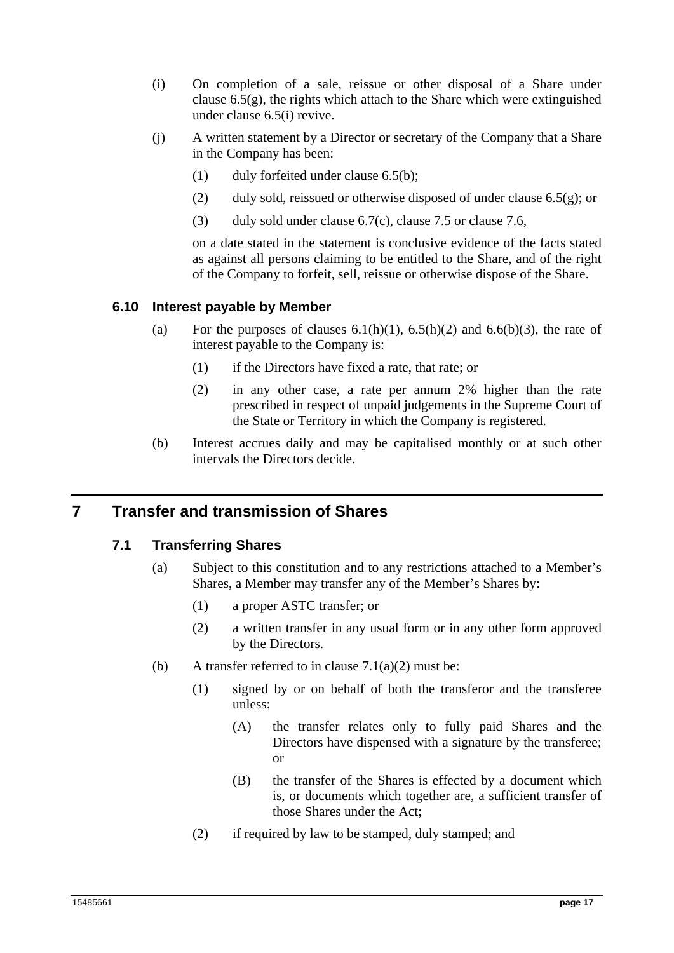- (i) On completion of a sale, reissue or other disposal of a Share under clause  $6.5(g)$ , the rights which attach to the Share which were extinguished under clause 6.5(i) revive.
- (j) A written statement by a Director or secretary of the Company that a Share in the Company has been:
	- (1) duly forfeited under clause 6.5(b);
	- (2) duly sold, reissued or otherwise disposed of under clause  $6.5(g)$ ; or
	- (3) duly sold under clause 6.7(c), clause 7.5 or clause 7.6,

on a date stated in the statement is conclusive evidence of the facts stated as against all persons claiming to be entitled to the Share, and of the right of the Company to forfeit, sell, reissue or otherwise dispose of the Share.

#### **6.10 Interest payable by Member**

- (a) For the purposes of clauses  $6.1(h)(1)$ ,  $6.5(h)(2)$  and  $6.6(h)(3)$ , the rate of interest payable to the Company is:
	- (1) if the Directors have fixed a rate, that rate; or
	- (2) in any other case, a rate per annum 2% higher than the rate prescribed in respect of unpaid judgements in the Supreme Court of the State or Territory in which the Company is registered.
- (b) Interest accrues daily and may be capitalised monthly or at such other intervals the Directors decide.

## **7 Transfer and transmission of Shares**

#### **7.1 Transferring Shares**

- (a) Subject to this constitution and to any restrictions attached to a Member's Shares, a Member may transfer any of the Member's Shares by:
	- (1) a proper ASTC transfer; or
	- (2) a written transfer in any usual form or in any other form approved by the Directors.
- (b) A transfer referred to in clause  $7.1(a)(2)$  must be:
	- (1) signed by or on behalf of both the transferor and the transferee unless:
		- (A) the transfer relates only to fully paid Shares and the Directors have dispensed with a signature by the transferee; or
		- (B) the transfer of the Shares is effected by a document which is, or documents which together are, a sufficient transfer of those Shares under the Act;
	- (2) if required by law to be stamped, duly stamped; and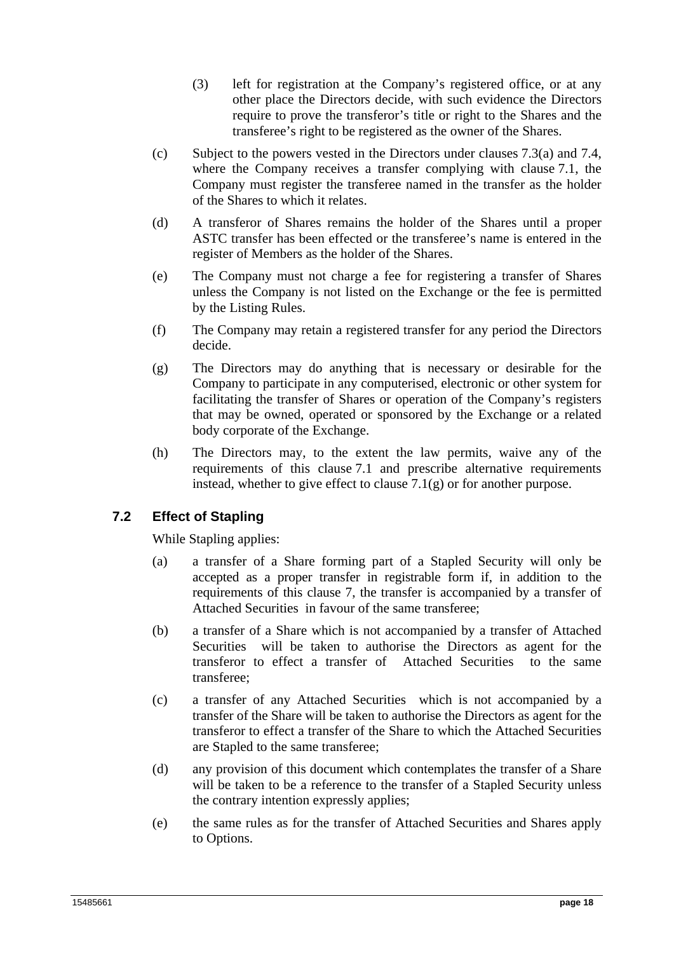- (3) left for registration at the Company's registered office, or at any other place the Directors decide, with such evidence the Directors require to prove the transferor's title or right to the Shares and the transferee's right to be registered as the owner of the Shares.
- (c) Subject to the powers vested in the Directors under clauses 7.3(a) and 7.4, where the Company receives a transfer complying with clause 7.1, the Company must register the transferee named in the transfer as the holder of the Shares to which it relates.
- (d) A transferor of Shares remains the holder of the Shares until a proper ASTC transfer has been effected or the transferee's name is entered in the register of Members as the holder of the Shares.
- (e) The Company must not charge a fee for registering a transfer of Shares unless the Company is not listed on the Exchange or the fee is permitted by the Listing Rules.
- (f) The Company may retain a registered transfer for any period the Directors decide.
- (g) The Directors may do anything that is necessary or desirable for the Company to participate in any computerised, electronic or other system for facilitating the transfer of Shares or operation of the Company's registers that may be owned, operated or sponsored by the Exchange or a related body corporate of the Exchange.
- (h) The Directors may, to the extent the law permits, waive any of the requirements of this clause 7.1 and prescribe alternative requirements instead, whether to give effect to clause 7.1(g) or for another purpose.

## **7.2 Effect of Stapling**

While Stapling applies:

- (a) a transfer of a Share forming part of a Stapled Security will only be accepted as a proper transfer in registrable form if, in addition to the requirements of this clause 7, the transfer is accompanied by a transfer of Attached Securities in favour of the same transferee;
- (b) a transfer of a Share which is not accompanied by a transfer of Attached Securities will be taken to authorise the Directors as agent for the transferor to effect a transfer of Attached Securities to the same transferee;
- (c) a transfer of any Attached Securities which is not accompanied by a transfer of the Share will be taken to authorise the Directors as agent for the transferor to effect a transfer of the Share to which the Attached Securities are Stapled to the same transferee;
- (d) any provision of this document which contemplates the transfer of a Share will be taken to be a reference to the transfer of a Stapled Security unless the contrary intention expressly applies;
- (e) the same rules as for the transfer of Attached Securities and Shares apply to Options.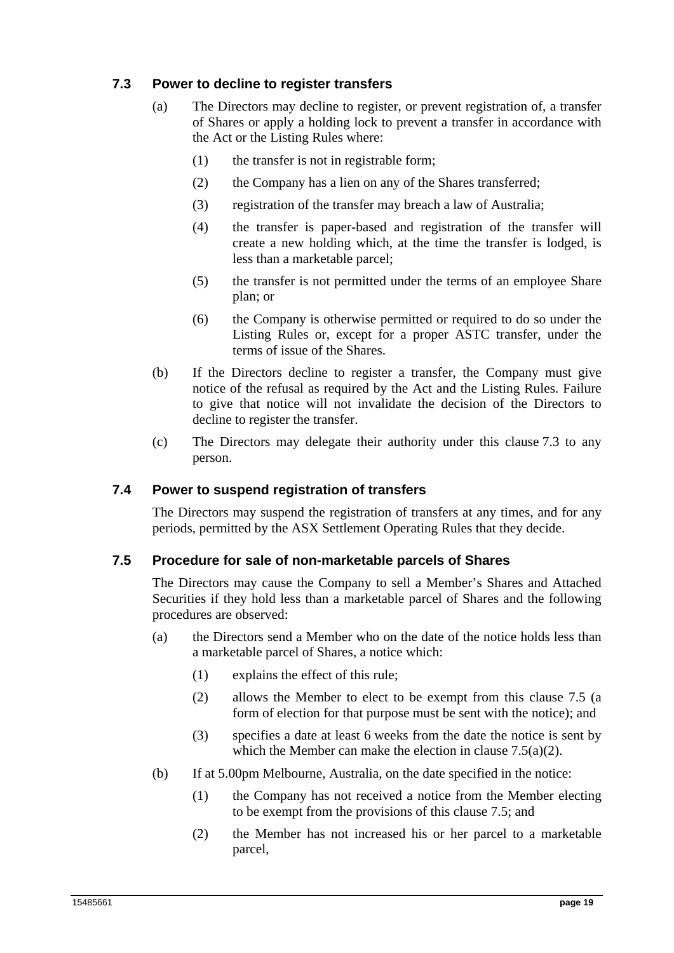## **7.3 Power to decline to register transfers**

- (a) The Directors may decline to register, or prevent registration of, a transfer of Shares or apply a holding lock to prevent a transfer in accordance with the Act or the Listing Rules where:
	- (1) the transfer is not in registrable form;
	- (2) the Company has a lien on any of the Shares transferred;
	- (3) registration of the transfer may breach a law of Australia;
	- (4) the transfer is paper-based and registration of the transfer will create a new holding which, at the time the transfer is lodged, is less than a marketable parcel;
	- (5) the transfer is not permitted under the terms of an employee Share plan; or
	- (6) the Company is otherwise permitted or required to do so under the Listing Rules or, except for a proper ASTC transfer, under the terms of issue of the Shares.
- (b) If the Directors decline to register a transfer, the Company must give notice of the refusal as required by the Act and the Listing Rules. Failure to give that notice will not invalidate the decision of the Directors to decline to register the transfer.
- (c) The Directors may delegate their authority under this clause 7.3 to any person.

#### **7.4 Power to suspend registration of transfers**

The Directors may suspend the registration of transfers at any times, and for any periods, permitted by the ASX Settlement Operating Rules that they decide.

#### **7.5 Procedure for sale of non-marketable parcels of Shares**

The Directors may cause the Company to sell a Member's Shares and Attached Securities if they hold less than a marketable parcel of Shares and the following procedures are observed:

- (a) the Directors send a Member who on the date of the notice holds less than a marketable parcel of Shares, a notice which:
	- (1) explains the effect of this rule;
	- (2) allows the Member to elect to be exempt from this clause 7.5 (a form of election for that purpose must be sent with the notice); and
	- (3) specifies a date at least 6 weeks from the date the notice is sent by which the Member can make the election in clause 7.5(a)(2).
- (b) If at 5.00pm Melbourne, Australia, on the date specified in the notice:
	- (1) the Company has not received a notice from the Member electing to be exempt from the provisions of this clause 7.5; and
	- (2) the Member has not increased his or her parcel to a marketable parcel,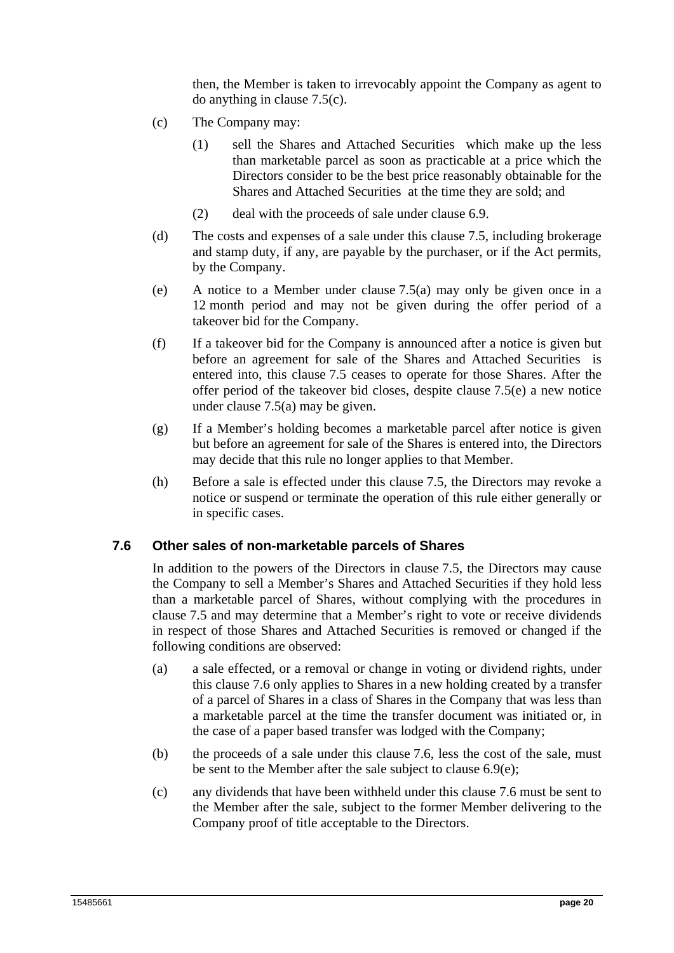then, the Member is taken to irrevocably appoint the Company as agent to do anything in clause 7.5(c).

- (c) The Company may:
	- (1) sell the Shares and Attached Securities which make up the less than marketable parcel as soon as practicable at a price which the Directors consider to be the best price reasonably obtainable for the Shares and Attached Securities at the time they are sold; and
	- (2) deal with the proceeds of sale under clause 6.9.
- (d) The costs and expenses of a sale under this clause 7.5, including brokerage and stamp duty, if any, are payable by the purchaser, or if the Act permits, by the Company.
- (e) A notice to a Member under clause 7.5(a) may only be given once in a 12 month period and may not be given during the offer period of a takeover bid for the Company.
- (f) If a takeover bid for the Company is announced after a notice is given but before an agreement for sale of the Shares and Attached Securities is entered into, this clause 7.5 ceases to operate for those Shares. After the offer period of the takeover bid closes, despite clause 7.5(e) a new notice under clause 7.5(a) may be given.
- (g) If a Member's holding becomes a marketable parcel after notice is given but before an agreement for sale of the Shares is entered into, the Directors may decide that this rule no longer applies to that Member.
- (h) Before a sale is effected under this clause 7.5, the Directors may revoke a notice or suspend or terminate the operation of this rule either generally or in specific cases.

#### **7.6 Other sales of non-marketable parcels of Shares**

In addition to the powers of the Directors in clause 7.5, the Directors may cause the Company to sell a Member's Shares and Attached Securities if they hold less than a marketable parcel of Shares, without complying with the procedures in clause 7.5 and may determine that a Member's right to vote or receive dividends in respect of those Shares and Attached Securities is removed or changed if the following conditions are observed:

- (a) a sale effected, or a removal or change in voting or dividend rights, under this clause 7.6 only applies to Shares in a new holding created by a transfer of a parcel of Shares in a class of Shares in the Company that was less than a marketable parcel at the time the transfer document was initiated or, in the case of a paper based transfer was lodged with the Company;
- (b) the proceeds of a sale under this clause 7.6, less the cost of the sale, must be sent to the Member after the sale subject to clause 6.9(e);
- (c) any dividends that have been withheld under this clause 7.6 must be sent to the Member after the sale, subject to the former Member delivering to the Company proof of title acceptable to the Directors.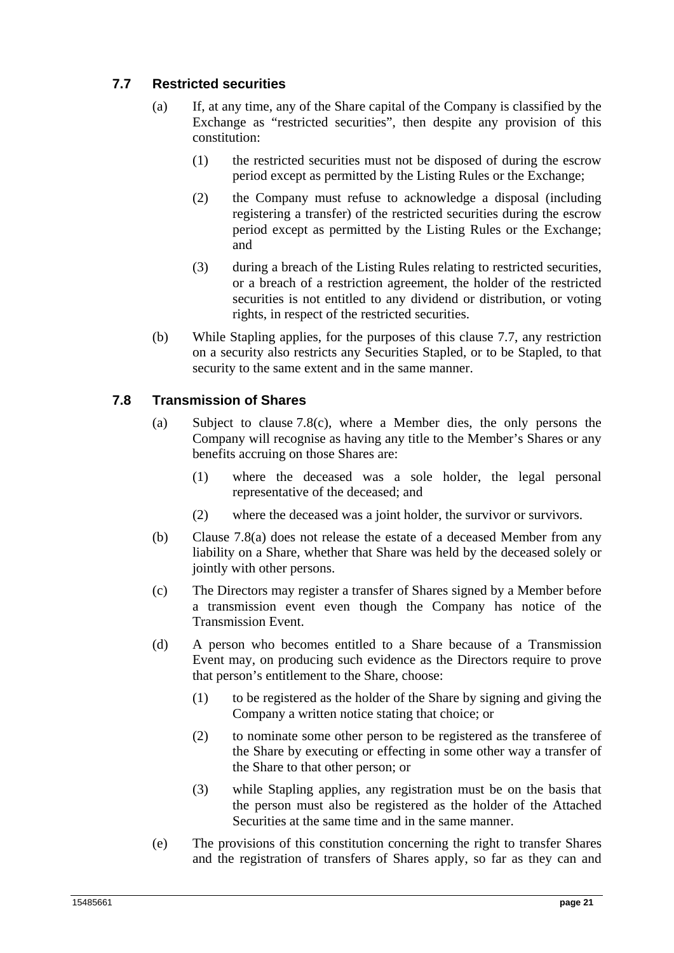## **7.7 Restricted securities**

- (a) If, at any time, any of the Share capital of the Company is classified by the Exchange as "restricted securities", then despite any provision of this constitution:
	- (1) the restricted securities must not be disposed of during the escrow period except as permitted by the Listing Rules or the Exchange;
	- (2) the Company must refuse to acknowledge a disposal (including registering a transfer) of the restricted securities during the escrow period except as permitted by the Listing Rules or the Exchange; and
	- (3) during a breach of the Listing Rules relating to restricted securities, or a breach of a restriction agreement, the holder of the restricted securities is not entitled to any dividend or distribution, or voting rights, in respect of the restricted securities.
- (b) While Stapling applies, for the purposes of this clause 7.7, any restriction on a security also restricts any Securities Stapled, or to be Stapled, to that security to the same extent and in the same manner.

## **7.8 Transmission of Shares**

- (a) Subject to clause 7.8(c), where a Member dies, the only persons the Company will recognise as having any title to the Member's Shares or any benefits accruing on those Shares are:
	- (1) where the deceased was a sole holder, the legal personal representative of the deceased; and
	- (2) where the deceased was a joint holder, the survivor or survivors.
- (b) Clause 7.8(a) does not release the estate of a deceased Member from any liability on a Share, whether that Share was held by the deceased solely or jointly with other persons.
- (c) The Directors may register a transfer of Shares signed by a Member before a transmission event even though the Company has notice of the Transmission Event.
- (d) A person who becomes entitled to a Share because of a Transmission Event may, on producing such evidence as the Directors require to prove that person's entitlement to the Share, choose:
	- (1) to be registered as the holder of the Share by signing and giving the Company a written notice stating that choice; or
	- (2) to nominate some other person to be registered as the transferee of the Share by executing or effecting in some other way a transfer of the Share to that other person; or
	- (3) while Stapling applies, any registration must be on the basis that the person must also be registered as the holder of the Attached Securities at the same time and in the same manner.
- (e) The provisions of this constitution concerning the right to transfer Shares and the registration of transfers of Shares apply, so far as they can and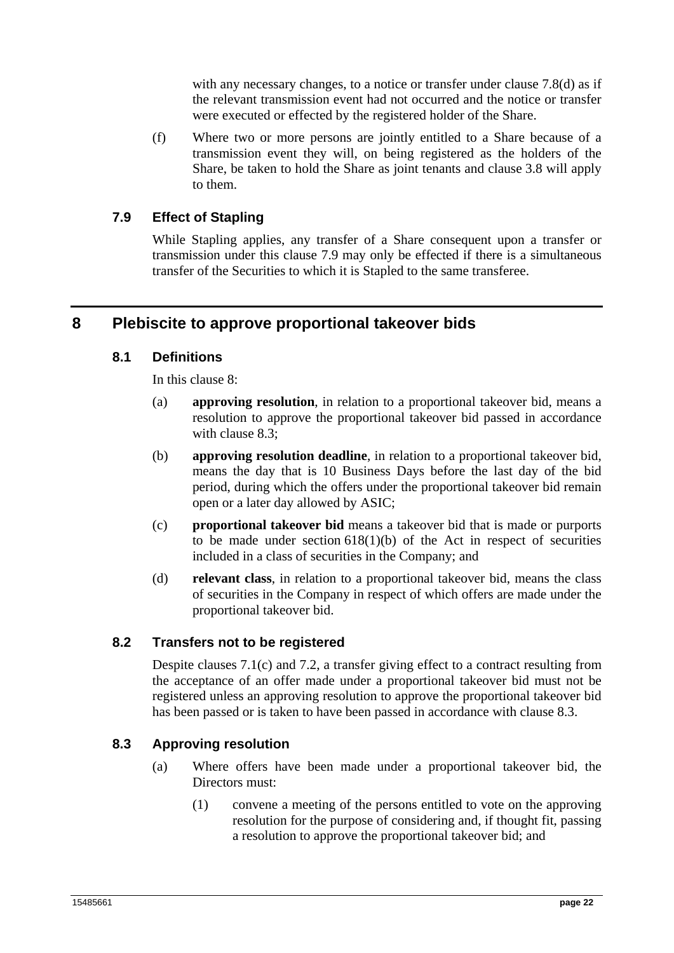with any necessary changes, to a notice or transfer under clause 7.8(d) as if the relevant transmission event had not occurred and the notice or transfer were executed or effected by the registered holder of the Share.

(f) Where two or more persons are jointly entitled to a Share because of a transmission event they will, on being registered as the holders of the Share, be taken to hold the Share as joint tenants and clause 3.8 will apply to them.

## **7.9 Effect of Stapling**

While Stapling applies, any transfer of a Share consequent upon a transfer or transmission under this clause 7.9 may only be effected if there is a simultaneous transfer of the Securities to which it is Stapled to the same transferee.

## **8 Plebiscite to approve proportional takeover bids**

## **8.1 Definitions**

In this clause 8:

- (a) **approving resolution**, in relation to a proportional takeover bid, means a resolution to approve the proportional takeover bid passed in accordance with clause 8.3;
- (b) **approving resolution deadline**, in relation to a proportional takeover bid, means the day that is 10 Business Days before the last day of the bid period, during which the offers under the proportional takeover bid remain open or a later day allowed by ASIC;
- (c) **proportional takeover bid** means a takeover bid that is made or purports to be made under section  $618(1)(b)$  of the Act in respect of securities included in a class of securities in the Company; and
- (d) **relevant class**, in relation to a proportional takeover bid, means the class of securities in the Company in respect of which offers are made under the proportional takeover bid.

#### **8.2 Transfers not to be registered**

Despite clauses 7.1(c) and 7.2, a transfer giving effect to a contract resulting from the acceptance of an offer made under a proportional takeover bid must not be registered unless an approving resolution to approve the proportional takeover bid has been passed or is taken to have been passed in accordance with clause 8.3.

#### **8.3 Approving resolution**

- (a) Where offers have been made under a proportional takeover bid, the Directors must:
	- (1) convene a meeting of the persons entitled to vote on the approving resolution for the purpose of considering and, if thought fit, passing a resolution to approve the proportional takeover bid; and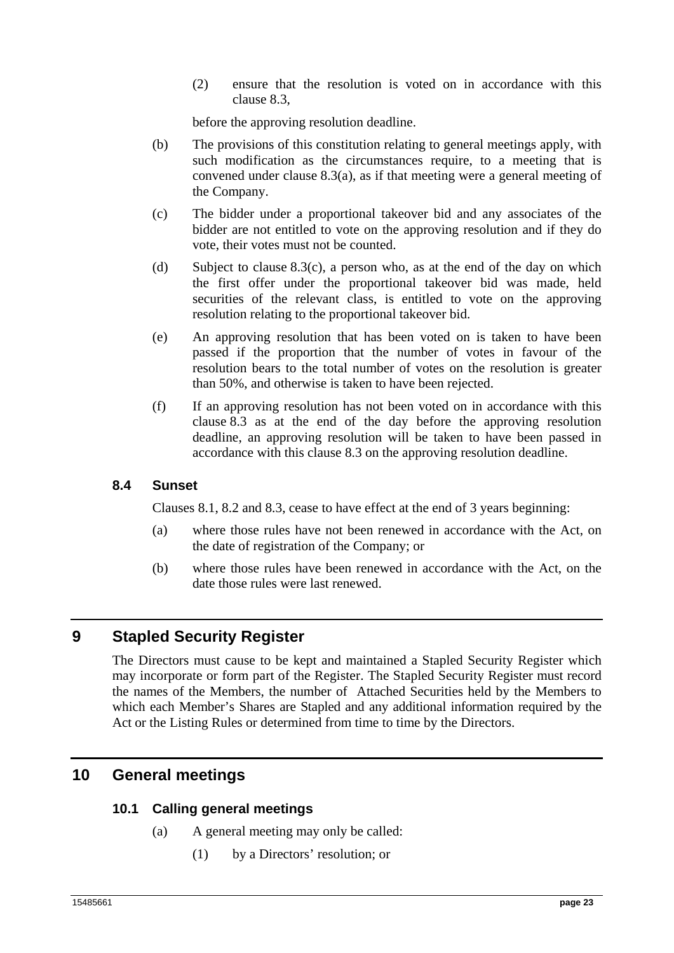(2) ensure that the resolution is voted on in accordance with this clause 8.3,

before the approving resolution deadline.

- (b) The provisions of this constitution relating to general meetings apply, with such modification as the circumstances require, to a meeting that is convened under clause 8.3(a), as if that meeting were a general meeting of the Company.
- (c) The bidder under a proportional takeover bid and any associates of the bidder are not entitled to vote on the approving resolution and if they do vote, their votes must not be counted.
- (d) Subject to clause  $8.3(c)$ , a person who, as at the end of the day on which the first offer under the proportional takeover bid was made, held securities of the relevant class, is entitled to vote on the approving resolution relating to the proportional takeover bid.
- (e) An approving resolution that has been voted on is taken to have been passed if the proportion that the number of votes in favour of the resolution bears to the total number of votes on the resolution is greater than 50%, and otherwise is taken to have been rejected.
- (f) If an approving resolution has not been voted on in accordance with this clause 8.3 as at the end of the day before the approving resolution deadline, an approving resolution will be taken to have been passed in accordance with this clause 8.3 on the approving resolution deadline.

#### **8.4 Sunset**

Clauses 8.1, 8.2 and 8.3, cease to have effect at the end of 3 years beginning:

- (a) where those rules have not been renewed in accordance with the Act, on the date of registration of the Company; or
- (b) where those rules have been renewed in accordance with the Act, on the date those rules were last renewed.

## **9 Stapled Security Register**

The Directors must cause to be kept and maintained a Stapled Security Register which may incorporate or form part of the Register. The Stapled Security Register must record the names of the Members, the number of Attached Securities held by the Members to which each Member's Shares are Stapled and any additional information required by the Act or the Listing Rules or determined from time to time by the Directors.

## **10 General meetings**

## **10.1 Calling general meetings**

- (a) A general meeting may only be called:
	- (1) by a Directors' resolution; or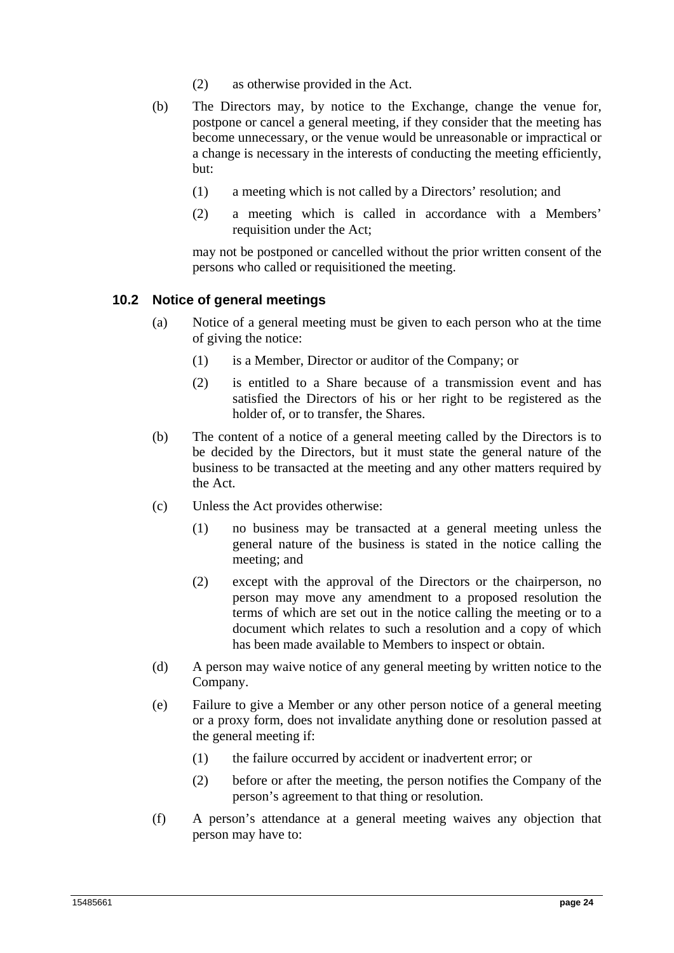- (2) as otherwise provided in the Act.
- (b) The Directors may, by notice to the Exchange, change the venue for, postpone or cancel a general meeting, if they consider that the meeting has become unnecessary, or the venue would be unreasonable or impractical or a change is necessary in the interests of conducting the meeting efficiently, but:
	- (1) a meeting which is not called by a Directors' resolution; and
	- (2) a meeting which is called in accordance with a Members' requisition under the Act;

may not be postponed or cancelled without the prior written consent of the persons who called or requisitioned the meeting.

#### **10.2 Notice of general meetings**

- (a) Notice of a general meeting must be given to each person who at the time of giving the notice:
	- (1) is a Member, Director or auditor of the Company; or
	- (2) is entitled to a Share because of a transmission event and has satisfied the Directors of his or her right to be registered as the holder of, or to transfer, the Shares.
- (b) The content of a notice of a general meeting called by the Directors is to be decided by the Directors, but it must state the general nature of the business to be transacted at the meeting and any other matters required by the Act.
- (c) Unless the Act provides otherwise:
	- (1) no business may be transacted at a general meeting unless the general nature of the business is stated in the notice calling the meeting; and
	- (2) except with the approval of the Directors or the chairperson, no person may move any amendment to a proposed resolution the terms of which are set out in the notice calling the meeting or to a document which relates to such a resolution and a copy of which has been made available to Members to inspect or obtain.
- (d) A person may waive notice of any general meeting by written notice to the Company.
- (e) Failure to give a Member or any other person notice of a general meeting or a proxy form, does not invalidate anything done or resolution passed at the general meeting if:
	- (1) the failure occurred by accident or inadvertent error; or
	- (2) before or after the meeting, the person notifies the Company of the person's agreement to that thing or resolution.
- (f) A person's attendance at a general meeting waives any objection that person may have to: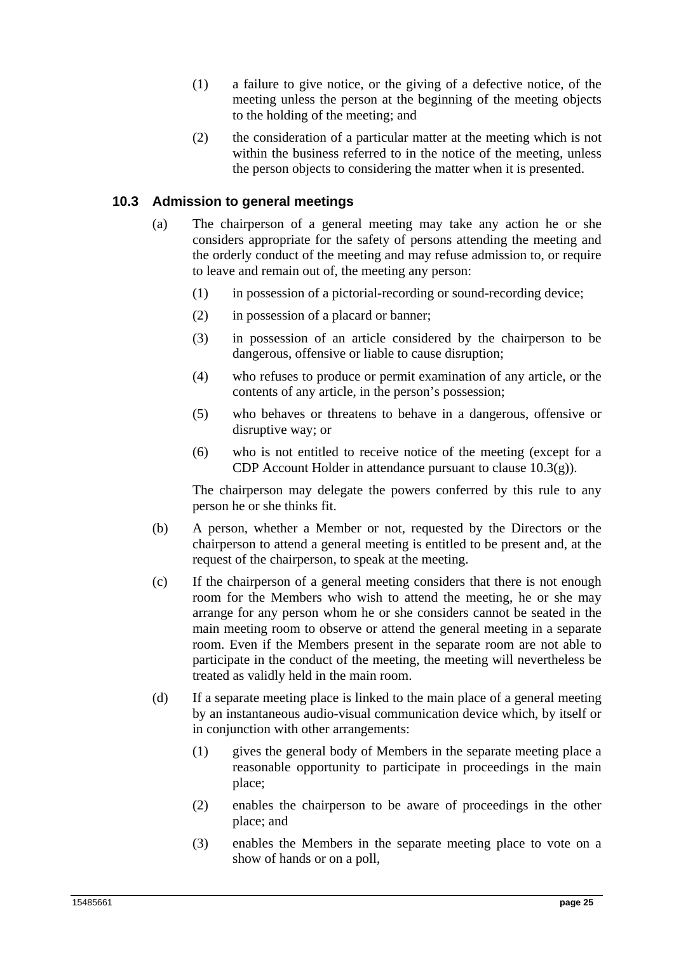- (1) a failure to give notice, or the giving of a defective notice, of the meeting unless the person at the beginning of the meeting objects to the holding of the meeting; and
- (2) the consideration of a particular matter at the meeting which is not within the business referred to in the notice of the meeting, unless the person objects to considering the matter when it is presented.

## **10.3 Admission to general meetings**

- (a) The chairperson of a general meeting may take any action he or she considers appropriate for the safety of persons attending the meeting and the orderly conduct of the meeting and may refuse admission to, or require to leave and remain out of, the meeting any person:
	- (1) in possession of a pictorial-recording or sound-recording device;
	- (2) in possession of a placard or banner;
	- (3) in possession of an article considered by the chairperson to be dangerous, offensive or liable to cause disruption;
	- (4) who refuses to produce or permit examination of any article, or the contents of any article, in the person's possession;
	- (5) who behaves or threatens to behave in a dangerous, offensive or disruptive way; or
	- (6) who is not entitled to receive notice of the meeting (except for a CDP Account Holder in attendance pursuant to clause 10.3(g)).

The chairperson may delegate the powers conferred by this rule to any person he or she thinks fit.

- (b) A person, whether a Member or not, requested by the Directors or the chairperson to attend a general meeting is entitled to be present and, at the request of the chairperson, to speak at the meeting.
- (c) If the chairperson of a general meeting considers that there is not enough room for the Members who wish to attend the meeting, he or she may arrange for any person whom he or she considers cannot be seated in the main meeting room to observe or attend the general meeting in a separate room. Even if the Members present in the separate room are not able to participate in the conduct of the meeting, the meeting will nevertheless be treated as validly held in the main room.
- (d) If a separate meeting place is linked to the main place of a general meeting by an instantaneous audio-visual communication device which, by itself or in conjunction with other arrangements:
	- (1) gives the general body of Members in the separate meeting place a reasonable opportunity to participate in proceedings in the main place;
	- (2) enables the chairperson to be aware of proceedings in the other place; and
	- (3) enables the Members in the separate meeting place to vote on a show of hands or on a poll,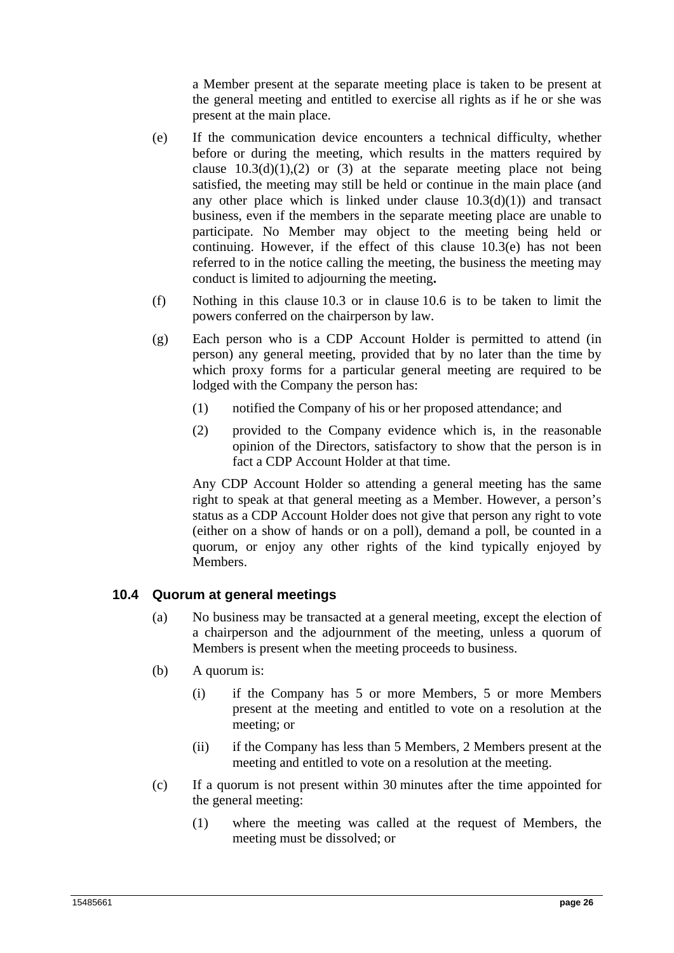a Member present at the separate meeting place is taken to be present at the general meeting and entitled to exercise all rights as if he or she was present at the main place.

- (e) If the communication device encounters a technical difficulty, whether before or during the meeting, which results in the matters required by clause  $10.3(d)(1),(2)$  or (3) at the separate meeting place not being satisfied, the meeting may still be held or continue in the main place (and any other place which is linked under clause  $10.3(d)(1)$  and transact business, even if the members in the separate meeting place are unable to participate. No Member may object to the meeting being held or continuing. However, if the effect of this clause 10.3(e) has not been referred to in the notice calling the meeting, the business the meeting may conduct is limited to adjourning the meeting**.**
- (f) Nothing in this clause 10.3 or in clause 10.6 is to be taken to limit the powers conferred on the chairperson by law.
- (g) Each person who is a CDP Account Holder is permitted to attend (in person) any general meeting, provided that by no later than the time by which proxy forms for a particular general meeting are required to be lodged with the Company the person has:
	- (1) notified the Company of his or her proposed attendance; and
	- (2) provided to the Company evidence which is, in the reasonable opinion of the Directors, satisfactory to show that the person is in fact a CDP Account Holder at that time.

Any CDP Account Holder so attending a general meeting has the same right to speak at that general meeting as a Member. However, a person's status as a CDP Account Holder does not give that person any right to vote (either on a show of hands or on a poll), demand a poll, be counted in a quorum, or enjoy any other rights of the kind typically enjoyed by Members.

#### **10.4 Quorum at general meetings**

- (a) No business may be transacted at a general meeting, except the election of a chairperson and the adjournment of the meeting, unless a quorum of Members is present when the meeting proceeds to business.
- (b) A quorum is:
	- (i) if the Company has 5 or more Members, 5 or more Members present at the meeting and entitled to vote on a resolution at the meeting; or
	- (ii) if the Company has less than 5 Members, 2 Members present at the meeting and entitled to vote on a resolution at the meeting.
- (c) If a quorum is not present within 30 minutes after the time appointed for the general meeting:
	- (1) where the meeting was called at the request of Members, the meeting must be dissolved; or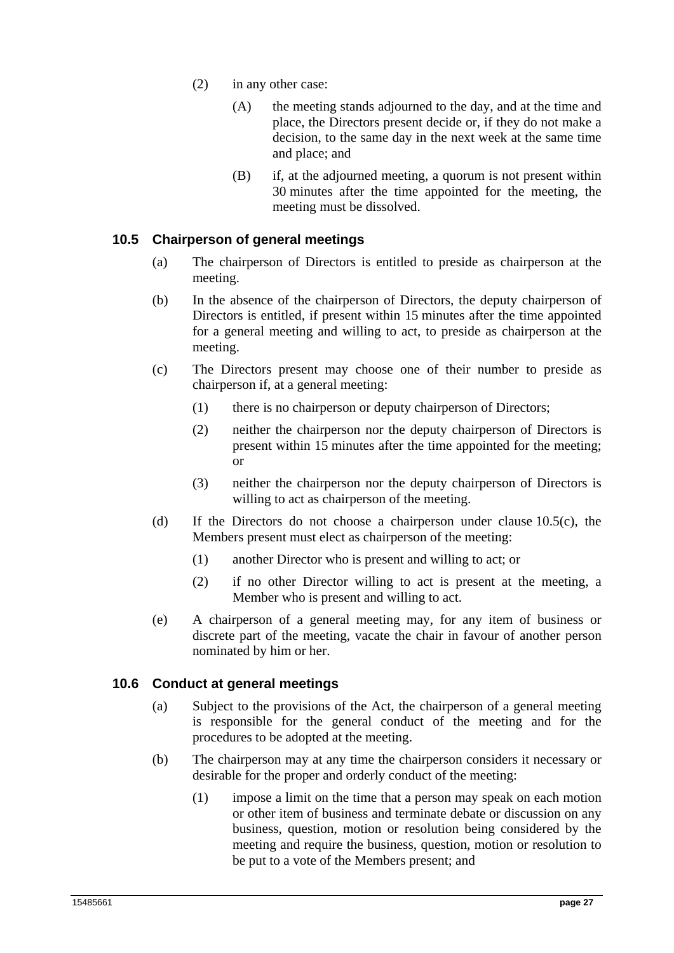- (2) in any other case:
	- (A) the meeting stands adjourned to the day, and at the time and place, the Directors present decide or, if they do not make a decision, to the same day in the next week at the same time and place; and
	- (B) if, at the adjourned meeting, a quorum is not present within 30 minutes after the time appointed for the meeting, the meeting must be dissolved.

## **10.5 Chairperson of general meetings**

- (a) The chairperson of Directors is entitled to preside as chairperson at the meeting.
- (b) In the absence of the chairperson of Directors, the deputy chairperson of Directors is entitled, if present within 15 minutes after the time appointed for a general meeting and willing to act, to preside as chairperson at the meeting.
- (c) The Directors present may choose one of their number to preside as chairperson if, at a general meeting:
	- (1) there is no chairperson or deputy chairperson of Directors;
	- (2) neither the chairperson nor the deputy chairperson of Directors is present within 15 minutes after the time appointed for the meeting; or
	- (3) neither the chairperson nor the deputy chairperson of Directors is willing to act as chairperson of the meeting.
- (d) If the Directors do not choose a chairperson under clause 10.5(c), the Members present must elect as chairperson of the meeting:
	- (1) another Director who is present and willing to act; or
	- (2) if no other Director willing to act is present at the meeting, a Member who is present and willing to act.
- (e) A chairperson of a general meeting may, for any item of business or discrete part of the meeting, vacate the chair in favour of another person nominated by him or her.

## **10.6 Conduct at general meetings**

- (a) Subject to the provisions of the Act, the chairperson of a general meeting is responsible for the general conduct of the meeting and for the procedures to be adopted at the meeting.
- (b) The chairperson may at any time the chairperson considers it necessary or desirable for the proper and orderly conduct of the meeting:
	- (1) impose a limit on the time that a person may speak on each motion or other item of business and terminate debate or discussion on any business, question, motion or resolution being considered by the meeting and require the business, question, motion or resolution to be put to a vote of the Members present; and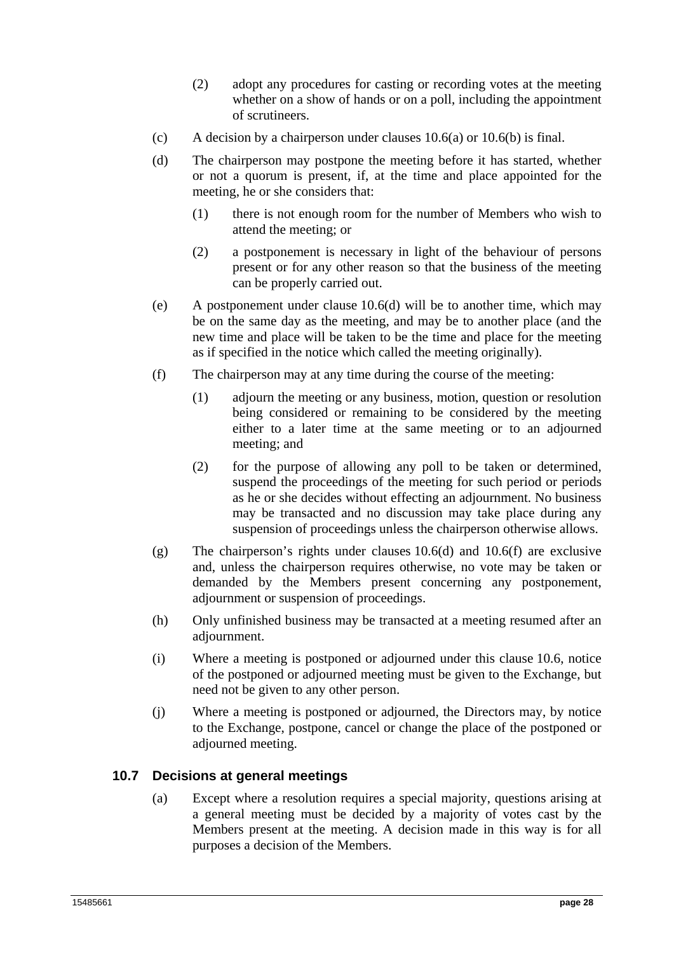- (2) adopt any procedures for casting or recording votes at the meeting whether on a show of hands or on a poll, including the appointment of scrutineers.
- (c) A decision by a chairperson under clauses  $10.6(a)$  or  $10.6(b)$  is final.
- (d) The chairperson may postpone the meeting before it has started, whether or not a quorum is present, if, at the time and place appointed for the meeting, he or she considers that:
	- (1) there is not enough room for the number of Members who wish to attend the meeting; or
	- (2) a postponement is necessary in light of the behaviour of persons present or for any other reason so that the business of the meeting can be properly carried out.
- (e) A postponement under clause 10.6(d) will be to another time, which may be on the same day as the meeting, and may be to another place (and the new time and place will be taken to be the time and place for the meeting as if specified in the notice which called the meeting originally).
- (f) The chairperson may at any time during the course of the meeting:
	- (1) adjourn the meeting or any business, motion, question or resolution being considered or remaining to be considered by the meeting either to a later time at the same meeting or to an adjourned meeting; and
	- (2) for the purpose of allowing any poll to be taken or determined, suspend the proceedings of the meeting for such period or periods as he or she decides without effecting an adjournment. No business may be transacted and no discussion may take place during any suspension of proceedings unless the chairperson otherwise allows.
- (g) The chairperson's rights under clauses 10.6(d) and 10.6(f) are exclusive and, unless the chairperson requires otherwise, no vote may be taken or demanded by the Members present concerning any postponement, adjournment or suspension of proceedings.
- (h) Only unfinished business may be transacted at a meeting resumed after an adjournment.
- (i) Where a meeting is postponed or adjourned under this clause 10.6, notice of the postponed or adjourned meeting must be given to the Exchange, but need not be given to any other person.
- (j) Where a meeting is postponed or adjourned, the Directors may, by notice to the Exchange, postpone, cancel or change the place of the postponed or adjourned meeting.

#### **10.7 Decisions at general meetings**

(a) Except where a resolution requires a special majority, questions arising at a general meeting must be decided by a majority of votes cast by the Members present at the meeting. A decision made in this way is for all purposes a decision of the Members.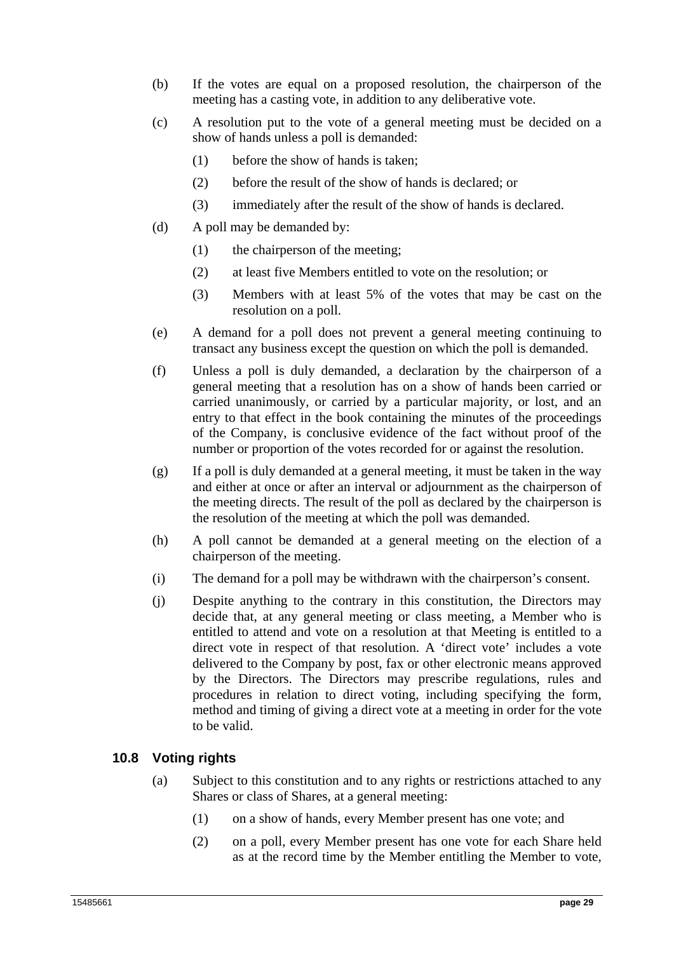- (b) If the votes are equal on a proposed resolution, the chairperson of the meeting has a casting vote, in addition to any deliberative vote.
- (c) A resolution put to the vote of a general meeting must be decided on a show of hands unless a poll is demanded:
	- (1) before the show of hands is taken;
	- (2) before the result of the show of hands is declared; or
	- (3) immediately after the result of the show of hands is declared.
- (d) A poll may be demanded by:
	- (1) the chairperson of the meeting;
	- (2) at least five Members entitled to vote on the resolution; or
	- (3) Members with at least 5% of the votes that may be cast on the resolution on a poll.
- (e) A demand for a poll does not prevent a general meeting continuing to transact any business except the question on which the poll is demanded.
- (f) Unless a poll is duly demanded, a declaration by the chairperson of a general meeting that a resolution has on a show of hands been carried or carried unanimously, or carried by a particular majority, or lost, and an entry to that effect in the book containing the minutes of the proceedings of the Company, is conclusive evidence of the fact without proof of the number or proportion of the votes recorded for or against the resolution.
- (g) If a poll is duly demanded at a general meeting, it must be taken in the way and either at once or after an interval or adjournment as the chairperson of the meeting directs. The result of the poll as declared by the chairperson is the resolution of the meeting at which the poll was demanded.
- (h) A poll cannot be demanded at a general meeting on the election of a chairperson of the meeting.
- (i) The demand for a poll may be withdrawn with the chairperson's consent.
- (j) Despite anything to the contrary in this constitution, the Directors may decide that, at any general meeting or class meeting, a Member who is entitled to attend and vote on a resolution at that Meeting is entitled to a direct vote in respect of that resolution. A 'direct vote' includes a vote delivered to the Company by post, fax or other electronic means approved by the Directors. The Directors may prescribe regulations, rules and procedures in relation to direct voting, including specifying the form, method and timing of giving a direct vote at a meeting in order for the vote to be valid.

## **10.8 Voting rights**

- (a) Subject to this constitution and to any rights or restrictions attached to any Shares or class of Shares, at a general meeting:
	- (1) on a show of hands, every Member present has one vote; and
	- (2) on a poll, every Member present has one vote for each Share held as at the record time by the Member entitling the Member to vote,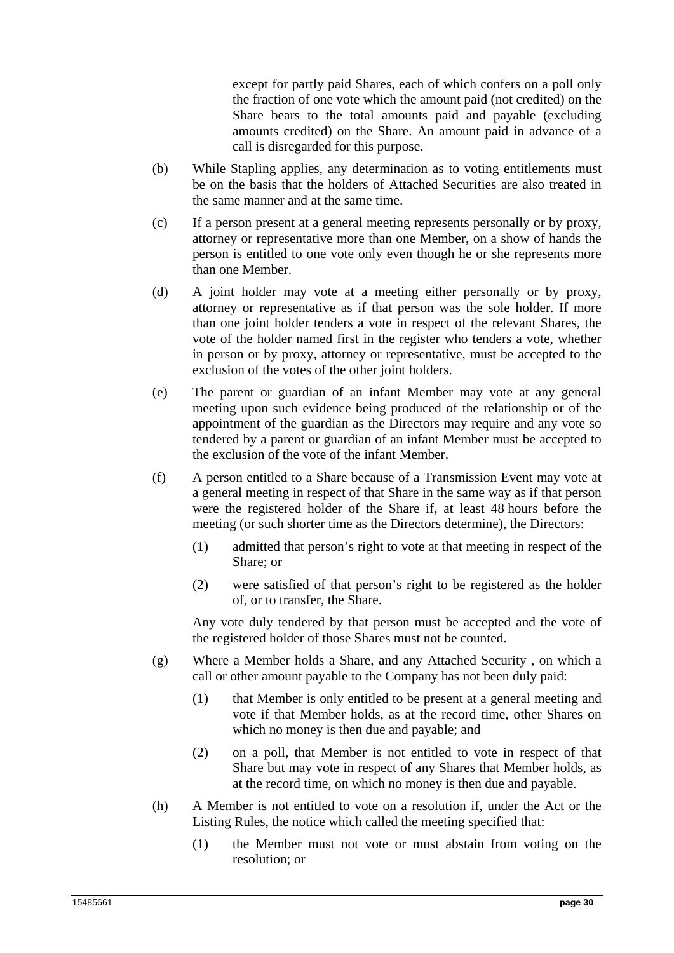except for partly paid Shares, each of which confers on a poll only the fraction of one vote which the amount paid (not credited) on the Share bears to the total amounts paid and payable (excluding amounts credited) on the Share. An amount paid in advance of a call is disregarded for this purpose.

- (b) While Stapling applies, any determination as to voting entitlements must be on the basis that the holders of Attached Securities are also treated in the same manner and at the same time.
- (c) If a person present at a general meeting represents personally or by proxy, attorney or representative more than one Member, on a show of hands the person is entitled to one vote only even though he or she represents more than one Member.
- (d) A joint holder may vote at a meeting either personally or by proxy, attorney or representative as if that person was the sole holder. If more than one joint holder tenders a vote in respect of the relevant Shares, the vote of the holder named first in the register who tenders a vote, whether in person or by proxy, attorney or representative, must be accepted to the exclusion of the votes of the other joint holders.
- (e) The parent or guardian of an infant Member may vote at any general meeting upon such evidence being produced of the relationship or of the appointment of the guardian as the Directors may require and any vote so tendered by a parent or guardian of an infant Member must be accepted to the exclusion of the vote of the infant Member.
- (f) A person entitled to a Share because of a Transmission Event may vote at a general meeting in respect of that Share in the same way as if that person were the registered holder of the Share if, at least 48 hours before the meeting (or such shorter time as the Directors determine), the Directors:
	- (1) admitted that person's right to vote at that meeting in respect of the Share; or
	- (2) were satisfied of that person's right to be registered as the holder of, or to transfer, the Share.

Any vote duly tendered by that person must be accepted and the vote of the registered holder of those Shares must not be counted.

- (g) Where a Member holds a Share, and any Attached Security , on which a call or other amount payable to the Company has not been duly paid:
	- (1) that Member is only entitled to be present at a general meeting and vote if that Member holds, as at the record time, other Shares on which no money is then due and payable; and
	- (2) on a poll, that Member is not entitled to vote in respect of that Share but may vote in respect of any Shares that Member holds, as at the record time, on which no money is then due and payable.
- (h) A Member is not entitled to vote on a resolution if, under the Act or the Listing Rules, the notice which called the meeting specified that:
	- (1) the Member must not vote or must abstain from voting on the resolution; or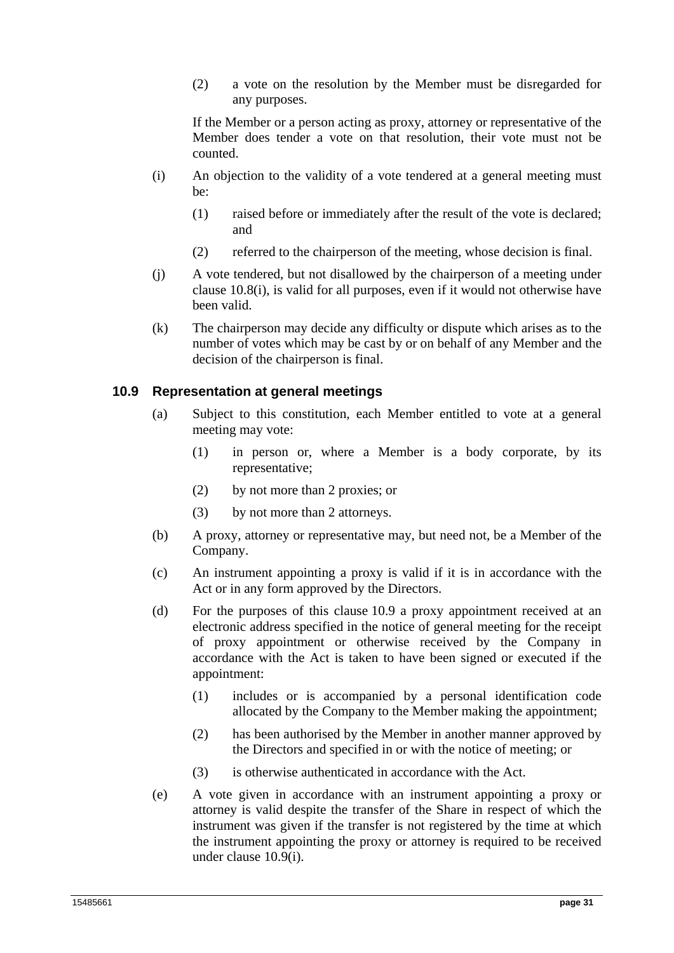(2) a vote on the resolution by the Member must be disregarded for any purposes.

If the Member or a person acting as proxy, attorney or representative of the Member does tender a vote on that resolution, their vote must not be counted.

- (i) An objection to the validity of a vote tendered at a general meeting must be:
	- (1) raised before or immediately after the result of the vote is declared; and
	- (2) referred to the chairperson of the meeting, whose decision is final.
- (j) A vote tendered, but not disallowed by the chairperson of a meeting under clause 10.8(i), is valid for all purposes, even if it would not otherwise have been valid.
- (k) The chairperson may decide any difficulty or dispute which arises as to the number of votes which may be cast by or on behalf of any Member and the decision of the chairperson is final.

## **10.9 Representation at general meetings**

- (a) Subject to this constitution, each Member entitled to vote at a general meeting may vote:
	- (1) in person or, where a Member is a body corporate, by its representative;
	- (2) by not more than 2 proxies; or
	- (3) by not more than 2 attorneys.
- (b) A proxy, attorney or representative may, but need not, be a Member of the Company.
- (c) An instrument appointing a proxy is valid if it is in accordance with the Act or in any form approved by the Directors.
- (d) For the purposes of this clause 10.9 a proxy appointment received at an electronic address specified in the notice of general meeting for the receipt of proxy appointment or otherwise received by the Company in accordance with the Act is taken to have been signed or executed if the appointment:
	- (1) includes or is accompanied by a personal identification code allocated by the Company to the Member making the appointment;
	- (2) has been authorised by the Member in another manner approved by the Directors and specified in or with the notice of meeting; or
	- (3) is otherwise authenticated in accordance with the Act.
- (e) A vote given in accordance with an instrument appointing a proxy or attorney is valid despite the transfer of the Share in respect of which the instrument was given if the transfer is not registered by the time at which the instrument appointing the proxy or attorney is required to be received under clause 10.9(i).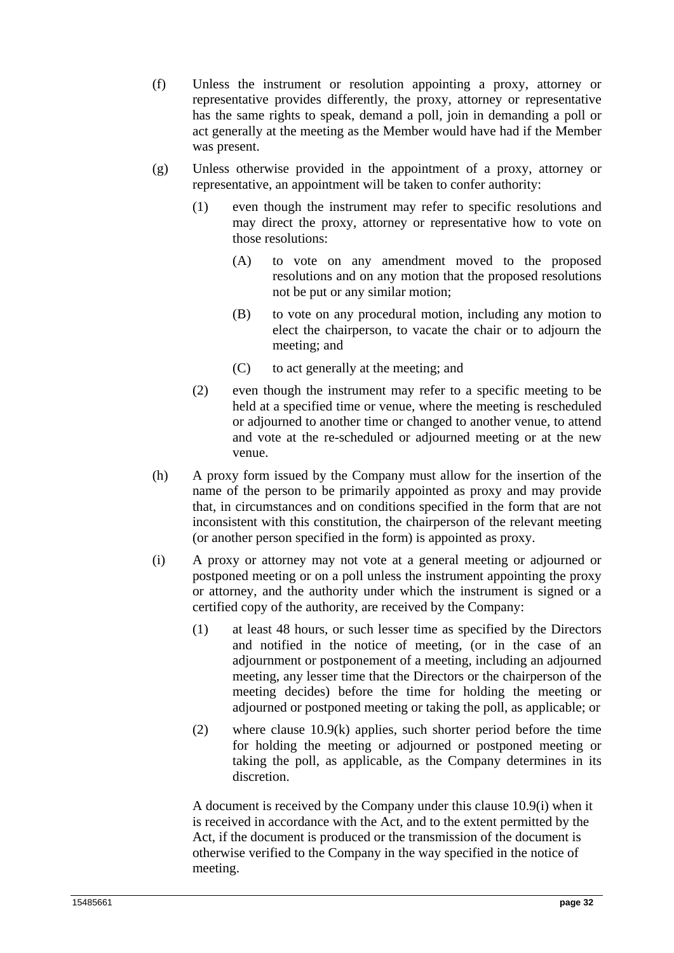- (f) Unless the instrument or resolution appointing a proxy, attorney or representative provides differently, the proxy, attorney or representative has the same rights to speak, demand a poll, join in demanding a poll or act generally at the meeting as the Member would have had if the Member was present.
- (g) Unless otherwise provided in the appointment of a proxy, attorney or representative, an appointment will be taken to confer authority:
	- (1) even though the instrument may refer to specific resolutions and may direct the proxy, attorney or representative how to vote on those resolutions:
		- (A) to vote on any amendment moved to the proposed resolutions and on any motion that the proposed resolutions not be put or any similar motion;
		- (B) to vote on any procedural motion, including any motion to elect the chairperson, to vacate the chair or to adjourn the meeting; and
		- (C) to act generally at the meeting; and
	- (2) even though the instrument may refer to a specific meeting to be held at a specified time or venue, where the meeting is rescheduled or adjourned to another time or changed to another venue, to attend and vote at the re-scheduled or adjourned meeting or at the new venue.
- (h) A proxy form issued by the Company must allow for the insertion of the name of the person to be primarily appointed as proxy and may provide that, in circumstances and on conditions specified in the form that are not inconsistent with this constitution, the chairperson of the relevant meeting (or another person specified in the form) is appointed as proxy.
- (i) A proxy or attorney may not vote at a general meeting or adjourned or postponed meeting or on a poll unless the instrument appointing the proxy or attorney, and the authority under which the instrument is signed or a certified copy of the authority, are received by the Company:
	- (1) at least 48 hours, or such lesser time as specified by the Directors and notified in the notice of meeting, (or in the case of an adjournment or postponement of a meeting, including an adjourned meeting, any lesser time that the Directors or the chairperson of the meeting decides) before the time for holding the meeting or adjourned or postponed meeting or taking the poll, as applicable; or
	- (2) where clause 10.9(k) applies, such shorter period before the time for holding the meeting or adjourned or postponed meeting or taking the poll, as applicable, as the Company determines in its discretion.

A document is received by the Company under this clause 10.9(i) when it is received in accordance with the Act, and to the extent permitted by the Act, if the document is produced or the transmission of the document is otherwise verified to the Company in the way specified in the notice of meeting.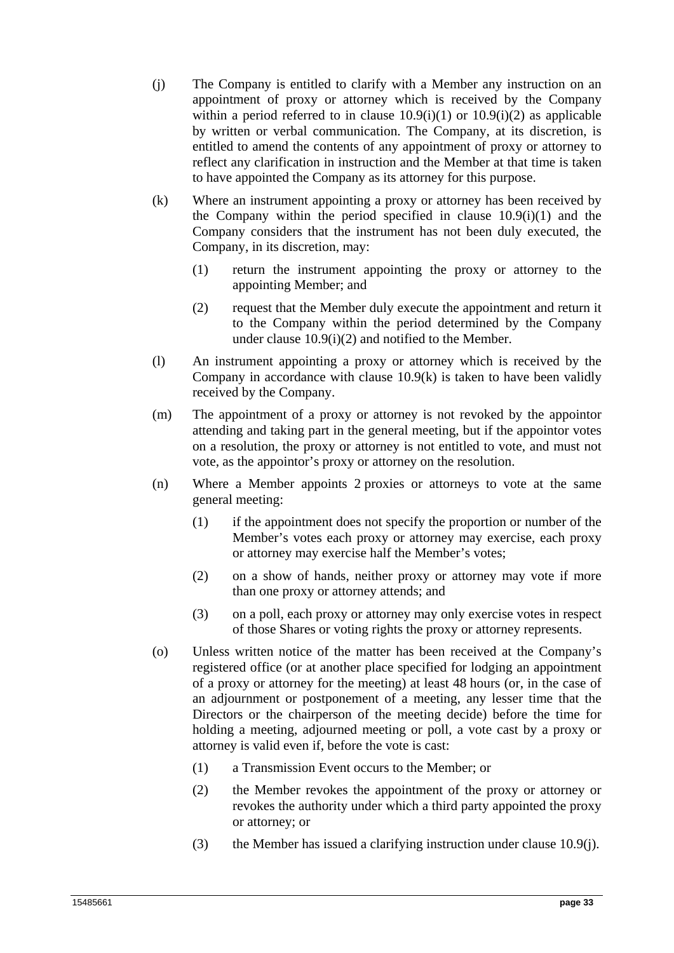- (j) The Company is entitled to clarify with a Member any instruction on an appointment of proxy or attorney which is received by the Company within a period referred to in clause  $10.9(i)(1)$  or  $10.9(i)(2)$  as applicable by written or verbal communication. The Company, at its discretion, is entitled to amend the contents of any appointment of proxy or attorney to reflect any clarification in instruction and the Member at that time is taken to have appointed the Company as its attorney for this purpose.
- (k) Where an instrument appointing a proxy or attorney has been received by the Company within the period specified in clause 10.9(i)(1) and the Company considers that the instrument has not been duly executed, the Company, in its discretion, may:
	- (1) return the instrument appointing the proxy or attorney to the appointing Member; and
	- (2) request that the Member duly execute the appointment and return it to the Company within the period determined by the Company under clause 10.9(i)(2) and notified to the Member.
- (l) An instrument appointing a proxy or attorney which is received by the Company in accordance with clause  $10.9(k)$  is taken to have been validly received by the Company.
- (m) The appointment of a proxy or attorney is not revoked by the appointor attending and taking part in the general meeting, but if the appointor votes on a resolution, the proxy or attorney is not entitled to vote, and must not vote, as the appointor's proxy or attorney on the resolution.
- (n) Where a Member appoints 2 proxies or attorneys to vote at the same general meeting:
	- (1) if the appointment does not specify the proportion or number of the Member's votes each proxy or attorney may exercise, each proxy or attorney may exercise half the Member's votes;
	- (2) on a show of hands, neither proxy or attorney may vote if more than one proxy or attorney attends; and
	- (3) on a poll, each proxy or attorney may only exercise votes in respect of those Shares or voting rights the proxy or attorney represents.
- (o) Unless written notice of the matter has been received at the Company's registered office (or at another place specified for lodging an appointment of a proxy or attorney for the meeting) at least 48 hours (or, in the case of an adjournment or postponement of a meeting, any lesser time that the Directors or the chairperson of the meeting decide) before the time for holding a meeting, adjourned meeting or poll, a vote cast by a proxy or attorney is valid even if, before the vote is cast:
	- (1) a Transmission Event occurs to the Member; or
	- (2) the Member revokes the appointment of the proxy or attorney or revokes the authority under which a third party appointed the proxy or attorney; or
	- (3) the Member has issued a clarifying instruction under clause 10.9(j).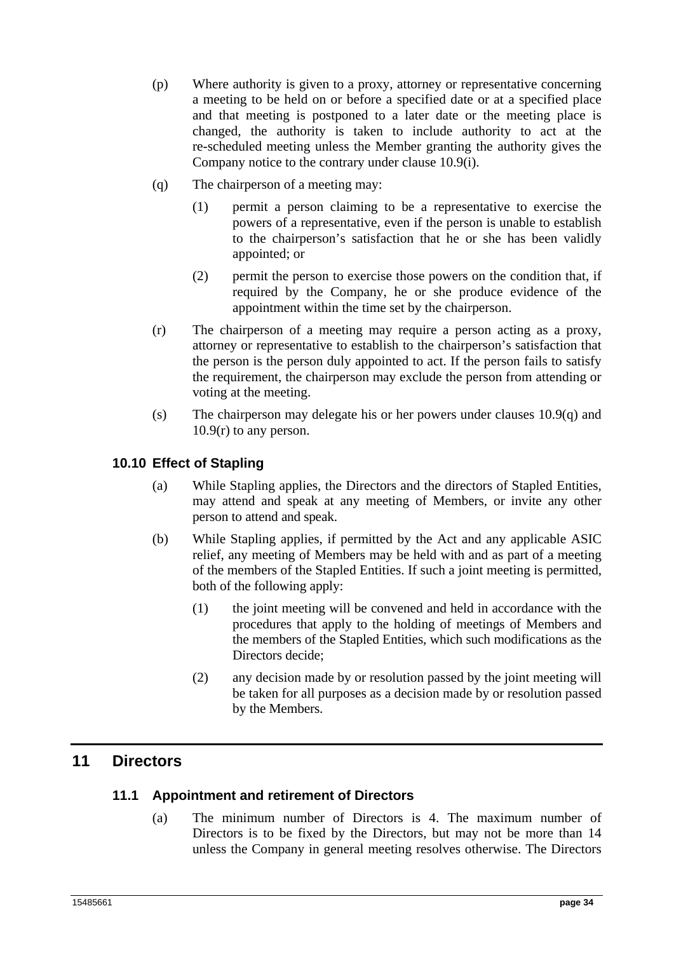- (p) Where authority is given to a proxy, attorney or representative concerning a meeting to be held on or before a specified date or at a specified place and that meeting is postponed to a later date or the meeting place is changed, the authority is taken to include authority to act at the re-scheduled meeting unless the Member granting the authority gives the Company notice to the contrary under clause 10.9(i).
- (q) The chairperson of a meeting may:
	- (1) permit a person claiming to be a representative to exercise the powers of a representative, even if the person is unable to establish to the chairperson's satisfaction that he or she has been validly appointed; or
	- (2) permit the person to exercise those powers on the condition that, if required by the Company, he or she produce evidence of the appointment within the time set by the chairperson.
- (r) The chairperson of a meeting may require a person acting as a proxy, attorney or representative to establish to the chairperson's satisfaction that the person is the person duly appointed to act. If the person fails to satisfy the requirement, the chairperson may exclude the person from attending or voting at the meeting.
- (s) The chairperson may delegate his or her powers under clauses  $10.9(q)$  and 10.9(r) to any person.

## **10.10 Effect of Stapling**

- (a) While Stapling applies, the Directors and the directors of Stapled Entities, may attend and speak at any meeting of Members, or invite any other person to attend and speak.
- (b) While Stapling applies, if permitted by the Act and any applicable ASIC relief, any meeting of Members may be held with and as part of a meeting of the members of the Stapled Entities. If such a joint meeting is permitted, both of the following apply:
	- (1) the joint meeting will be convened and held in accordance with the procedures that apply to the holding of meetings of Members and the members of the Stapled Entities, which such modifications as the Directors decide:
	- (2) any decision made by or resolution passed by the joint meeting will be taken for all purposes as a decision made by or resolution passed by the Members.

## **11 Directors**

## **11.1 Appointment and retirement of Directors**

(a) The minimum number of Directors is 4. The maximum number of Directors is to be fixed by the Directors, but may not be more than 14 unless the Company in general meeting resolves otherwise. The Directors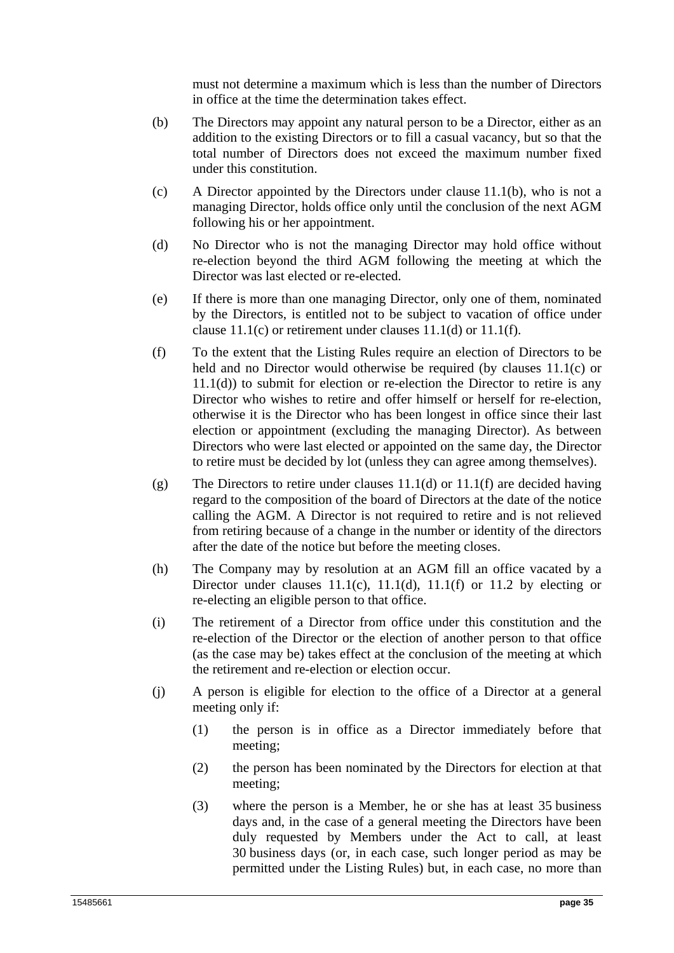must not determine a maximum which is less than the number of Directors in office at the time the determination takes effect.

- (b) The Directors may appoint any natural person to be a Director, either as an addition to the existing Directors or to fill a casual vacancy, but so that the total number of Directors does not exceed the maximum number fixed under this constitution.
- (c) A Director appointed by the Directors under clause 11.1(b), who is not a managing Director, holds office only until the conclusion of the next AGM following his or her appointment.
- (d) No Director who is not the managing Director may hold office without re-election beyond the third AGM following the meeting at which the Director was last elected or re-elected.
- (e) If there is more than one managing Director, only one of them, nominated by the Directors, is entitled not to be subject to vacation of office under clause 11.1(c) or retirement under clauses 11.1(d) or 11.1(f).
- (f) To the extent that the Listing Rules require an election of Directors to be held and no Director would otherwise be required (by clauses 11.1(c) or  $11.1(d)$ ) to submit for election or re-election the Director to retire is any Director who wishes to retire and offer himself or herself for re-election, otherwise it is the Director who has been longest in office since their last election or appointment (excluding the managing Director). As between Directors who were last elected or appointed on the same day, the Director to retire must be decided by lot (unless they can agree among themselves).
- (g) The Directors to retire under clauses 11.1(d) or 11.1(f) are decided having regard to the composition of the board of Directors at the date of the notice calling the AGM. A Director is not required to retire and is not relieved from retiring because of a change in the number or identity of the directors after the date of the notice but before the meeting closes.
- (h) The Company may by resolution at an AGM fill an office vacated by a Director under clauses  $11.1(c)$ ,  $11.1(d)$ ,  $11.1(f)$  or  $11.2$  by electing or re-electing an eligible person to that office.
- (i) The retirement of a Director from office under this constitution and the re-election of the Director or the election of another person to that office (as the case may be) takes effect at the conclusion of the meeting at which the retirement and re-election or election occur.
- (j) A person is eligible for election to the office of a Director at a general meeting only if:
	- (1) the person is in office as a Director immediately before that meeting;
	- (2) the person has been nominated by the Directors for election at that meeting;
	- (3) where the person is a Member, he or she has at least 35 business days and, in the case of a general meeting the Directors have been duly requested by Members under the Act to call, at least 30 business days (or, in each case, such longer period as may be permitted under the Listing Rules) but, in each case, no more than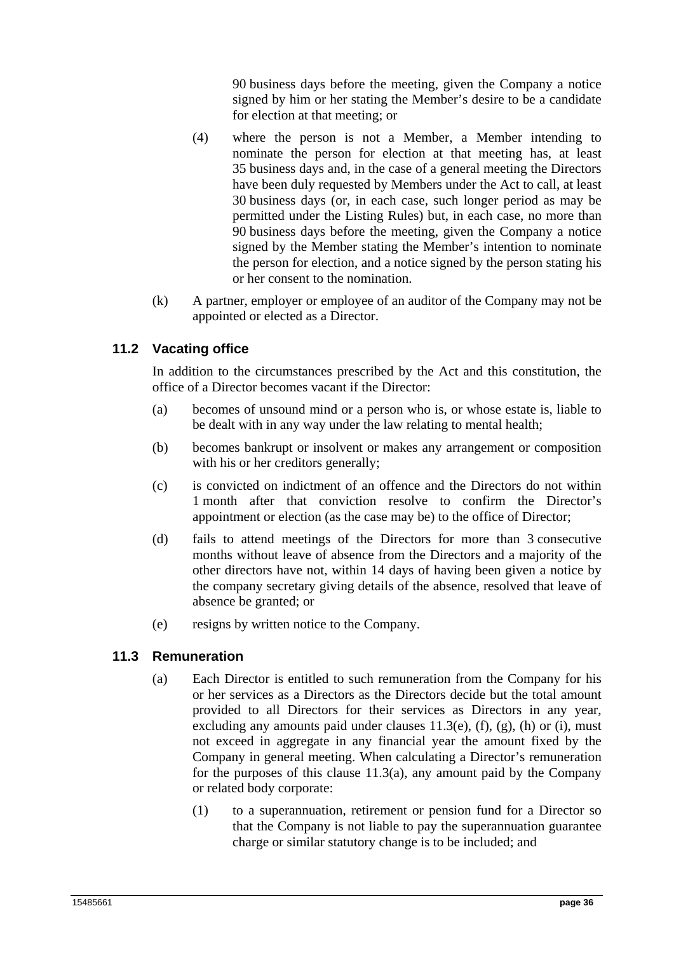90 business days before the meeting, given the Company a notice signed by him or her stating the Member's desire to be a candidate for election at that meeting; or

- (4) where the person is not a Member, a Member intending to nominate the person for election at that meeting has, at least 35 business days and, in the case of a general meeting the Directors have been duly requested by Members under the Act to call, at least 30 business days (or, in each case, such longer period as may be permitted under the Listing Rules) but, in each case, no more than 90 business days before the meeting, given the Company a notice signed by the Member stating the Member's intention to nominate the person for election, and a notice signed by the person stating his or her consent to the nomination.
- (k) A partner, employer or employee of an auditor of the Company may not be appointed or elected as a Director.

## **11.2 Vacating office**

In addition to the circumstances prescribed by the Act and this constitution, the office of a Director becomes vacant if the Director:

- (a) becomes of unsound mind or a person who is, or whose estate is, liable to be dealt with in any way under the law relating to mental health;
- (b) becomes bankrupt or insolvent or makes any arrangement or composition with his or her creditors generally;
- (c) is convicted on indictment of an offence and the Directors do not within 1 month after that conviction resolve to confirm the Director's appointment or election (as the case may be) to the office of Director;
- (d) fails to attend meetings of the Directors for more than 3 consecutive months without leave of absence from the Directors and a majority of the other directors have not, within 14 days of having been given a notice by the company secretary giving details of the absence, resolved that leave of absence be granted; or
- (e) resigns by written notice to the Company.

## **11.3 Remuneration**

- (a) Each Director is entitled to such remuneration from the Company for his or her services as a Directors as the Directors decide but the total amount provided to all Directors for their services as Directors in any year, excluding any amounts paid under clauses  $11.3(e)$ ,  $(f)$ ,  $(g)$ ,  $(h)$  or  $(i)$ , must not exceed in aggregate in any financial year the amount fixed by the Company in general meeting. When calculating a Director's remuneration for the purposes of this clause  $11.3(a)$ , any amount paid by the Company or related body corporate:
	- (1) to a superannuation, retirement or pension fund for a Director so that the Company is not liable to pay the superannuation guarantee charge or similar statutory change is to be included; and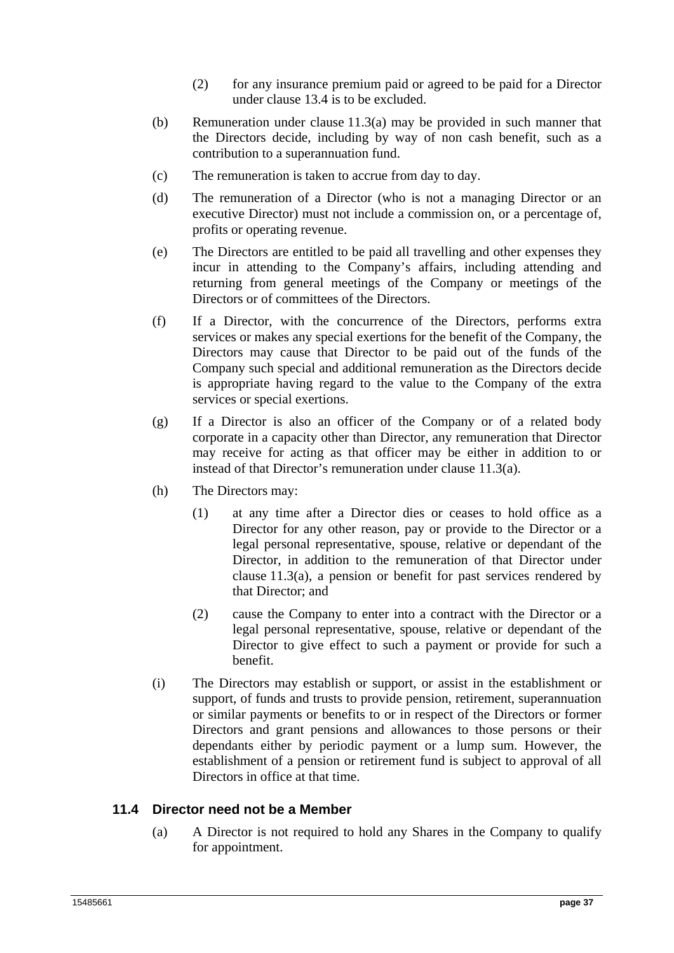- (2) for any insurance premium paid or agreed to be paid for a Director under clause 13.4 is to be excluded.
- (b) Remuneration under clause 11.3(a) may be provided in such manner that the Directors decide, including by way of non cash benefit, such as a contribution to a superannuation fund.
- (c) The remuneration is taken to accrue from day to day.
- (d) The remuneration of a Director (who is not a managing Director or an executive Director) must not include a commission on, or a percentage of, profits or operating revenue.
- (e) The Directors are entitled to be paid all travelling and other expenses they incur in attending to the Company's affairs, including attending and returning from general meetings of the Company or meetings of the Directors or of committees of the Directors.
- (f) If a Director, with the concurrence of the Directors, performs extra services or makes any special exertions for the benefit of the Company, the Directors may cause that Director to be paid out of the funds of the Company such special and additional remuneration as the Directors decide is appropriate having regard to the value to the Company of the extra services or special exertions.
- (g) If a Director is also an officer of the Company or of a related body corporate in a capacity other than Director, any remuneration that Director may receive for acting as that officer may be either in addition to or instead of that Director's remuneration under clause 11.3(a).
- (h) The Directors may:
	- (1) at any time after a Director dies or ceases to hold office as a Director for any other reason, pay or provide to the Director or a legal personal representative, spouse, relative or dependant of the Director, in addition to the remuneration of that Director under clause 11.3(a), a pension or benefit for past services rendered by that Director; and
	- (2) cause the Company to enter into a contract with the Director or a legal personal representative, spouse, relative or dependant of the Director to give effect to such a payment or provide for such a benefit.
- (i) The Directors may establish or support, or assist in the establishment or support, of funds and trusts to provide pension, retirement, superannuation or similar payments or benefits to or in respect of the Directors or former Directors and grant pensions and allowances to those persons or their dependants either by periodic payment or a lump sum. However, the establishment of a pension or retirement fund is subject to approval of all Directors in office at that time.

## **11.4 Director need not be a Member**

(a) A Director is not required to hold any Shares in the Company to qualify for appointment.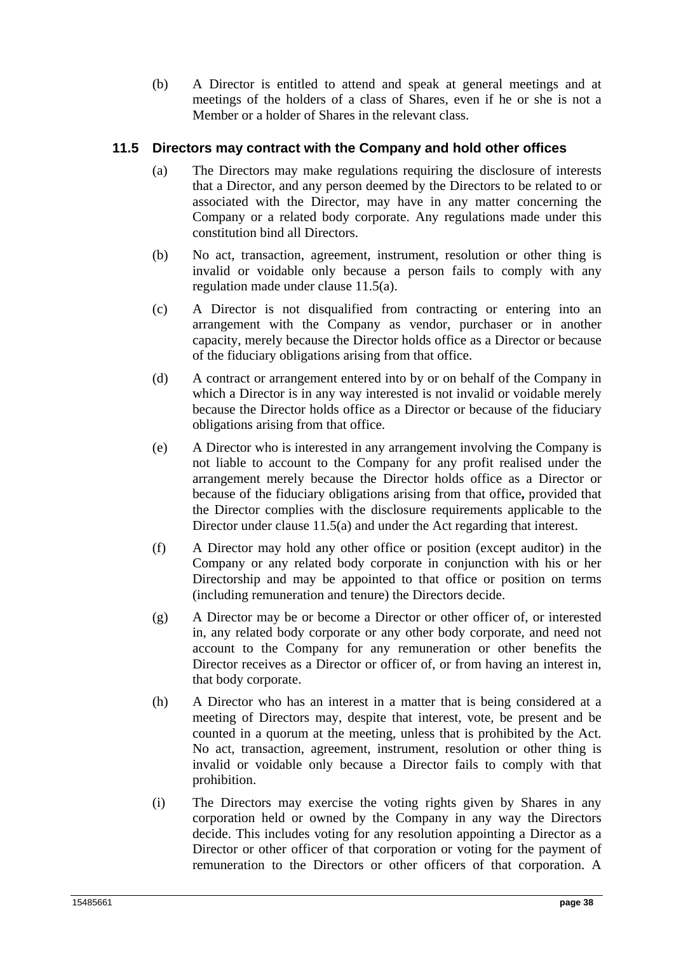(b) A Director is entitled to attend and speak at general meetings and at meetings of the holders of a class of Shares, even if he or she is not a Member or a holder of Shares in the relevant class.

## **11.5 Directors may contract with the Company and hold other offices**

- (a) The Directors may make regulations requiring the disclosure of interests that a Director, and any person deemed by the Directors to be related to or associated with the Director, may have in any matter concerning the Company or a related body corporate. Any regulations made under this constitution bind all Directors.
- (b) No act, transaction, agreement, instrument, resolution or other thing is invalid or voidable only because a person fails to comply with any regulation made under clause 11.5(a).
- (c) A Director is not disqualified from contracting or entering into an arrangement with the Company as vendor, purchaser or in another capacity, merely because the Director holds office as a Director or because of the fiduciary obligations arising from that office.
- (d) A contract or arrangement entered into by or on behalf of the Company in which a Director is in any way interested is not invalid or voidable merely because the Director holds office as a Director or because of the fiduciary obligations arising from that office.
- (e) A Director who is interested in any arrangement involving the Company is not liable to account to the Company for any profit realised under the arrangement merely because the Director holds office as a Director or because of the fiduciary obligations arising from that office**,** provided that the Director complies with the disclosure requirements applicable to the Director under clause 11.5(a) and under the Act regarding that interest.
- (f) A Director may hold any other office or position (except auditor) in the Company or any related body corporate in conjunction with his or her Directorship and may be appointed to that office or position on terms (including remuneration and tenure) the Directors decide.
- (g) A Director may be or become a Director or other officer of, or interested in, any related body corporate or any other body corporate, and need not account to the Company for any remuneration or other benefits the Director receives as a Director or officer of, or from having an interest in, that body corporate.
- (h) A Director who has an interest in a matter that is being considered at a meeting of Directors may, despite that interest, vote, be present and be counted in a quorum at the meeting, unless that is prohibited by the Act. No act, transaction, agreement, instrument, resolution or other thing is invalid or voidable only because a Director fails to comply with that prohibition.
- (i) The Directors may exercise the voting rights given by Shares in any corporation held or owned by the Company in any way the Directors decide. This includes voting for any resolution appointing a Director as a Director or other officer of that corporation or voting for the payment of remuneration to the Directors or other officers of that corporation. A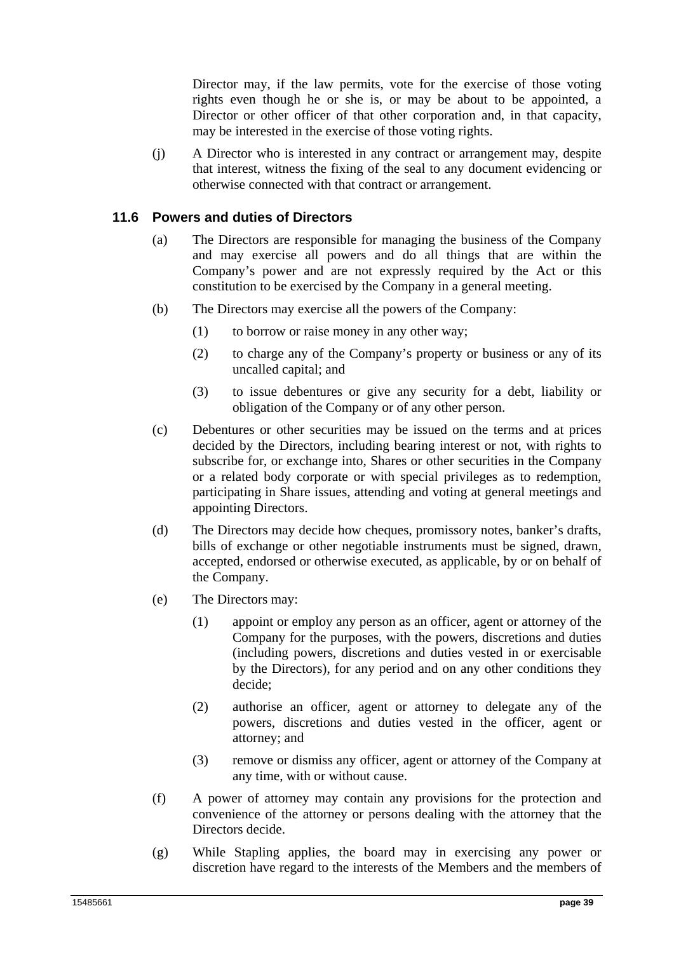Director may, if the law permits, vote for the exercise of those voting rights even though he or she is, or may be about to be appointed, a Director or other officer of that other corporation and, in that capacity, may be interested in the exercise of those voting rights.

(j) A Director who is interested in any contract or arrangement may, despite that interest, witness the fixing of the seal to any document evidencing or otherwise connected with that contract or arrangement.

## **11.6 Powers and duties of Directors**

- (a) The Directors are responsible for managing the business of the Company and may exercise all powers and do all things that are within the Company's power and are not expressly required by the Act or this constitution to be exercised by the Company in a general meeting.
- (b) The Directors may exercise all the powers of the Company:
	- (1) to borrow or raise money in any other way;
	- (2) to charge any of the Company's property or business or any of its uncalled capital; and
	- (3) to issue debentures or give any security for a debt, liability or obligation of the Company or of any other person.
- (c) Debentures or other securities may be issued on the terms and at prices decided by the Directors, including bearing interest or not, with rights to subscribe for, or exchange into, Shares or other securities in the Company or a related body corporate or with special privileges as to redemption, participating in Share issues, attending and voting at general meetings and appointing Directors.
- (d) The Directors may decide how cheques, promissory notes, banker's drafts, bills of exchange or other negotiable instruments must be signed, drawn, accepted, endorsed or otherwise executed, as applicable, by or on behalf of the Company.
- (e) The Directors may:
	- (1) appoint or employ any person as an officer, agent or attorney of the Company for the purposes, with the powers, discretions and duties (including powers, discretions and duties vested in or exercisable by the Directors), for any period and on any other conditions they decide;
	- (2) authorise an officer, agent or attorney to delegate any of the powers, discretions and duties vested in the officer, agent or attorney; and
	- (3) remove or dismiss any officer, agent or attorney of the Company at any time, with or without cause.
- (f) A power of attorney may contain any provisions for the protection and convenience of the attorney or persons dealing with the attorney that the Directors decide.
- (g) While Stapling applies, the board may in exercising any power or discretion have regard to the interests of the Members and the members of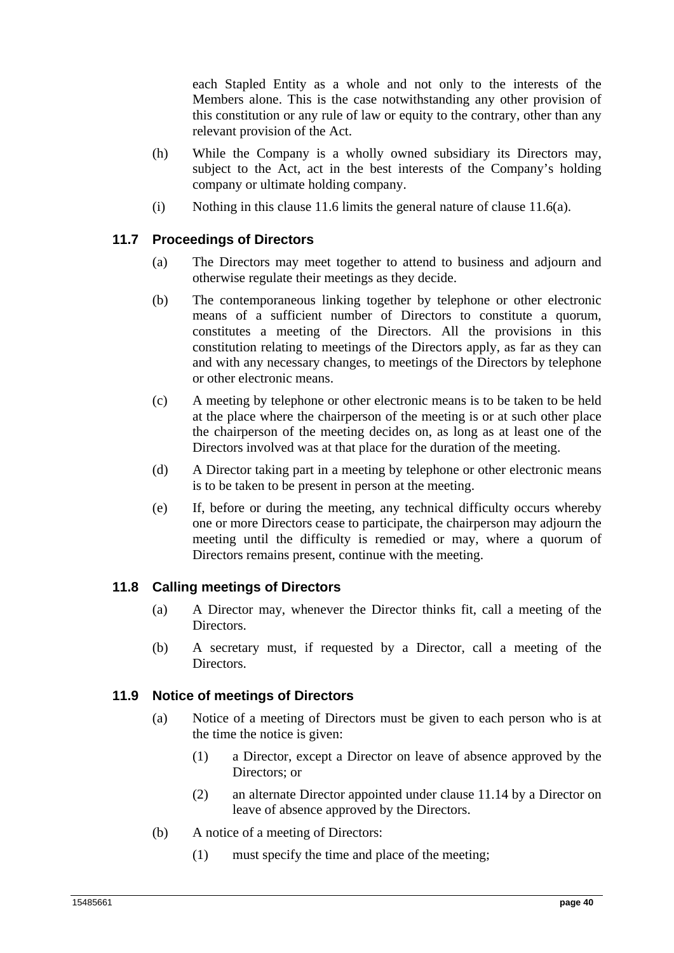each Stapled Entity as a whole and not only to the interests of the Members alone. This is the case notwithstanding any other provision of this constitution or any rule of law or equity to the contrary, other than any relevant provision of the Act.

- (h) While the Company is a wholly owned subsidiary its Directors may, subject to the Act, act in the best interests of the Company's holding company or ultimate holding company.
- (i) Nothing in this clause 11.6 limits the general nature of clause 11.6(a).

## **11.7 Proceedings of Directors**

- (a) The Directors may meet together to attend to business and adjourn and otherwise regulate their meetings as they decide.
- (b) The contemporaneous linking together by telephone or other electronic means of a sufficient number of Directors to constitute a quorum, constitutes a meeting of the Directors. All the provisions in this constitution relating to meetings of the Directors apply, as far as they can and with any necessary changes, to meetings of the Directors by telephone or other electronic means.
- (c) A meeting by telephone or other electronic means is to be taken to be held at the place where the chairperson of the meeting is or at such other place the chairperson of the meeting decides on, as long as at least one of the Directors involved was at that place for the duration of the meeting.
- (d) A Director taking part in a meeting by telephone or other electronic means is to be taken to be present in person at the meeting.
- (e) If, before or during the meeting, any technical difficulty occurs whereby one or more Directors cease to participate, the chairperson may adjourn the meeting until the difficulty is remedied or may, where a quorum of Directors remains present, continue with the meeting.

## **11.8 Calling meetings of Directors**

- (a) A Director may, whenever the Director thinks fit, call a meeting of the Directors.
- (b) A secretary must, if requested by a Director, call a meeting of the Directors.

## **11.9 Notice of meetings of Directors**

- (a) Notice of a meeting of Directors must be given to each person who is at the time the notice is given:
	- (1) a Director, except a Director on leave of absence approved by the Directors; or
	- (2) an alternate Director appointed under clause 11.14 by a Director on leave of absence approved by the Directors.
- (b) A notice of a meeting of Directors:
	- (1) must specify the time and place of the meeting;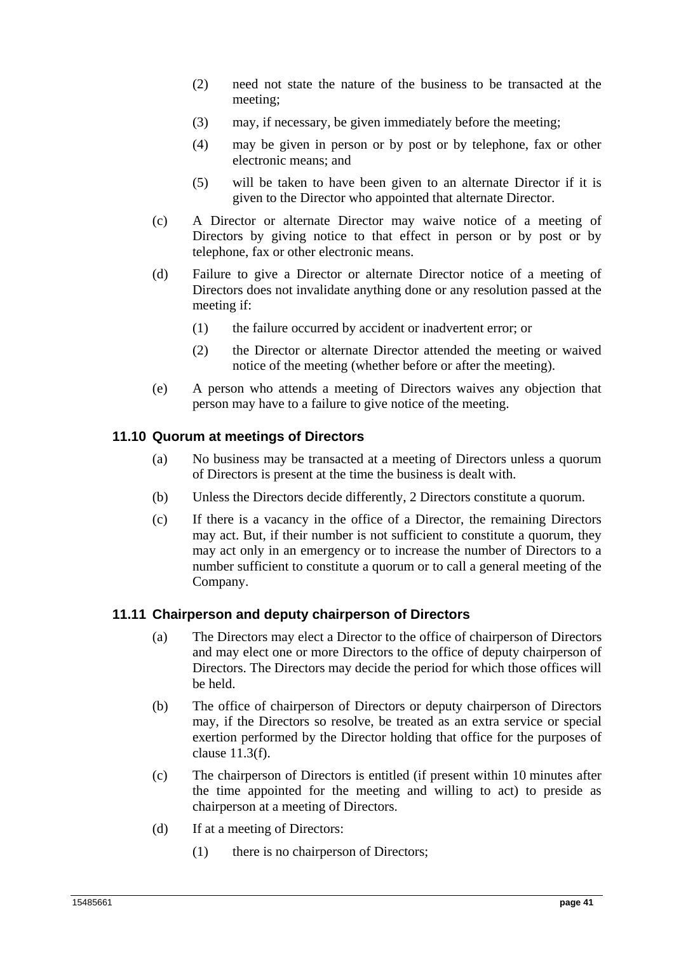- (2) need not state the nature of the business to be transacted at the meeting;
- (3) may, if necessary, be given immediately before the meeting;
- (4) may be given in person or by post or by telephone, fax or other electronic means; and
- (5) will be taken to have been given to an alternate Director if it is given to the Director who appointed that alternate Director.
- (c) A Director or alternate Director may waive notice of a meeting of Directors by giving notice to that effect in person or by post or by telephone, fax or other electronic means.
- (d) Failure to give a Director or alternate Director notice of a meeting of Directors does not invalidate anything done or any resolution passed at the meeting if:
	- (1) the failure occurred by accident or inadvertent error; or
	- (2) the Director or alternate Director attended the meeting or waived notice of the meeting (whether before or after the meeting).
- (e) A person who attends a meeting of Directors waives any objection that person may have to a failure to give notice of the meeting.

## **11.10 Quorum at meetings of Directors**

- (a) No business may be transacted at a meeting of Directors unless a quorum of Directors is present at the time the business is dealt with.
- (b) Unless the Directors decide differently, 2 Directors constitute a quorum.
- (c) If there is a vacancy in the office of a Director, the remaining Directors may act. But, if their number is not sufficient to constitute a quorum, they may act only in an emergency or to increase the number of Directors to a number sufficient to constitute a quorum or to call a general meeting of the Company.

## **11.11 Chairperson and deputy chairperson of Directors**

- (a) The Directors may elect a Director to the office of chairperson of Directors and may elect one or more Directors to the office of deputy chairperson of Directors. The Directors may decide the period for which those offices will be held.
- (b) The office of chairperson of Directors or deputy chairperson of Directors may, if the Directors so resolve, be treated as an extra service or special exertion performed by the Director holding that office for the purposes of clause 11.3(f).
- (c) The chairperson of Directors is entitled (if present within 10 minutes after the time appointed for the meeting and willing to act) to preside as chairperson at a meeting of Directors.
- (d) If at a meeting of Directors:
	- (1) there is no chairperson of Directors;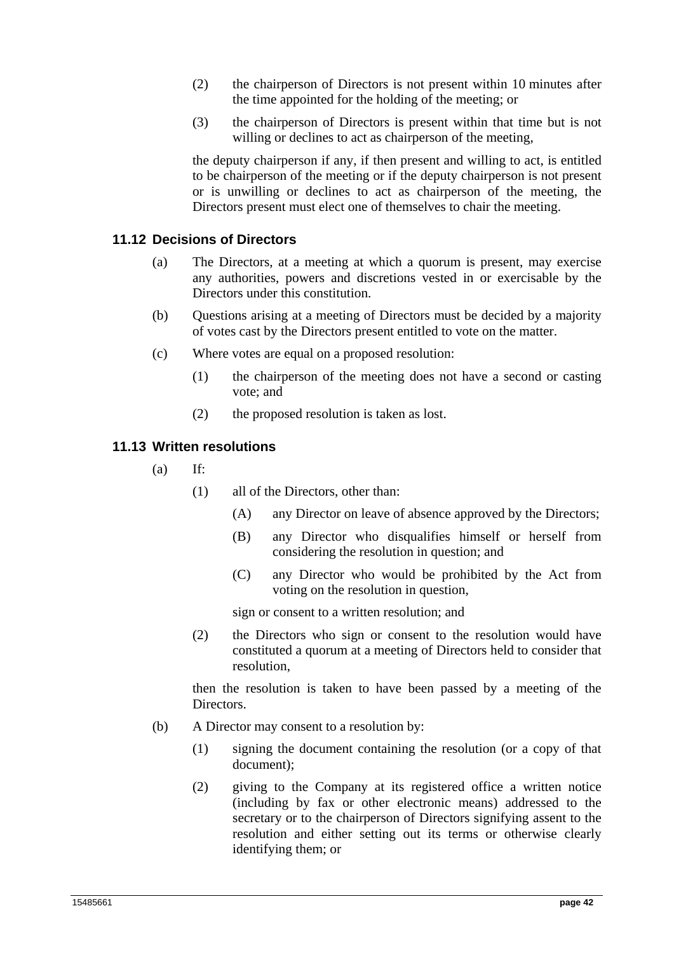- (2) the chairperson of Directors is not present within 10 minutes after the time appointed for the holding of the meeting; or
- (3) the chairperson of Directors is present within that time but is not willing or declines to act as chairperson of the meeting,

the deputy chairperson if any, if then present and willing to act, is entitled to be chairperson of the meeting or if the deputy chairperson is not present or is unwilling or declines to act as chairperson of the meeting, the Directors present must elect one of themselves to chair the meeting.

## **11.12 Decisions of Directors**

- (a) The Directors, at a meeting at which a quorum is present, may exercise any authorities, powers and discretions vested in or exercisable by the Directors under this constitution.
- (b) Questions arising at a meeting of Directors must be decided by a majority of votes cast by the Directors present entitled to vote on the matter.
- (c) Where votes are equal on a proposed resolution:
	- (1) the chairperson of the meeting does not have a second or casting vote; and
	- (2) the proposed resolution is taken as lost.

## **11.13 Written resolutions**

- $(a)$  If:
	- (1) all of the Directors, other than:
		- (A) any Director on leave of absence approved by the Directors;
		- (B) any Director who disqualifies himself or herself from considering the resolution in question; and
		- (C) any Director who would be prohibited by the Act from voting on the resolution in question,

sign or consent to a written resolution; and

(2) the Directors who sign or consent to the resolution would have constituted a quorum at a meeting of Directors held to consider that resolution,

then the resolution is taken to have been passed by a meeting of the Directors.

- (b) A Director may consent to a resolution by:
	- (1) signing the document containing the resolution (or a copy of that document);
	- (2) giving to the Company at its registered office a written notice (including by fax or other electronic means) addressed to the secretary or to the chairperson of Directors signifying assent to the resolution and either setting out its terms or otherwise clearly identifying them; or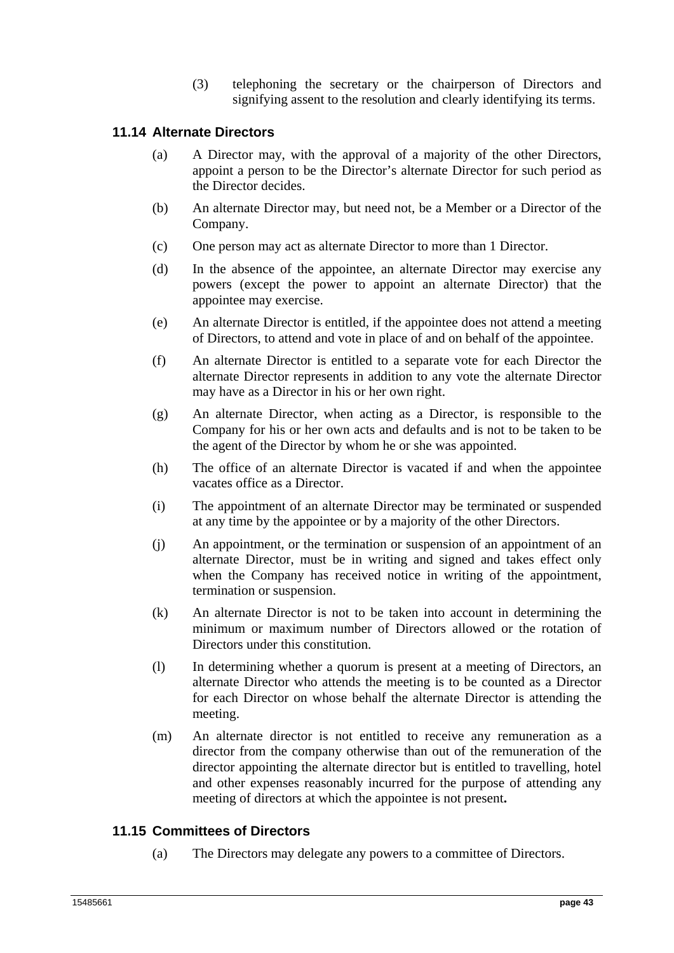(3) telephoning the secretary or the chairperson of Directors and signifying assent to the resolution and clearly identifying its terms.

## **11.14 Alternate Directors**

- (a) A Director may, with the approval of a majority of the other Directors, appoint a person to be the Director's alternate Director for such period as the Director decides.
- (b) An alternate Director may, but need not, be a Member or a Director of the Company.
- (c) One person may act as alternate Director to more than 1 Director.
- (d) In the absence of the appointee, an alternate Director may exercise any powers (except the power to appoint an alternate Director) that the appointee may exercise.
- (e) An alternate Director is entitled, if the appointee does not attend a meeting of Directors, to attend and vote in place of and on behalf of the appointee.
- (f) An alternate Director is entitled to a separate vote for each Director the alternate Director represents in addition to any vote the alternate Director may have as a Director in his or her own right.
- (g) An alternate Director, when acting as a Director, is responsible to the Company for his or her own acts and defaults and is not to be taken to be the agent of the Director by whom he or she was appointed.
- (h) The office of an alternate Director is vacated if and when the appointee vacates office as a Director.
- (i) The appointment of an alternate Director may be terminated or suspended at any time by the appointee or by a majority of the other Directors.
- (j) An appointment, or the termination or suspension of an appointment of an alternate Director, must be in writing and signed and takes effect only when the Company has received notice in writing of the appointment, termination or suspension.
- (k) An alternate Director is not to be taken into account in determining the minimum or maximum number of Directors allowed or the rotation of Directors under this constitution.
- (l) In determining whether a quorum is present at a meeting of Directors, an alternate Director who attends the meeting is to be counted as a Director for each Director on whose behalf the alternate Director is attending the meeting.
- (m) An alternate director is not entitled to receive any remuneration as a director from the company otherwise than out of the remuneration of the director appointing the alternate director but is entitled to travelling, hotel and other expenses reasonably incurred for the purpose of attending any meeting of directors at which the appointee is not present**.**

## **11.15 Committees of Directors**

(a) The Directors may delegate any powers to a committee of Directors.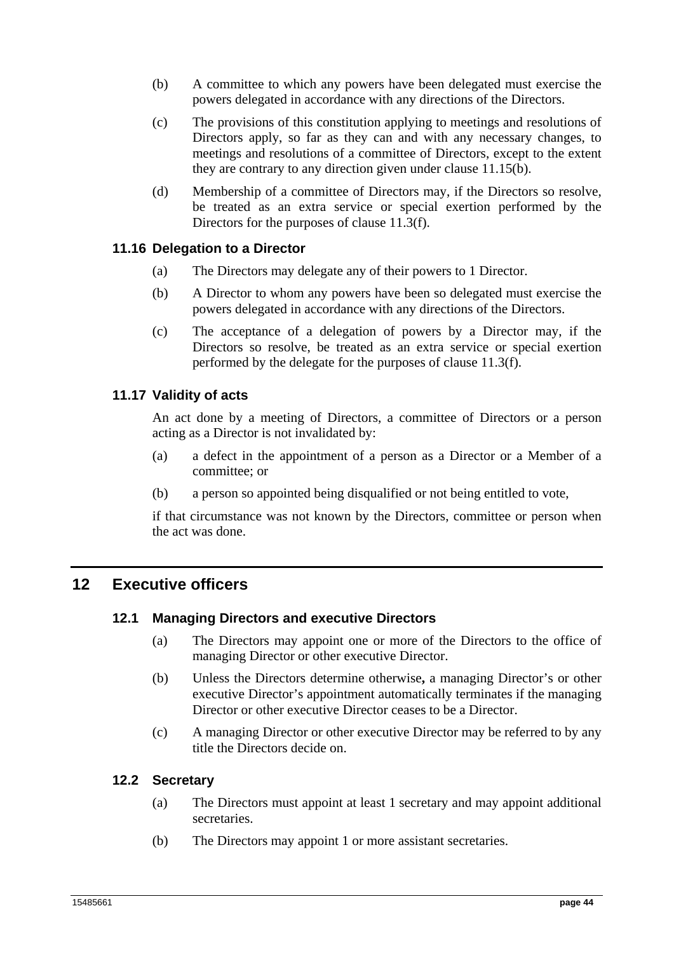- (b) A committee to which any powers have been delegated must exercise the powers delegated in accordance with any directions of the Directors.
- (c) The provisions of this constitution applying to meetings and resolutions of Directors apply, so far as they can and with any necessary changes, to meetings and resolutions of a committee of Directors, except to the extent they are contrary to any direction given under clause 11.15(b).
- (d) Membership of a committee of Directors may, if the Directors so resolve, be treated as an extra service or special exertion performed by the Directors for the purposes of clause 11.3(f).

## **11.16 Delegation to a Director**

- (a) The Directors may delegate any of their powers to 1 Director.
- (b) A Director to whom any powers have been so delegated must exercise the powers delegated in accordance with any directions of the Directors.
- (c) The acceptance of a delegation of powers by a Director may, if the Directors so resolve, be treated as an extra service or special exertion performed by the delegate for the purposes of clause 11.3(f).

## **11.17 Validity of acts**

An act done by a meeting of Directors, a committee of Directors or a person acting as a Director is not invalidated by:

- (a) a defect in the appointment of a person as a Director or a Member of a committee; or
- (b) a person so appointed being disqualified or not being entitled to vote,

if that circumstance was not known by the Directors, committee or person when the act was done.

## **12 Executive officers**

## **12.1 Managing Directors and executive Directors**

- (a) The Directors may appoint one or more of the Directors to the office of managing Director or other executive Director.
- (b) Unless the Directors determine otherwise**,** a managing Director's or other executive Director's appointment automatically terminates if the managing Director or other executive Director ceases to be a Director.
- (c) A managing Director or other executive Director may be referred to by any title the Directors decide on.

## **12.2 Secretary**

- (a) The Directors must appoint at least 1 secretary and may appoint additional secretaries.
- (b) The Directors may appoint 1 or more assistant secretaries.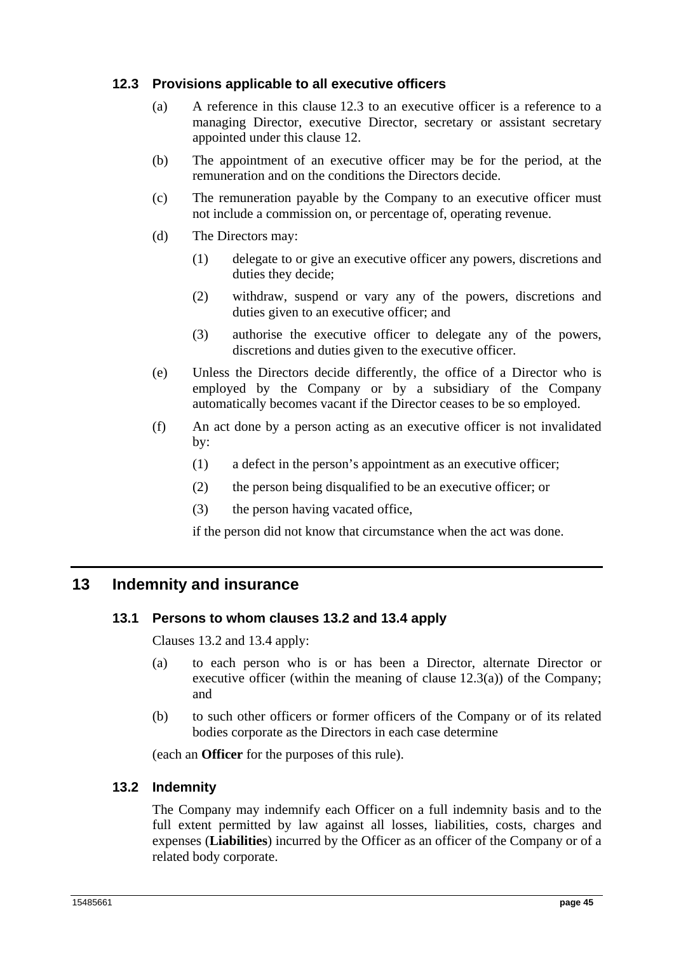## **12.3 Provisions applicable to all executive officers**

- (a) A reference in this clause 12.3 to an executive officer is a reference to a managing Director, executive Director, secretary or assistant secretary appointed under this clause 12.
- (b) The appointment of an executive officer may be for the period, at the remuneration and on the conditions the Directors decide.
- (c) The remuneration payable by the Company to an executive officer must not include a commission on, or percentage of, operating revenue.
- (d) The Directors may:
	- (1) delegate to or give an executive officer any powers, discretions and duties they decide;
	- (2) withdraw, suspend or vary any of the powers, discretions and duties given to an executive officer; and
	- (3) authorise the executive officer to delegate any of the powers, discretions and duties given to the executive officer.
- (e) Unless the Directors decide differently, the office of a Director who is employed by the Company or by a subsidiary of the Company automatically becomes vacant if the Director ceases to be so employed.
- (f) An act done by a person acting as an executive officer is not invalidated by:
	- (1) a defect in the person's appointment as an executive officer;
	- (2) the person being disqualified to be an executive officer; or
	- (3) the person having vacated office,

if the person did not know that circumstance when the act was done.

## **13 Indemnity and insurance**

## **13.1 Persons to whom clauses 13.2 and 13.4 apply**

Clauses 13.2 and 13.4 apply:

- (a) to each person who is or has been a Director, alternate Director or executive officer (within the meaning of clause  $12.3(a)$ ) of the Company; and
- (b) to such other officers or former officers of the Company or of its related bodies corporate as the Directors in each case determine

(each an **Officer** for the purposes of this rule).

## **13.2 Indemnity**

The Company may indemnify each Officer on a full indemnity basis and to the full extent permitted by law against all losses, liabilities, costs, charges and expenses (**Liabilities**) incurred by the Officer as an officer of the Company or of a related body corporate.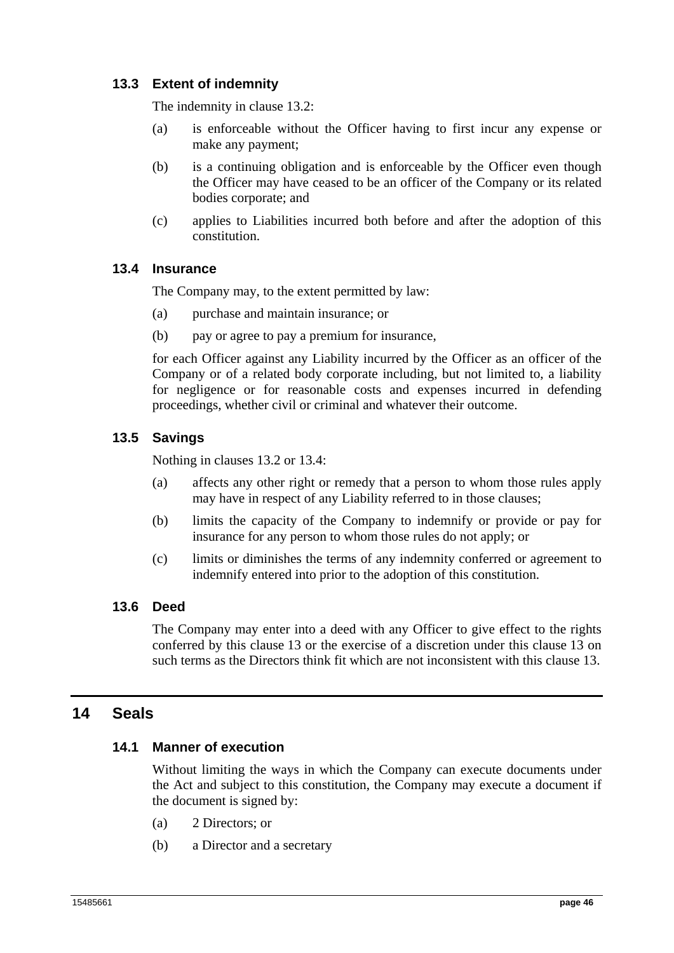## **13.3 Extent of indemnity**

The indemnity in clause 13.2:

- (a) is enforceable without the Officer having to first incur any expense or make any payment;
- (b) is a continuing obligation and is enforceable by the Officer even though the Officer may have ceased to be an officer of the Company or its related bodies corporate; and
- (c) applies to Liabilities incurred both before and after the adoption of this constitution.

## **13.4 Insurance**

The Company may, to the extent permitted by law:

- (a) purchase and maintain insurance; or
- (b) pay or agree to pay a premium for insurance,

for each Officer against any Liability incurred by the Officer as an officer of the Company or of a related body corporate including, but not limited to, a liability for negligence or for reasonable costs and expenses incurred in defending proceedings, whether civil or criminal and whatever their outcome.

## **13.5 Savings**

Nothing in clauses 13.2 or 13.4:

- (a) affects any other right or remedy that a person to whom those rules apply may have in respect of any Liability referred to in those clauses;
- (b) limits the capacity of the Company to indemnify or provide or pay for insurance for any person to whom those rules do not apply; or
- (c) limits or diminishes the terms of any indemnity conferred or agreement to indemnify entered into prior to the adoption of this constitution.

## **13.6 Deed**

The Company may enter into a deed with any Officer to give effect to the rights conferred by this clause 13 or the exercise of a discretion under this clause 13 on such terms as the Directors think fit which are not inconsistent with this clause 13.

## **14 Seals**

## **14.1 Manner of execution**

Without limiting the ways in which the Company can execute documents under the Act and subject to this constitution, the Company may execute a document if the document is signed by:

- (a) 2 Directors; or
- (b) a Director and a secretary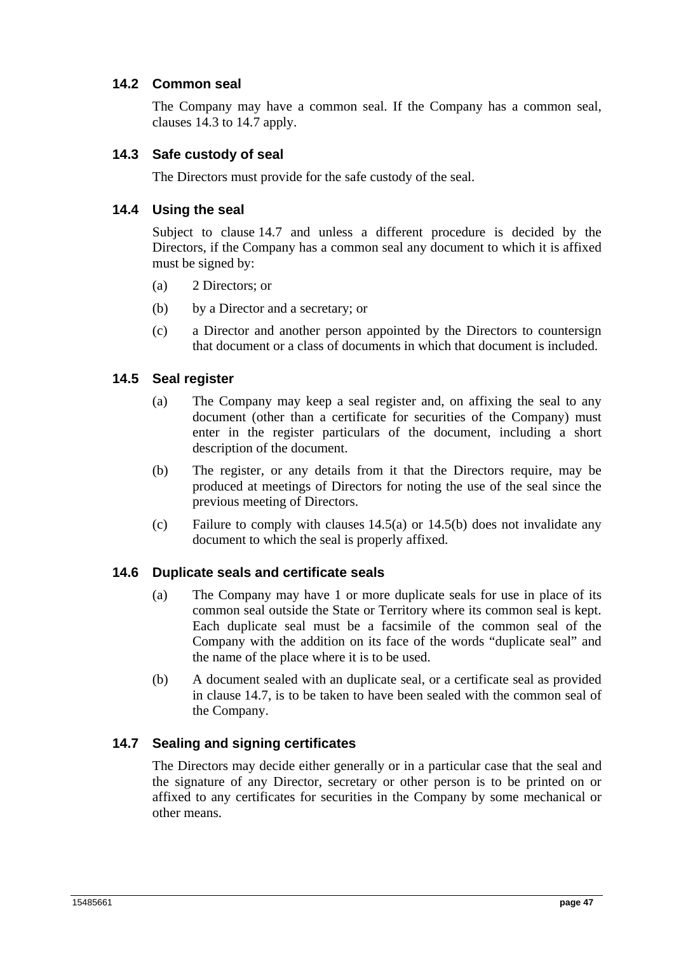## **14.2 Common seal**

The Company may have a common seal. If the Company has a common seal, clauses 14.3 to 14.7 apply.

## **14.3 Safe custody of seal**

The Directors must provide for the safe custody of the seal.

## **14.4 Using the seal**

Subject to clause 14.7 and unless a different procedure is decided by the Directors, if the Company has a common seal any document to which it is affixed must be signed by:

- (a) 2 Directors; or
- (b) by a Director and a secretary; or
- (c) a Director and another person appointed by the Directors to countersign that document or a class of documents in which that document is included.

## **14.5 Seal register**

- (a) The Company may keep a seal register and, on affixing the seal to any document (other than a certificate for securities of the Company) must enter in the register particulars of the document, including a short description of the document.
- (b) The register, or any details from it that the Directors require, may be produced at meetings of Directors for noting the use of the seal since the previous meeting of Directors.
- (c) Failure to comply with clauses 14.5(a) or 14.5(b) does not invalidate any document to which the seal is properly affixed.

## **14.6 Duplicate seals and certificate seals**

- (a) The Company may have 1 or more duplicate seals for use in place of its common seal outside the State or Territory where its common seal is kept. Each duplicate seal must be a facsimile of the common seal of the Company with the addition on its face of the words "duplicate seal" and the name of the place where it is to be used.
- (b) A document sealed with an duplicate seal, or a certificate seal as provided in clause 14.7, is to be taken to have been sealed with the common seal of the Company.

## **14.7 Sealing and signing certificates**

The Directors may decide either generally or in a particular case that the seal and the signature of any Director, secretary or other person is to be printed on or affixed to any certificates for securities in the Company by some mechanical or other means.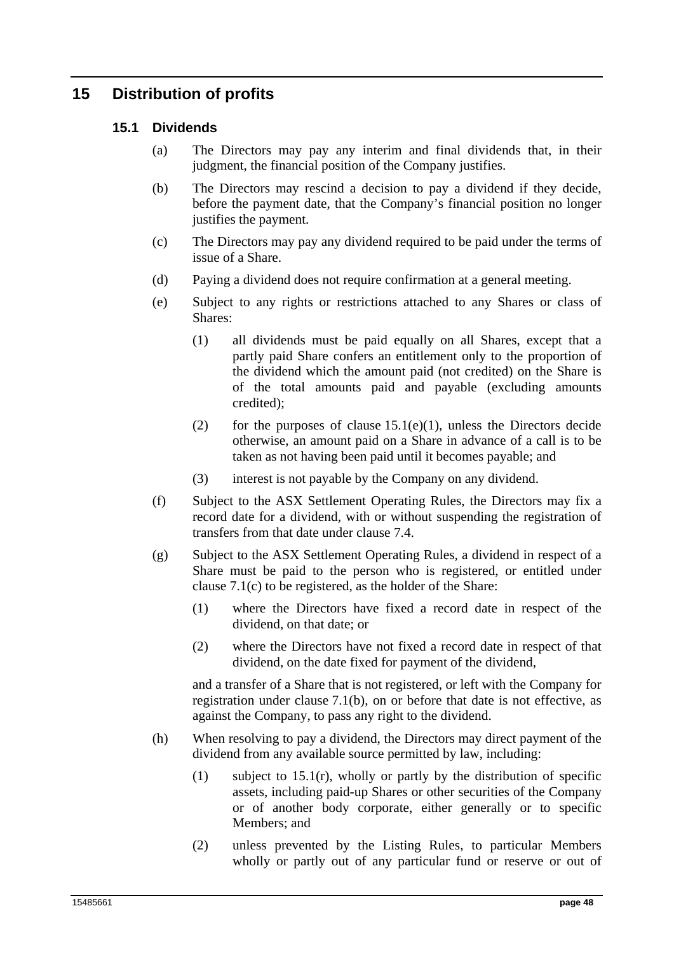## **15 Distribution of profits**

## **15.1 Dividends**

- (a) The Directors may pay any interim and final dividends that, in their judgment, the financial position of the Company justifies.
- (b) The Directors may rescind a decision to pay a dividend if they decide, before the payment date, that the Company's financial position no longer justifies the payment.
- (c) The Directors may pay any dividend required to be paid under the terms of issue of a Share.
- (d) Paying a dividend does not require confirmation at a general meeting.
- (e) Subject to any rights or restrictions attached to any Shares or class of Shares:
	- (1) all dividends must be paid equally on all Shares, except that a partly paid Share confers an entitlement only to the proportion of the dividend which the amount paid (not credited) on the Share is of the total amounts paid and payable (excluding amounts credited);
	- (2) for the purposes of clause  $15.1(e)(1)$ , unless the Directors decide otherwise, an amount paid on a Share in advance of a call is to be taken as not having been paid until it becomes payable; and
	- (3) interest is not payable by the Company on any dividend.
- (f) Subject to the ASX Settlement Operating Rules, the Directors may fix a record date for a dividend, with or without suspending the registration of transfers from that date under clause 7.4.
- (g) Subject to the ASX Settlement Operating Rules, a dividend in respect of a Share must be paid to the person who is registered, or entitled under clause 7.1(c) to be registered, as the holder of the Share:
	- (1) where the Directors have fixed a record date in respect of the dividend, on that date; or
	- (2) where the Directors have not fixed a record date in respect of that dividend, on the date fixed for payment of the dividend,

and a transfer of a Share that is not registered, or left with the Company for registration under clause 7.1(b), on or before that date is not effective, as against the Company, to pass any right to the dividend.

- (h) When resolving to pay a dividend, the Directors may direct payment of the dividend from any available source permitted by law, including:
	- (1) subject to 15.1(r), wholly or partly by the distribution of specific assets, including paid-up Shares or other securities of the Company or of another body corporate, either generally or to specific Members; and
	- (2) unless prevented by the Listing Rules, to particular Members wholly or partly out of any particular fund or reserve or out of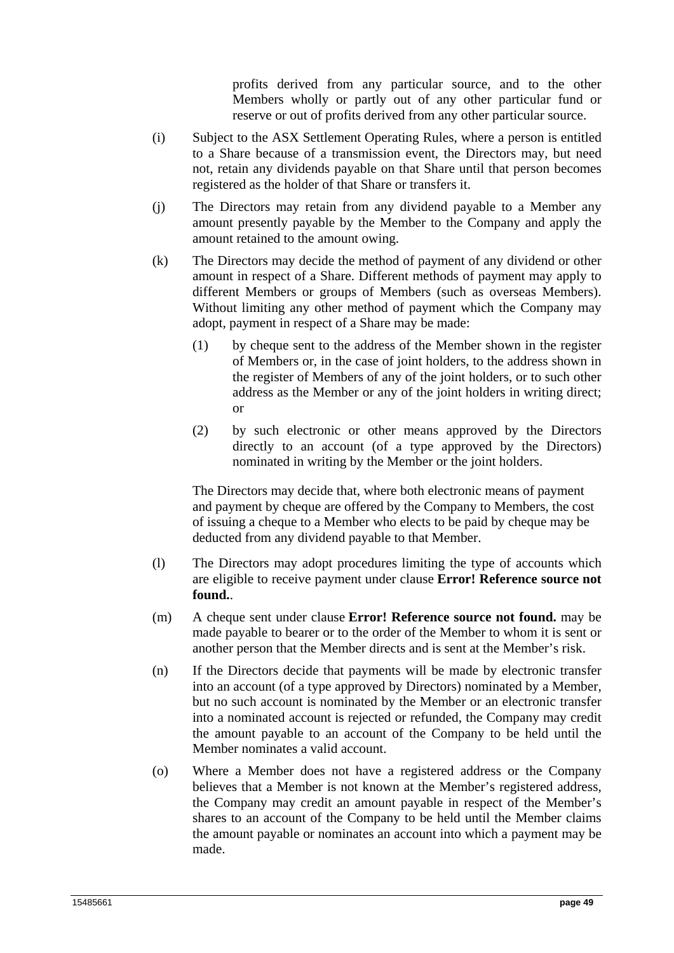profits derived from any particular source, and to the other Members wholly or partly out of any other particular fund or reserve or out of profits derived from any other particular source.

- (i) Subject to the ASX Settlement Operating Rules, where a person is entitled to a Share because of a transmission event, the Directors may, but need not, retain any dividends payable on that Share until that person becomes registered as the holder of that Share or transfers it.
- (j) The Directors may retain from any dividend payable to a Member any amount presently payable by the Member to the Company and apply the amount retained to the amount owing.
- (k) The Directors may decide the method of payment of any dividend or other amount in respect of a Share. Different methods of payment may apply to different Members or groups of Members (such as overseas Members). Without limiting any other method of payment which the Company may adopt, payment in respect of a Share may be made:
	- (1) by cheque sent to the address of the Member shown in the register of Members or, in the case of joint holders, to the address shown in the register of Members of any of the joint holders, or to such other address as the Member or any of the joint holders in writing direct; or
	- (2) by such electronic or other means approved by the Directors directly to an account (of a type approved by the Directors) nominated in writing by the Member or the joint holders.

The Directors may decide that, where both electronic means of payment and payment by cheque are offered by the Company to Members, the cost of issuing a cheque to a Member who elects to be paid by cheque may be deducted from any dividend payable to that Member.

- (l) The Directors may adopt procedures limiting the type of accounts which are eligible to receive payment under clause **Error! Reference source not found.**.
- (m) A cheque sent under clause **Error! Reference source not found.** may be made payable to bearer or to the order of the Member to whom it is sent or another person that the Member directs and is sent at the Member's risk.
- (n) If the Directors decide that payments will be made by electronic transfer into an account (of a type approved by Directors) nominated by a Member, but no such account is nominated by the Member or an electronic transfer into a nominated account is rejected or refunded, the Company may credit the amount payable to an account of the Company to be held until the Member nominates a valid account.
- (o) Where a Member does not have a registered address or the Company believes that a Member is not known at the Member's registered address, the Company may credit an amount payable in respect of the Member's shares to an account of the Company to be held until the Member claims the amount payable or nominates an account into which a payment may be made.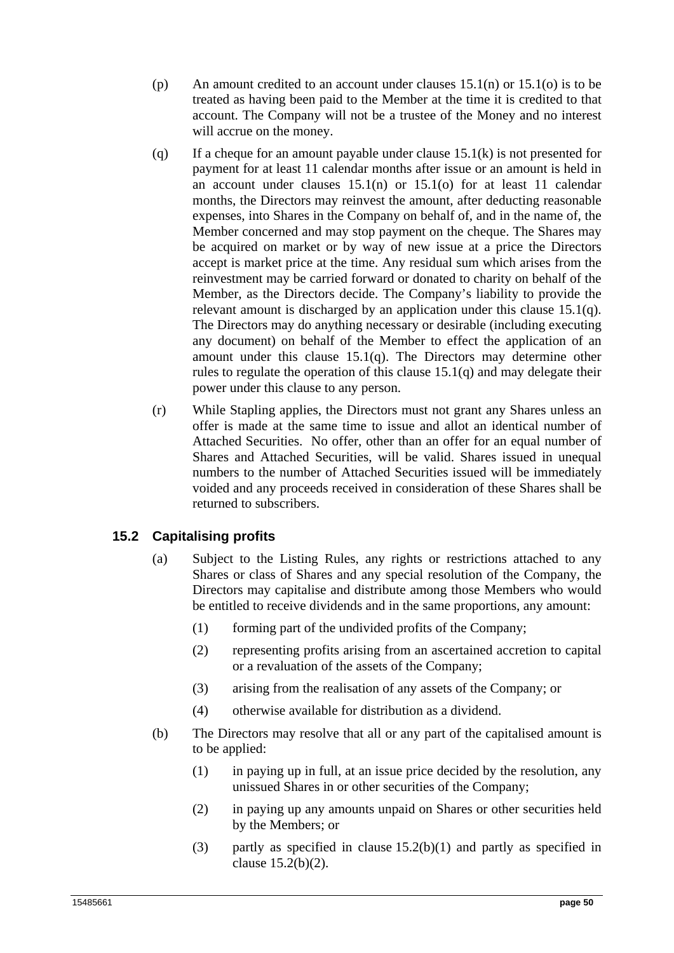- (p) An amount credited to an account under clauses  $15.1(n)$  or  $15.1(o)$  is to be treated as having been paid to the Member at the time it is credited to that account. The Company will not be a trustee of the Money and no interest will accrue on the money.
- (q) If a cheque for an amount payable under clause 15.1(k) is not presented for payment for at least 11 calendar months after issue or an amount is held in an account under clauses 15.1(n) or 15.1(o) for at least 11 calendar months, the Directors may reinvest the amount, after deducting reasonable expenses, into Shares in the Company on behalf of, and in the name of, the Member concerned and may stop payment on the cheque. The Shares may be acquired on market or by way of new issue at a price the Directors accept is market price at the time. Any residual sum which arises from the reinvestment may be carried forward or donated to charity on behalf of the Member, as the Directors decide. The Company's liability to provide the relevant amount is discharged by an application under this clause 15.1(q). The Directors may do anything necessary or desirable (including executing any document) on behalf of the Member to effect the application of an amount under this clause 15.1(q). The Directors may determine other rules to regulate the operation of this clause 15.1(q) and may delegate their power under this clause to any person.
- (r) While Stapling applies, the Directors must not grant any Shares unless an offer is made at the same time to issue and allot an identical number of Attached Securities. No offer, other than an offer for an equal number of Shares and Attached Securities, will be valid. Shares issued in unequal numbers to the number of Attached Securities issued will be immediately voided and any proceeds received in consideration of these Shares shall be returned to subscribers.

## **15.2 Capitalising profits**

- (a) Subject to the Listing Rules, any rights or restrictions attached to any Shares or class of Shares and any special resolution of the Company, the Directors may capitalise and distribute among those Members who would be entitled to receive dividends and in the same proportions, any amount:
	- (1) forming part of the undivided profits of the Company;
	- (2) representing profits arising from an ascertained accretion to capital or a revaluation of the assets of the Company;
	- (3) arising from the realisation of any assets of the Company; or
	- (4) otherwise available for distribution as a dividend.
- (b) The Directors may resolve that all or any part of the capitalised amount is to be applied:
	- (1) in paying up in full, at an issue price decided by the resolution, any unissued Shares in or other securities of the Company;
	- (2) in paying up any amounts unpaid on Shares or other securities held by the Members; or
	- (3) partly as specified in clause  $15.2(b)(1)$  and partly as specified in clause 15.2(b)(2).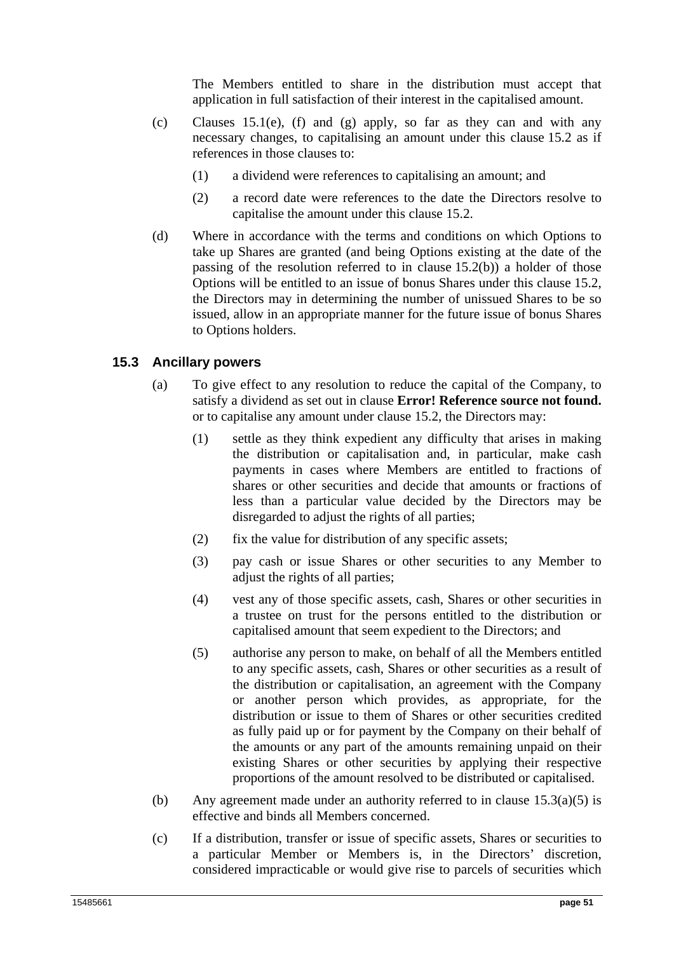The Members entitled to share in the distribution must accept that application in full satisfaction of their interest in the capitalised amount.

- (c) Clauses 15.1(e), (f) and (g) apply, so far as they can and with any necessary changes, to capitalising an amount under this clause 15.2 as if references in those clauses to:
	- (1) a dividend were references to capitalising an amount; and
	- (2) a record date were references to the date the Directors resolve to capitalise the amount under this clause 15.2.
- (d) Where in accordance with the terms and conditions on which Options to take up Shares are granted (and being Options existing at the date of the passing of the resolution referred to in clause 15.2(b)) a holder of those Options will be entitled to an issue of bonus Shares under this clause 15.2, the Directors may in determining the number of unissued Shares to be so issued, allow in an appropriate manner for the future issue of bonus Shares to Options holders.

#### **15.3 Ancillary powers**

- (a) To give effect to any resolution to reduce the capital of the Company, to satisfy a dividend as set out in clause **Error! Reference source not found.** or to capitalise any amount under clause 15.2, the Directors may:
	- (1) settle as they think expedient any difficulty that arises in making the distribution or capitalisation and, in particular, make cash payments in cases where Members are entitled to fractions of shares or other securities and decide that amounts or fractions of less than a particular value decided by the Directors may be disregarded to adjust the rights of all parties;
	- $(2)$  fix the value for distribution of any specific assets:
	- (3) pay cash or issue Shares or other securities to any Member to adjust the rights of all parties;
	- (4) vest any of those specific assets, cash, Shares or other securities in a trustee on trust for the persons entitled to the distribution or capitalised amount that seem expedient to the Directors; and
	- (5) authorise any person to make, on behalf of all the Members entitled to any specific assets, cash, Shares or other securities as a result of the distribution or capitalisation, an agreement with the Company or another person which provides, as appropriate, for the distribution or issue to them of Shares or other securities credited as fully paid up or for payment by the Company on their behalf of the amounts or any part of the amounts remaining unpaid on their existing Shares or other securities by applying their respective proportions of the amount resolved to be distributed or capitalised.
- (b) Any agreement made under an authority referred to in clause 15.3(a)(5) is effective and binds all Members concerned.
- (c) If a distribution, transfer or issue of specific assets, Shares or securities to a particular Member or Members is, in the Directors' discretion, considered impracticable or would give rise to parcels of securities which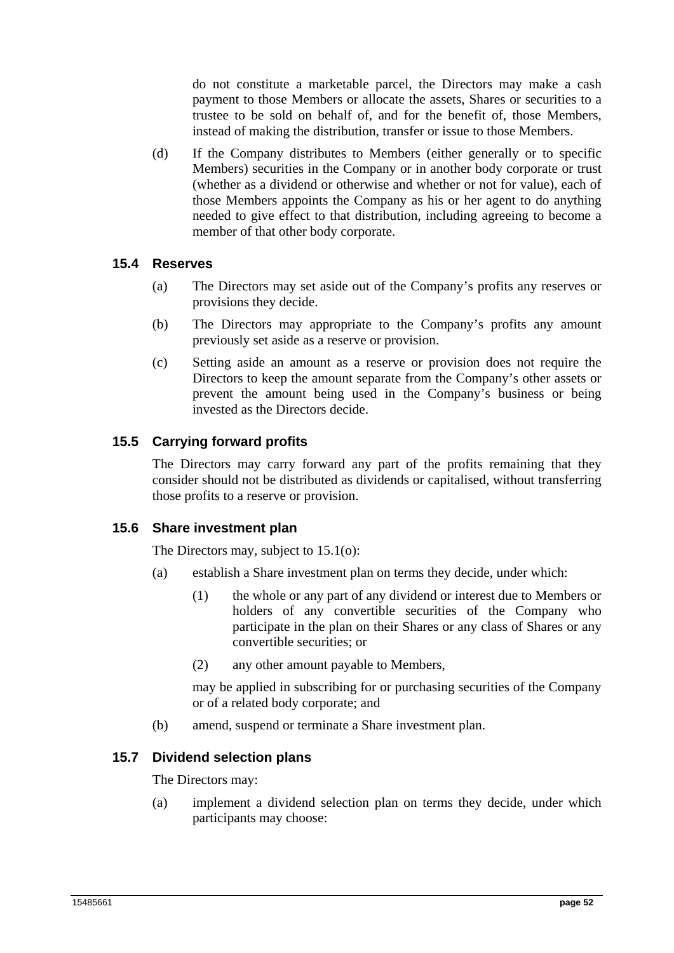do not constitute a marketable parcel, the Directors may make a cash payment to those Members or allocate the assets, Shares or securities to a trustee to be sold on behalf of, and for the benefit of, those Members, instead of making the distribution, transfer or issue to those Members.

(d) If the Company distributes to Members (either generally or to specific Members) securities in the Company or in another body corporate or trust (whether as a dividend or otherwise and whether or not for value), each of those Members appoints the Company as his or her agent to do anything needed to give effect to that distribution, including agreeing to become a member of that other body corporate.

## **15.4 Reserves**

- (a) The Directors may set aside out of the Company's profits any reserves or provisions they decide.
- (b) The Directors may appropriate to the Company's profits any amount previously set aside as a reserve or provision.
- (c) Setting aside an amount as a reserve or provision does not require the Directors to keep the amount separate from the Company's other assets or prevent the amount being used in the Company's business or being invested as the Directors decide.

## **15.5 Carrying forward profits**

The Directors may carry forward any part of the profits remaining that they consider should not be distributed as dividends or capitalised, without transferring those profits to a reserve or provision.

## **15.6 Share investment plan**

The Directors may, subject to 15.1(o):

- (a) establish a Share investment plan on terms they decide, under which:
	- (1) the whole or any part of any dividend or interest due to Members or holders of any convertible securities of the Company who participate in the plan on their Shares or any class of Shares or any convertible securities; or
	- (2) any other amount payable to Members,

may be applied in subscribing for or purchasing securities of the Company or of a related body corporate; and

(b) amend, suspend or terminate a Share investment plan.

## **15.7 Dividend selection plans**

The Directors may:

(a) implement a dividend selection plan on terms they decide, under which participants may choose: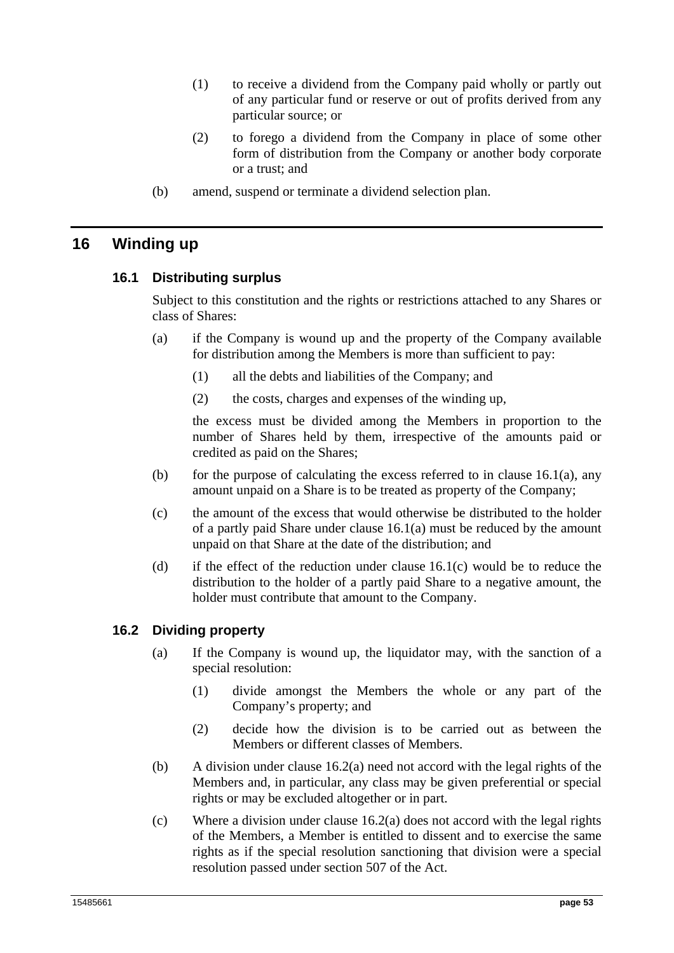- (1) to receive a dividend from the Company paid wholly or partly out of any particular fund or reserve or out of profits derived from any particular source; or
- (2) to forego a dividend from the Company in place of some other form of distribution from the Company or another body corporate or a trust; and
- (b) amend, suspend or terminate a dividend selection plan.

## **16 Winding up**

## **16.1 Distributing surplus**

Subject to this constitution and the rights or restrictions attached to any Shares or class of Shares:

- (a) if the Company is wound up and the property of the Company available for distribution among the Members is more than sufficient to pay:
	- (1) all the debts and liabilities of the Company; and
	- (2) the costs, charges and expenses of the winding up,

the excess must be divided among the Members in proportion to the number of Shares held by them, irrespective of the amounts paid or credited as paid on the Shares;

- (b) for the purpose of calculating the excess referred to in clause  $16.1(a)$ , any amount unpaid on a Share is to be treated as property of the Company;
- (c) the amount of the excess that would otherwise be distributed to the holder of a partly paid Share under clause 16.1(a) must be reduced by the amount unpaid on that Share at the date of the distribution; and
- (d) if the effect of the reduction under clause  $16.1(c)$  would be to reduce the distribution to the holder of a partly paid Share to a negative amount, the holder must contribute that amount to the Company.

## **16.2 Dividing property**

- (a) If the Company is wound up, the liquidator may, with the sanction of a special resolution:
	- (1) divide amongst the Members the whole or any part of the Company's property; and
	- (2) decide how the division is to be carried out as between the Members or different classes of Members.
- (b) A division under clause 16.2(a) need not accord with the legal rights of the Members and, in particular, any class may be given preferential or special rights or may be excluded altogether or in part.
- (c) Where a division under clause 16.2(a) does not accord with the legal rights of the Members, a Member is entitled to dissent and to exercise the same rights as if the special resolution sanctioning that division were a special resolution passed under section 507 of the Act.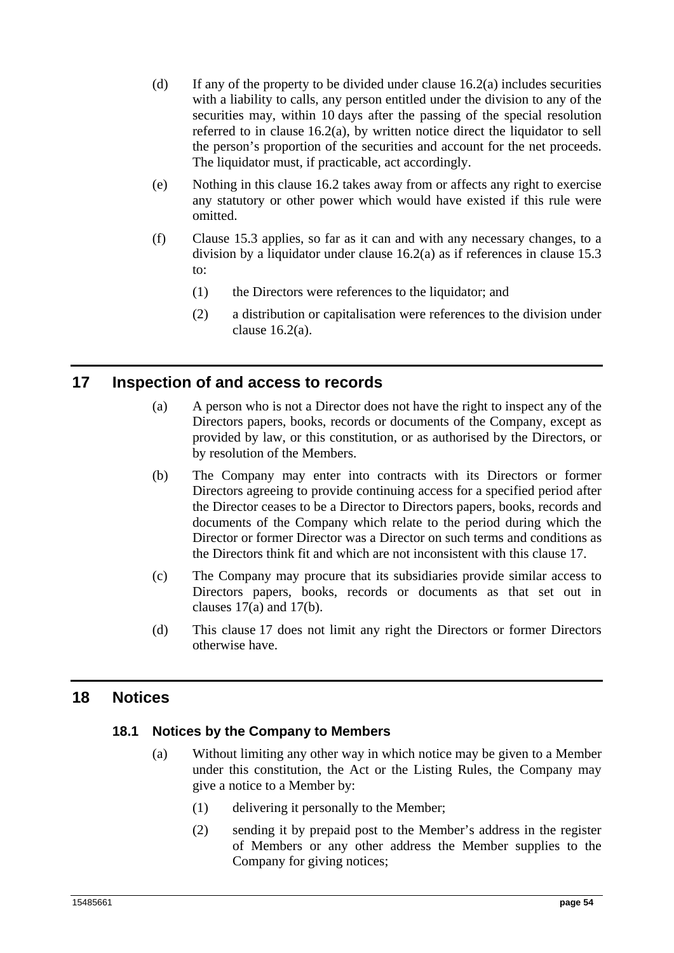- (d) If any of the property to be divided under clause  $16.2(a)$  includes securities with a liability to calls, any person entitled under the division to any of the securities may, within 10 days after the passing of the special resolution referred to in clause 16.2(a), by written notice direct the liquidator to sell the person's proportion of the securities and account for the net proceeds. The liquidator must, if practicable, act accordingly.
- (e) Nothing in this clause 16.2 takes away from or affects any right to exercise any statutory or other power which would have existed if this rule were omitted.
- (f) Clause 15.3 applies, so far as it can and with any necessary changes, to a division by a liquidator under clause 16.2(a) as if references in clause 15.3 to:
	- (1) the Directors were references to the liquidator; and
	- (2) a distribution or capitalisation were references to the division under clause 16.2(a).

## **17 Inspection of and access to records**

- (a) A person who is not a Director does not have the right to inspect any of the Directors papers, books, records or documents of the Company, except as provided by law, or this constitution, or as authorised by the Directors, or by resolution of the Members.
- (b) The Company may enter into contracts with its Directors or former Directors agreeing to provide continuing access for a specified period after the Director ceases to be a Director to Directors papers, books, records and documents of the Company which relate to the period during which the Director or former Director was a Director on such terms and conditions as the Directors think fit and which are not inconsistent with this clause 17.
- (c) The Company may procure that its subsidiaries provide similar access to Directors papers, books, records or documents as that set out in clauses 17(a) and 17(b).
- (d) This clause 17 does not limit any right the Directors or former Directors otherwise have.

## **18 Notices**

## **18.1 Notices by the Company to Members**

- (a) Without limiting any other way in which notice may be given to a Member under this constitution, the Act or the Listing Rules, the Company may give a notice to a Member by:
	- (1) delivering it personally to the Member;
	- (2) sending it by prepaid post to the Member's address in the register of Members or any other address the Member supplies to the Company for giving notices;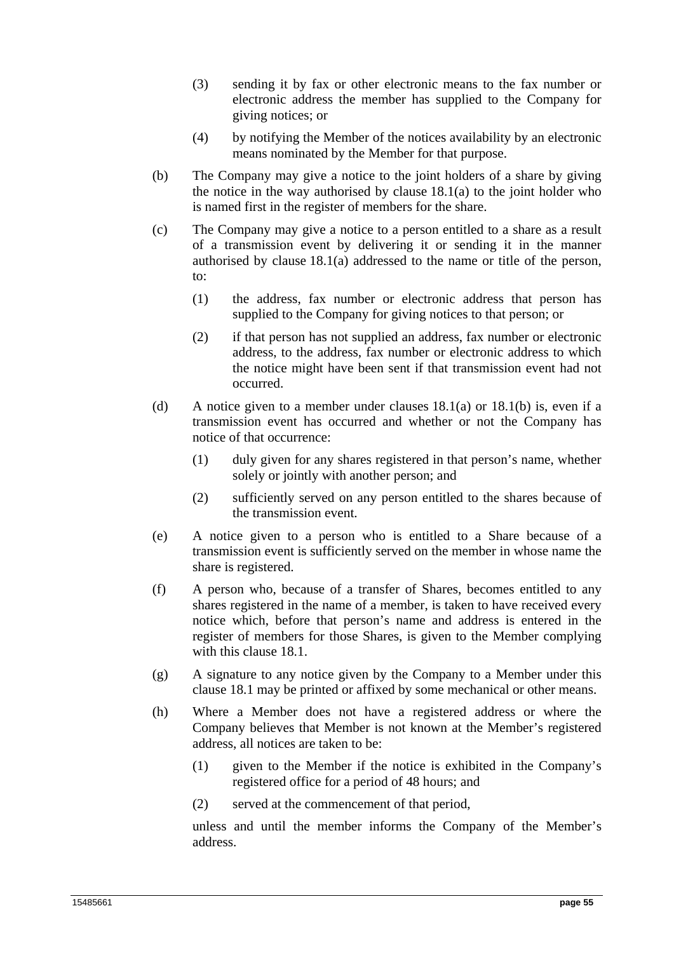- (3) sending it by fax or other electronic means to the fax number or electronic address the member has supplied to the Company for giving notices; or
- (4) by notifying the Member of the notices availability by an electronic means nominated by the Member for that purpose.
- (b) The Company may give a notice to the joint holders of a share by giving the notice in the way authorised by clause  $18.1(a)$  to the joint holder who is named first in the register of members for the share.
- (c) The Company may give a notice to a person entitled to a share as a result of a transmission event by delivering it or sending it in the manner authorised by clause 18.1(a) addressed to the name or title of the person, to:
	- (1) the address, fax number or electronic address that person has supplied to the Company for giving notices to that person; or
	- (2) if that person has not supplied an address, fax number or electronic address, to the address, fax number or electronic address to which the notice might have been sent if that transmission event had not occurred.
- (d) A notice given to a member under clauses  $18.1(a)$  or  $18.1(b)$  is, even if a transmission event has occurred and whether or not the Company has notice of that occurrence:
	- (1) duly given for any shares registered in that person's name, whether solely or jointly with another person; and
	- (2) sufficiently served on any person entitled to the shares because of the transmission event.
- (e) A notice given to a person who is entitled to a Share because of a transmission event is sufficiently served on the member in whose name the share is registered.
- (f) A person who, because of a transfer of Shares, becomes entitled to any shares registered in the name of a member, is taken to have received every notice which, before that person's name and address is entered in the register of members for those Shares, is given to the Member complying with this clause 18.1.
- (g) A signature to any notice given by the Company to a Member under this clause 18.1 may be printed or affixed by some mechanical or other means.
- (h) Where a Member does not have a registered address or where the Company believes that Member is not known at the Member's registered address, all notices are taken to be:
	- (1) given to the Member if the notice is exhibited in the Company's registered office for a period of 48 hours; and
	- (2) served at the commencement of that period,

unless and until the member informs the Company of the Member's address.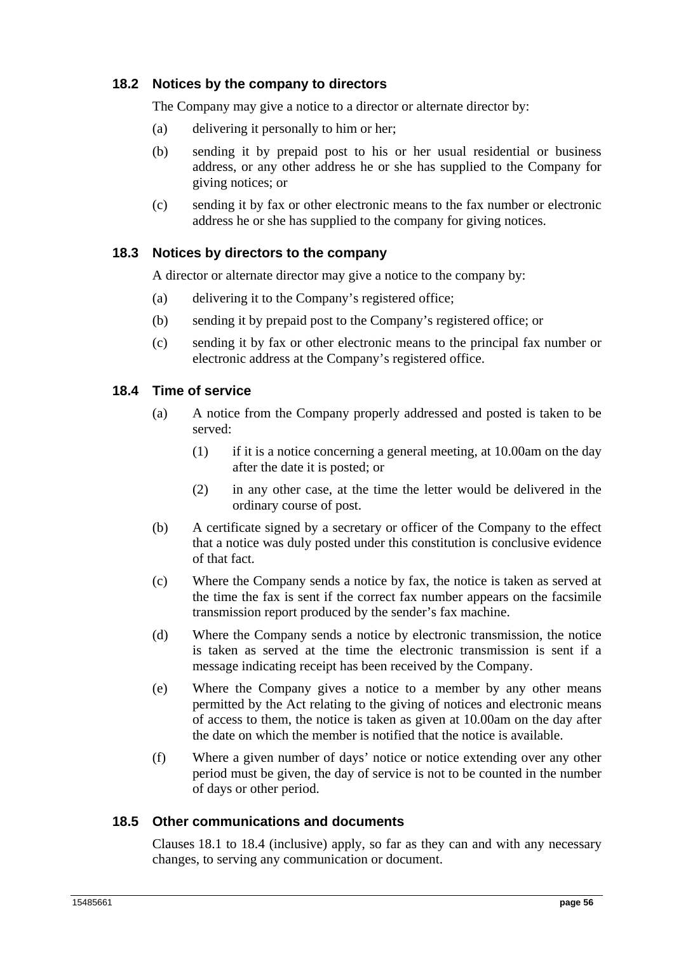## **18.2 Notices by the company to directors**

The Company may give a notice to a director or alternate director by:

- (a) delivering it personally to him or her;
- (b) sending it by prepaid post to his or her usual residential or business address, or any other address he or she has supplied to the Company for giving notices; or
- (c) sending it by fax or other electronic means to the fax number or electronic address he or she has supplied to the company for giving notices.

## **18.3 Notices by directors to the company**

A director or alternate director may give a notice to the company by:

- (a) delivering it to the Company's registered office;
- (b) sending it by prepaid post to the Company's registered office; or
- (c) sending it by fax or other electronic means to the principal fax number or electronic address at the Company's registered office.

## **18.4 Time of service**

- (a) A notice from the Company properly addressed and posted is taken to be served:
	- (1) if it is a notice concerning a general meeting, at 10.00am on the day after the date it is posted; or
	- (2) in any other case, at the time the letter would be delivered in the ordinary course of post.
- (b) A certificate signed by a secretary or officer of the Company to the effect that a notice was duly posted under this constitution is conclusive evidence of that fact.
- (c) Where the Company sends a notice by fax, the notice is taken as served at the time the fax is sent if the correct fax number appears on the facsimile transmission report produced by the sender's fax machine.
- (d) Where the Company sends a notice by electronic transmission, the notice is taken as served at the time the electronic transmission is sent if a message indicating receipt has been received by the Company.
- (e) Where the Company gives a notice to a member by any other means permitted by the Act relating to the giving of notices and electronic means of access to them, the notice is taken as given at 10.00am on the day after the date on which the member is notified that the notice is available.
- (f) Where a given number of days' notice or notice extending over any other period must be given, the day of service is not to be counted in the number of days or other period.

## **18.5 Other communications and documents**

Clauses 18.1 to 18.4 (inclusive) apply, so far as they can and with any necessary changes, to serving any communication or document.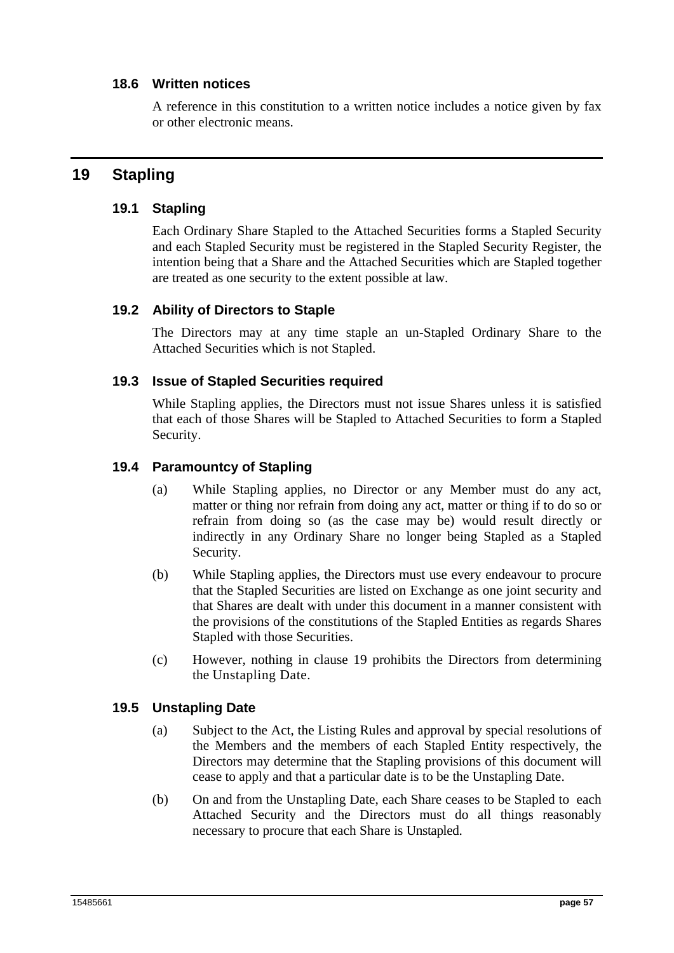## **18.6 Written notices**

A reference in this constitution to a written notice includes a notice given by fax or other electronic means.

## **19 Stapling**

## **19.1 Stapling**

Each Ordinary Share Stapled to the Attached Securities forms a Stapled Security and each Stapled Security must be registered in the Stapled Security Register, the intention being that a Share and the Attached Securities which are Stapled together are treated as one security to the extent possible at law.

## **19.2 Ability of Directors to Staple**

The Directors may at any time staple an un-Stapled Ordinary Share to the Attached Securities which is not Stapled.

## **19.3 Issue of Stapled Securities required**

While Stapling applies, the Directors must not issue Shares unless it is satisfied that each of those Shares will be Stapled to Attached Securities to form a Stapled Security.

## **19.4 Paramountcy of Stapling**

- (a) While Stapling applies, no Director or any Member must do any act, matter or thing nor refrain from doing any act, matter or thing if to do so or refrain from doing so (as the case may be) would result directly or indirectly in any Ordinary Share no longer being Stapled as a Stapled Security.
- (b) While Stapling applies, the Directors must use every endeavour to procure that the Stapled Securities are listed on Exchange as one joint security and that Shares are dealt with under this document in a manner consistent with the provisions of the constitutions of the Stapled Entities as regards Shares Stapled with those Securities.
- (c) However, nothing in clause 19 prohibits the Directors from determining the Unstapling Date.

## **19.5 Unstapling Date**

- (a) Subject to the Act, the Listing Rules and approval by special resolutions of the Members and the members of each Stapled Entity respectively, the Directors may determine that the Stapling provisions of this document will cease to apply and that a particular date is to be the Unstapling Date.
- (b) On and from the Unstapling Date, each Share ceases to be Stapled to each Attached Security and the Directors must do all things reasonably necessary to procure that each Share is Unstapled.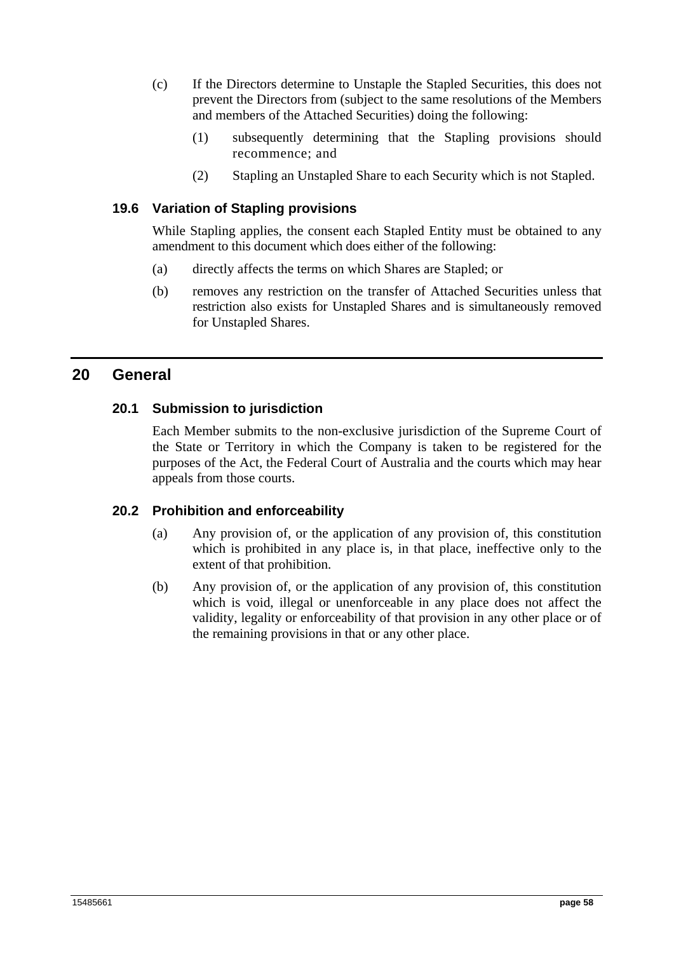- (c) If the Directors determine to Unstaple the Stapled Securities, this does not prevent the Directors from (subject to the same resolutions of the Members and members of the Attached Securities) doing the following:
	- (1) subsequently determining that the Stapling provisions should recommence; and
	- (2) Stapling an Unstapled Share to each Security which is not Stapled.

## **19.6 Variation of Stapling provisions**

While Stapling applies, the consent each Stapled Entity must be obtained to any amendment to this document which does either of the following:

- (a) directly affects the terms on which Shares are Stapled; or
- (b) removes any restriction on the transfer of Attached Securities unless that restriction also exists for Unstapled Shares and is simultaneously removed for Unstapled Shares.

## **20 General**

## **20.1 Submission to jurisdiction**

Each Member submits to the non-exclusive jurisdiction of the Supreme Court of the State or Territory in which the Company is taken to be registered for the purposes of the Act, the Federal Court of Australia and the courts which may hear appeals from those courts.

## **20.2 Prohibition and enforceability**

- (a) Any provision of, or the application of any provision of, this constitution which is prohibited in any place is, in that place, ineffective only to the extent of that prohibition.
- (b) Any provision of, or the application of any provision of, this constitution which is void, illegal or unenforceable in any place does not affect the validity, legality or enforceability of that provision in any other place or of the remaining provisions in that or any other place.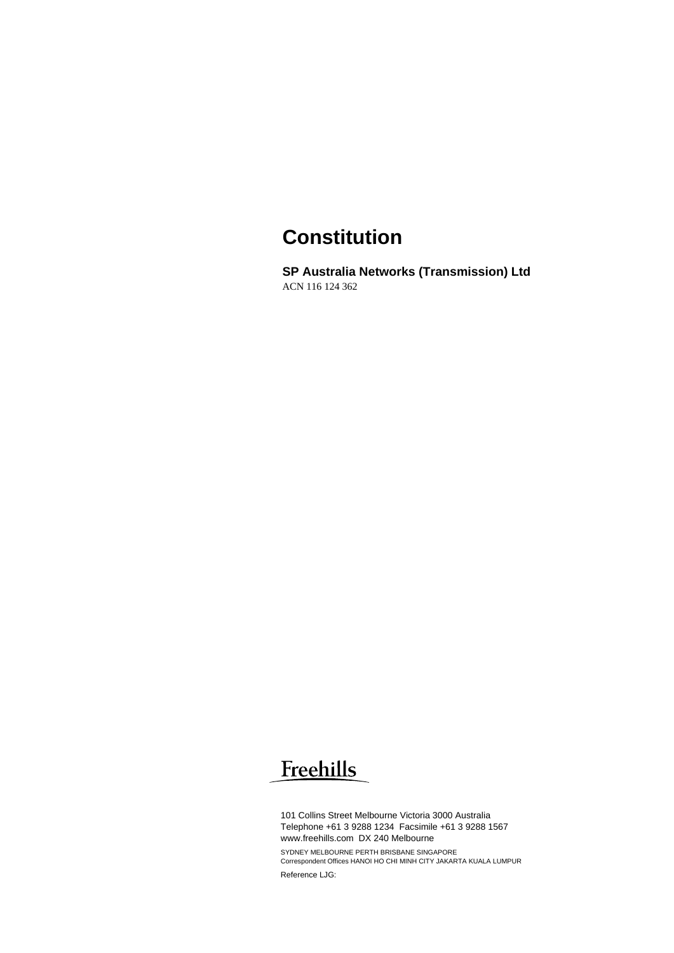## **Constitution**

**SP Australia Networks (Transmission) Ltd**  ACN 116 124 362

# Freehills

101 Collins Street Melbourne Victoria 3000 Australia Telephone +61 3 9288 1234 Facsimile +61 3 9288 1567 www.freehills.com DX 240 Melbourne SYDNEY MELBOURNE PERTH BRISBANE SINGAPORE Correspondent Offices HANOI HO CHI MINH CITY JAKARTA KUALA LUMPUR Reference LJG: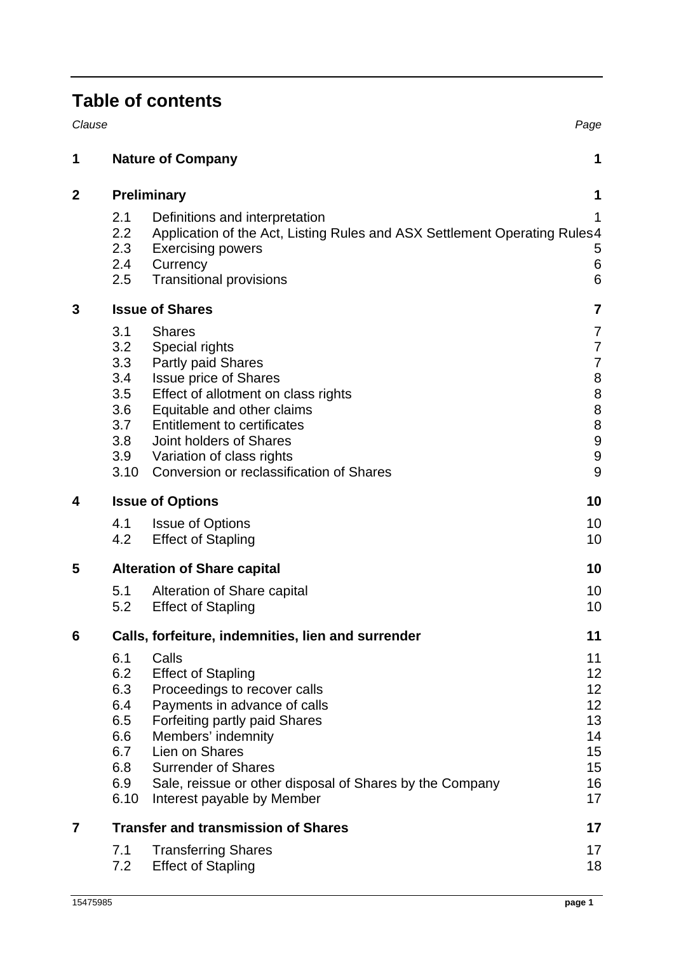## **Table of contents**

| Clause         |                                                                     |                                                                                                                                                                                                                                                                                                      | Page                                                                                                                   |
|----------------|---------------------------------------------------------------------|------------------------------------------------------------------------------------------------------------------------------------------------------------------------------------------------------------------------------------------------------------------------------------------------------|------------------------------------------------------------------------------------------------------------------------|
| 1              |                                                                     | <b>Nature of Company</b>                                                                                                                                                                                                                                                                             | 1                                                                                                                      |
| 2              | <b>Preliminary</b>                                                  |                                                                                                                                                                                                                                                                                                      |                                                                                                                        |
|                | 2.1<br>2.2<br>2.3<br>$2.4\phantom{0}$<br>2.5                        | Definitions and interpretation<br>Application of the Act, Listing Rules and ASX Settlement Operating Rules 4<br><b>Exercising powers</b><br>Currency<br><b>Transitional provisions</b>                                                                                                               | 1<br>5<br>$\,6$<br>6                                                                                                   |
| 3              | <b>Issue of Shares</b>                                              |                                                                                                                                                                                                                                                                                                      |                                                                                                                        |
|                | 3.1<br>3.2<br>3.3<br>3.4<br>3.5<br>3.6<br>3.7<br>3.8<br>3.9<br>3.10 | <b>Shares</b><br>Special rights<br>Partly paid Shares<br><b>Issue price of Shares</b><br>Effect of allotment on class rights<br>Equitable and other claims<br><b>Entitlement to certificates</b><br>Joint holders of Shares<br>Variation of class rights<br>Conversion or reclassification of Shares | 7<br>$\overline{7}$<br>$\overline{7}$<br>$\bf 8$<br>8<br>$\bf 8$<br>$\bf 8$<br>$\overline{9}$<br>$\boldsymbol{9}$<br>9 |
| 4              | <b>Issue of Options</b>                                             |                                                                                                                                                                                                                                                                                                      | 10                                                                                                                     |
|                | 4.1<br>4.2                                                          | <b>Issue of Options</b><br><b>Effect of Stapling</b>                                                                                                                                                                                                                                                 | 10<br>10                                                                                                               |
| 5              | <b>Alteration of Share capital</b>                                  |                                                                                                                                                                                                                                                                                                      | 10                                                                                                                     |
|                | 5.1<br>5.2                                                          | Alteration of Share capital<br><b>Effect of Stapling</b>                                                                                                                                                                                                                                             | 10<br>10                                                                                                               |
| 6              | Calls, forfeiture, indemnities, lien and surrender                  |                                                                                                                                                                                                                                                                                                      | 11                                                                                                                     |
|                | 6.1<br>6.2<br>6.3<br>6.4<br>6.5<br>6.6<br>6.7<br>6.8<br>6.9<br>6.10 | Calls<br><b>Effect of Stapling</b><br>Proceedings to recover calls<br>Payments in advance of calls<br>Forfeiting partly paid Shares<br>Members' indemnity<br>Lien on Shares<br><b>Surrender of Shares</b><br>Sale, reissue or other disposal of Shares by the Company<br>Interest payable by Member  | 11<br>12<br>12<br>12<br>13<br>14<br>15<br>15<br>16<br>17                                                               |
| $\overline{7}$ | <b>Transfer and transmission of Shares</b>                          |                                                                                                                                                                                                                                                                                                      |                                                                                                                        |
|                | 7.1<br>7.2                                                          | <b>Transferring Shares</b><br><b>Effect of Stapling</b>                                                                                                                                                                                                                                              | 17<br>18                                                                                                               |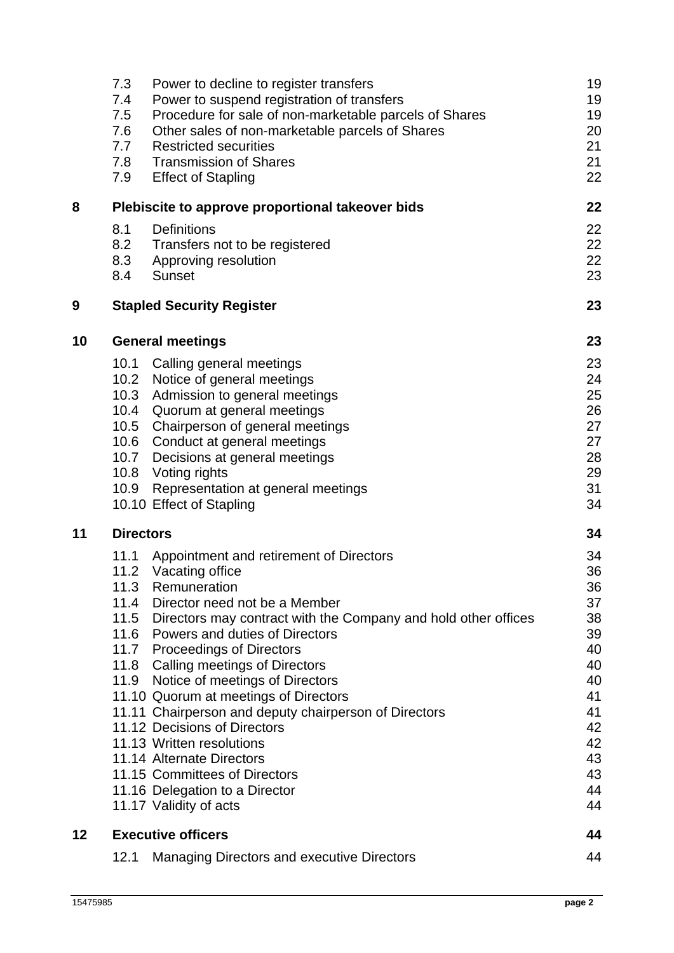|    | 7.3<br>Power to decline to register transfers<br>Power to suspend registration of transfers<br>7.4<br>Procedure for sale of non-marketable parcels of Shares<br>7.5<br>7.6<br>Other sales of non-marketable parcels of Shares<br>7.7<br><b>Restricted securities</b><br><b>Transmission of Shares</b><br>7.8<br>7.9<br><b>Effect of Stapling</b>                                                                                                                                                                                                                                                                                                                     | 19<br>19<br>19<br>20<br>21<br>21<br>22                                                             |  |
|----|----------------------------------------------------------------------------------------------------------------------------------------------------------------------------------------------------------------------------------------------------------------------------------------------------------------------------------------------------------------------------------------------------------------------------------------------------------------------------------------------------------------------------------------------------------------------------------------------------------------------------------------------------------------------|----------------------------------------------------------------------------------------------------|--|
| 8  | Plebiscite to approve proportional takeover bids                                                                                                                                                                                                                                                                                                                                                                                                                                                                                                                                                                                                                     | 22                                                                                                 |  |
|    | <b>Definitions</b><br>8.1<br>8.2<br>Transfers not to be registered<br>8.3<br>Approving resolution<br><b>Sunset</b><br>8.4                                                                                                                                                                                                                                                                                                                                                                                                                                                                                                                                            | 22<br>22<br>22<br>23                                                                               |  |
| 9  | <b>Stapled Security Register</b>                                                                                                                                                                                                                                                                                                                                                                                                                                                                                                                                                                                                                                     | 23                                                                                                 |  |
| 10 | <b>General meetings</b>                                                                                                                                                                                                                                                                                                                                                                                                                                                                                                                                                                                                                                              | 23                                                                                                 |  |
|    | 10.1<br>Calling general meetings<br>10.2<br>Notice of general meetings<br>10.3<br>Admission to general meetings<br>10.4 Quorum at general meetings<br>10.5 Chairperson of general meetings<br>10.6 Conduct at general meetings<br>10.7 Decisions at general meetings<br>10.8 Voting rights<br>Representation at general meetings<br>10.9 <sub>2</sub><br>10.10 Effect of Stapling                                                                                                                                                                                                                                                                                    | 23<br>24<br>25<br>26<br>27<br>27<br>28<br>29<br>31<br>34                                           |  |
| 11 | <b>Directors</b>                                                                                                                                                                                                                                                                                                                                                                                                                                                                                                                                                                                                                                                     |                                                                                                    |  |
|    | 11.1<br>Appointment and retirement of Directors<br>11.2 Vacating office<br>11.3<br>Remuneration<br>11.4<br>Director need not be a Member<br>11.5<br>Directors may contract with the Company and hold other offices<br>Powers and duties of Directors<br>11.6<br>11.7 Proceedings of Directors<br>11.8 Calling meetings of Directors<br>11.9 Notice of meetings of Directors<br>11.10 Quorum at meetings of Directors<br>11.11 Chairperson and deputy chairperson of Directors<br>11.12 Decisions of Directors<br>11.13 Written resolutions<br>11.14 Alternate Directors<br>11.15 Committees of Directors<br>11.16 Delegation to a Director<br>11.17 Validity of acts | 34<br>36<br>36<br>37<br>38<br>39<br>40<br>40<br>40<br>41<br>41<br>42<br>42<br>43<br>43<br>44<br>44 |  |
| 12 | <b>Executive officers</b>                                                                                                                                                                                                                                                                                                                                                                                                                                                                                                                                                                                                                                            | 44                                                                                                 |  |
|    | 12.1<br><b>Managing Directors and executive Directors</b>                                                                                                                                                                                                                                                                                                                                                                                                                                                                                                                                                                                                            | 44                                                                                                 |  |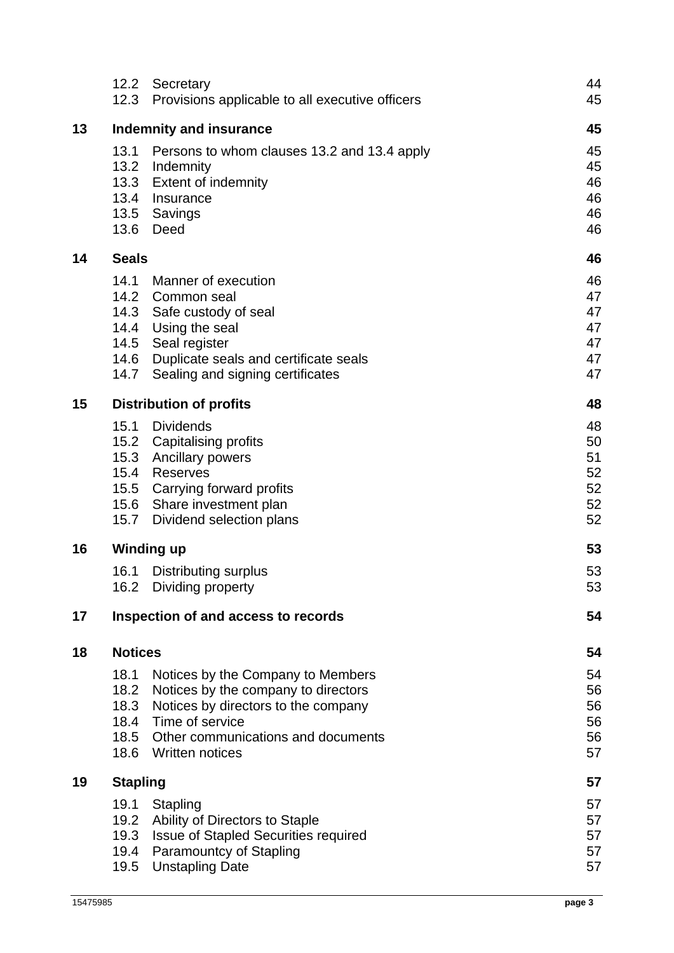|    | 12.2<br>12.3                   | Secretary<br>Provisions applicable to all executive officers                  | 44<br>45 |
|----|--------------------------------|-------------------------------------------------------------------------------|----------|
| 13 | <b>Indemnity and insurance</b> |                                                                               |          |
|    | 13.1                           | Persons to whom clauses 13.2 and 13.4 apply                                   | 45<br>45 |
|    |                                | 13.2 Indemnity                                                                | 45       |
|    |                                | 13.3 Extent of indemnity                                                      | 46       |
|    | 13.4                           | Insurance                                                                     | 46       |
|    |                                | 13.5 Savings                                                                  | 46       |
|    | 13.6                           | Deed                                                                          | 46       |
| 14 | <b>Seals</b>                   |                                                                               | 46       |
|    | 14.1                           | Manner of execution                                                           | 46       |
|    |                                | 14.2 Common seal                                                              | 47       |
|    |                                | 14.3 Safe custody of seal<br>14.4 Using the seal                              | 47<br>47 |
|    |                                | 14.5 Seal register                                                            | 47       |
|    | 14.6                           | Duplicate seals and certificate seals                                         | 47       |
|    | 14.7                           | Sealing and signing certificates                                              | 47       |
| 15 | <b>Distribution of profits</b> |                                                                               |          |
|    | 15.1                           | <b>Dividends</b>                                                              | 48       |
|    |                                | 15.2 Capitalising profits                                                     | 50       |
|    | 15.3                           | <b>Ancillary powers</b>                                                       | 51       |
|    | 15.4                           | Reserves                                                                      | 52       |
|    |                                | 15.5 Carrying forward profits<br>15.6 Share investment plan                   | 52<br>52 |
|    | 15.7                           | Dividend selection plans                                                      | 52       |
| 16 |                                | <b>Winding up</b>                                                             | 53       |
|    | 16.1                           | <b>Distributing surplus</b>                                                   | 53       |
|    |                                | 16.2 Dividing property                                                        | 53       |
| 17 |                                | Inspection of and access to records                                           | 54       |
| 18 | <b>Notices</b>                 |                                                                               | 54       |
|    | 18.1                           | Notices by the Company to Members                                             | 54       |
|    | 18.2                           | Notices by the company to directors                                           | 56       |
|    | 18.3                           | Notices by directors to the company                                           | 56       |
|    | 18.4                           | Time of service                                                               | 56       |
|    | 18.5                           | Other communications and documents                                            | 56       |
|    | 18.6                           | <b>Written notices</b>                                                        | 57       |
| 19 | <b>Stapling</b>                |                                                                               | 57       |
|    | 19.1                           | Stapling                                                                      | 57       |
|    | 19.2                           | Ability of Directors to Staple                                                | 57       |
|    | 19.3<br>19.4                   | <b>Issue of Stapled Securities required</b><br><b>Paramountcy of Stapling</b> | 57<br>57 |
|    | 19.5                           | <b>Unstapling Date</b>                                                        | 57       |
|    |                                |                                                                               |          |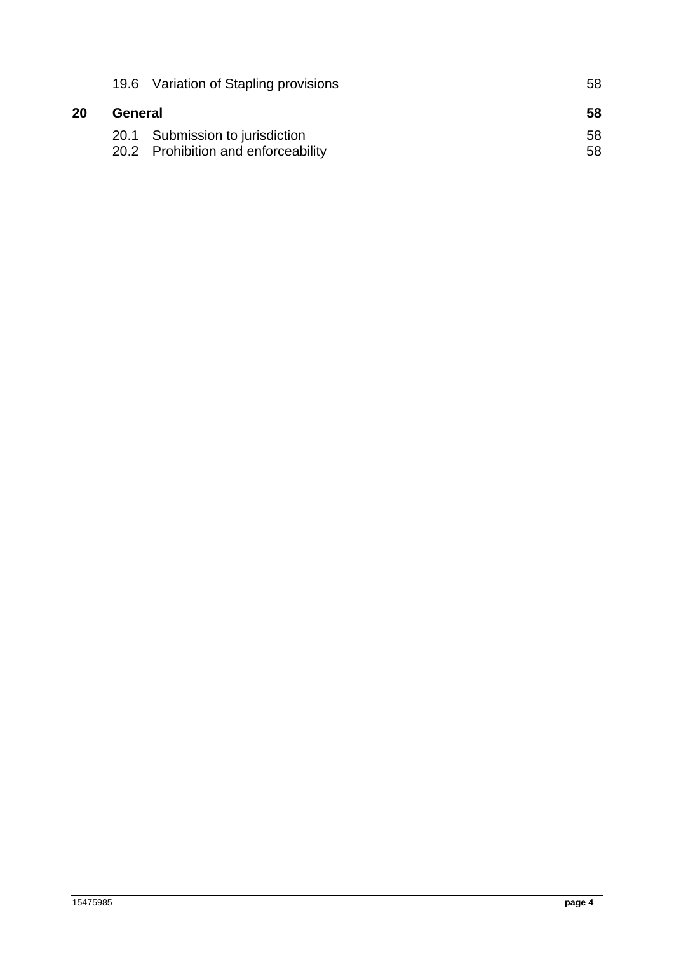|    |         | 19.6 Variation of Stapling provisions | 58 |
|----|---------|---------------------------------------|----|
| 20 | General |                                       | 58 |
|    |         | 20.1 Submission to jurisdiction       | 58 |
|    |         | 20.2 Prohibition and enforceability   | 58 |
|    |         |                                       |    |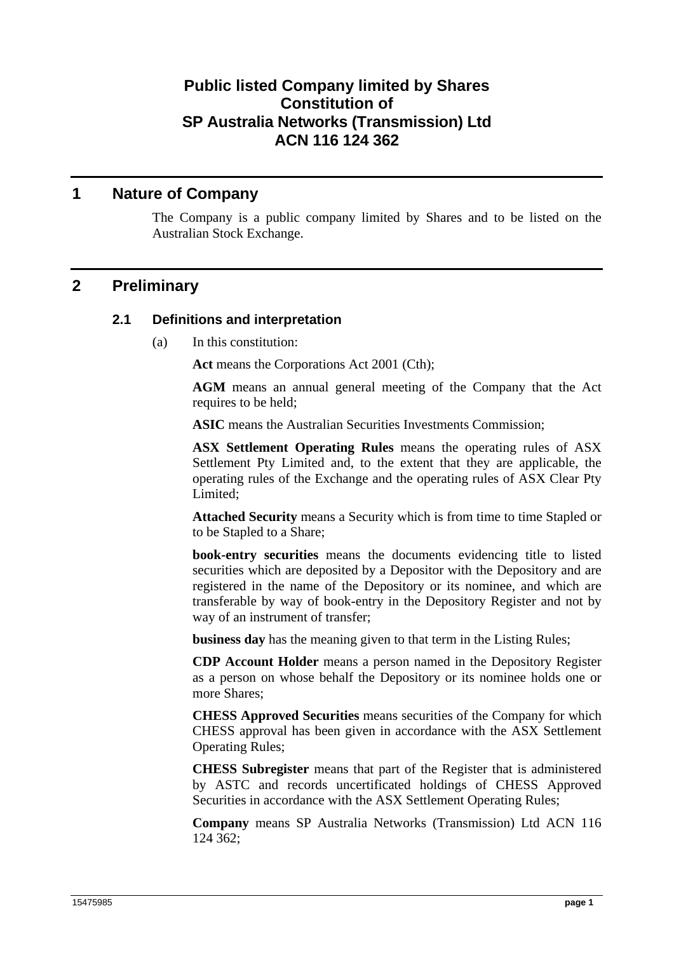## **Public listed Company limited by Shares Constitution of SP Australia Networks (Transmission) Ltd ACN 116 124 362**

## **1 Nature of Company**

The Company is a public company limited by Shares and to be listed on the Australian Stock Exchange.

## **2 Preliminary**

## **2.1 Definitions and interpretation**

(a) In this constitution:

**Act** means the Corporations Act 2001 (Cth);

**AGM** means an annual general meeting of the Company that the Act requires to be held;

**ASIC** means the Australian Securities Investments Commission;

**ASX Settlement Operating Rules** means the operating rules of ASX Settlement Pty Limited and, to the extent that they are applicable, the operating rules of the Exchange and the operating rules of ASX Clear Pty Limited;

**Attached Security** means a Security which is from time to time Stapled or to be Stapled to a Share;

**book-entry securities** means the documents evidencing title to listed securities which are deposited by a Depositor with the Depository and are registered in the name of the Depository or its nominee, and which are transferable by way of book-entry in the Depository Register and not by way of an instrument of transfer;

**business day** has the meaning given to that term in the Listing Rules;

**CDP Account Holder** means a person named in the Depository Register as a person on whose behalf the Depository or its nominee holds one or more Shares;

**CHESS Approved Securities** means securities of the Company for which CHESS approval has been given in accordance with the ASX Settlement Operating Rules;

**CHESS Subregister** means that part of the Register that is administered by ASTC and records uncertificated holdings of CHESS Approved Securities in accordance with the ASX Settlement Operating Rules;

**Company** means SP Australia Networks (Transmission) Ltd ACN 116 124 362;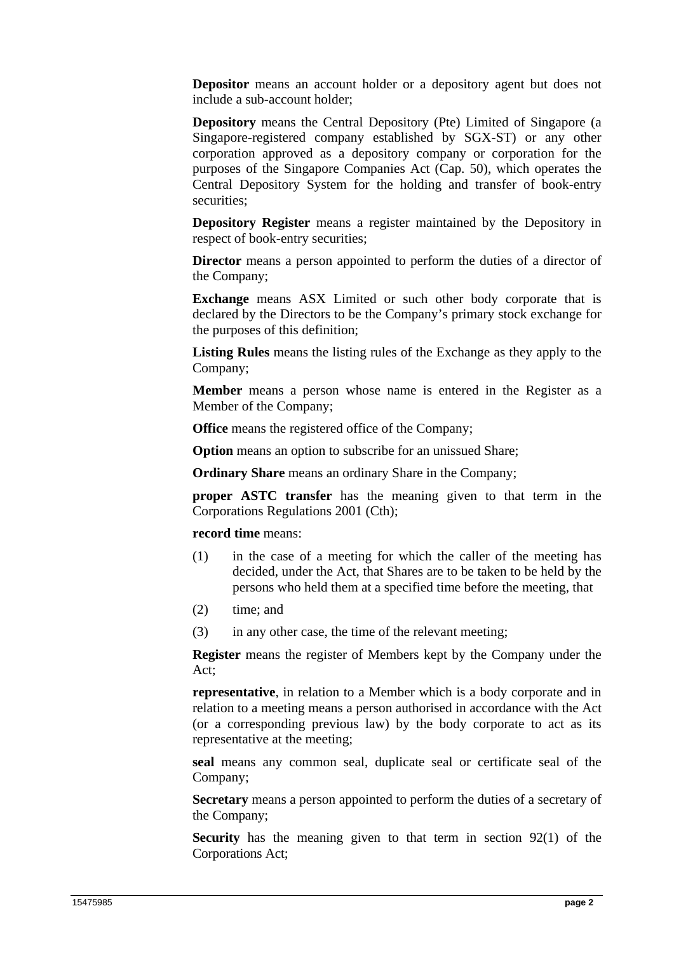**Depositor** means an account holder or a depository agent but does not include a sub-account holder;

**Depository** means the Central Depository (Pte) Limited of Singapore (a Singapore-registered company established by SGX-ST) or any other corporation approved as a depository company or corporation for the purposes of the Singapore Companies Act (Cap. 50), which operates the Central Depository System for the holding and transfer of book-entry securities;

**Depository Register** means a register maintained by the Depository in respect of book-entry securities;

**Director** means a person appointed to perform the duties of a director of the Company;

**Exchange** means ASX Limited or such other body corporate that is declared by the Directors to be the Company's primary stock exchange for the purposes of this definition;

**Listing Rules** means the listing rules of the Exchange as they apply to the Company;

**Member** means a person whose name is entered in the Register as a Member of the Company;

**Office** means the registered office of the Company;

**Option** means an option to subscribe for an unissued Share;

**Ordinary Share** means an ordinary Share in the Company;

**proper ASTC transfer** has the meaning given to that term in the Corporations Regulations 2001 (Cth);

**record time** means:

- (1) in the case of a meeting for which the caller of the meeting has decided, under the Act, that Shares are to be taken to be held by the persons who held them at a specified time before the meeting, that
- (2) time; and
- (3) in any other case, the time of the relevant meeting;

**Register** means the register of Members kept by the Company under the Act;

**representative**, in relation to a Member which is a body corporate and in relation to a meeting means a person authorised in accordance with the Act (or a corresponding previous law) by the body corporate to act as its representative at the meeting;

**seal** means any common seal, duplicate seal or certificate seal of the Company;

**Secretary** means a person appointed to perform the duties of a secretary of the Company;

**Security** has the meaning given to that term in section 92(1) of the Corporations Act;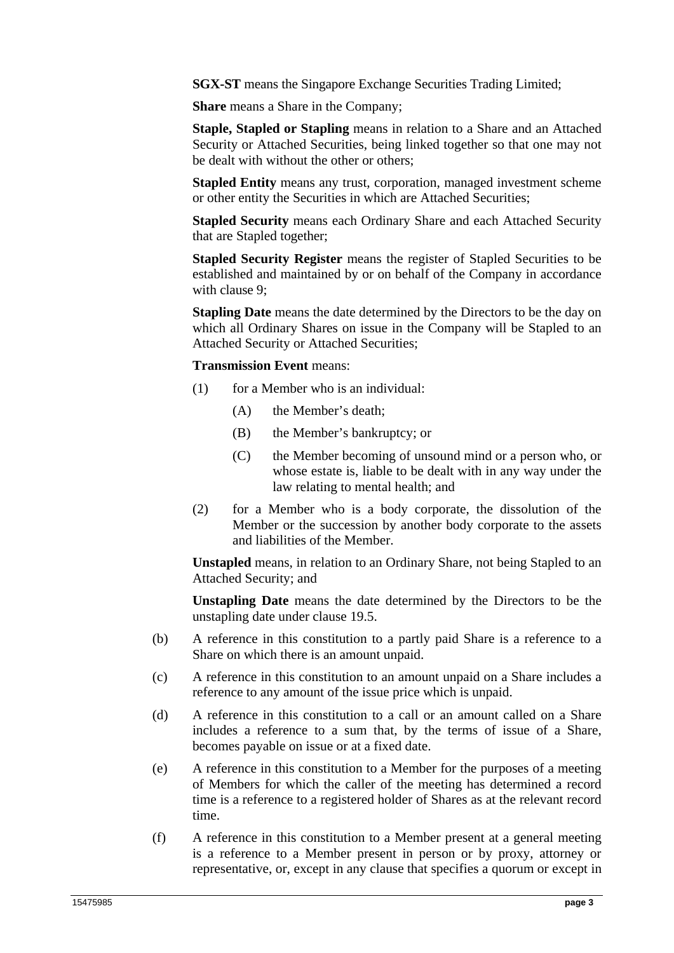**SGX-ST** means the Singapore Exchange Securities Trading Limited:

**Share** means a Share in the Company;

**Staple, Stapled or Stapling** means in relation to a Share and an Attached Security or Attached Securities, being linked together so that one may not be dealt with without the other or others;

**Stapled Entity** means any trust, corporation, managed investment scheme or other entity the Securities in which are Attached Securities;

**Stapled Security** means each Ordinary Share and each Attached Security that are Stapled together;

**Stapled Security Register** means the register of Stapled Securities to be established and maintained by or on behalf of the Company in accordance with clause 9;

**Stapling Date** means the date determined by the Directors to be the day on which all Ordinary Shares on issue in the Company will be Stapled to an Attached Security or Attached Securities;

#### **Transmission Event** means:

- (1) for a Member who is an individual:
	- (A) the Member's death;
	- (B) the Member's bankruptcy; or
	- (C) the Member becoming of unsound mind or a person who, or whose estate is, liable to be dealt with in any way under the law relating to mental health; and
- (2) for a Member who is a body corporate, the dissolution of the Member or the succession by another body corporate to the assets and liabilities of the Member.

**Unstapled** means, in relation to an Ordinary Share, not being Stapled to an Attached Security; and

**Unstapling Date** means the date determined by the Directors to be the unstapling date under clause 19.5.

- (b) A reference in this constitution to a partly paid Share is a reference to a Share on which there is an amount unpaid.
- (c) A reference in this constitution to an amount unpaid on a Share includes a reference to any amount of the issue price which is unpaid.
- (d) A reference in this constitution to a call or an amount called on a Share includes a reference to a sum that, by the terms of issue of a Share, becomes payable on issue or at a fixed date.
- (e) A reference in this constitution to a Member for the purposes of a meeting of Members for which the caller of the meeting has determined a record time is a reference to a registered holder of Shares as at the relevant record time.
- (f) A reference in this constitution to a Member present at a general meeting is a reference to a Member present in person or by proxy, attorney or representative, or, except in any clause that specifies a quorum or except in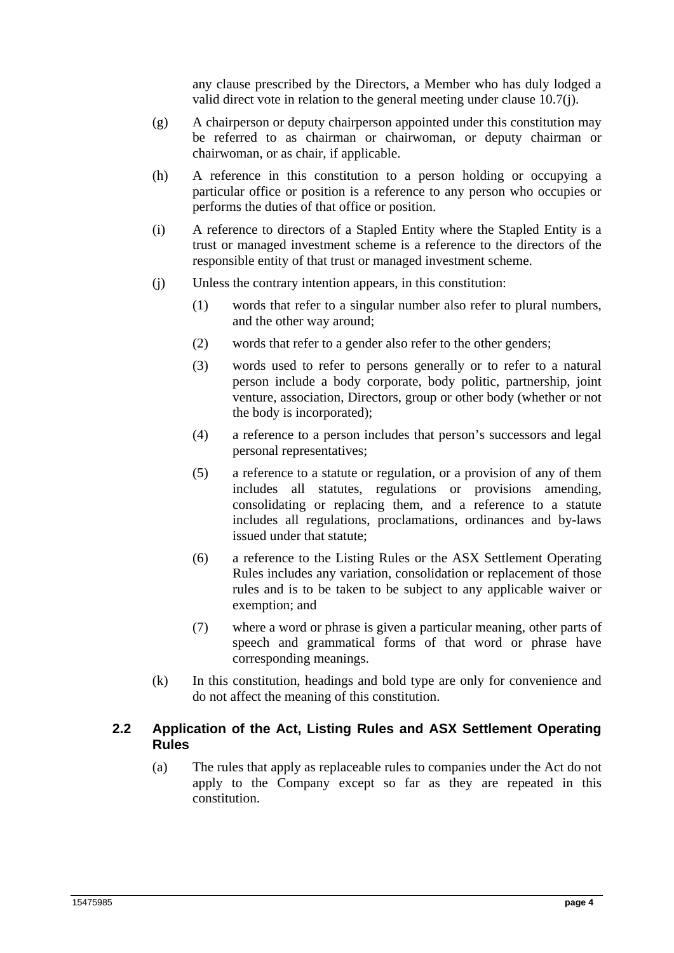any clause prescribed by the Directors, a Member who has duly lodged a valid direct vote in relation to the general meeting under clause 10.7(j).

- (g) A chairperson or deputy chairperson appointed under this constitution may be referred to as chairman or chairwoman, or deputy chairman or chairwoman, or as chair, if applicable.
- (h) A reference in this constitution to a person holding or occupying a particular office or position is a reference to any person who occupies or performs the duties of that office or position.
- (i) A reference to directors of a Stapled Entity where the Stapled Entity is a trust or managed investment scheme is a reference to the directors of the responsible entity of that trust or managed investment scheme.
- (j) Unless the contrary intention appears, in this constitution:
	- (1) words that refer to a singular number also refer to plural numbers, and the other way around;
	- (2) words that refer to a gender also refer to the other genders;
	- (3) words used to refer to persons generally or to refer to a natural person include a body corporate, body politic, partnership, joint venture, association, Directors, group or other body (whether or not the body is incorporated);
	- (4) a reference to a person includes that person's successors and legal personal representatives;
	- (5) a reference to a statute or regulation, or a provision of any of them includes all statutes, regulations or provisions amending, consolidating or replacing them, and a reference to a statute includes all regulations, proclamations, ordinances and by-laws issued under that statute;
	- (6) a reference to the Listing Rules or the ASX Settlement Operating Rules includes any variation, consolidation or replacement of those rules and is to be taken to be subject to any applicable waiver or exemption; and
	- (7) where a word or phrase is given a particular meaning, other parts of speech and grammatical forms of that word or phrase have corresponding meanings.
- (k) In this constitution, headings and bold type are only for convenience and do not affect the meaning of this constitution.

## **2.2 Application of the Act, Listing Rules and ASX Settlement Operating Rules**

(a) The rules that apply as replaceable rules to companies under the Act do not apply to the Company except so far as they are repeated in this constitution.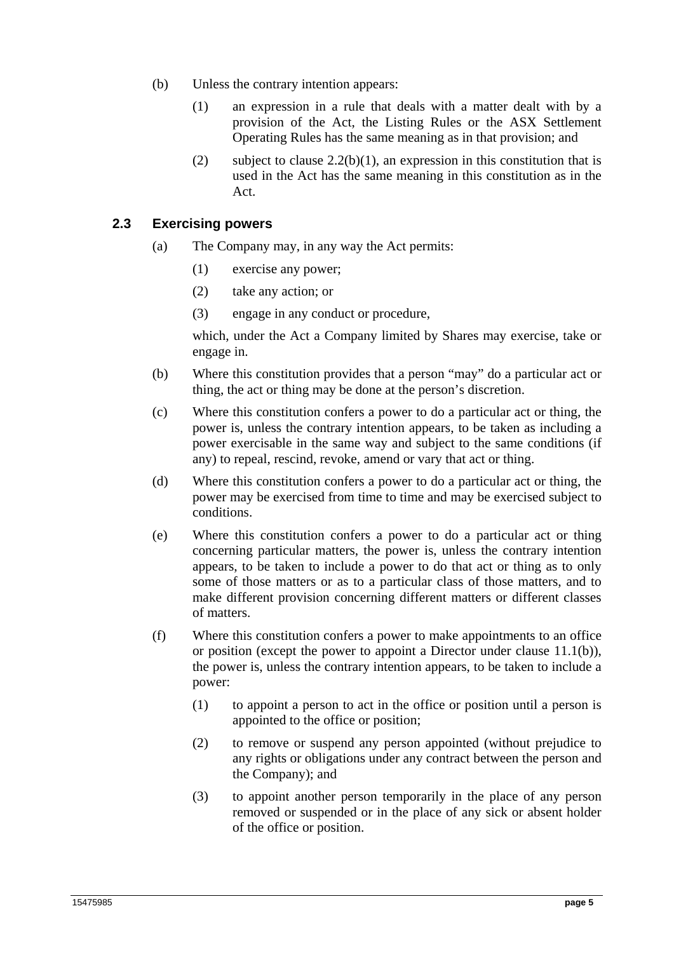- (b) Unless the contrary intention appears:
	- (1) an expression in a rule that deals with a matter dealt with by a provision of the Act, the Listing Rules or the ASX Settlement Operating Rules has the same meaning as in that provision; and
	- (2) subject to clause  $2.2(b)(1)$ , an expression in this constitution that is used in the Act has the same meaning in this constitution as in the Act.

#### **2.3 Exercising powers**

- (a) The Company may, in any way the Act permits:
	- (1) exercise any power;
	- (2) take any action; or
	- (3) engage in any conduct or procedure,

which, under the Act a Company limited by Shares may exercise, take or engage in.

- (b) Where this constitution provides that a person "may" do a particular act or thing, the act or thing may be done at the person's discretion.
- (c) Where this constitution confers a power to do a particular act or thing, the power is, unless the contrary intention appears, to be taken as including a power exercisable in the same way and subject to the same conditions (if any) to repeal, rescind, revoke, amend or vary that act or thing.
- (d) Where this constitution confers a power to do a particular act or thing, the power may be exercised from time to time and may be exercised subject to conditions.
- (e) Where this constitution confers a power to do a particular act or thing concerning particular matters, the power is, unless the contrary intention appears, to be taken to include a power to do that act or thing as to only some of those matters or as to a particular class of those matters, and to make different provision concerning different matters or different classes of matters.
- (f) Where this constitution confers a power to make appointments to an office or position (except the power to appoint a Director under clause 11.1(b)), the power is, unless the contrary intention appears, to be taken to include a power:
	- (1) to appoint a person to act in the office or position until a person is appointed to the office or position;
	- (2) to remove or suspend any person appointed (without prejudice to any rights or obligations under any contract between the person and the Company); and
	- (3) to appoint another person temporarily in the place of any person removed or suspended or in the place of any sick or absent holder of the office or position.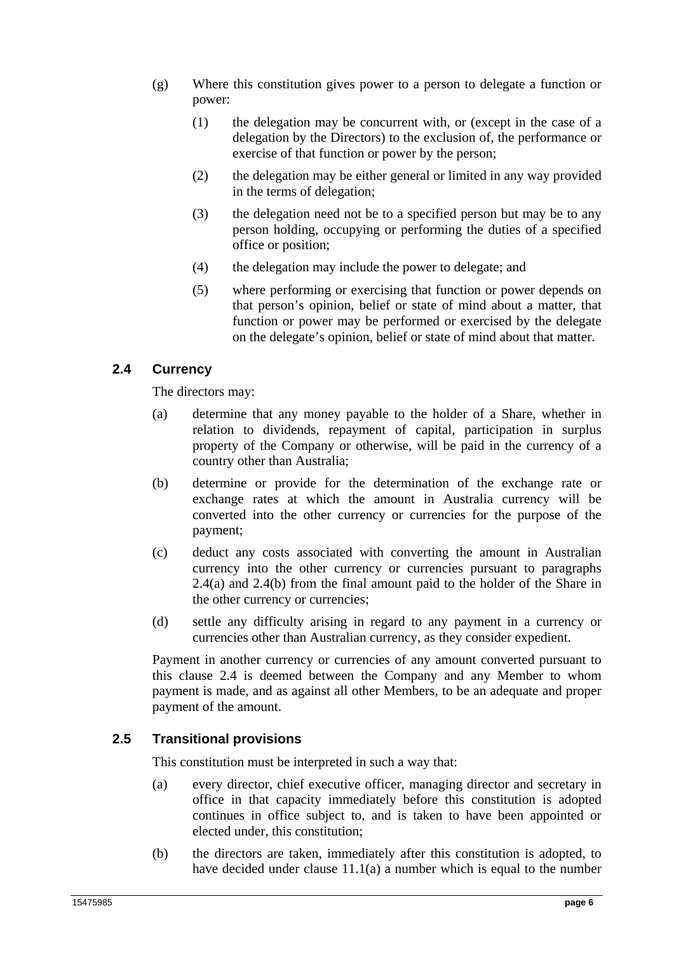- (g) Where this constitution gives power to a person to delegate a function or power:
	- (1) the delegation may be concurrent with, or (except in the case of a delegation by the Directors) to the exclusion of, the performance or exercise of that function or power by the person;
	- (2) the delegation may be either general or limited in any way provided in the terms of delegation;
	- (3) the delegation need not be to a specified person but may be to any person holding, occupying or performing the duties of a specified office or position;
	- (4) the delegation may include the power to delegate; and
	- (5) where performing or exercising that function or power depends on that person's opinion, belief or state of mind about a matter, that function or power may be performed or exercised by the delegate on the delegate's opinion, belief or state of mind about that matter.

## **2.4 Currency**

The directors may:

- (a) determine that any money payable to the holder of a Share, whether in relation to dividends, repayment of capital, participation in surplus property of the Company or otherwise, will be paid in the currency of a country other than Australia;
- (b) determine or provide for the determination of the exchange rate or exchange rates at which the amount in Australia currency will be converted into the other currency or currencies for the purpose of the payment;
- (c) deduct any costs associated with converting the amount in Australian currency into the other currency or currencies pursuant to paragraphs 2.4(a) and 2.4(b) from the final amount paid to the holder of the Share in the other currency or currencies;
- (d) settle any difficulty arising in regard to any payment in a currency or currencies other than Australian currency, as they consider expedient.

Payment in another currency or currencies of any amount converted pursuant to this clause 2.4 is deemed between the Company and any Member to whom payment is made, and as against all other Members, to be an adequate and proper payment of the amount.

## **2.5 Transitional provisions**

This constitution must be interpreted in such a way that:

- (a) every director, chief executive officer, managing director and secretary in office in that capacity immediately before this constitution is adopted continues in office subject to, and is taken to have been appointed or elected under, this constitution;
- (b) the directors are taken, immediately after this constitution is adopted, to have decided under clause 11.1(a) a number which is equal to the number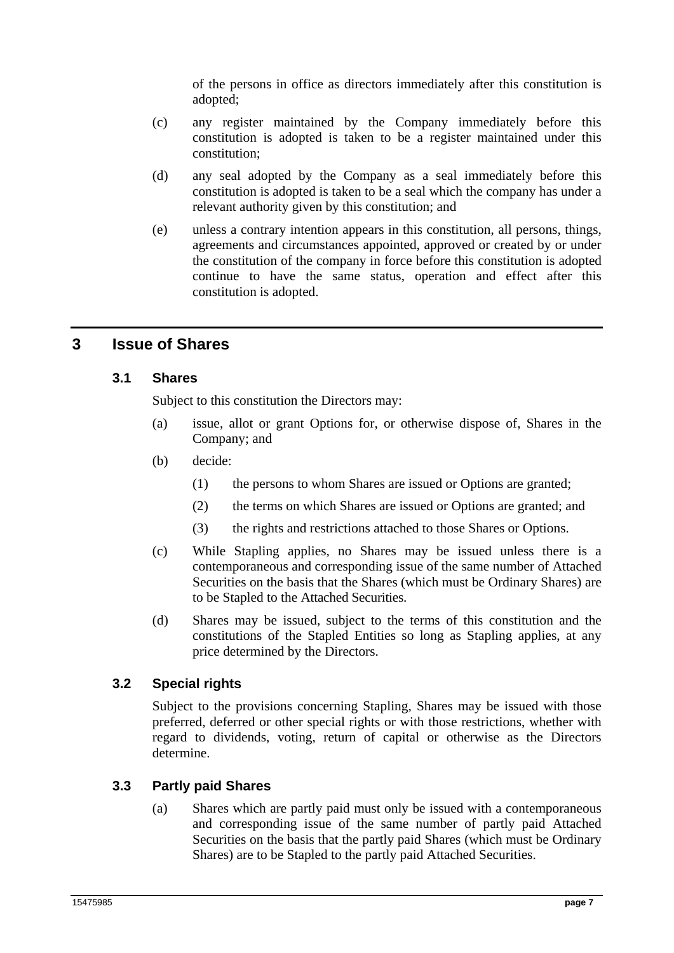of the persons in office as directors immediately after this constitution is adopted;

- (c) any register maintained by the Company immediately before this constitution is adopted is taken to be a register maintained under this constitution;
- (d) any seal adopted by the Company as a seal immediately before this constitution is adopted is taken to be a seal which the company has under a relevant authority given by this constitution; and
- (e) unless a contrary intention appears in this constitution, all persons, things, agreements and circumstances appointed, approved or created by or under the constitution of the company in force before this constitution is adopted continue to have the same status, operation and effect after this constitution is adopted.

# **3 Issue of Shares**

## **3.1 Shares**

Subject to this constitution the Directors may:

- (a) issue, allot or grant Options for, or otherwise dispose of, Shares in the Company; and
- (b) decide:
	- (1) the persons to whom Shares are issued or Options are granted;
	- (2) the terms on which Shares are issued or Options are granted; and
	- (3) the rights and restrictions attached to those Shares or Options.
- (c) While Stapling applies, no Shares may be issued unless there is a contemporaneous and corresponding issue of the same number of Attached Securities on the basis that the Shares (which must be Ordinary Shares) are to be Stapled to the Attached Securities.
- (d) Shares may be issued, subject to the terms of this constitution and the constitutions of the Stapled Entities so long as Stapling applies, at any price determined by the Directors.

## **3.2 Special rights**

Subject to the provisions concerning Stapling, Shares may be issued with those preferred, deferred or other special rights or with those restrictions, whether with regard to dividends, voting, return of capital or otherwise as the Directors determine.

## **3.3 Partly paid Shares**

(a) Shares which are partly paid must only be issued with a contemporaneous and corresponding issue of the same number of partly paid Attached Securities on the basis that the partly paid Shares (which must be Ordinary Shares) are to be Stapled to the partly paid Attached Securities.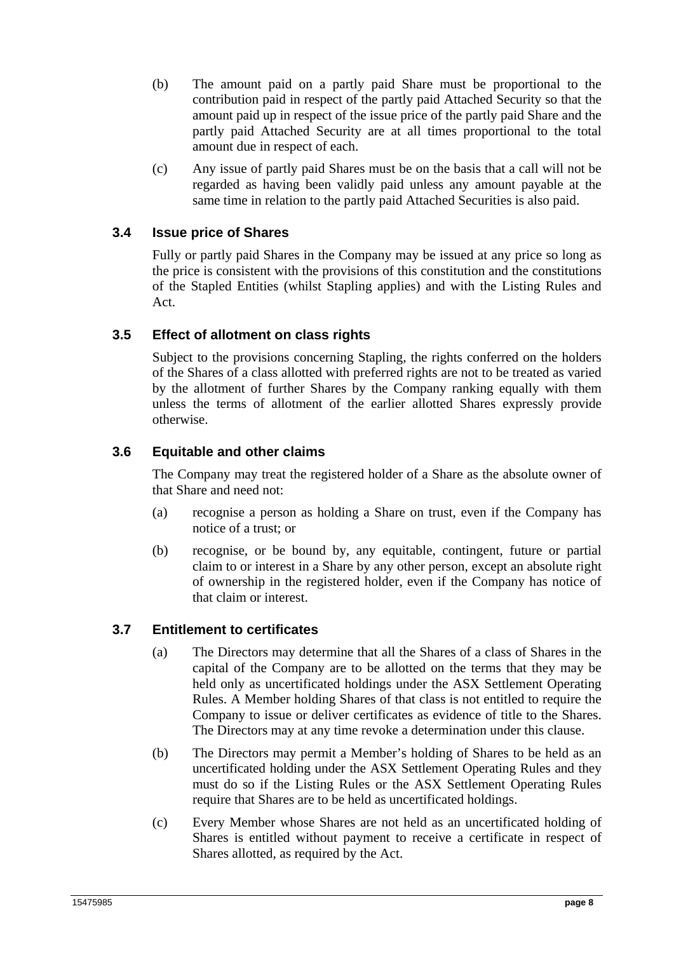- (b) The amount paid on a partly paid Share must be proportional to the contribution paid in respect of the partly paid Attached Security so that the amount paid up in respect of the issue price of the partly paid Share and the partly paid Attached Security are at all times proportional to the total amount due in respect of each.
- (c) Any issue of partly paid Shares must be on the basis that a call will not be regarded as having been validly paid unless any amount payable at the same time in relation to the partly paid Attached Securities is also paid.

## **3.4 Issue price of Shares**

Fully or partly paid Shares in the Company may be issued at any price so long as the price is consistent with the provisions of this constitution and the constitutions of the Stapled Entities (whilst Stapling applies) and with the Listing Rules and Act.

## **3.5 Effect of allotment on class rights**

Subject to the provisions concerning Stapling, the rights conferred on the holders of the Shares of a class allotted with preferred rights are not to be treated as varied by the allotment of further Shares by the Company ranking equally with them unless the terms of allotment of the earlier allotted Shares expressly provide otherwise.

## **3.6 Equitable and other claims**

The Company may treat the registered holder of a Share as the absolute owner of that Share and need not:

- (a) recognise a person as holding a Share on trust, even if the Company has notice of a trust; or
- (b) recognise, or be bound by, any equitable, contingent, future or partial claim to or interest in a Share by any other person, except an absolute right of ownership in the registered holder, even if the Company has notice of that claim or interest.

## **3.7 Entitlement to certificates**

- (a) The Directors may determine that all the Shares of a class of Shares in the capital of the Company are to be allotted on the terms that they may be held only as uncertificated holdings under the ASX Settlement Operating Rules. A Member holding Shares of that class is not entitled to require the Company to issue or deliver certificates as evidence of title to the Shares. The Directors may at any time revoke a determination under this clause.
- (b) The Directors may permit a Member's holding of Shares to be held as an uncertificated holding under the ASX Settlement Operating Rules and they must do so if the Listing Rules or the ASX Settlement Operating Rules require that Shares are to be held as uncertificated holdings.
- (c) Every Member whose Shares are not held as an uncertificated holding of Shares is entitled without payment to receive a certificate in respect of Shares allotted, as required by the Act.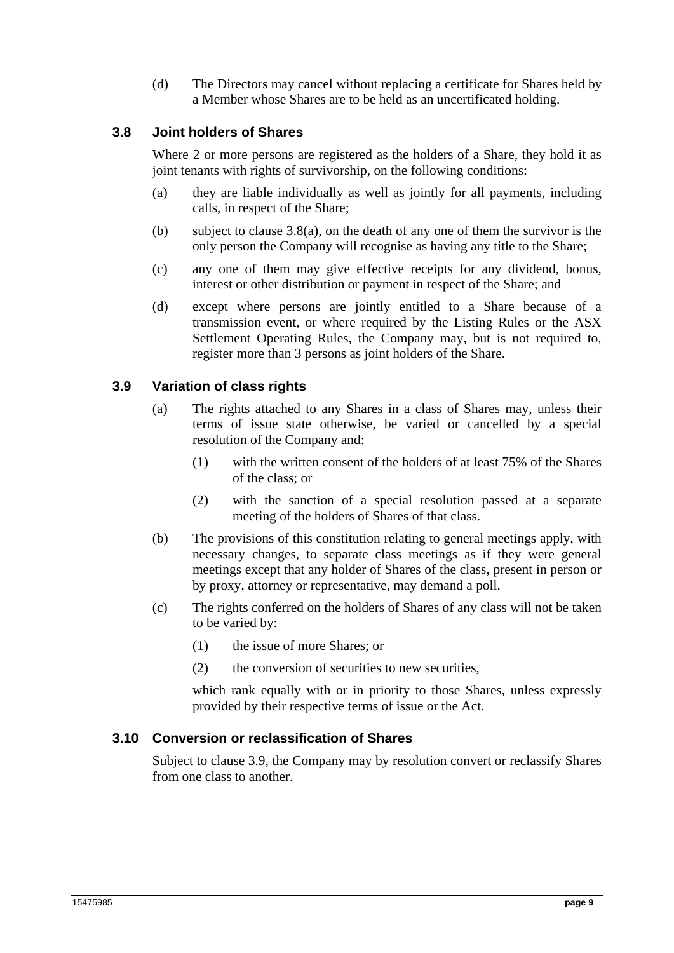(d) The Directors may cancel without replacing a certificate for Shares held by a Member whose Shares are to be held as an uncertificated holding.

## **3.8 Joint holders of Shares**

Where 2 or more persons are registered as the holders of a Share, they hold it as joint tenants with rights of survivorship, on the following conditions:

- (a) they are liable individually as well as jointly for all payments, including calls, in respect of the Share;
- (b) subject to clause 3.8(a), on the death of any one of them the survivor is the only person the Company will recognise as having any title to the Share;
- (c) any one of them may give effective receipts for any dividend, bonus, interest or other distribution or payment in respect of the Share; and
- (d) except where persons are jointly entitled to a Share because of a transmission event, or where required by the Listing Rules or the ASX Settlement Operating Rules, the Company may, but is not required to, register more than 3 persons as joint holders of the Share.

#### **3.9 Variation of class rights**

- (a) The rights attached to any Shares in a class of Shares may, unless their terms of issue state otherwise, be varied or cancelled by a special resolution of the Company and:
	- (1) with the written consent of the holders of at least 75% of the Shares of the class; or
	- (2) with the sanction of a special resolution passed at a separate meeting of the holders of Shares of that class.
- (b) The provisions of this constitution relating to general meetings apply, with necessary changes, to separate class meetings as if they were general meetings except that any holder of Shares of the class, present in person or by proxy, attorney or representative, may demand a poll.
- (c) The rights conferred on the holders of Shares of any class will not be taken to be varied by:
	- (1) the issue of more Shares; or
	- (2) the conversion of securities to new securities,

which rank equally with or in priority to those Shares, unless expressly provided by their respective terms of issue or the Act.

#### **3.10 Conversion or reclassification of Shares**

Subject to clause 3.9, the Company may by resolution convert or reclassify Shares from one class to another.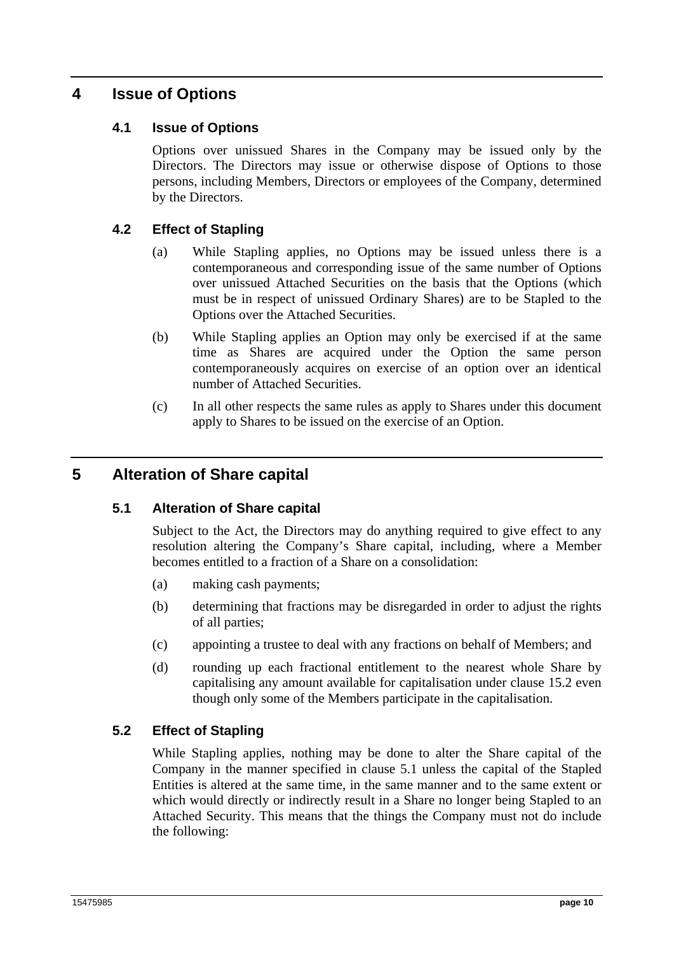# **4 Issue of Options**

## **4.1 Issue of Options**

Options over unissued Shares in the Company may be issued only by the Directors. The Directors may issue or otherwise dispose of Options to those persons, including Members, Directors or employees of the Company, determined by the Directors.

## **4.2 Effect of Stapling**

- (a) While Stapling applies, no Options may be issued unless there is a contemporaneous and corresponding issue of the same number of Options over unissued Attached Securities on the basis that the Options (which must be in respect of unissued Ordinary Shares) are to be Stapled to the Options over the Attached Securities.
- (b) While Stapling applies an Option may only be exercised if at the same time as Shares are acquired under the Option the same person contemporaneously acquires on exercise of an option over an identical number of Attached Securities.
- (c) In all other respects the same rules as apply to Shares under this document apply to Shares to be issued on the exercise of an Option.

# **5 Alteration of Share capital**

#### **5.1 Alteration of Share capital**

Subject to the Act, the Directors may do anything required to give effect to any resolution altering the Company's Share capital, including, where a Member becomes entitled to a fraction of a Share on a consolidation:

- (a) making cash payments;
- (b) determining that fractions may be disregarded in order to adjust the rights of all parties;
- (c) appointing a trustee to deal with any fractions on behalf of Members; and
- (d) rounding up each fractional entitlement to the nearest whole Share by capitalising any amount available for capitalisation under clause 15.2 even though only some of the Members participate in the capitalisation.

#### **5.2 Effect of Stapling**

While Stapling applies, nothing may be done to alter the Share capital of the Company in the manner specified in clause 5.1 unless the capital of the Stapled Entities is altered at the same time, in the same manner and to the same extent or which would directly or indirectly result in a Share no longer being Stapled to an Attached Security. This means that the things the Company must not do include the following: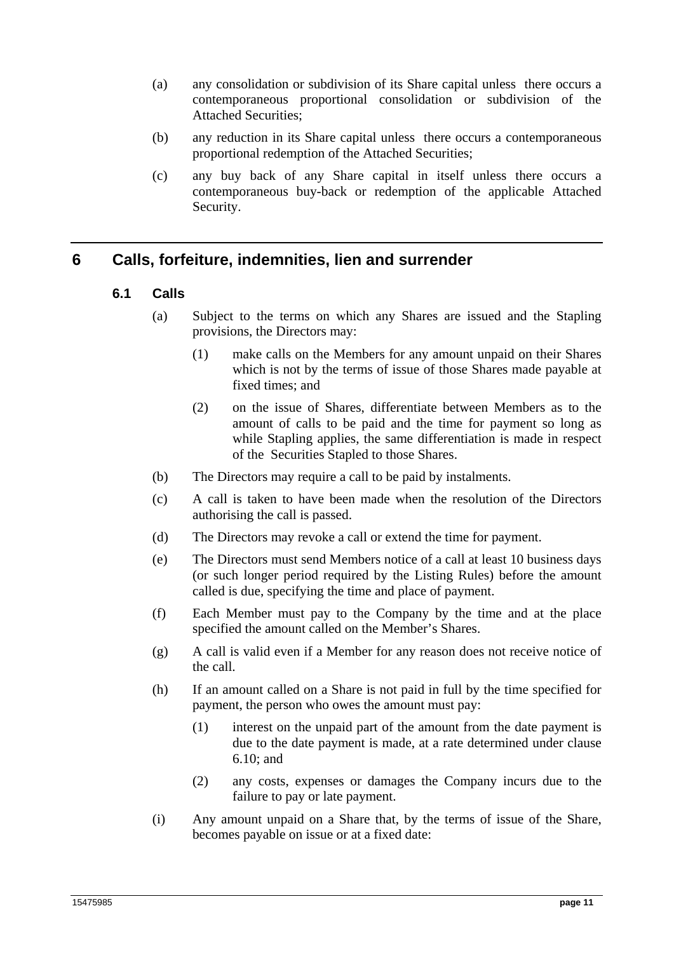- (a) any consolidation or subdivision of its Share capital unless there occurs a contemporaneous proportional consolidation or subdivision of the Attached Securities;
- (b) any reduction in its Share capital unless there occurs a contemporaneous proportional redemption of the Attached Securities;
- (c) any buy back of any Share capital in itself unless there occurs a contemporaneous buy-back or redemption of the applicable Attached Security.

# **6 Calls, forfeiture, indemnities, lien and surrender**

- **6.1 Calls** 
	- (a) Subject to the terms on which any Shares are issued and the Stapling provisions, the Directors may:
		- (1) make calls on the Members for any amount unpaid on their Shares which is not by the terms of issue of those Shares made payable at fixed times; and
		- (2) on the issue of Shares, differentiate between Members as to the amount of calls to be paid and the time for payment so long as while Stapling applies, the same differentiation is made in respect of the Securities Stapled to those Shares.
	- (b) The Directors may require a call to be paid by instalments.
	- (c) A call is taken to have been made when the resolution of the Directors authorising the call is passed.
	- (d) The Directors may revoke a call or extend the time for payment.
	- (e) The Directors must send Members notice of a call at least 10 business days (or such longer period required by the Listing Rules) before the amount called is due, specifying the time and place of payment.
	- (f) Each Member must pay to the Company by the time and at the place specified the amount called on the Member's Shares.
	- (g) A call is valid even if a Member for any reason does not receive notice of the call.
	- (h) If an amount called on a Share is not paid in full by the time specified for payment, the person who owes the amount must pay:
		- (1) interest on the unpaid part of the amount from the date payment is due to the date payment is made, at a rate determined under clause 6.10; and
		- (2) any costs, expenses or damages the Company incurs due to the failure to pay or late payment.
	- (i) Any amount unpaid on a Share that, by the terms of issue of the Share, becomes payable on issue or at a fixed date: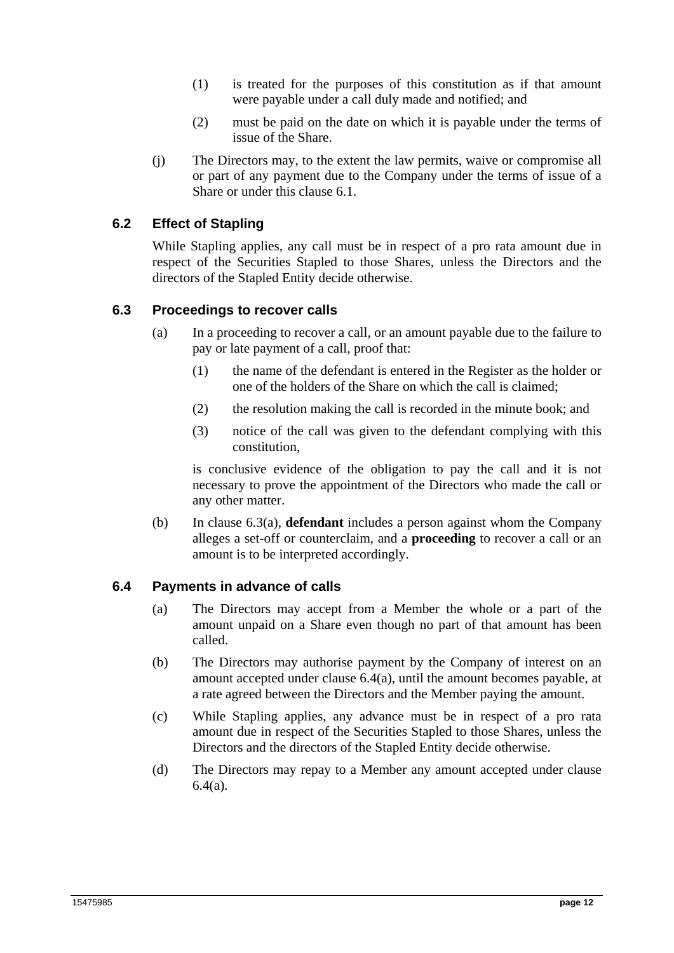- (1) is treated for the purposes of this constitution as if that amount were payable under a call duly made and notified; and
- (2) must be paid on the date on which it is payable under the terms of issue of the Share.
- (j) The Directors may, to the extent the law permits, waive or compromise all or part of any payment due to the Company under the terms of issue of a Share or under this clause 6.1.

## **6.2 Effect of Stapling**

While Stapling applies, any call must be in respect of a pro rata amount due in respect of the Securities Stapled to those Shares, unless the Directors and the directors of the Stapled Entity decide otherwise.

#### **6.3 Proceedings to recover calls**

- (a) In a proceeding to recover a call, or an amount payable due to the failure to pay or late payment of a call, proof that:
	- (1) the name of the defendant is entered in the Register as the holder or one of the holders of the Share on which the call is claimed;
	- (2) the resolution making the call is recorded in the minute book; and
	- (3) notice of the call was given to the defendant complying with this constitution,

is conclusive evidence of the obligation to pay the call and it is not necessary to prove the appointment of the Directors who made the call or any other matter.

(b) In clause 6.3(a), **defendant** includes a person against whom the Company alleges a set-off or counterclaim, and a **proceeding** to recover a call or an amount is to be interpreted accordingly.

#### **6.4 Payments in advance of calls**

- (a) The Directors may accept from a Member the whole or a part of the amount unpaid on a Share even though no part of that amount has been called.
- (b) The Directors may authorise payment by the Company of interest on an amount accepted under clause 6.4(a), until the amount becomes payable, at a rate agreed between the Directors and the Member paying the amount.
- (c) While Stapling applies, any advance must be in respect of a pro rata amount due in respect of the Securities Stapled to those Shares, unless the Directors and the directors of the Stapled Entity decide otherwise.
- (d) The Directors may repay to a Member any amount accepted under clause 6.4(a).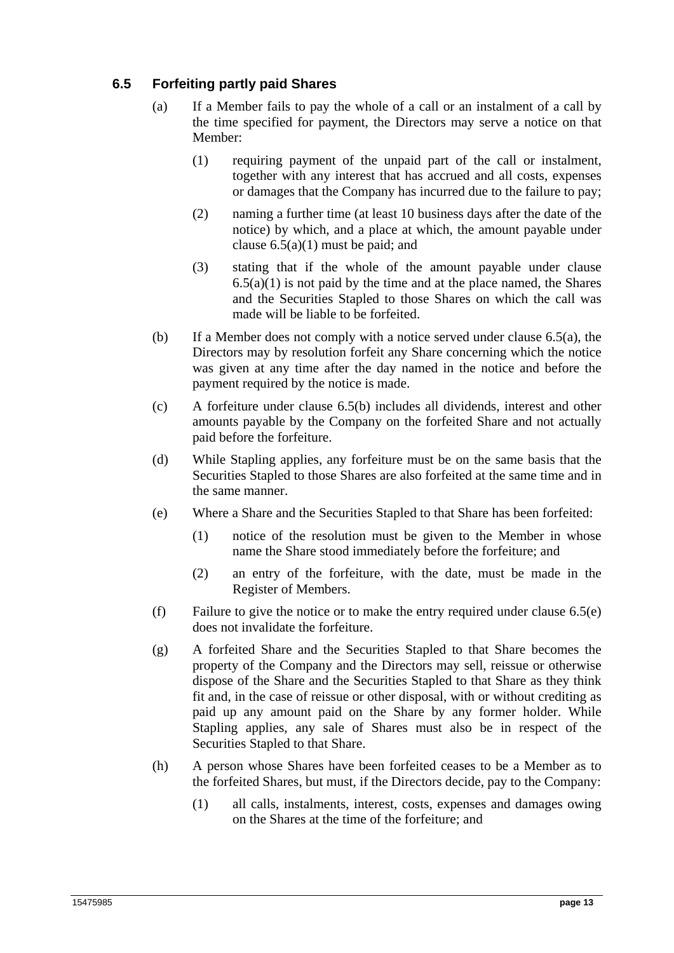## **6.5 Forfeiting partly paid Shares**

- (a) If a Member fails to pay the whole of a call or an instalment of a call by the time specified for payment, the Directors may serve a notice on that Member:
	- (1) requiring payment of the unpaid part of the call or instalment, together with any interest that has accrued and all costs, expenses or damages that the Company has incurred due to the failure to pay;
	- (2) naming a further time (at least 10 business days after the date of the notice) by which, and a place at which, the amount payable under clause  $6.5(a)(1)$  must be paid; and
	- (3) stating that if the whole of the amount payable under clause  $6.5(a)(1)$  is not paid by the time and at the place named, the Shares and the Securities Stapled to those Shares on which the call was made will be liable to be forfeited.
- (b) If a Member does not comply with a notice served under clause 6.5(a), the Directors may by resolution forfeit any Share concerning which the notice was given at any time after the day named in the notice and before the payment required by the notice is made.
- (c) A forfeiture under clause 6.5(b) includes all dividends, interest and other amounts payable by the Company on the forfeited Share and not actually paid before the forfeiture.
- (d) While Stapling applies, any forfeiture must be on the same basis that the Securities Stapled to those Shares are also forfeited at the same time and in the same manner.
- (e) Where a Share and the Securities Stapled to that Share has been forfeited:
	- (1) notice of the resolution must be given to the Member in whose name the Share stood immediately before the forfeiture; and
	- (2) an entry of the forfeiture, with the date, must be made in the Register of Members.
- (f) Failure to give the notice or to make the entry required under clause 6.5(e) does not invalidate the forfeiture.
- (g) A forfeited Share and the Securities Stapled to that Share becomes the property of the Company and the Directors may sell, reissue or otherwise dispose of the Share and the Securities Stapled to that Share as they think fit and, in the case of reissue or other disposal, with or without crediting as paid up any amount paid on the Share by any former holder. While Stapling applies, any sale of Shares must also be in respect of the Securities Stapled to that Share.
- (h) A person whose Shares have been forfeited ceases to be a Member as to the forfeited Shares, but must, if the Directors decide, pay to the Company:
	- (1) all calls, instalments, interest, costs, expenses and damages owing on the Shares at the time of the forfeiture; and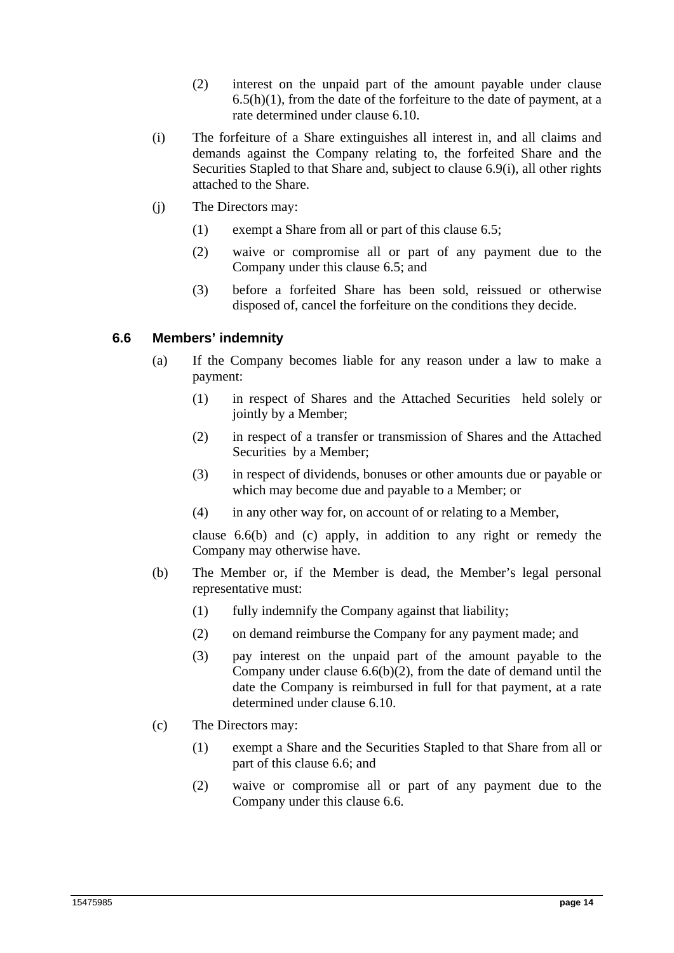- (2) interest on the unpaid part of the amount payable under clause  $6.5(h)(1)$ , from the date of the forfeiture to the date of payment, at a rate determined under clause 6.10.
- (i) The forfeiture of a Share extinguishes all interest in, and all claims and demands against the Company relating to, the forfeited Share and the Securities Stapled to that Share and, subject to clause 6.9(i), all other rights attached to the Share.
- (j) The Directors may:
	- (1) exempt a Share from all or part of this clause 6.5;
	- (2) waive or compromise all or part of any payment due to the Company under this clause 6.5; and
	- (3) before a forfeited Share has been sold, reissued or otherwise disposed of, cancel the forfeiture on the conditions they decide.

#### **6.6 Members' indemnity**

- (a) If the Company becomes liable for any reason under a law to make a payment:
	- (1) in respect of Shares and the Attached Securities held solely or jointly by a Member;
	- (2) in respect of a transfer or transmission of Shares and the Attached Securities by a Member;
	- (3) in respect of dividends, bonuses or other amounts due or payable or which may become due and payable to a Member; or
	- (4) in any other way for, on account of or relating to a Member,

clause 6.6(b) and (c) apply, in addition to any right or remedy the Company may otherwise have.

- (b) The Member or, if the Member is dead, the Member's legal personal representative must:
	- (1) fully indemnify the Company against that liability;
	- (2) on demand reimburse the Company for any payment made; and
	- (3) pay interest on the unpaid part of the amount payable to the Company under clause 6.6(b)(2), from the date of demand until the date the Company is reimbursed in full for that payment, at a rate determined under clause 6.10.
- (c) The Directors may:
	- (1) exempt a Share and the Securities Stapled to that Share from all or part of this clause 6.6; and
	- (2) waive or compromise all or part of any payment due to the Company under this clause 6.6.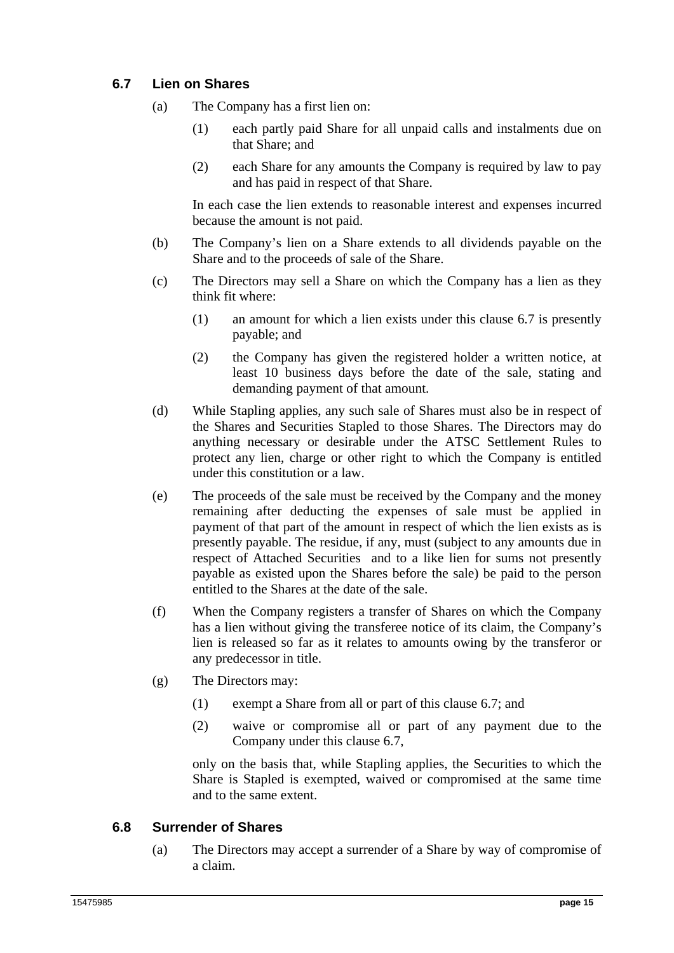## **6.7 Lien on Shares**

- (a) The Company has a first lien on:
	- (1) each partly paid Share for all unpaid calls and instalments due on that Share; and
	- (2) each Share for any amounts the Company is required by law to pay and has paid in respect of that Share.

In each case the lien extends to reasonable interest and expenses incurred because the amount is not paid.

- (b) The Company's lien on a Share extends to all dividends payable on the Share and to the proceeds of sale of the Share.
- (c) The Directors may sell a Share on which the Company has a lien as they think fit where:
	- (1) an amount for which a lien exists under this clause 6.7 is presently payable; and
	- (2) the Company has given the registered holder a written notice, at least 10 business days before the date of the sale, stating and demanding payment of that amount.
- (d) While Stapling applies, any such sale of Shares must also be in respect of the Shares and Securities Stapled to those Shares. The Directors may do anything necessary or desirable under the ATSC Settlement Rules to protect any lien, charge or other right to which the Company is entitled under this constitution or a law.
- (e) The proceeds of the sale must be received by the Company and the money remaining after deducting the expenses of sale must be applied in payment of that part of the amount in respect of which the lien exists as is presently payable. The residue, if any, must (subject to any amounts due in respect of Attached Securities and to a like lien for sums not presently payable as existed upon the Shares before the sale) be paid to the person entitled to the Shares at the date of the sale.
- (f) When the Company registers a transfer of Shares on which the Company has a lien without giving the transferee notice of its claim, the Company's lien is released so far as it relates to amounts owing by the transferor or any predecessor in title.
- (g) The Directors may:
	- (1) exempt a Share from all or part of this clause 6.7; and
	- (2) waive or compromise all or part of any payment due to the Company under this clause 6.7,

only on the basis that, while Stapling applies, the Securities to which the Share is Stapled is exempted, waived or compromised at the same time and to the same extent.

## **6.8 Surrender of Shares**

(a) The Directors may accept a surrender of a Share by way of compromise of a claim.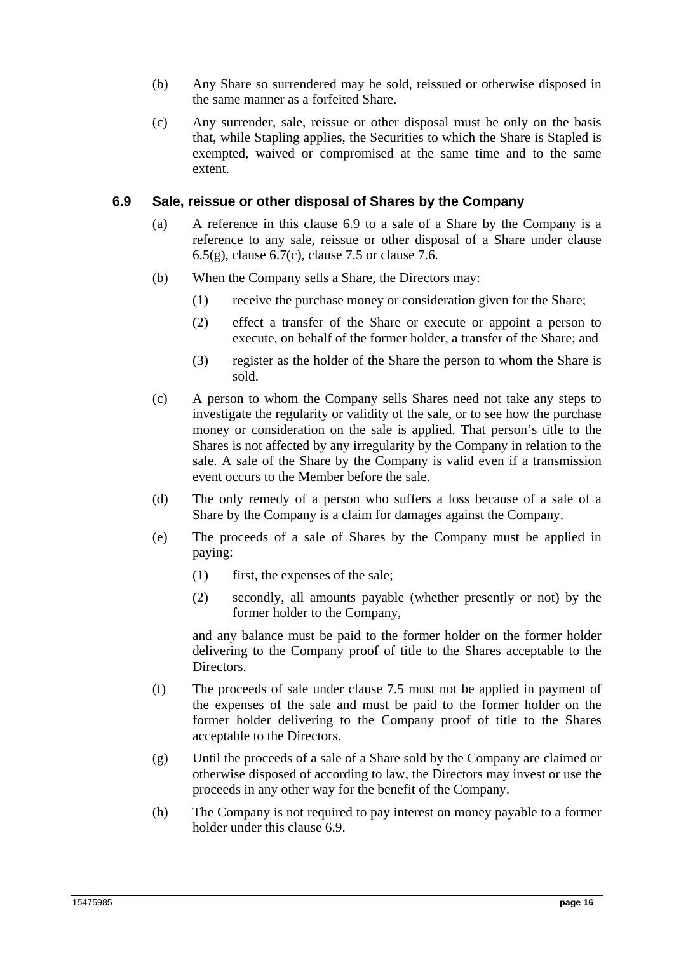- (b) Any Share so surrendered may be sold, reissued or otherwise disposed in the same manner as a forfeited Share.
- (c) Any surrender, sale, reissue or other disposal must be only on the basis that, while Stapling applies, the Securities to which the Share is Stapled is exempted, waived or compromised at the same time and to the same extent.

#### **6.9 Sale, reissue or other disposal of Shares by the Company**

- (a) A reference in this clause 6.9 to a sale of a Share by the Company is a reference to any sale, reissue or other disposal of a Share under clause  $6.5(g)$ , clause  $6.7(c)$ , clause 7.5 or clause 7.6.
- (b) When the Company sells a Share, the Directors may:
	- (1) receive the purchase money or consideration given for the Share;
	- (2) effect a transfer of the Share or execute or appoint a person to execute, on behalf of the former holder, a transfer of the Share; and
	- (3) register as the holder of the Share the person to whom the Share is sold.
- (c) A person to whom the Company sells Shares need not take any steps to investigate the regularity or validity of the sale, or to see how the purchase money or consideration on the sale is applied. That person's title to the Shares is not affected by any irregularity by the Company in relation to the sale. A sale of the Share by the Company is valid even if a transmission event occurs to the Member before the sale.
- (d) The only remedy of a person who suffers a loss because of a sale of a Share by the Company is a claim for damages against the Company.
- (e) The proceeds of a sale of Shares by the Company must be applied in paying:
	- (1) first, the expenses of the sale;
	- (2) secondly, all amounts payable (whether presently or not) by the former holder to the Company,

and any balance must be paid to the former holder on the former holder delivering to the Company proof of title to the Shares acceptable to the Directors.

- (f) The proceeds of sale under clause 7.5 must not be applied in payment of the expenses of the sale and must be paid to the former holder on the former holder delivering to the Company proof of title to the Shares acceptable to the Directors.
- (g) Until the proceeds of a sale of a Share sold by the Company are claimed or otherwise disposed of according to law, the Directors may invest or use the proceeds in any other way for the benefit of the Company.
- (h) The Company is not required to pay interest on money payable to a former holder under this clause 6.9.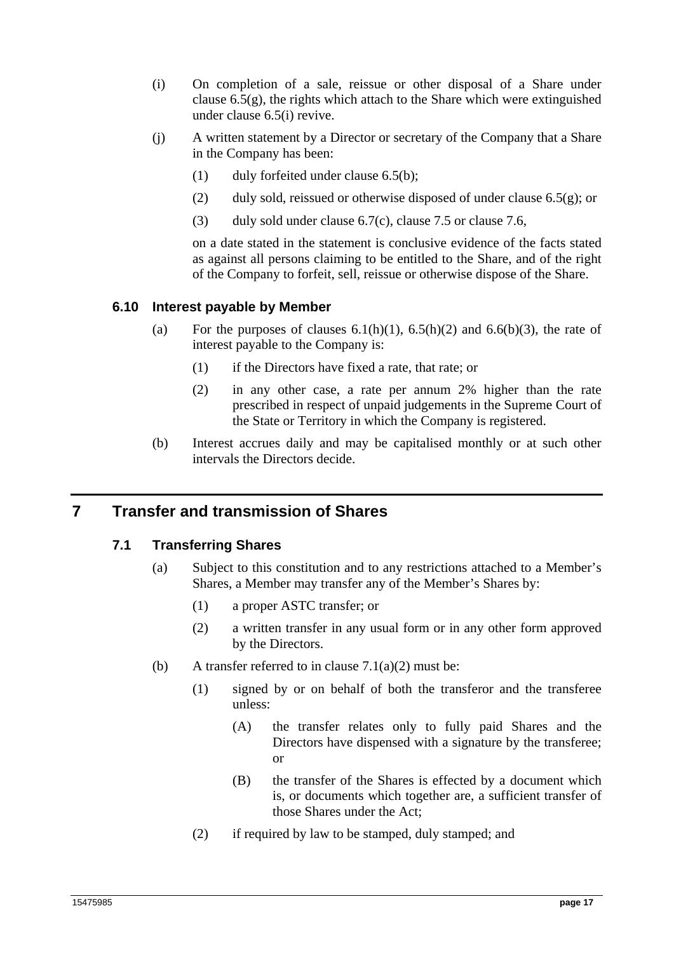- (i) On completion of a sale, reissue or other disposal of a Share under clause  $6.5(g)$ , the rights which attach to the Share which were extinguished under clause 6.5(i) revive.
- (j) A written statement by a Director or secretary of the Company that a Share in the Company has been:
	- (1) duly forfeited under clause 6.5(b);
	- (2) duly sold, reissued or otherwise disposed of under clause  $6.5(g)$ ; or
	- (3) duly sold under clause 6.7(c), clause 7.5 or clause 7.6,

on a date stated in the statement is conclusive evidence of the facts stated as against all persons claiming to be entitled to the Share, and of the right of the Company to forfeit, sell, reissue or otherwise dispose of the Share.

#### **6.10 Interest payable by Member**

- (a) For the purposes of clauses  $6.1(h)(1)$ ,  $6.5(h)(2)$  and  $6.6(h)(3)$ , the rate of interest payable to the Company is:
	- (1) if the Directors have fixed a rate, that rate; or
	- (2) in any other case, a rate per annum 2% higher than the rate prescribed in respect of unpaid judgements in the Supreme Court of the State or Territory in which the Company is registered.
- (b) Interest accrues daily and may be capitalised monthly or at such other intervals the Directors decide.

# **7 Transfer and transmission of Shares**

#### **7.1 Transferring Shares**

- (a) Subject to this constitution and to any restrictions attached to a Member's Shares, a Member may transfer any of the Member's Shares by:
	- (1) a proper ASTC transfer; or
	- (2) a written transfer in any usual form or in any other form approved by the Directors.
- (b) A transfer referred to in clause  $7.1(a)(2)$  must be:
	- (1) signed by or on behalf of both the transferor and the transferee unless:
		- (A) the transfer relates only to fully paid Shares and the Directors have dispensed with a signature by the transferee; or
		- (B) the transfer of the Shares is effected by a document which is, or documents which together are, a sufficient transfer of those Shares under the Act;
	- (2) if required by law to be stamped, duly stamped; and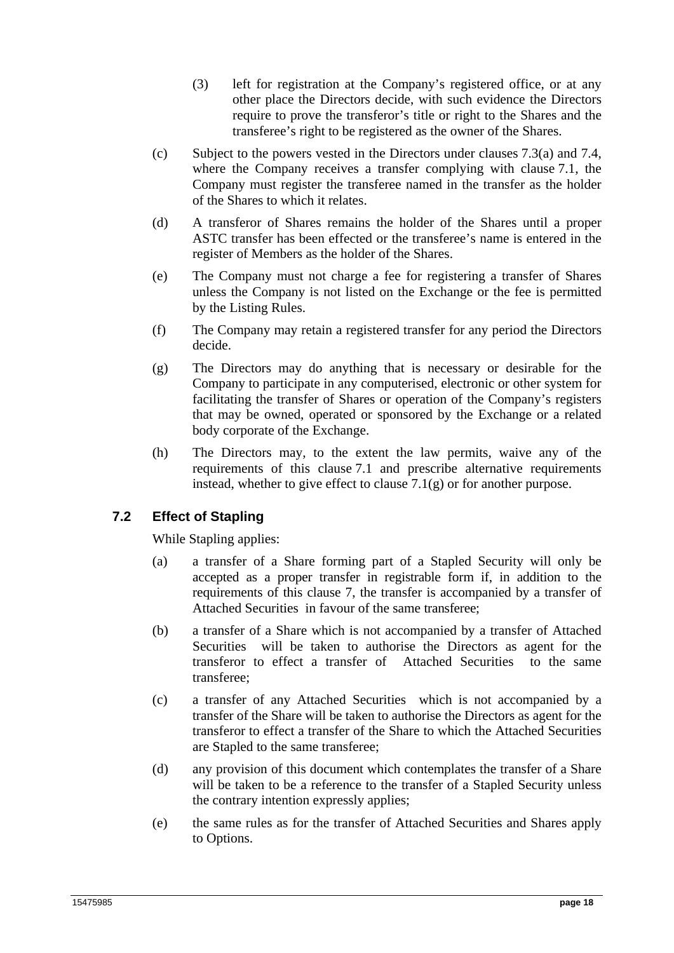- (3) left for registration at the Company's registered office, or at any other place the Directors decide, with such evidence the Directors require to prove the transferor's title or right to the Shares and the transferee's right to be registered as the owner of the Shares.
- (c) Subject to the powers vested in the Directors under clauses 7.3(a) and 7.4, where the Company receives a transfer complying with clause 7.1, the Company must register the transferee named in the transfer as the holder of the Shares to which it relates.
- (d) A transferor of Shares remains the holder of the Shares until a proper ASTC transfer has been effected or the transferee's name is entered in the register of Members as the holder of the Shares.
- (e) The Company must not charge a fee for registering a transfer of Shares unless the Company is not listed on the Exchange or the fee is permitted by the Listing Rules.
- (f) The Company may retain a registered transfer for any period the Directors decide.
- (g) The Directors may do anything that is necessary or desirable for the Company to participate in any computerised, electronic or other system for facilitating the transfer of Shares or operation of the Company's registers that may be owned, operated or sponsored by the Exchange or a related body corporate of the Exchange.
- (h) The Directors may, to the extent the law permits, waive any of the requirements of this clause 7.1 and prescribe alternative requirements instead, whether to give effect to clause 7.1(g) or for another purpose.

# **7.2 Effect of Stapling**

While Stapling applies:

- (a) a transfer of a Share forming part of a Stapled Security will only be accepted as a proper transfer in registrable form if, in addition to the requirements of this clause 7, the transfer is accompanied by a transfer of Attached Securities in favour of the same transferee;
- (b) a transfer of a Share which is not accompanied by a transfer of Attached Securities will be taken to authorise the Directors as agent for the transferor to effect a transfer of Attached Securities to the same transferee;
- (c) a transfer of any Attached Securities which is not accompanied by a transfer of the Share will be taken to authorise the Directors as agent for the transferor to effect a transfer of the Share to which the Attached Securities are Stapled to the same transferee;
- (d) any provision of this document which contemplates the transfer of a Share will be taken to be a reference to the transfer of a Stapled Security unless the contrary intention expressly applies;
- (e) the same rules as for the transfer of Attached Securities and Shares apply to Options.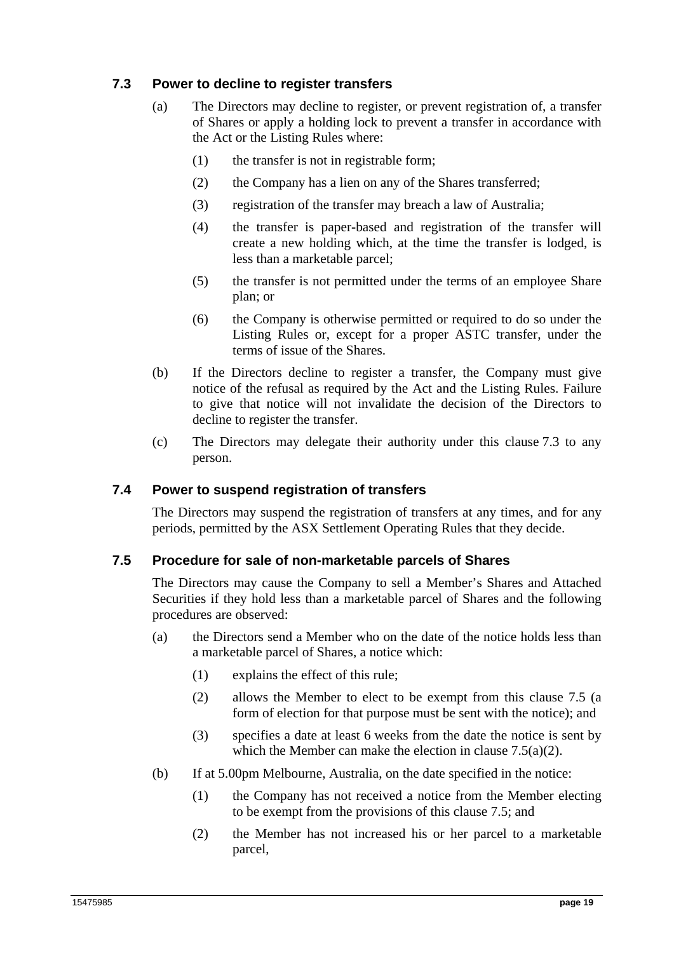## **7.3 Power to decline to register transfers**

- (a) The Directors may decline to register, or prevent registration of, a transfer of Shares or apply a holding lock to prevent a transfer in accordance with the Act or the Listing Rules where:
	- (1) the transfer is not in registrable form;
	- (2) the Company has a lien on any of the Shares transferred;
	- (3) registration of the transfer may breach a law of Australia;
	- (4) the transfer is paper-based and registration of the transfer will create a new holding which, at the time the transfer is lodged, is less than a marketable parcel;
	- (5) the transfer is not permitted under the terms of an employee Share plan; or
	- (6) the Company is otherwise permitted or required to do so under the Listing Rules or, except for a proper ASTC transfer, under the terms of issue of the Shares.
- (b) If the Directors decline to register a transfer, the Company must give notice of the refusal as required by the Act and the Listing Rules. Failure to give that notice will not invalidate the decision of the Directors to decline to register the transfer.
- (c) The Directors may delegate their authority under this clause 7.3 to any person.

#### **7.4 Power to suspend registration of transfers**

The Directors may suspend the registration of transfers at any times, and for any periods, permitted by the ASX Settlement Operating Rules that they decide.

#### **7.5 Procedure for sale of non-marketable parcels of Shares**

The Directors may cause the Company to sell a Member's Shares and Attached Securities if they hold less than a marketable parcel of Shares and the following procedures are observed:

- (a) the Directors send a Member who on the date of the notice holds less than a marketable parcel of Shares, a notice which:
	- (1) explains the effect of this rule;
	- (2) allows the Member to elect to be exempt from this clause 7.5 (a form of election for that purpose must be sent with the notice); and
	- (3) specifies a date at least 6 weeks from the date the notice is sent by which the Member can make the election in clause 7.5(a)(2).
- (b) If at 5.00pm Melbourne, Australia, on the date specified in the notice:
	- (1) the Company has not received a notice from the Member electing to be exempt from the provisions of this clause 7.5; and
	- (2) the Member has not increased his or her parcel to a marketable parcel,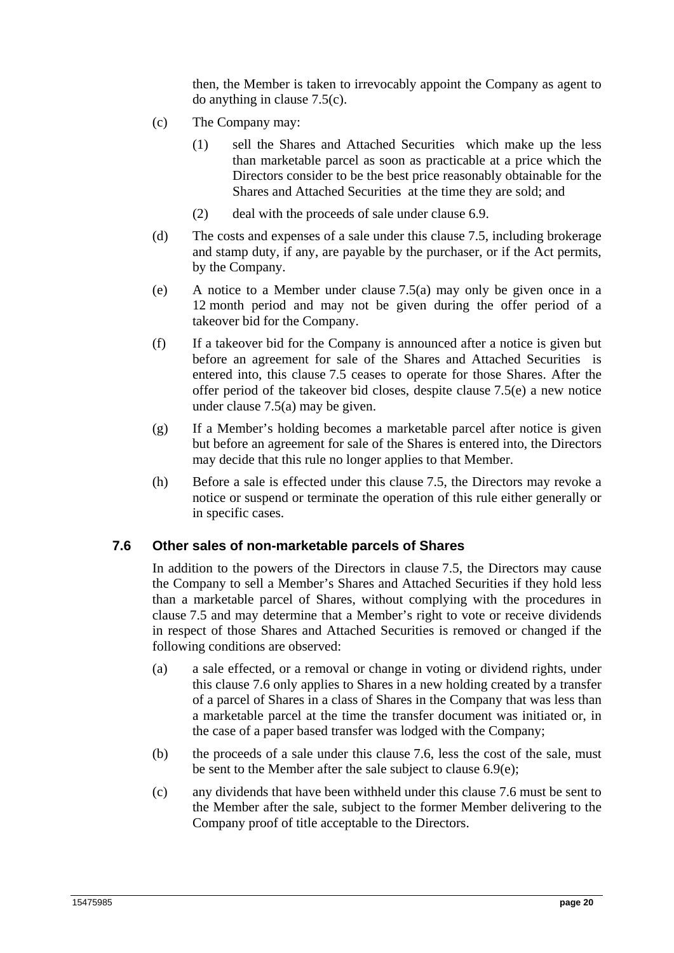then, the Member is taken to irrevocably appoint the Company as agent to do anything in clause 7.5(c).

- (c) The Company may:
	- (1) sell the Shares and Attached Securities which make up the less than marketable parcel as soon as practicable at a price which the Directors consider to be the best price reasonably obtainable for the Shares and Attached Securities at the time they are sold; and
	- (2) deal with the proceeds of sale under clause 6.9.
- (d) The costs and expenses of a sale under this clause 7.5, including brokerage and stamp duty, if any, are payable by the purchaser, or if the Act permits, by the Company.
- (e) A notice to a Member under clause 7.5(a) may only be given once in a 12 month period and may not be given during the offer period of a takeover bid for the Company.
- (f) If a takeover bid for the Company is announced after a notice is given but before an agreement for sale of the Shares and Attached Securities is entered into, this clause 7.5 ceases to operate for those Shares. After the offer period of the takeover bid closes, despite clause 7.5(e) a new notice under clause 7.5(a) may be given.
- (g) If a Member's holding becomes a marketable parcel after notice is given but before an agreement for sale of the Shares is entered into, the Directors may decide that this rule no longer applies to that Member.
- (h) Before a sale is effected under this clause 7.5, the Directors may revoke a notice or suspend or terminate the operation of this rule either generally or in specific cases.

#### **7.6 Other sales of non-marketable parcels of Shares**

In addition to the powers of the Directors in clause 7.5, the Directors may cause the Company to sell a Member's Shares and Attached Securities if they hold less than a marketable parcel of Shares, without complying with the procedures in clause 7.5 and may determine that a Member's right to vote or receive dividends in respect of those Shares and Attached Securities is removed or changed if the following conditions are observed:

- (a) a sale effected, or a removal or change in voting or dividend rights, under this clause 7.6 only applies to Shares in a new holding created by a transfer of a parcel of Shares in a class of Shares in the Company that was less than a marketable parcel at the time the transfer document was initiated or, in the case of a paper based transfer was lodged with the Company;
- (b) the proceeds of a sale under this clause 7.6, less the cost of the sale, must be sent to the Member after the sale subject to clause 6.9(e);
- (c) any dividends that have been withheld under this clause 7.6 must be sent to the Member after the sale, subject to the former Member delivering to the Company proof of title acceptable to the Directors.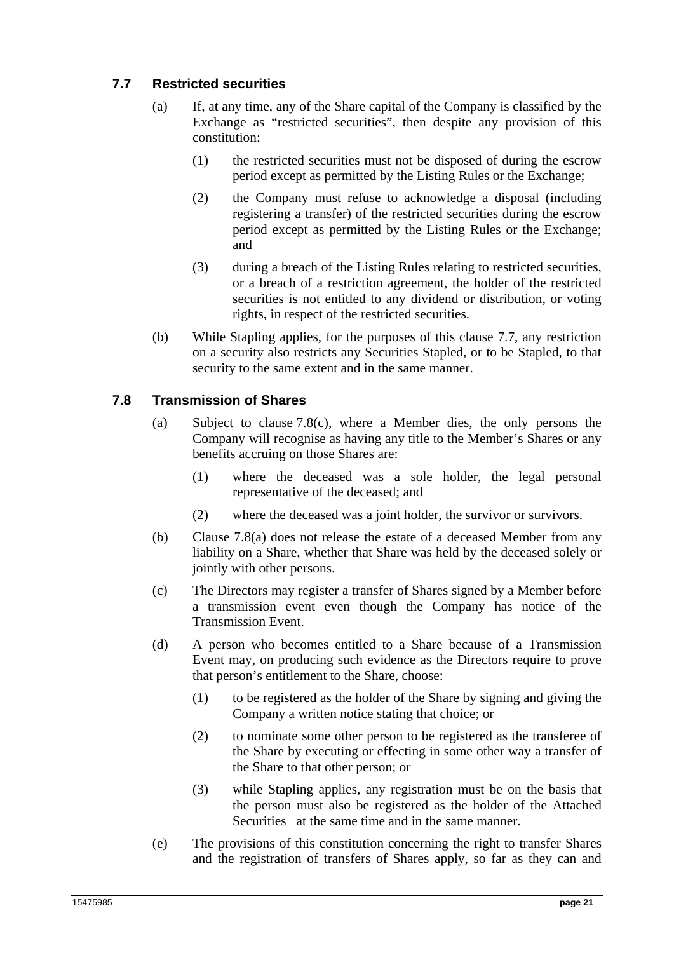## **7.7 Restricted securities**

- (a) If, at any time, any of the Share capital of the Company is classified by the Exchange as "restricted securities", then despite any provision of this constitution:
	- (1) the restricted securities must not be disposed of during the escrow period except as permitted by the Listing Rules or the Exchange;
	- (2) the Company must refuse to acknowledge a disposal (including registering a transfer) of the restricted securities during the escrow period except as permitted by the Listing Rules or the Exchange; and
	- (3) during a breach of the Listing Rules relating to restricted securities, or a breach of a restriction agreement, the holder of the restricted securities is not entitled to any dividend or distribution, or voting rights, in respect of the restricted securities.
- (b) While Stapling applies, for the purposes of this clause 7.7, any restriction on a security also restricts any Securities Stapled, or to be Stapled, to that security to the same extent and in the same manner.

## **7.8 Transmission of Shares**

- (a) Subject to clause 7.8(c), where a Member dies, the only persons the Company will recognise as having any title to the Member's Shares or any benefits accruing on those Shares are:
	- (1) where the deceased was a sole holder, the legal personal representative of the deceased; and
	- (2) where the deceased was a joint holder, the survivor or survivors.
- (b) Clause 7.8(a) does not release the estate of a deceased Member from any liability on a Share, whether that Share was held by the deceased solely or jointly with other persons.
- (c) The Directors may register a transfer of Shares signed by a Member before a transmission event even though the Company has notice of the Transmission Event.
- (d) A person who becomes entitled to a Share because of a Transmission Event may, on producing such evidence as the Directors require to prove that person's entitlement to the Share, choose:
	- (1) to be registered as the holder of the Share by signing and giving the Company a written notice stating that choice; or
	- (2) to nominate some other person to be registered as the transferee of the Share by executing or effecting in some other way a transfer of the Share to that other person; or
	- (3) while Stapling applies, any registration must be on the basis that the person must also be registered as the holder of the Attached Securities at the same time and in the same manner.
- (e) The provisions of this constitution concerning the right to transfer Shares and the registration of transfers of Shares apply, so far as they can and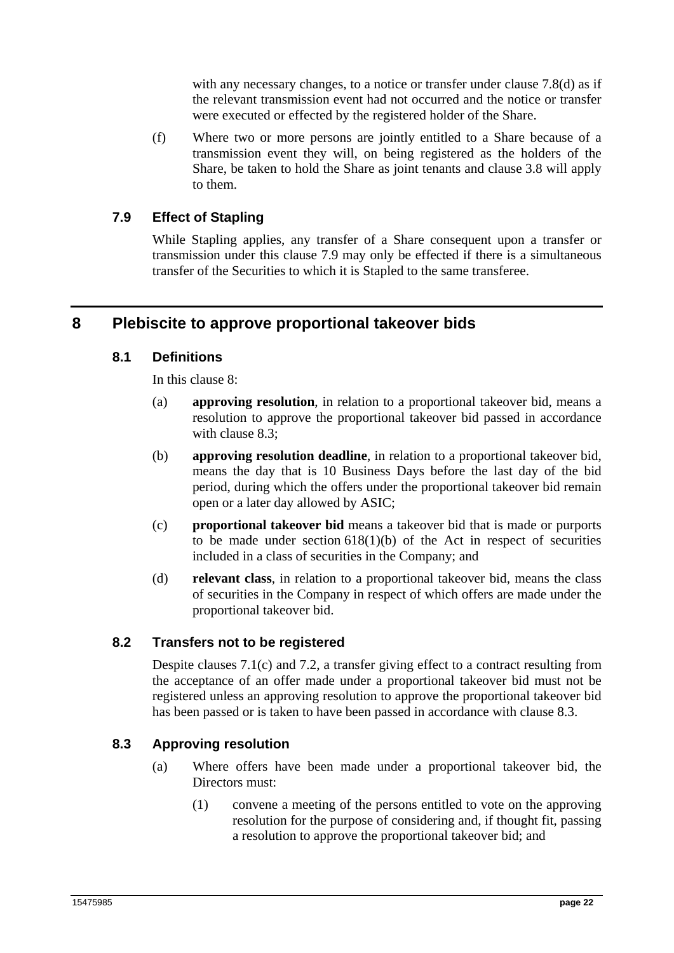with any necessary changes, to a notice or transfer under clause 7.8(d) as if the relevant transmission event had not occurred and the notice or transfer were executed or effected by the registered holder of the Share.

(f) Where two or more persons are jointly entitled to a Share because of a transmission event they will, on being registered as the holders of the Share, be taken to hold the Share as joint tenants and clause 3.8 will apply to them.

## **7.9 Effect of Stapling**

While Stapling applies, any transfer of a Share consequent upon a transfer or transmission under this clause 7.9 may only be effected if there is a simultaneous transfer of the Securities to which it is Stapled to the same transferee.

# **8 Plebiscite to approve proportional takeover bids**

#### **8.1 Definitions**

In this clause 8:

- (a) **approving resolution**, in relation to a proportional takeover bid, means a resolution to approve the proportional takeover bid passed in accordance with clause 8.3;
- (b) **approving resolution deadline**, in relation to a proportional takeover bid, means the day that is 10 Business Days before the last day of the bid period, during which the offers under the proportional takeover bid remain open or a later day allowed by ASIC;
- (c) **proportional takeover bid** means a takeover bid that is made or purports to be made under section  $618(1)(b)$  of the Act in respect of securities included in a class of securities in the Company; and
- (d) **relevant class**, in relation to a proportional takeover bid, means the class of securities in the Company in respect of which offers are made under the proportional takeover bid.

#### **8.2 Transfers not to be registered**

Despite clauses 7.1(c) and 7.2, a transfer giving effect to a contract resulting from the acceptance of an offer made under a proportional takeover bid must not be registered unless an approving resolution to approve the proportional takeover bid has been passed or is taken to have been passed in accordance with clause 8.3.

#### **8.3 Approving resolution**

- (a) Where offers have been made under a proportional takeover bid, the Directors must:
	- (1) convene a meeting of the persons entitled to vote on the approving resolution for the purpose of considering and, if thought fit, passing a resolution to approve the proportional takeover bid; and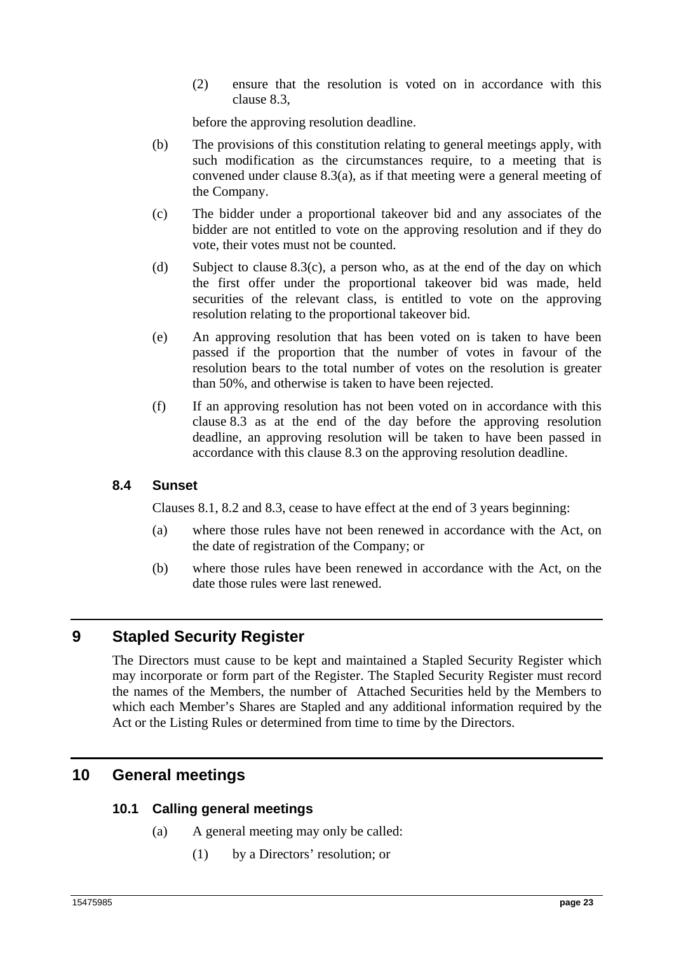(2) ensure that the resolution is voted on in accordance with this clause 8.3,

before the approving resolution deadline.

- (b) The provisions of this constitution relating to general meetings apply, with such modification as the circumstances require, to a meeting that is convened under clause 8.3(a), as if that meeting were a general meeting of the Company.
- (c) The bidder under a proportional takeover bid and any associates of the bidder are not entitled to vote on the approving resolution and if they do vote, their votes must not be counted.
- (d) Subject to clause  $8.3(c)$ , a person who, as at the end of the day on which the first offer under the proportional takeover bid was made, held securities of the relevant class, is entitled to vote on the approving resolution relating to the proportional takeover bid.
- (e) An approving resolution that has been voted on is taken to have been passed if the proportion that the number of votes in favour of the resolution bears to the total number of votes on the resolution is greater than 50%, and otherwise is taken to have been rejected.
- (f) If an approving resolution has not been voted on in accordance with this clause 8.3 as at the end of the day before the approving resolution deadline, an approving resolution will be taken to have been passed in accordance with this clause 8.3 on the approving resolution deadline.

#### **8.4 Sunset**

Clauses 8.1, 8.2 and 8.3, cease to have effect at the end of 3 years beginning:

- (a) where those rules have not been renewed in accordance with the Act, on the date of registration of the Company; or
- (b) where those rules have been renewed in accordance with the Act, on the date those rules were last renewed.

# **9 Stapled Security Register**

The Directors must cause to be kept and maintained a Stapled Security Register which may incorporate or form part of the Register. The Stapled Security Register must record the names of the Members, the number of Attached Securities held by the Members to which each Member's Shares are Stapled and any additional information required by the Act or the Listing Rules or determined from time to time by the Directors.

# **10 General meetings**

## **10.1 Calling general meetings**

- (a) A general meeting may only be called:
	- (1) by a Directors' resolution; or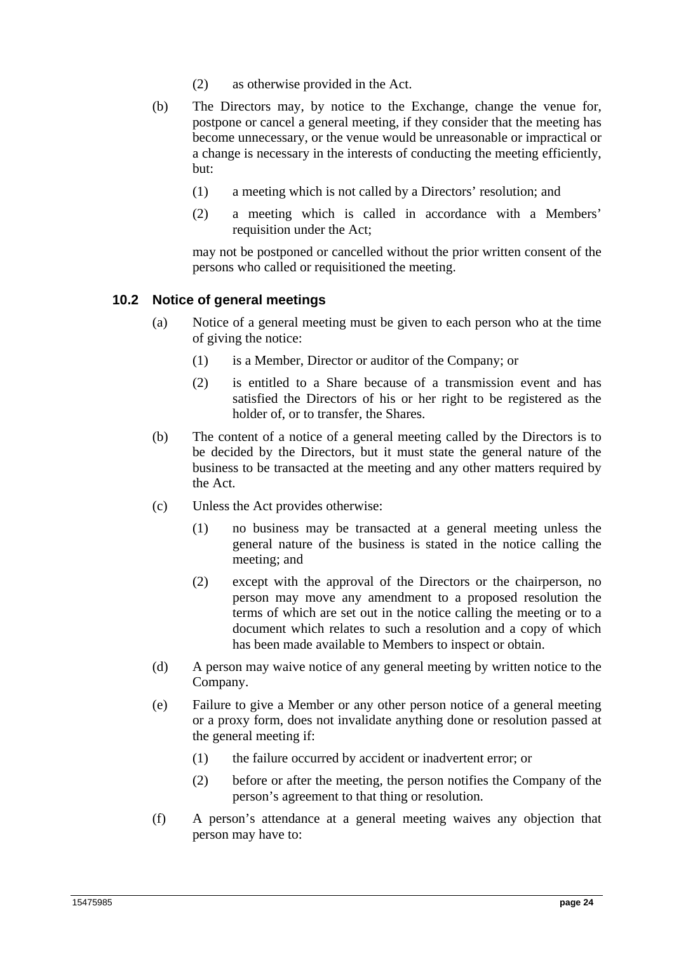- (2) as otherwise provided in the Act.
- (b) The Directors may, by notice to the Exchange, change the venue for, postpone or cancel a general meeting, if they consider that the meeting has become unnecessary, or the venue would be unreasonable or impractical or a change is necessary in the interests of conducting the meeting efficiently, but:
	- (1) a meeting which is not called by a Directors' resolution; and
	- (2) a meeting which is called in accordance with a Members' requisition under the Act;

may not be postponed or cancelled without the prior written consent of the persons who called or requisitioned the meeting.

#### **10.2 Notice of general meetings**

- (a) Notice of a general meeting must be given to each person who at the time of giving the notice:
	- (1) is a Member, Director or auditor of the Company; or
	- (2) is entitled to a Share because of a transmission event and has satisfied the Directors of his or her right to be registered as the holder of, or to transfer, the Shares.
- (b) The content of a notice of a general meeting called by the Directors is to be decided by the Directors, but it must state the general nature of the business to be transacted at the meeting and any other matters required by the Act.
- (c) Unless the Act provides otherwise:
	- (1) no business may be transacted at a general meeting unless the general nature of the business is stated in the notice calling the meeting; and
	- (2) except with the approval of the Directors or the chairperson, no person may move any amendment to a proposed resolution the terms of which are set out in the notice calling the meeting or to a document which relates to such a resolution and a copy of which has been made available to Members to inspect or obtain.
- (d) A person may waive notice of any general meeting by written notice to the Company.
- (e) Failure to give a Member or any other person notice of a general meeting or a proxy form, does not invalidate anything done or resolution passed at the general meeting if:
	- (1) the failure occurred by accident or inadvertent error; or
	- (2) before or after the meeting, the person notifies the Company of the person's agreement to that thing or resolution.
- (f) A person's attendance at a general meeting waives any objection that person may have to: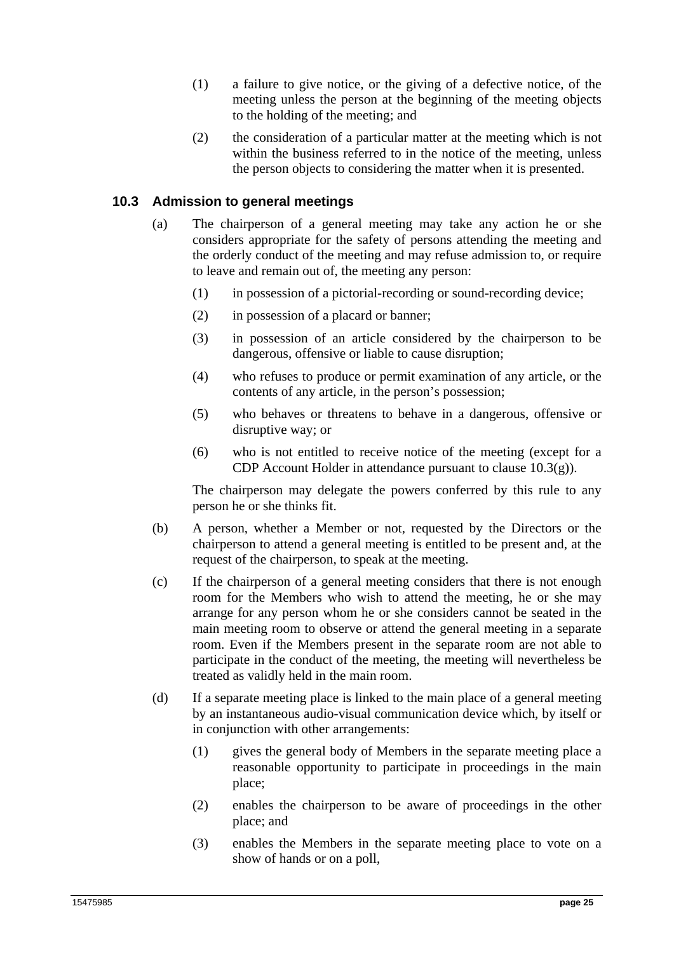- (1) a failure to give notice, or the giving of a defective notice, of the meeting unless the person at the beginning of the meeting objects to the holding of the meeting; and
- (2) the consideration of a particular matter at the meeting which is not within the business referred to in the notice of the meeting, unless the person objects to considering the matter when it is presented.

## **10.3 Admission to general meetings**

- (a) The chairperson of a general meeting may take any action he or she considers appropriate for the safety of persons attending the meeting and the orderly conduct of the meeting and may refuse admission to, or require to leave and remain out of, the meeting any person:
	- (1) in possession of a pictorial-recording or sound-recording device;
	- (2) in possession of a placard or banner;
	- (3) in possession of an article considered by the chairperson to be dangerous, offensive or liable to cause disruption;
	- (4) who refuses to produce or permit examination of any article, or the contents of any article, in the person's possession;
	- (5) who behaves or threatens to behave in a dangerous, offensive or disruptive way; or
	- (6) who is not entitled to receive notice of the meeting (except for a CDP Account Holder in attendance pursuant to clause 10.3(g)).

The chairperson may delegate the powers conferred by this rule to any person he or she thinks fit.

- (b) A person, whether a Member or not, requested by the Directors or the chairperson to attend a general meeting is entitled to be present and, at the request of the chairperson, to speak at the meeting.
- (c) If the chairperson of a general meeting considers that there is not enough room for the Members who wish to attend the meeting, he or she may arrange for any person whom he or she considers cannot be seated in the main meeting room to observe or attend the general meeting in a separate room. Even if the Members present in the separate room are not able to participate in the conduct of the meeting, the meeting will nevertheless be treated as validly held in the main room.
- (d) If a separate meeting place is linked to the main place of a general meeting by an instantaneous audio-visual communication device which, by itself or in conjunction with other arrangements:
	- (1) gives the general body of Members in the separate meeting place a reasonable opportunity to participate in proceedings in the main place;
	- (2) enables the chairperson to be aware of proceedings in the other place; and
	- (3) enables the Members in the separate meeting place to vote on a show of hands or on a poll,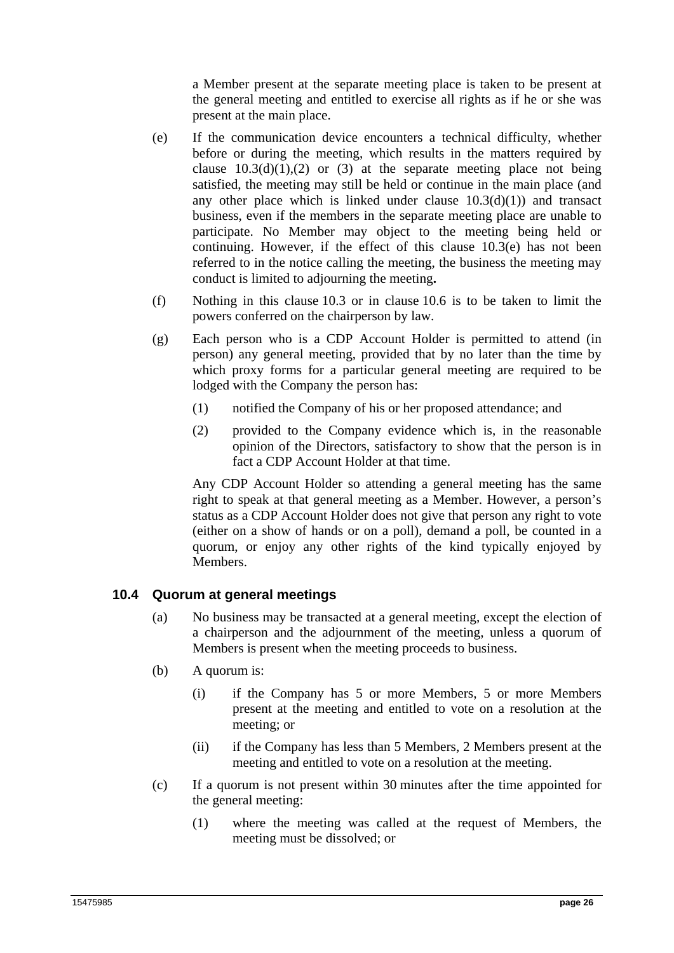a Member present at the separate meeting place is taken to be present at the general meeting and entitled to exercise all rights as if he or she was present at the main place.

- (e) If the communication device encounters a technical difficulty, whether before or during the meeting, which results in the matters required by clause  $10.3(d)(1),(2)$  or (3) at the separate meeting place not being satisfied, the meeting may still be held or continue in the main place (and any other place which is linked under clause  $10.3(d)(1)$  and transact business, even if the members in the separate meeting place are unable to participate. No Member may object to the meeting being held or continuing. However, if the effect of this clause 10.3(e) has not been referred to in the notice calling the meeting, the business the meeting may conduct is limited to adjourning the meeting**.**
- (f) Nothing in this clause 10.3 or in clause 10.6 is to be taken to limit the powers conferred on the chairperson by law.
- (g) Each person who is a CDP Account Holder is permitted to attend (in person) any general meeting, provided that by no later than the time by which proxy forms for a particular general meeting are required to be lodged with the Company the person has:
	- (1) notified the Company of his or her proposed attendance; and
	- (2) provided to the Company evidence which is, in the reasonable opinion of the Directors, satisfactory to show that the person is in fact a CDP Account Holder at that time.

Any CDP Account Holder so attending a general meeting has the same right to speak at that general meeting as a Member. However, a person's status as a CDP Account Holder does not give that person any right to vote (either on a show of hands or on a poll), demand a poll, be counted in a quorum, or enjoy any other rights of the kind typically enjoyed by Members.

#### **10.4 Quorum at general meetings**

- (a) No business may be transacted at a general meeting, except the election of a chairperson and the adjournment of the meeting, unless a quorum of Members is present when the meeting proceeds to business.
- (b) A quorum is:
	- (i) if the Company has 5 or more Members, 5 or more Members present at the meeting and entitled to vote on a resolution at the meeting; or
	- (ii) if the Company has less than 5 Members, 2 Members present at the meeting and entitled to vote on a resolution at the meeting.
- (c) If a quorum is not present within 30 minutes after the time appointed for the general meeting:
	- (1) where the meeting was called at the request of Members, the meeting must be dissolved; or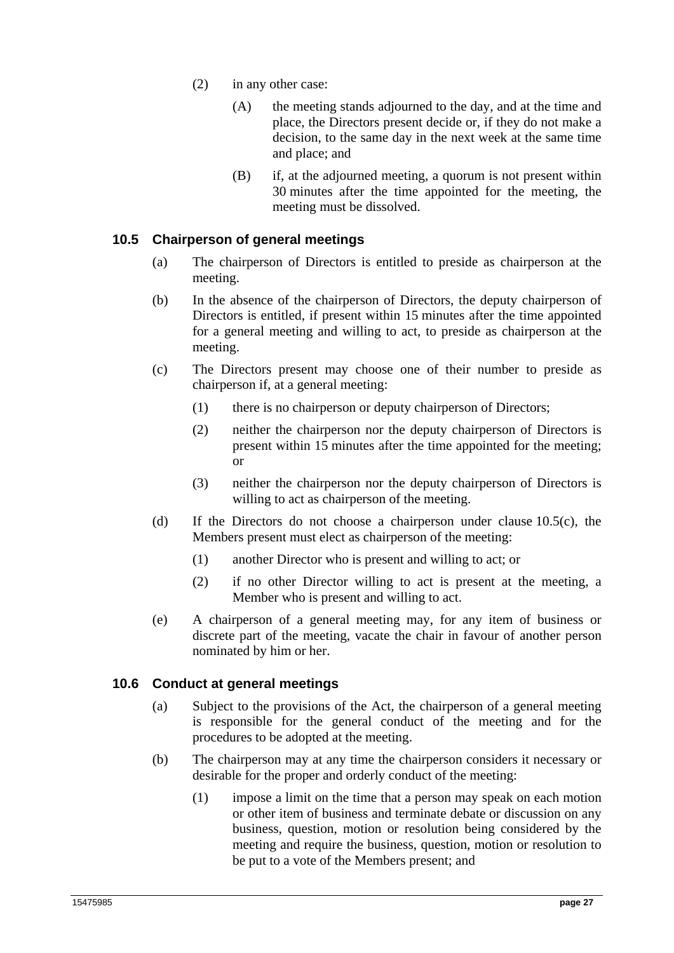- (2) in any other case:
	- (A) the meeting stands adjourned to the day, and at the time and place, the Directors present decide or, if they do not make a decision, to the same day in the next week at the same time and place; and
	- (B) if, at the adjourned meeting, a quorum is not present within 30 minutes after the time appointed for the meeting, the meeting must be dissolved.

## **10.5 Chairperson of general meetings**

- (a) The chairperson of Directors is entitled to preside as chairperson at the meeting.
- (b) In the absence of the chairperson of Directors, the deputy chairperson of Directors is entitled, if present within 15 minutes after the time appointed for a general meeting and willing to act, to preside as chairperson at the meeting.
- (c) The Directors present may choose one of their number to preside as chairperson if, at a general meeting:
	- (1) there is no chairperson or deputy chairperson of Directors;
	- (2) neither the chairperson nor the deputy chairperson of Directors is present within 15 minutes after the time appointed for the meeting; or
	- (3) neither the chairperson nor the deputy chairperson of Directors is willing to act as chairperson of the meeting.
- (d) If the Directors do not choose a chairperson under clause 10.5(c), the Members present must elect as chairperson of the meeting:
	- (1) another Director who is present and willing to act; or
	- (2) if no other Director willing to act is present at the meeting, a Member who is present and willing to act.
- (e) A chairperson of a general meeting may, for any item of business or discrete part of the meeting, vacate the chair in favour of another person nominated by him or her.

## **10.6 Conduct at general meetings**

- (a) Subject to the provisions of the Act, the chairperson of a general meeting is responsible for the general conduct of the meeting and for the procedures to be adopted at the meeting.
- (b) The chairperson may at any time the chairperson considers it necessary or desirable for the proper and orderly conduct of the meeting:
	- (1) impose a limit on the time that a person may speak on each motion or other item of business and terminate debate or discussion on any business, question, motion or resolution being considered by the meeting and require the business, question, motion or resolution to be put to a vote of the Members present; and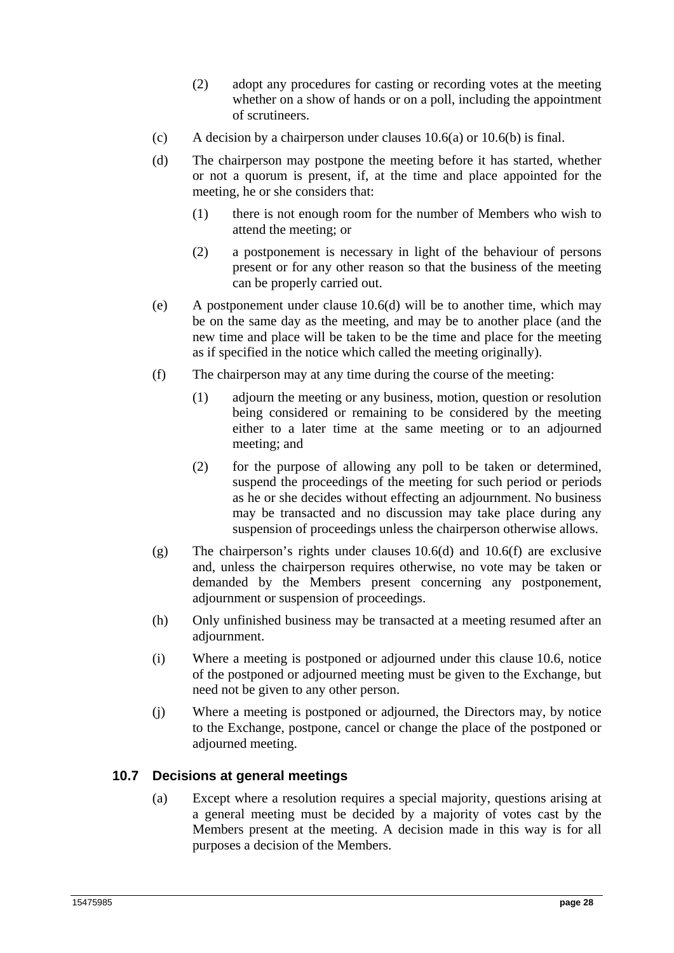- (2) adopt any procedures for casting or recording votes at the meeting whether on a show of hands or on a poll, including the appointment of scrutineers.
- (c) A decision by a chairperson under clauses  $10.6(a)$  or  $10.6(b)$  is final.
- (d) The chairperson may postpone the meeting before it has started, whether or not a quorum is present, if, at the time and place appointed for the meeting, he or she considers that:
	- (1) there is not enough room for the number of Members who wish to attend the meeting; or
	- (2) a postponement is necessary in light of the behaviour of persons present or for any other reason so that the business of the meeting can be properly carried out.
- (e) A postponement under clause 10.6(d) will be to another time, which may be on the same day as the meeting, and may be to another place (and the new time and place will be taken to be the time and place for the meeting as if specified in the notice which called the meeting originally).
- (f) The chairperson may at any time during the course of the meeting:
	- (1) adjourn the meeting or any business, motion, question or resolution being considered or remaining to be considered by the meeting either to a later time at the same meeting or to an adjourned meeting; and
	- (2) for the purpose of allowing any poll to be taken or determined, suspend the proceedings of the meeting for such period or periods as he or she decides without effecting an adjournment. No business may be transacted and no discussion may take place during any suspension of proceedings unless the chairperson otherwise allows.
- (g) The chairperson's rights under clauses 10.6(d) and 10.6(f) are exclusive and, unless the chairperson requires otherwise, no vote may be taken or demanded by the Members present concerning any postponement, adjournment or suspension of proceedings.
- (h) Only unfinished business may be transacted at a meeting resumed after an adjournment.
- (i) Where a meeting is postponed or adjourned under this clause 10.6, notice of the postponed or adjourned meeting must be given to the Exchange, but need not be given to any other person.
- (j) Where a meeting is postponed or adjourned, the Directors may, by notice to the Exchange, postpone, cancel or change the place of the postponed or adjourned meeting.

#### **10.7 Decisions at general meetings**

(a) Except where a resolution requires a special majority, questions arising at a general meeting must be decided by a majority of votes cast by the Members present at the meeting. A decision made in this way is for all purposes a decision of the Members.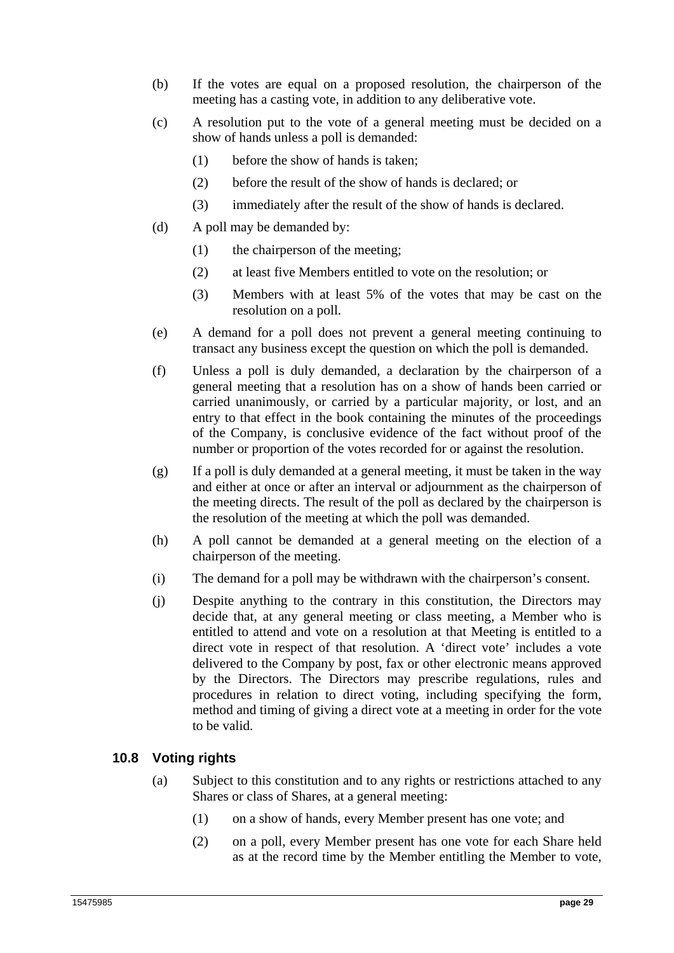- (b) If the votes are equal on a proposed resolution, the chairperson of the meeting has a casting vote, in addition to any deliberative vote.
- (c) A resolution put to the vote of a general meeting must be decided on a show of hands unless a poll is demanded:
	- (1) before the show of hands is taken;
	- (2) before the result of the show of hands is declared; or
	- (3) immediately after the result of the show of hands is declared.
- (d) A poll may be demanded by:
	- (1) the chairperson of the meeting;
	- (2) at least five Members entitled to vote on the resolution; or
	- (3) Members with at least 5% of the votes that may be cast on the resolution on a poll.
- (e) A demand for a poll does not prevent a general meeting continuing to transact any business except the question on which the poll is demanded.
- (f) Unless a poll is duly demanded, a declaration by the chairperson of a general meeting that a resolution has on a show of hands been carried or carried unanimously, or carried by a particular majority, or lost, and an entry to that effect in the book containing the minutes of the proceedings of the Company, is conclusive evidence of the fact without proof of the number or proportion of the votes recorded for or against the resolution.
- (g) If a poll is duly demanded at a general meeting, it must be taken in the way and either at once or after an interval or adjournment as the chairperson of the meeting directs. The result of the poll as declared by the chairperson is the resolution of the meeting at which the poll was demanded.
- (h) A poll cannot be demanded at a general meeting on the election of a chairperson of the meeting.
- (i) The demand for a poll may be withdrawn with the chairperson's consent.
- (j) Despite anything to the contrary in this constitution, the Directors may decide that, at any general meeting or class meeting, a Member who is entitled to attend and vote on a resolution at that Meeting is entitled to a direct vote in respect of that resolution. A 'direct vote' includes a vote delivered to the Company by post, fax or other electronic means approved by the Directors. The Directors may prescribe regulations, rules and procedures in relation to direct voting, including specifying the form, method and timing of giving a direct vote at a meeting in order for the vote to be valid.

## **10.8 Voting rights**

- (a) Subject to this constitution and to any rights or restrictions attached to any Shares or class of Shares, at a general meeting:
	- (1) on a show of hands, every Member present has one vote; and
	- (2) on a poll, every Member present has one vote for each Share held as at the record time by the Member entitling the Member to vote,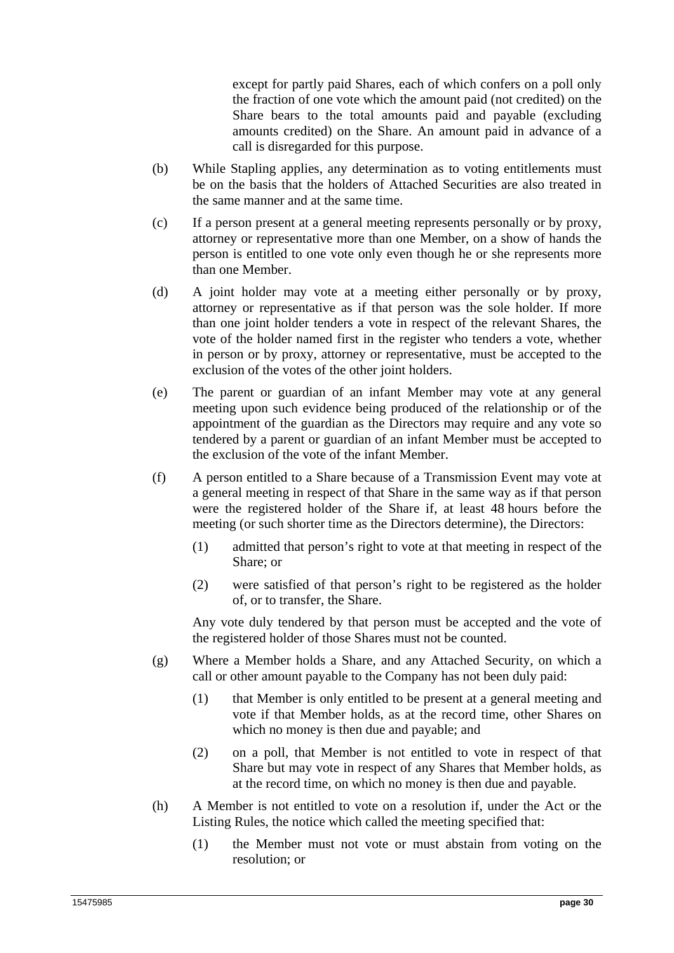except for partly paid Shares, each of which confers on a poll only the fraction of one vote which the amount paid (not credited) on the Share bears to the total amounts paid and payable (excluding amounts credited) on the Share. An amount paid in advance of a call is disregarded for this purpose.

- (b) While Stapling applies, any determination as to voting entitlements must be on the basis that the holders of Attached Securities are also treated in the same manner and at the same time.
- (c) If a person present at a general meeting represents personally or by proxy, attorney or representative more than one Member, on a show of hands the person is entitled to one vote only even though he or she represents more than one Member.
- (d) A joint holder may vote at a meeting either personally or by proxy, attorney or representative as if that person was the sole holder. If more than one joint holder tenders a vote in respect of the relevant Shares, the vote of the holder named first in the register who tenders a vote, whether in person or by proxy, attorney or representative, must be accepted to the exclusion of the votes of the other joint holders.
- (e) The parent or guardian of an infant Member may vote at any general meeting upon such evidence being produced of the relationship or of the appointment of the guardian as the Directors may require and any vote so tendered by a parent or guardian of an infant Member must be accepted to the exclusion of the vote of the infant Member.
- (f) A person entitled to a Share because of a Transmission Event may vote at a general meeting in respect of that Share in the same way as if that person were the registered holder of the Share if, at least 48 hours before the meeting (or such shorter time as the Directors determine), the Directors:
	- (1) admitted that person's right to vote at that meeting in respect of the Share; or
	- (2) were satisfied of that person's right to be registered as the holder of, or to transfer, the Share.

Any vote duly tendered by that person must be accepted and the vote of the registered holder of those Shares must not be counted.

- (g) Where a Member holds a Share, and any Attached Security, on which a call or other amount payable to the Company has not been duly paid:
	- (1) that Member is only entitled to be present at a general meeting and vote if that Member holds, as at the record time, other Shares on which no money is then due and payable; and
	- (2) on a poll, that Member is not entitled to vote in respect of that Share but may vote in respect of any Shares that Member holds, as at the record time, on which no money is then due and payable.
- (h) A Member is not entitled to vote on a resolution if, under the Act or the Listing Rules, the notice which called the meeting specified that:
	- (1) the Member must not vote or must abstain from voting on the resolution; or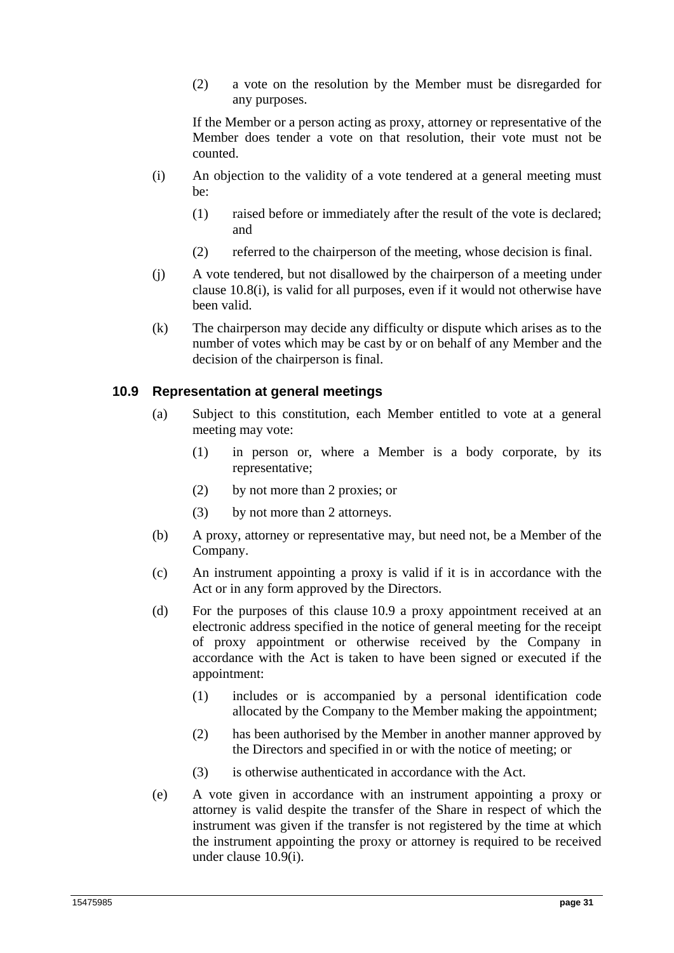(2) a vote on the resolution by the Member must be disregarded for any purposes.

If the Member or a person acting as proxy, attorney or representative of the Member does tender a vote on that resolution, their vote must not be counted.

- (i) An objection to the validity of a vote tendered at a general meeting must be:
	- (1) raised before or immediately after the result of the vote is declared; and
	- (2) referred to the chairperson of the meeting, whose decision is final.
- (j) A vote tendered, but not disallowed by the chairperson of a meeting under clause 10.8(i), is valid for all purposes, even if it would not otherwise have been valid.
- (k) The chairperson may decide any difficulty or dispute which arises as to the number of votes which may be cast by or on behalf of any Member and the decision of the chairperson is final.

#### **10.9 Representation at general meetings**

- (a) Subject to this constitution, each Member entitled to vote at a general meeting may vote:
	- (1) in person or, where a Member is a body corporate, by its representative;
	- (2) by not more than 2 proxies; or
	- (3) by not more than 2 attorneys.
- (b) A proxy, attorney or representative may, but need not, be a Member of the Company.
- (c) An instrument appointing a proxy is valid if it is in accordance with the Act or in any form approved by the Directors.
- (d) For the purposes of this clause 10.9 a proxy appointment received at an electronic address specified in the notice of general meeting for the receipt of proxy appointment or otherwise received by the Company in accordance with the Act is taken to have been signed or executed if the appointment:
	- (1) includes or is accompanied by a personal identification code allocated by the Company to the Member making the appointment;
	- (2) has been authorised by the Member in another manner approved by the Directors and specified in or with the notice of meeting; or
	- (3) is otherwise authenticated in accordance with the Act.
- (e) A vote given in accordance with an instrument appointing a proxy or attorney is valid despite the transfer of the Share in respect of which the instrument was given if the transfer is not registered by the time at which the instrument appointing the proxy or attorney is required to be received under clause 10.9(i).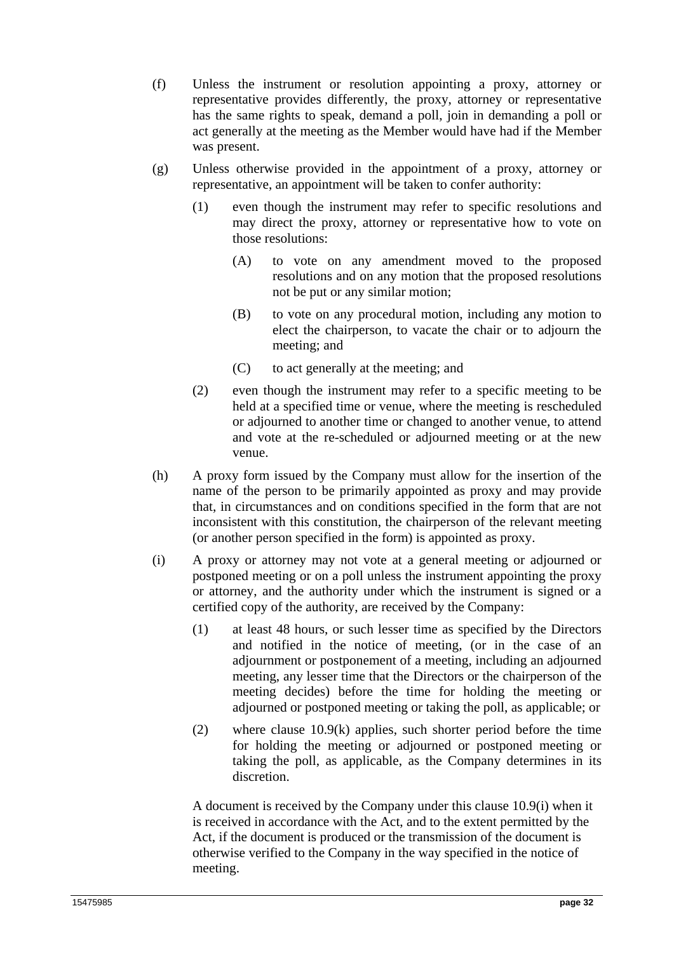- (f) Unless the instrument or resolution appointing a proxy, attorney or representative provides differently, the proxy, attorney or representative has the same rights to speak, demand a poll, join in demanding a poll or act generally at the meeting as the Member would have had if the Member was present.
- (g) Unless otherwise provided in the appointment of a proxy, attorney or representative, an appointment will be taken to confer authority:
	- (1) even though the instrument may refer to specific resolutions and may direct the proxy, attorney or representative how to vote on those resolutions:
		- (A) to vote on any amendment moved to the proposed resolutions and on any motion that the proposed resolutions not be put or any similar motion;
		- (B) to vote on any procedural motion, including any motion to elect the chairperson, to vacate the chair or to adjourn the meeting; and
		- (C) to act generally at the meeting; and
	- (2) even though the instrument may refer to a specific meeting to be held at a specified time or venue, where the meeting is rescheduled or adjourned to another time or changed to another venue, to attend and vote at the re-scheduled or adjourned meeting or at the new venue.
- (h) A proxy form issued by the Company must allow for the insertion of the name of the person to be primarily appointed as proxy and may provide that, in circumstances and on conditions specified in the form that are not inconsistent with this constitution, the chairperson of the relevant meeting (or another person specified in the form) is appointed as proxy.
- (i) A proxy or attorney may not vote at a general meeting or adjourned or postponed meeting or on a poll unless the instrument appointing the proxy or attorney, and the authority under which the instrument is signed or a certified copy of the authority, are received by the Company:
	- (1) at least 48 hours, or such lesser time as specified by the Directors and notified in the notice of meeting, (or in the case of an adjournment or postponement of a meeting, including an adjourned meeting, any lesser time that the Directors or the chairperson of the meeting decides) before the time for holding the meeting or adjourned or postponed meeting or taking the poll, as applicable; or
	- (2) where clause 10.9(k) applies, such shorter period before the time for holding the meeting or adjourned or postponed meeting or taking the poll, as applicable, as the Company determines in its discretion.

A document is received by the Company under this clause 10.9(i) when it is received in accordance with the Act, and to the extent permitted by the Act, if the document is produced or the transmission of the document is otherwise verified to the Company in the way specified in the notice of meeting.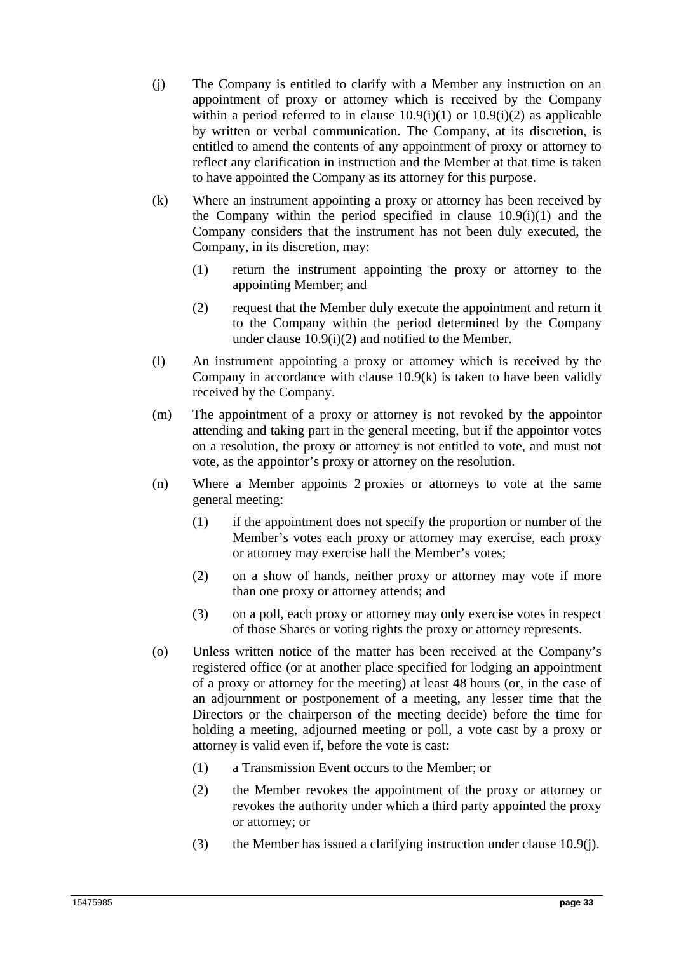- (j) The Company is entitled to clarify with a Member any instruction on an appointment of proxy or attorney which is received by the Company within a period referred to in clause  $10.9(i)(1)$  or  $10.9(i)(2)$  as applicable by written or verbal communication. The Company, at its discretion, is entitled to amend the contents of any appointment of proxy or attorney to reflect any clarification in instruction and the Member at that time is taken to have appointed the Company as its attorney for this purpose.
- (k) Where an instrument appointing a proxy or attorney has been received by the Company within the period specified in clause 10.9(i)(1) and the Company considers that the instrument has not been duly executed, the Company, in its discretion, may:
	- (1) return the instrument appointing the proxy or attorney to the appointing Member; and
	- (2) request that the Member duly execute the appointment and return it to the Company within the period determined by the Company under clause 10.9(i)(2) and notified to the Member.
- (l) An instrument appointing a proxy or attorney which is received by the Company in accordance with clause  $10.9(k)$  is taken to have been validly received by the Company.
- (m) The appointment of a proxy or attorney is not revoked by the appointor attending and taking part in the general meeting, but if the appointor votes on a resolution, the proxy or attorney is not entitled to vote, and must not vote, as the appointor's proxy or attorney on the resolution.
- (n) Where a Member appoints 2 proxies or attorneys to vote at the same general meeting:
	- (1) if the appointment does not specify the proportion or number of the Member's votes each proxy or attorney may exercise, each proxy or attorney may exercise half the Member's votes;
	- (2) on a show of hands, neither proxy or attorney may vote if more than one proxy or attorney attends; and
	- (3) on a poll, each proxy or attorney may only exercise votes in respect of those Shares or voting rights the proxy or attorney represents.
- (o) Unless written notice of the matter has been received at the Company's registered office (or at another place specified for lodging an appointment of a proxy or attorney for the meeting) at least 48 hours (or, in the case of an adjournment or postponement of a meeting, any lesser time that the Directors or the chairperson of the meeting decide) before the time for holding a meeting, adjourned meeting or poll, a vote cast by a proxy or attorney is valid even if, before the vote is cast:
	- (1) a Transmission Event occurs to the Member; or
	- (2) the Member revokes the appointment of the proxy or attorney or revokes the authority under which a third party appointed the proxy or attorney; or
	- (3) the Member has issued a clarifying instruction under clause 10.9(j).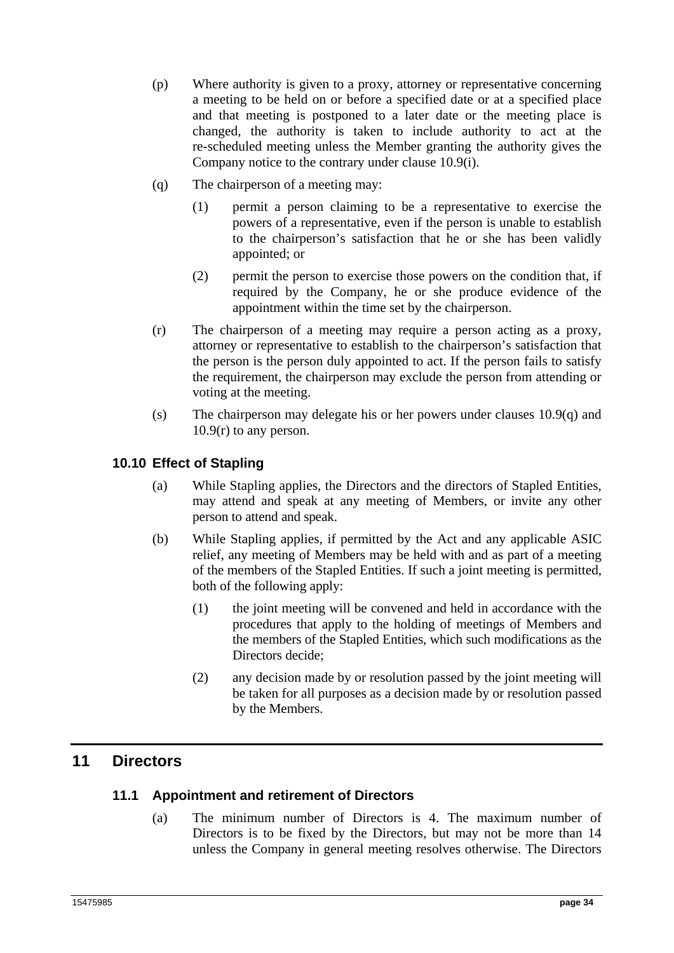- (p) Where authority is given to a proxy, attorney or representative concerning a meeting to be held on or before a specified date or at a specified place and that meeting is postponed to a later date or the meeting place is changed, the authority is taken to include authority to act at the re-scheduled meeting unless the Member granting the authority gives the Company notice to the contrary under clause 10.9(i).
- (q) The chairperson of a meeting may:
	- (1) permit a person claiming to be a representative to exercise the powers of a representative, even if the person is unable to establish to the chairperson's satisfaction that he or she has been validly appointed; or
	- (2) permit the person to exercise those powers on the condition that, if required by the Company, he or she produce evidence of the appointment within the time set by the chairperson.
- (r) The chairperson of a meeting may require a person acting as a proxy, attorney or representative to establish to the chairperson's satisfaction that the person is the person duly appointed to act. If the person fails to satisfy the requirement, the chairperson may exclude the person from attending or voting at the meeting.
- (s) The chairperson may delegate his or her powers under clauses  $10.9(q)$  and 10.9(r) to any person.

## **10.10 Effect of Stapling**

- (a) While Stapling applies, the Directors and the directors of Stapled Entities, may attend and speak at any meeting of Members, or invite any other person to attend and speak.
- (b) While Stapling applies, if permitted by the Act and any applicable ASIC relief, any meeting of Members may be held with and as part of a meeting of the members of the Stapled Entities. If such a joint meeting is permitted, both of the following apply:
	- (1) the joint meeting will be convened and held in accordance with the procedures that apply to the holding of meetings of Members and the members of the Stapled Entities, which such modifications as the Directors decide:
	- (2) any decision made by or resolution passed by the joint meeting will be taken for all purposes as a decision made by or resolution passed by the Members.

# **11 Directors**

#### **11.1 Appointment and retirement of Directors**

(a) The minimum number of Directors is 4. The maximum number of Directors is to be fixed by the Directors, but may not be more than 14 unless the Company in general meeting resolves otherwise. The Directors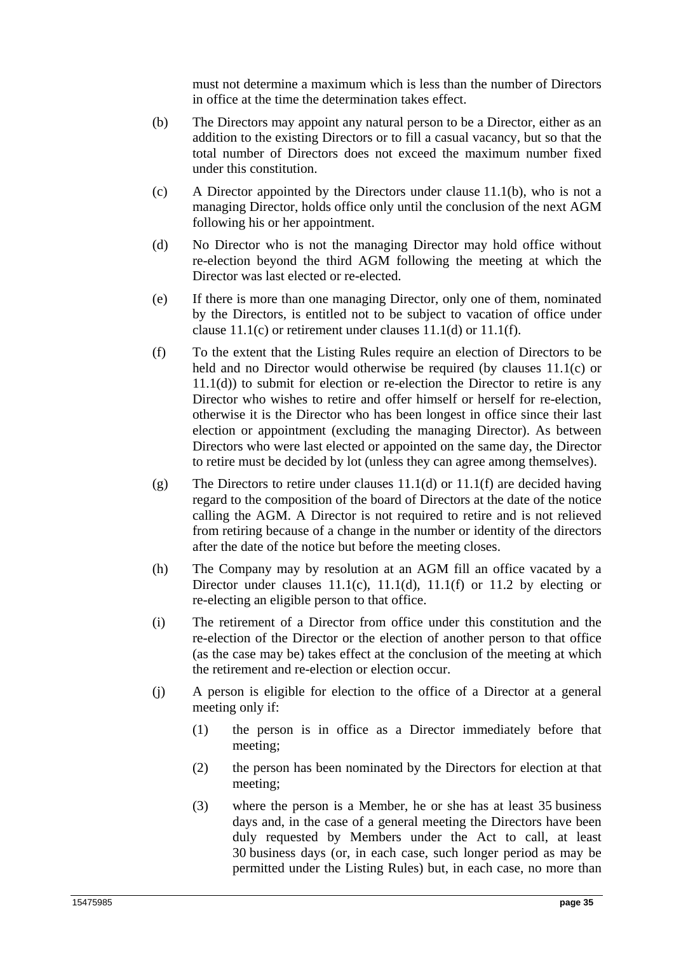must not determine a maximum which is less than the number of Directors in office at the time the determination takes effect.

- (b) The Directors may appoint any natural person to be a Director, either as an addition to the existing Directors or to fill a casual vacancy, but so that the total number of Directors does not exceed the maximum number fixed under this constitution.
- (c) A Director appointed by the Directors under clause 11.1(b), who is not a managing Director, holds office only until the conclusion of the next AGM following his or her appointment.
- (d) No Director who is not the managing Director may hold office without re-election beyond the third AGM following the meeting at which the Director was last elected or re-elected.
- (e) If there is more than one managing Director, only one of them, nominated by the Directors, is entitled not to be subject to vacation of office under clause 11.1(c) or retirement under clauses 11.1(d) or 11.1(f).
- (f) To the extent that the Listing Rules require an election of Directors to be held and no Director would otherwise be required (by clauses 11.1(c) or 11.1(d)) to submit for election or re-election the Director to retire is any Director who wishes to retire and offer himself or herself for re-election, otherwise it is the Director who has been longest in office since their last election or appointment (excluding the managing Director). As between Directors who were last elected or appointed on the same day, the Director to retire must be decided by lot (unless they can agree among themselves).
- (g) The Directors to retire under clauses 11.1(d) or 11.1(f) are decided having regard to the composition of the board of Directors at the date of the notice calling the AGM. A Director is not required to retire and is not relieved from retiring because of a change in the number or identity of the directors after the date of the notice but before the meeting closes.
- (h) The Company may by resolution at an AGM fill an office vacated by a Director under clauses  $11.1(c)$ ,  $11.1(d)$ ,  $11.1(f)$  or  $11.2$  by electing or re-electing an eligible person to that office.
- (i) The retirement of a Director from office under this constitution and the re-election of the Director or the election of another person to that office (as the case may be) takes effect at the conclusion of the meeting at which the retirement and re-election or election occur.
- (j) A person is eligible for election to the office of a Director at a general meeting only if:
	- (1) the person is in office as a Director immediately before that meeting;
	- (2) the person has been nominated by the Directors for election at that meeting;
	- (3) where the person is a Member, he or she has at least 35 business days and, in the case of a general meeting the Directors have been duly requested by Members under the Act to call, at least 30 business days (or, in each case, such longer period as may be permitted under the Listing Rules) but, in each case, no more than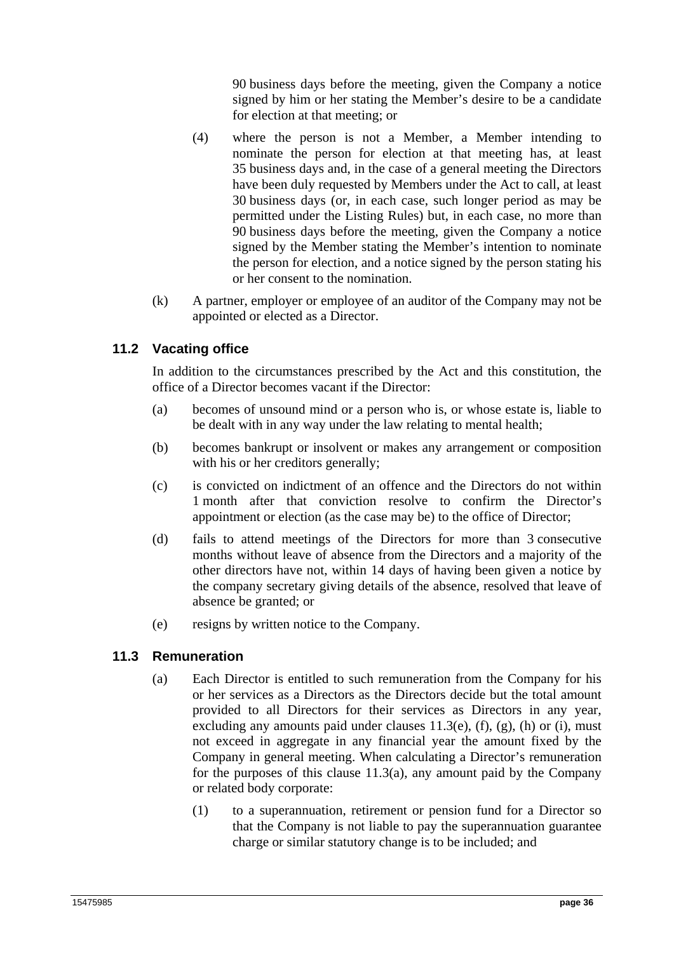90 business days before the meeting, given the Company a notice signed by him or her stating the Member's desire to be a candidate for election at that meeting; or

- (4) where the person is not a Member, a Member intending to nominate the person for election at that meeting has, at least 35 business days and, in the case of a general meeting the Directors have been duly requested by Members under the Act to call, at least 30 business days (or, in each case, such longer period as may be permitted under the Listing Rules) but, in each case, no more than 90 business days before the meeting, given the Company a notice signed by the Member stating the Member's intention to nominate the person for election, and a notice signed by the person stating his or her consent to the nomination.
- (k) A partner, employer or employee of an auditor of the Company may not be appointed or elected as a Director.

## **11.2 Vacating office**

In addition to the circumstances prescribed by the Act and this constitution, the office of a Director becomes vacant if the Director:

- (a) becomes of unsound mind or a person who is, or whose estate is, liable to be dealt with in any way under the law relating to mental health;
- (b) becomes bankrupt or insolvent or makes any arrangement or composition with his or her creditors generally;
- (c) is convicted on indictment of an offence and the Directors do not within 1 month after that conviction resolve to confirm the Director's appointment or election (as the case may be) to the office of Director;
- (d) fails to attend meetings of the Directors for more than 3 consecutive months without leave of absence from the Directors and a majority of the other directors have not, within 14 days of having been given a notice by the company secretary giving details of the absence, resolved that leave of absence be granted; or
- (e) resigns by written notice to the Company.

#### **11.3 Remuneration**

- (a) Each Director is entitled to such remuneration from the Company for his or her services as a Directors as the Directors decide but the total amount provided to all Directors for their services as Directors in any year, excluding any amounts paid under clauses  $11.3(e)$ ,  $(f)$ ,  $(g)$ ,  $(h)$  or  $(i)$ , must not exceed in aggregate in any financial year the amount fixed by the Company in general meeting. When calculating a Director's remuneration for the purposes of this clause  $11.3(a)$ , any amount paid by the Company or related body corporate:
	- (1) to a superannuation, retirement or pension fund for a Director so that the Company is not liable to pay the superannuation guarantee charge or similar statutory change is to be included; and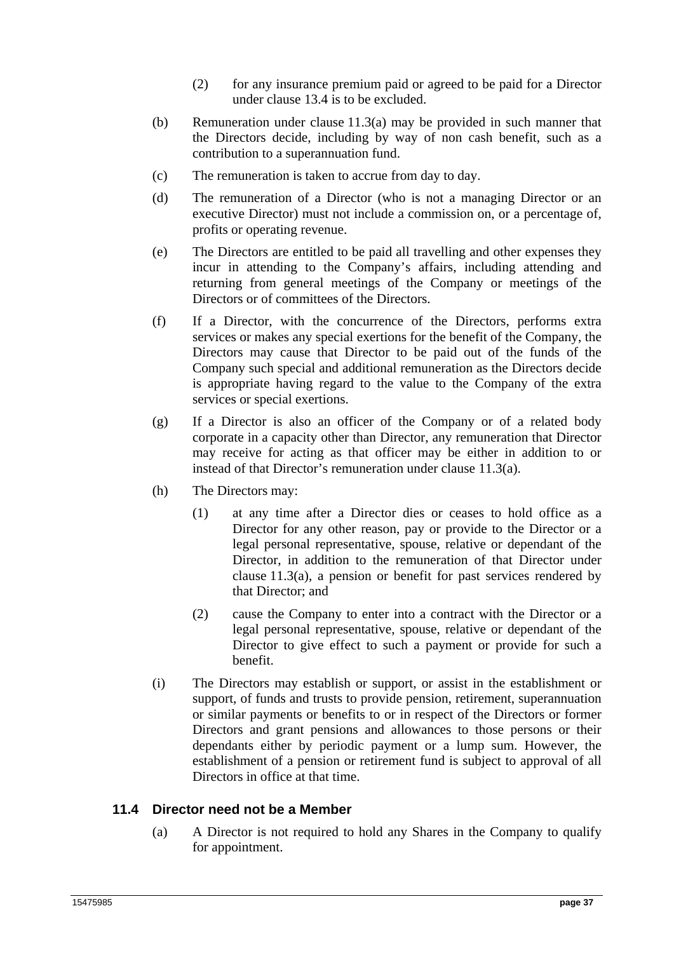- (2) for any insurance premium paid or agreed to be paid for a Director under clause 13.4 is to be excluded.
- (b) Remuneration under clause 11.3(a) may be provided in such manner that the Directors decide, including by way of non cash benefit, such as a contribution to a superannuation fund.
- (c) The remuneration is taken to accrue from day to day.
- (d) The remuneration of a Director (who is not a managing Director or an executive Director) must not include a commission on, or a percentage of, profits or operating revenue.
- (e) The Directors are entitled to be paid all travelling and other expenses they incur in attending to the Company's affairs, including attending and returning from general meetings of the Company or meetings of the Directors or of committees of the Directors.
- (f) If a Director, with the concurrence of the Directors, performs extra services or makes any special exertions for the benefit of the Company, the Directors may cause that Director to be paid out of the funds of the Company such special and additional remuneration as the Directors decide is appropriate having regard to the value to the Company of the extra services or special exertions.
- (g) If a Director is also an officer of the Company or of a related body corporate in a capacity other than Director, any remuneration that Director may receive for acting as that officer may be either in addition to or instead of that Director's remuneration under clause 11.3(a).
- (h) The Directors may:
	- (1) at any time after a Director dies or ceases to hold office as a Director for any other reason, pay or provide to the Director or a legal personal representative, spouse, relative or dependant of the Director, in addition to the remuneration of that Director under clause 11.3(a), a pension or benefit for past services rendered by that Director; and
	- (2) cause the Company to enter into a contract with the Director or a legal personal representative, spouse, relative or dependant of the Director to give effect to such a payment or provide for such a benefit.
- (i) The Directors may establish or support, or assist in the establishment or support, of funds and trusts to provide pension, retirement, superannuation or similar payments or benefits to or in respect of the Directors or former Directors and grant pensions and allowances to those persons or their dependants either by periodic payment or a lump sum. However, the establishment of a pension or retirement fund is subject to approval of all Directors in office at that time.

## **11.4 Director need not be a Member**

(a) A Director is not required to hold any Shares in the Company to qualify for appointment.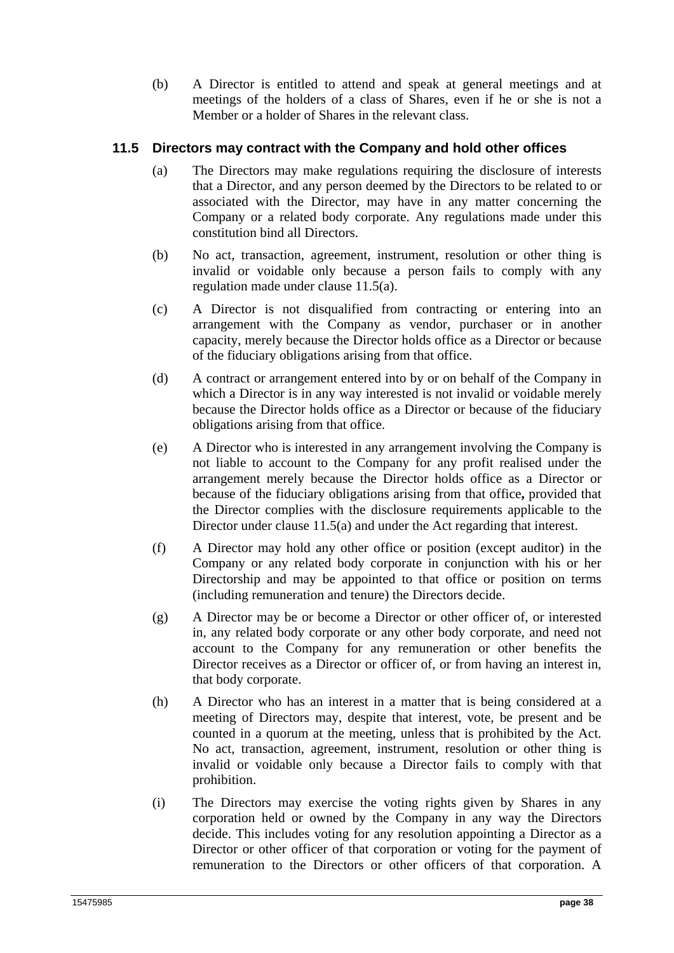(b) A Director is entitled to attend and speak at general meetings and at meetings of the holders of a class of Shares, even if he or she is not a Member or a holder of Shares in the relevant class.

## **11.5 Directors may contract with the Company and hold other offices**

- (a) The Directors may make regulations requiring the disclosure of interests that a Director, and any person deemed by the Directors to be related to or associated with the Director, may have in any matter concerning the Company or a related body corporate. Any regulations made under this constitution bind all Directors.
- (b) No act, transaction, agreement, instrument, resolution or other thing is invalid or voidable only because a person fails to comply with any regulation made under clause 11.5(a).
- (c) A Director is not disqualified from contracting or entering into an arrangement with the Company as vendor, purchaser or in another capacity, merely because the Director holds office as a Director or because of the fiduciary obligations arising from that office.
- (d) A contract or arrangement entered into by or on behalf of the Company in which a Director is in any way interested is not invalid or voidable merely because the Director holds office as a Director or because of the fiduciary obligations arising from that office.
- (e) A Director who is interested in any arrangement involving the Company is not liable to account to the Company for any profit realised under the arrangement merely because the Director holds office as a Director or because of the fiduciary obligations arising from that office**,** provided that the Director complies with the disclosure requirements applicable to the Director under clause 11.5(a) and under the Act regarding that interest.
- (f) A Director may hold any other office or position (except auditor) in the Company or any related body corporate in conjunction with his or her Directorship and may be appointed to that office or position on terms (including remuneration and tenure) the Directors decide.
- (g) A Director may be or become a Director or other officer of, or interested in, any related body corporate or any other body corporate, and need not account to the Company for any remuneration or other benefits the Director receives as a Director or officer of, or from having an interest in, that body corporate.
- (h) A Director who has an interest in a matter that is being considered at a meeting of Directors may, despite that interest, vote, be present and be counted in a quorum at the meeting, unless that is prohibited by the Act. No act, transaction, agreement, instrument, resolution or other thing is invalid or voidable only because a Director fails to comply with that prohibition.
- (i) The Directors may exercise the voting rights given by Shares in any corporation held or owned by the Company in any way the Directors decide. This includes voting for any resolution appointing a Director as a Director or other officer of that corporation or voting for the payment of remuneration to the Directors or other officers of that corporation. A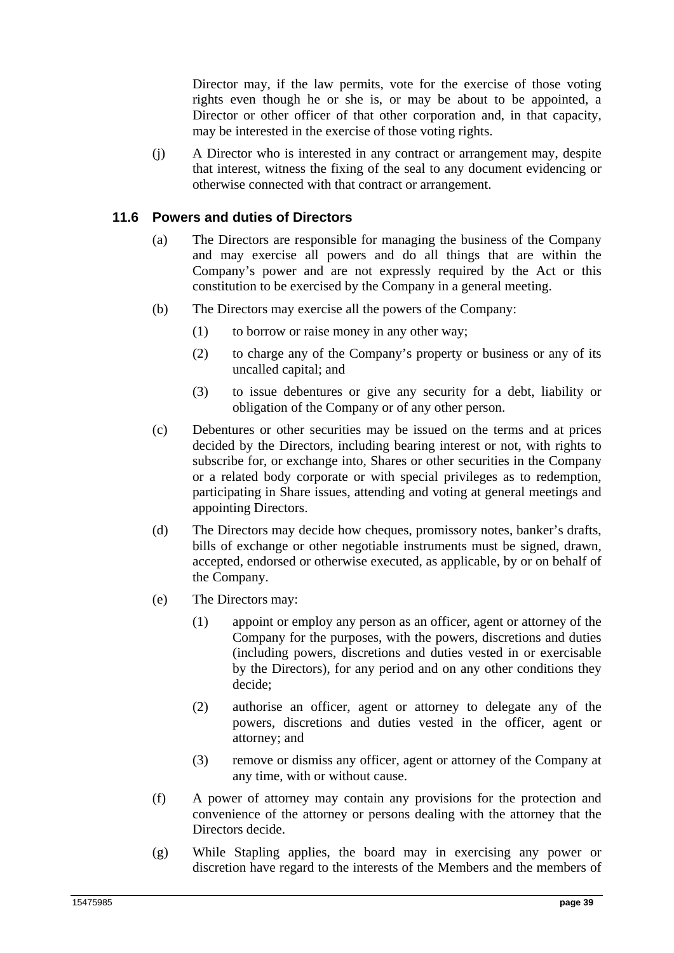Director may, if the law permits, vote for the exercise of those voting rights even though he or she is, or may be about to be appointed, a Director or other officer of that other corporation and, in that capacity, may be interested in the exercise of those voting rights.

(j) A Director who is interested in any contract or arrangement may, despite that interest, witness the fixing of the seal to any document evidencing or otherwise connected with that contract or arrangement.

#### **11.6 Powers and duties of Directors**

- (a) The Directors are responsible for managing the business of the Company and may exercise all powers and do all things that are within the Company's power and are not expressly required by the Act or this constitution to be exercised by the Company in a general meeting.
- (b) The Directors may exercise all the powers of the Company:
	- (1) to borrow or raise money in any other way;
	- (2) to charge any of the Company's property or business or any of its uncalled capital; and
	- (3) to issue debentures or give any security for a debt, liability or obligation of the Company or of any other person.
- (c) Debentures or other securities may be issued on the terms and at prices decided by the Directors, including bearing interest or not, with rights to subscribe for, or exchange into, Shares or other securities in the Company or a related body corporate or with special privileges as to redemption, participating in Share issues, attending and voting at general meetings and appointing Directors.
- (d) The Directors may decide how cheques, promissory notes, banker's drafts, bills of exchange or other negotiable instruments must be signed, drawn, accepted, endorsed or otherwise executed, as applicable, by or on behalf of the Company.
- (e) The Directors may:
	- (1) appoint or employ any person as an officer, agent or attorney of the Company for the purposes, with the powers, discretions and duties (including powers, discretions and duties vested in or exercisable by the Directors), for any period and on any other conditions they decide;
	- (2) authorise an officer, agent or attorney to delegate any of the powers, discretions and duties vested in the officer, agent or attorney; and
	- (3) remove or dismiss any officer, agent or attorney of the Company at any time, with or without cause.
- (f) A power of attorney may contain any provisions for the protection and convenience of the attorney or persons dealing with the attorney that the Directors decide.
- (g) While Stapling applies, the board may in exercising any power or discretion have regard to the interests of the Members and the members of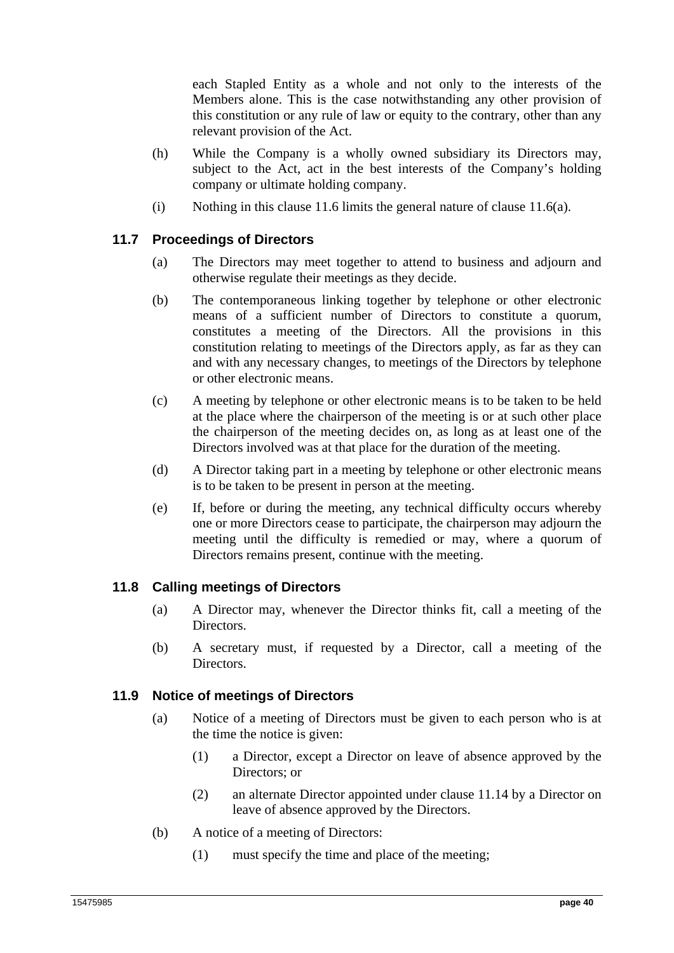each Stapled Entity as a whole and not only to the interests of the Members alone. This is the case notwithstanding any other provision of this constitution or any rule of law or equity to the contrary, other than any relevant provision of the Act.

- (h) While the Company is a wholly owned subsidiary its Directors may, subject to the Act, act in the best interests of the Company's holding company or ultimate holding company.
- (i) Nothing in this clause 11.6 limits the general nature of clause 11.6(a).

# **11.7 Proceedings of Directors**

- (a) The Directors may meet together to attend to business and adjourn and otherwise regulate their meetings as they decide.
- (b) The contemporaneous linking together by telephone or other electronic means of a sufficient number of Directors to constitute a quorum, constitutes a meeting of the Directors. All the provisions in this constitution relating to meetings of the Directors apply, as far as they can and with any necessary changes, to meetings of the Directors by telephone or other electronic means.
- (c) A meeting by telephone or other electronic means is to be taken to be held at the place where the chairperson of the meeting is or at such other place the chairperson of the meeting decides on, as long as at least one of the Directors involved was at that place for the duration of the meeting.
- (d) A Director taking part in a meeting by telephone or other electronic means is to be taken to be present in person at the meeting.
- (e) If, before or during the meeting, any technical difficulty occurs whereby one or more Directors cease to participate, the chairperson may adjourn the meeting until the difficulty is remedied or may, where a quorum of Directors remains present, continue with the meeting.

# **11.8 Calling meetings of Directors**

- (a) A Director may, whenever the Director thinks fit, call a meeting of the Directors.
- (b) A secretary must, if requested by a Director, call a meeting of the Directors.

### **11.9 Notice of meetings of Directors**

- (a) Notice of a meeting of Directors must be given to each person who is at the time the notice is given:
	- (1) a Director, except a Director on leave of absence approved by the Directors; or
	- (2) an alternate Director appointed under clause 11.14 by a Director on leave of absence approved by the Directors.
- (b) A notice of a meeting of Directors:
	- (1) must specify the time and place of the meeting;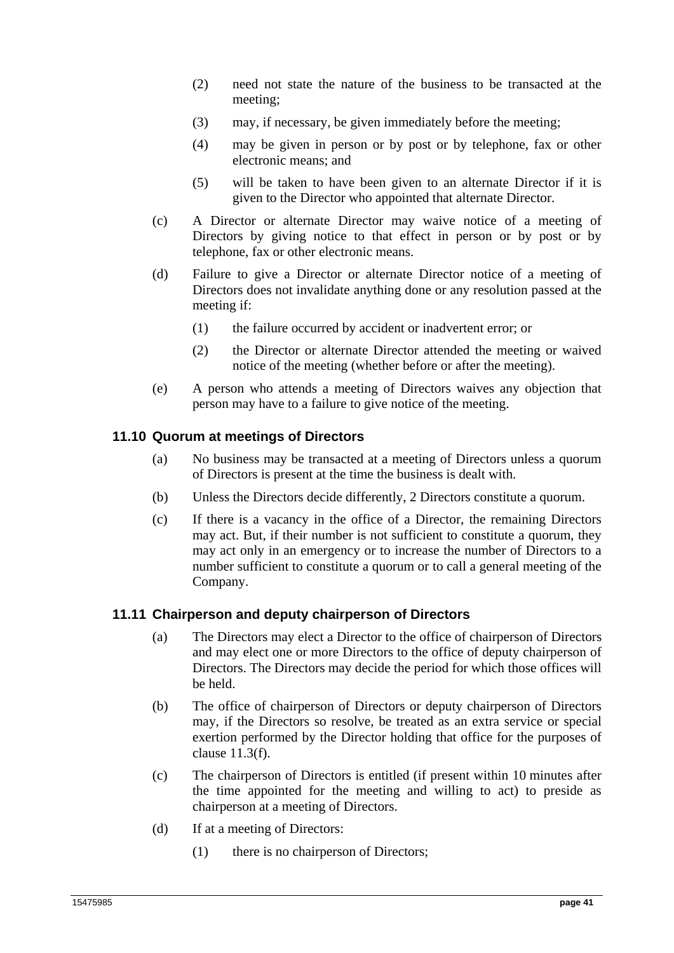- (2) need not state the nature of the business to be transacted at the meeting;
- (3) may, if necessary, be given immediately before the meeting;
- (4) may be given in person or by post or by telephone, fax or other electronic means; and
- (5) will be taken to have been given to an alternate Director if it is given to the Director who appointed that alternate Director.
- (c) A Director or alternate Director may waive notice of a meeting of Directors by giving notice to that effect in person or by post or by telephone, fax or other electronic means.
- (d) Failure to give a Director or alternate Director notice of a meeting of Directors does not invalidate anything done or any resolution passed at the meeting if:
	- (1) the failure occurred by accident or inadvertent error; or
	- (2) the Director or alternate Director attended the meeting or waived notice of the meeting (whether before or after the meeting).
- (e) A person who attends a meeting of Directors waives any objection that person may have to a failure to give notice of the meeting.

### **11.10 Quorum at meetings of Directors**

- (a) No business may be transacted at a meeting of Directors unless a quorum of Directors is present at the time the business is dealt with.
- (b) Unless the Directors decide differently, 2 Directors constitute a quorum.
- (c) If there is a vacancy in the office of a Director, the remaining Directors may act. But, if their number is not sufficient to constitute a quorum, they may act only in an emergency or to increase the number of Directors to a number sufficient to constitute a quorum or to call a general meeting of the Company.

### **11.11 Chairperson and deputy chairperson of Directors**

- (a) The Directors may elect a Director to the office of chairperson of Directors and may elect one or more Directors to the office of deputy chairperson of Directors. The Directors may decide the period for which those offices will be held.
- (b) The office of chairperson of Directors or deputy chairperson of Directors may, if the Directors so resolve, be treated as an extra service or special exertion performed by the Director holding that office for the purposes of clause 11.3(f).
- (c) The chairperson of Directors is entitled (if present within 10 minutes after the time appointed for the meeting and willing to act) to preside as chairperson at a meeting of Directors.
- (d) If at a meeting of Directors:
	- (1) there is no chairperson of Directors;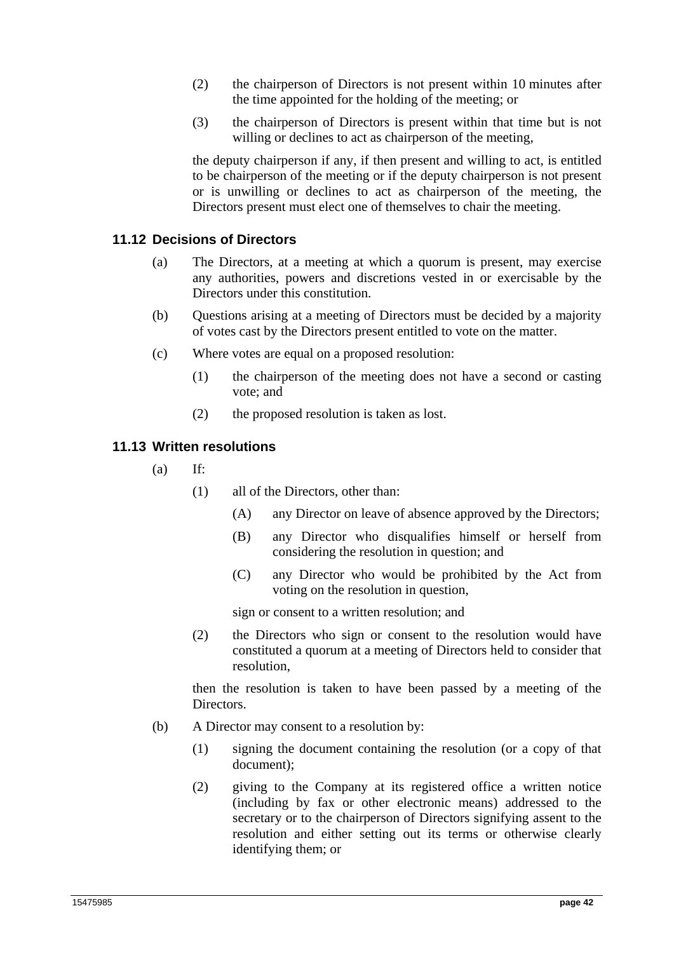- (2) the chairperson of Directors is not present within 10 minutes after the time appointed for the holding of the meeting; or
- (3) the chairperson of Directors is present within that time but is not willing or declines to act as chairperson of the meeting,

the deputy chairperson if any, if then present and willing to act, is entitled to be chairperson of the meeting or if the deputy chairperson is not present or is unwilling or declines to act as chairperson of the meeting, the Directors present must elect one of themselves to chair the meeting.

## **11.12 Decisions of Directors**

- (a) The Directors, at a meeting at which a quorum is present, may exercise any authorities, powers and discretions vested in or exercisable by the Directors under this constitution.
- (b) Questions arising at a meeting of Directors must be decided by a majority of votes cast by the Directors present entitled to vote on the matter.
- (c) Where votes are equal on a proposed resolution:
	- (1) the chairperson of the meeting does not have a second or casting vote; and
	- (2) the proposed resolution is taken as lost.

## **11.13 Written resolutions**

- $(a)$  If:
	- (1) all of the Directors, other than:
		- (A) any Director on leave of absence approved by the Directors;
		- (B) any Director who disqualifies himself or herself from considering the resolution in question; and
		- (C) any Director who would be prohibited by the Act from voting on the resolution in question,

sign or consent to a written resolution; and

(2) the Directors who sign or consent to the resolution would have constituted a quorum at a meeting of Directors held to consider that resolution,

then the resolution is taken to have been passed by a meeting of the Directors.

- (b) A Director may consent to a resolution by:
	- (1) signing the document containing the resolution (or a copy of that document);
	- (2) giving to the Company at its registered office a written notice (including by fax or other electronic means) addressed to the secretary or to the chairperson of Directors signifying assent to the resolution and either setting out its terms or otherwise clearly identifying them; or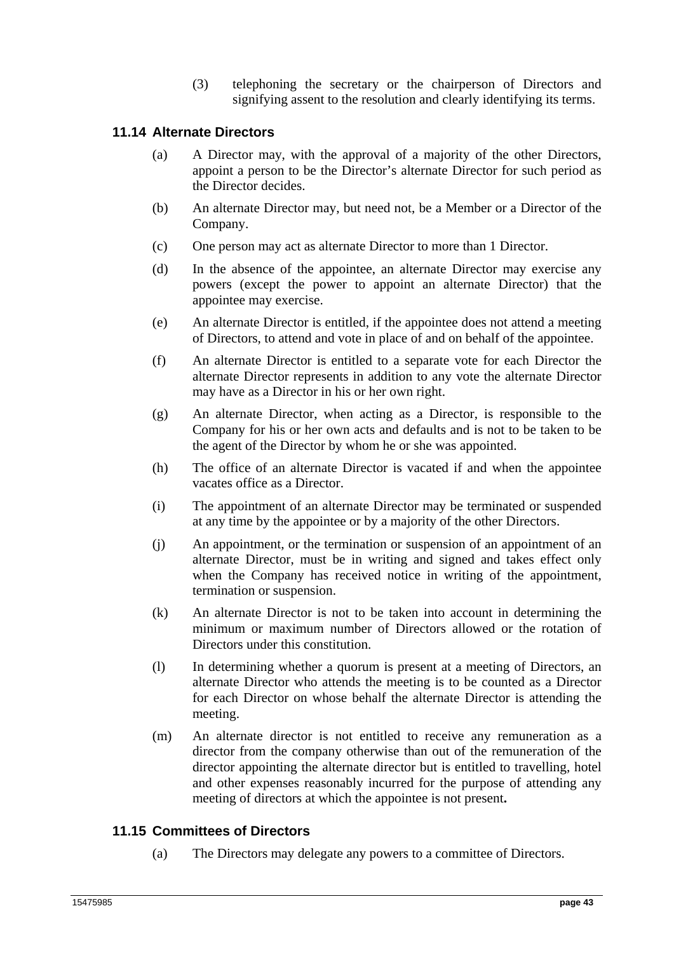(3) telephoning the secretary or the chairperson of Directors and signifying assent to the resolution and clearly identifying its terms.

### **11.14 Alternate Directors**

- (a) A Director may, with the approval of a majority of the other Directors, appoint a person to be the Director's alternate Director for such period as the Director decides.
- (b) An alternate Director may, but need not, be a Member or a Director of the Company.
- (c) One person may act as alternate Director to more than 1 Director.
- (d) In the absence of the appointee, an alternate Director may exercise any powers (except the power to appoint an alternate Director) that the appointee may exercise.
- (e) An alternate Director is entitled, if the appointee does not attend a meeting of Directors, to attend and vote in place of and on behalf of the appointee.
- (f) An alternate Director is entitled to a separate vote for each Director the alternate Director represents in addition to any vote the alternate Director may have as a Director in his or her own right.
- (g) An alternate Director, when acting as a Director, is responsible to the Company for his or her own acts and defaults and is not to be taken to be the agent of the Director by whom he or she was appointed.
- (h) The office of an alternate Director is vacated if and when the appointee vacates office as a Director.
- (i) The appointment of an alternate Director may be terminated or suspended at any time by the appointee or by a majority of the other Directors.
- (j) An appointment, or the termination or suspension of an appointment of an alternate Director, must be in writing and signed and takes effect only when the Company has received notice in writing of the appointment, termination or suspension.
- (k) An alternate Director is not to be taken into account in determining the minimum or maximum number of Directors allowed or the rotation of Directors under this constitution.
- (l) In determining whether a quorum is present at a meeting of Directors, an alternate Director who attends the meeting is to be counted as a Director for each Director on whose behalf the alternate Director is attending the meeting.
- (m) An alternate director is not entitled to receive any remuneration as a director from the company otherwise than out of the remuneration of the director appointing the alternate director but is entitled to travelling, hotel and other expenses reasonably incurred for the purpose of attending any meeting of directors at which the appointee is not present**.**

### **11.15 Committees of Directors**

(a) The Directors may delegate any powers to a committee of Directors.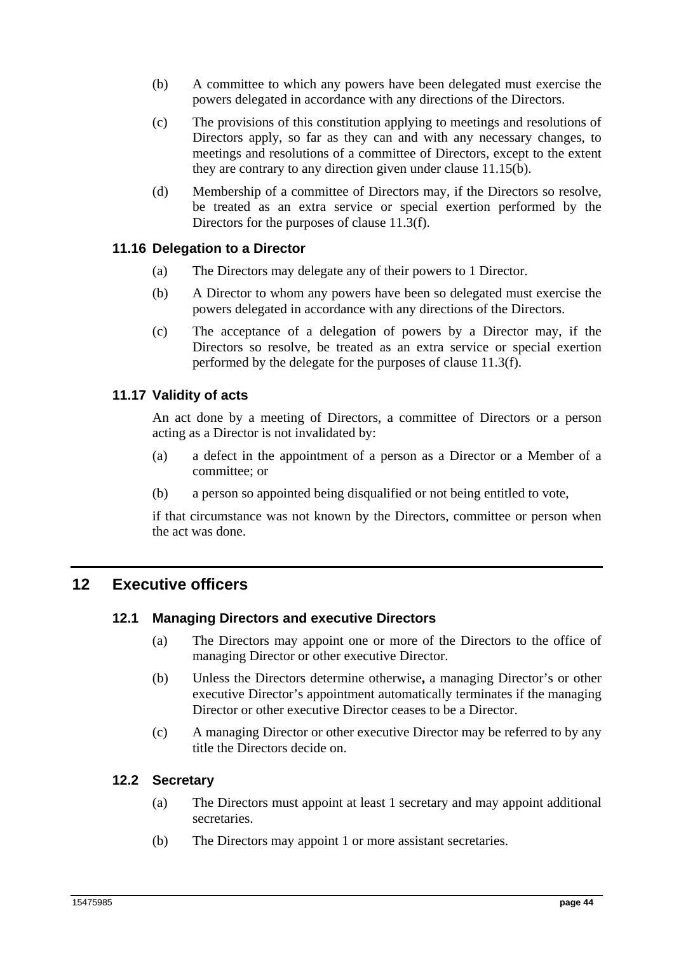- (b) A committee to which any powers have been delegated must exercise the powers delegated in accordance with any directions of the Directors.
- (c) The provisions of this constitution applying to meetings and resolutions of Directors apply, so far as they can and with any necessary changes, to meetings and resolutions of a committee of Directors, except to the extent they are contrary to any direction given under clause 11.15(b).
- (d) Membership of a committee of Directors may, if the Directors so resolve, be treated as an extra service or special exertion performed by the Directors for the purposes of clause 11.3(f).

### **11.16 Delegation to a Director**

- (a) The Directors may delegate any of their powers to 1 Director.
- (b) A Director to whom any powers have been so delegated must exercise the powers delegated in accordance with any directions of the Directors.
- (c) The acceptance of a delegation of powers by a Director may, if the Directors so resolve, be treated as an extra service or special exertion performed by the delegate for the purposes of clause 11.3(f).

### **11.17 Validity of acts**

An act done by a meeting of Directors, a committee of Directors or a person acting as a Director is not invalidated by:

- (a) a defect in the appointment of a person as a Director or a Member of a committee; or
- (b) a person so appointed being disqualified or not being entitled to vote,

if that circumstance was not known by the Directors, committee or person when the act was done.

# **12 Executive officers**

### **12.1 Managing Directors and executive Directors**

- (a) The Directors may appoint one or more of the Directors to the office of managing Director or other executive Director.
- (b) Unless the Directors determine otherwise**,** a managing Director's or other executive Director's appointment automatically terminates if the managing Director or other executive Director ceases to be a Director.
- (c) A managing Director or other executive Director may be referred to by any title the Directors decide on.

### **12.2 Secretary**

- (a) The Directors must appoint at least 1 secretary and may appoint additional secretaries.
- (b) The Directors may appoint 1 or more assistant secretaries.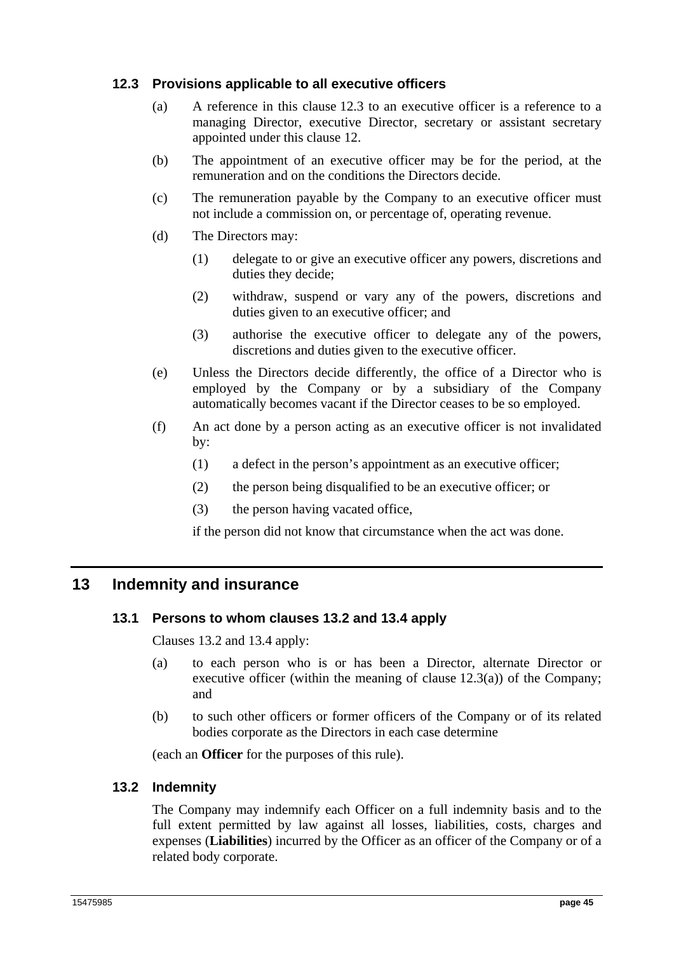## **12.3 Provisions applicable to all executive officers**

- (a) A reference in this clause 12.3 to an executive officer is a reference to a managing Director, executive Director, secretary or assistant secretary appointed under this clause 12.
- (b) The appointment of an executive officer may be for the period, at the remuneration and on the conditions the Directors decide.
- (c) The remuneration payable by the Company to an executive officer must not include a commission on, or percentage of, operating revenue.
- (d) The Directors may:
	- (1) delegate to or give an executive officer any powers, discretions and duties they decide;
	- (2) withdraw, suspend or vary any of the powers, discretions and duties given to an executive officer; and
	- (3) authorise the executive officer to delegate any of the powers, discretions and duties given to the executive officer.
- (e) Unless the Directors decide differently, the office of a Director who is employed by the Company or by a subsidiary of the Company automatically becomes vacant if the Director ceases to be so employed.
- (f) An act done by a person acting as an executive officer is not invalidated by:
	- (1) a defect in the person's appointment as an executive officer;
	- (2) the person being disqualified to be an executive officer; or
	- (3) the person having vacated office,

if the person did not know that circumstance when the act was done.

# **13 Indemnity and insurance**

### **13.1 Persons to whom clauses 13.2 and 13.4 apply**

Clauses 13.2 and 13.4 apply:

- (a) to each person who is or has been a Director, alternate Director or executive officer (within the meaning of clause  $12.3(a)$ ) of the Company; and
- (b) to such other officers or former officers of the Company or of its related bodies corporate as the Directors in each case determine

(each an **Officer** for the purposes of this rule).

### **13.2 Indemnity**

The Company may indemnify each Officer on a full indemnity basis and to the full extent permitted by law against all losses, liabilities, costs, charges and expenses (**Liabilities**) incurred by the Officer as an officer of the Company or of a related body corporate.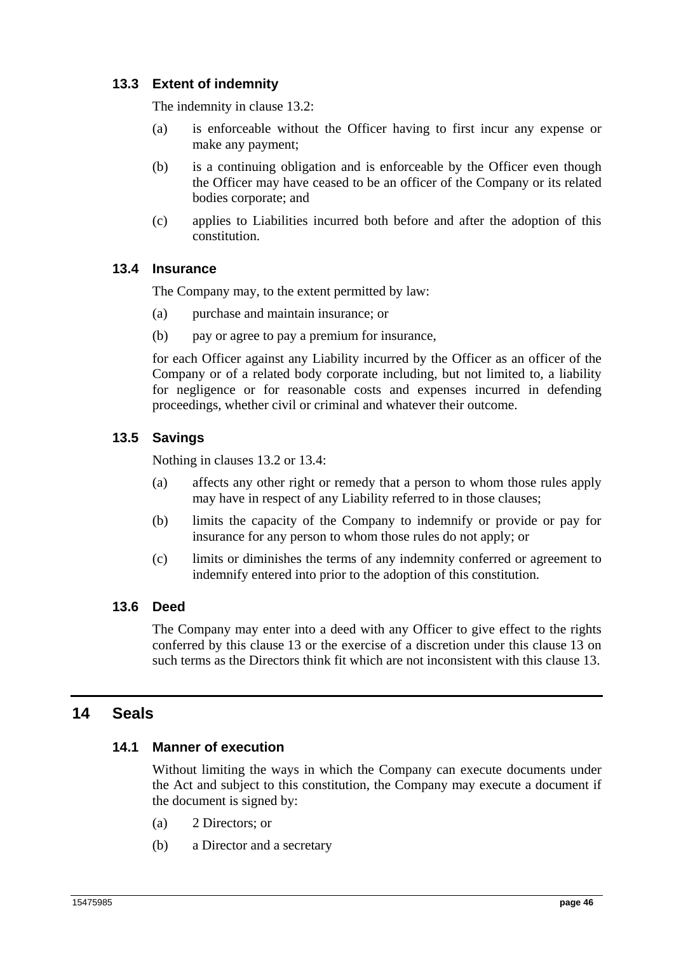# **13.3 Extent of indemnity**

The indemnity in clause 13.2:

- (a) is enforceable without the Officer having to first incur any expense or make any payment;
- (b) is a continuing obligation and is enforceable by the Officer even though the Officer may have ceased to be an officer of the Company or its related bodies corporate; and
- (c) applies to Liabilities incurred both before and after the adoption of this constitution.

## **13.4 Insurance**

The Company may, to the extent permitted by law:

- (a) purchase and maintain insurance; or
- (b) pay or agree to pay a premium for insurance,

for each Officer against any Liability incurred by the Officer as an officer of the Company or of a related body corporate including, but not limited to, a liability for negligence or for reasonable costs and expenses incurred in defending proceedings, whether civil or criminal and whatever their outcome.

# **13.5 Savings**

Nothing in clauses 13.2 or 13.4:

- (a) affects any other right or remedy that a person to whom those rules apply may have in respect of any Liability referred to in those clauses;
- (b) limits the capacity of the Company to indemnify or provide or pay for insurance for any person to whom those rules do not apply; or
- (c) limits or diminishes the terms of any indemnity conferred or agreement to indemnify entered into prior to the adoption of this constitution.

### **13.6 Deed**

The Company may enter into a deed with any Officer to give effect to the rights conferred by this clause 13 or the exercise of a discretion under this clause 13 on such terms as the Directors think fit which are not inconsistent with this clause 13.

# **14 Seals**

### **14.1 Manner of execution**

Without limiting the ways in which the Company can execute documents under the Act and subject to this constitution, the Company may execute a document if the document is signed by:

- (a) 2 Directors; or
- (b) a Director and a secretary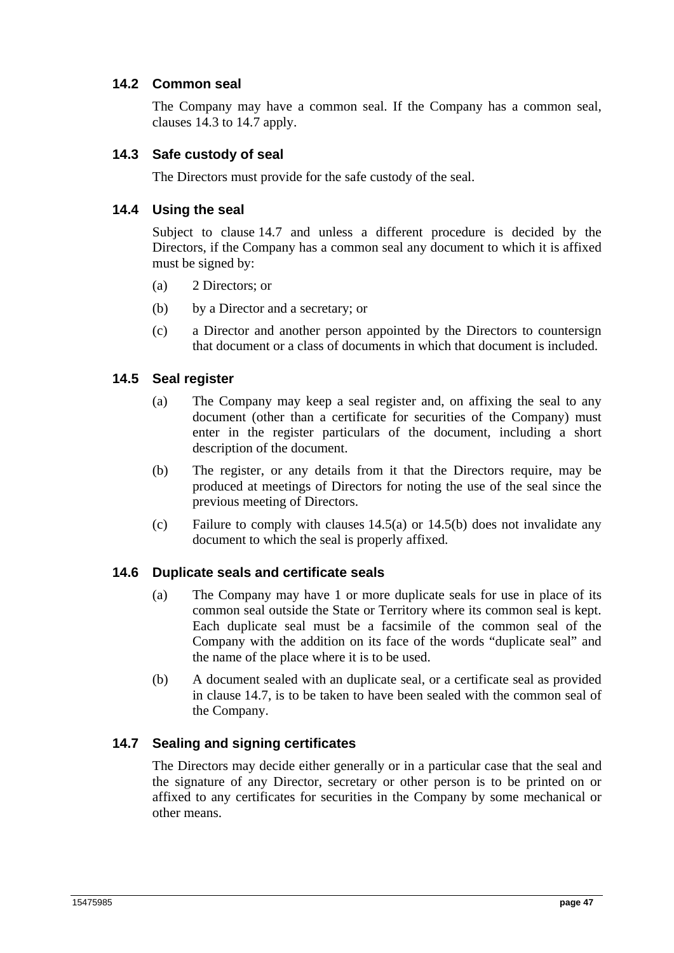### **14.2 Common seal**

The Company may have a common seal. If the Company has a common seal, clauses 14.3 to 14.7 apply.

### **14.3 Safe custody of seal**

The Directors must provide for the safe custody of the seal.

### **14.4 Using the seal**

Subject to clause 14.7 and unless a different procedure is decided by the Directors, if the Company has a common seal any document to which it is affixed must be signed by:

- (a) 2 Directors; or
- (b) by a Director and a secretary; or
- (c) a Director and another person appointed by the Directors to countersign that document or a class of documents in which that document is included.

### **14.5 Seal register**

- (a) The Company may keep a seal register and, on affixing the seal to any document (other than a certificate for securities of the Company) must enter in the register particulars of the document, including a short description of the document.
- (b) The register, or any details from it that the Directors require, may be produced at meetings of Directors for noting the use of the seal since the previous meeting of Directors.
- (c) Failure to comply with clauses 14.5(a) or 14.5(b) does not invalidate any document to which the seal is properly affixed.

### **14.6 Duplicate seals and certificate seals**

- (a) The Company may have 1 or more duplicate seals for use in place of its common seal outside the State or Territory where its common seal is kept. Each duplicate seal must be a facsimile of the common seal of the Company with the addition on its face of the words "duplicate seal" and the name of the place where it is to be used.
- (b) A document sealed with an duplicate seal, or a certificate seal as provided in clause 14.7, is to be taken to have been sealed with the common seal of the Company.

# **14.7 Sealing and signing certificates**

The Directors may decide either generally or in a particular case that the seal and the signature of any Director, secretary or other person is to be printed on or affixed to any certificates for securities in the Company by some mechanical or other means.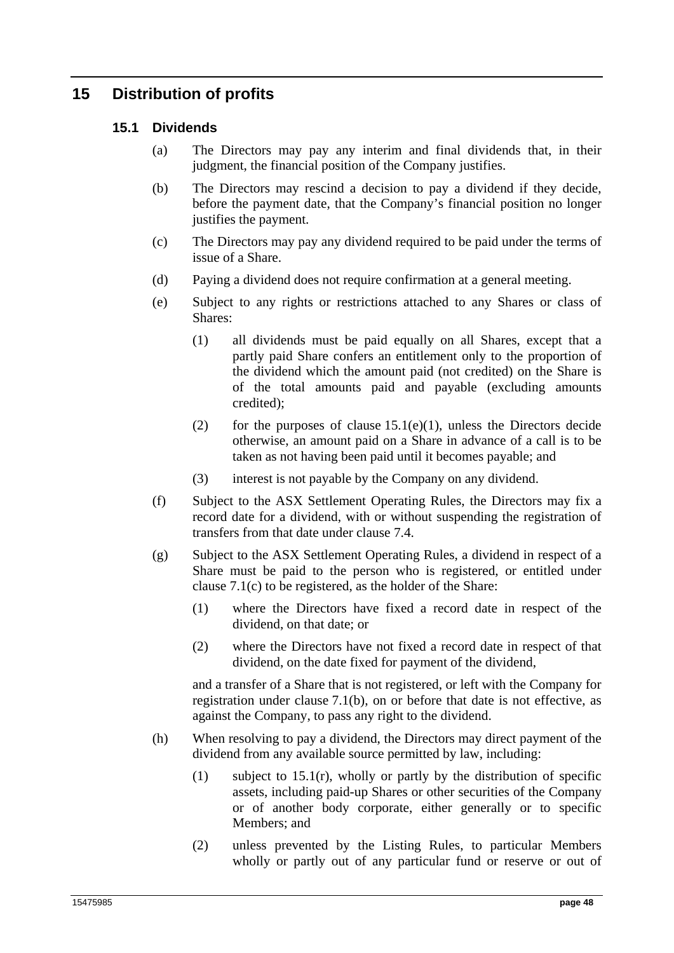# **15 Distribution of profits**

## **15.1 Dividends**

- (a) The Directors may pay any interim and final dividends that, in their judgment, the financial position of the Company justifies.
- (b) The Directors may rescind a decision to pay a dividend if they decide, before the payment date, that the Company's financial position no longer justifies the payment.
- (c) The Directors may pay any dividend required to be paid under the terms of issue of a Share.
- (d) Paying a dividend does not require confirmation at a general meeting.
- (e) Subject to any rights or restrictions attached to any Shares or class of Shares:
	- (1) all dividends must be paid equally on all Shares, except that a partly paid Share confers an entitlement only to the proportion of the dividend which the amount paid (not credited) on the Share is of the total amounts paid and payable (excluding amounts credited);
	- (2) for the purposes of clause  $15.1(e)(1)$ , unless the Directors decide otherwise, an amount paid on a Share in advance of a call is to be taken as not having been paid until it becomes payable; and
	- (3) interest is not payable by the Company on any dividend.
- (f) Subject to the ASX Settlement Operating Rules, the Directors may fix a record date for a dividend, with or without suspending the registration of transfers from that date under clause 7.4.
- (g) Subject to the ASX Settlement Operating Rules, a dividend in respect of a Share must be paid to the person who is registered, or entitled under clause 7.1(c) to be registered, as the holder of the Share:
	- (1) where the Directors have fixed a record date in respect of the dividend, on that date; or
	- (2) where the Directors have not fixed a record date in respect of that dividend, on the date fixed for payment of the dividend,

and a transfer of a Share that is not registered, or left with the Company for registration under clause 7.1(b), on or before that date is not effective, as against the Company, to pass any right to the dividend.

- (h) When resolving to pay a dividend, the Directors may direct payment of the dividend from any available source permitted by law, including:
	- (1) subject to 15.1(r), wholly or partly by the distribution of specific assets, including paid-up Shares or other securities of the Company or of another body corporate, either generally or to specific Members; and
	- (2) unless prevented by the Listing Rules, to particular Members wholly or partly out of any particular fund or reserve or out of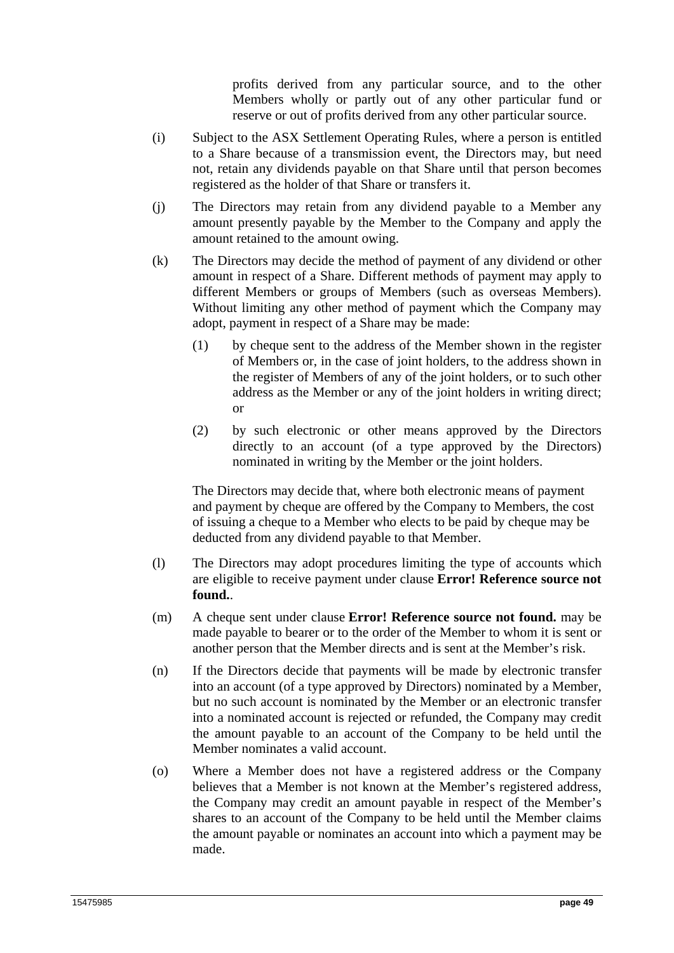profits derived from any particular source, and to the other Members wholly or partly out of any other particular fund or reserve or out of profits derived from any other particular source.

- (i) Subject to the ASX Settlement Operating Rules, where a person is entitled to a Share because of a transmission event, the Directors may, but need not, retain any dividends payable on that Share until that person becomes registered as the holder of that Share or transfers it.
- (j) The Directors may retain from any dividend payable to a Member any amount presently payable by the Member to the Company and apply the amount retained to the amount owing.
- (k) The Directors may decide the method of payment of any dividend or other amount in respect of a Share. Different methods of payment may apply to different Members or groups of Members (such as overseas Members). Without limiting any other method of payment which the Company may adopt, payment in respect of a Share may be made:
	- (1) by cheque sent to the address of the Member shown in the register of Members or, in the case of joint holders, to the address shown in the register of Members of any of the joint holders, or to such other address as the Member or any of the joint holders in writing direct; or
	- (2) by such electronic or other means approved by the Directors directly to an account (of a type approved by the Directors) nominated in writing by the Member or the joint holders.

The Directors may decide that, where both electronic means of payment and payment by cheque are offered by the Company to Members, the cost of issuing a cheque to a Member who elects to be paid by cheque may be deducted from any dividend payable to that Member.

- (l) The Directors may adopt procedures limiting the type of accounts which are eligible to receive payment under clause **Error! Reference source not found.**.
- (m) A cheque sent under clause **Error! Reference source not found.** may be made payable to bearer or to the order of the Member to whom it is sent or another person that the Member directs and is sent at the Member's risk.
- (n) If the Directors decide that payments will be made by electronic transfer into an account (of a type approved by Directors) nominated by a Member, but no such account is nominated by the Member or an electronic transfer into a nominated account is rejected or refunded, the Company may credit the amount payable to an account of the Company to be held until the Member nominates a valid account.
- (o) Where a Member does not have a registered address or the Company believes that a Member is not known at the Member's registered address, the Company may credit an amount payable in respect of the Member's shares to an account of the Company to be held until the Member claims the amount payable or nominates an account into which a payment may be made.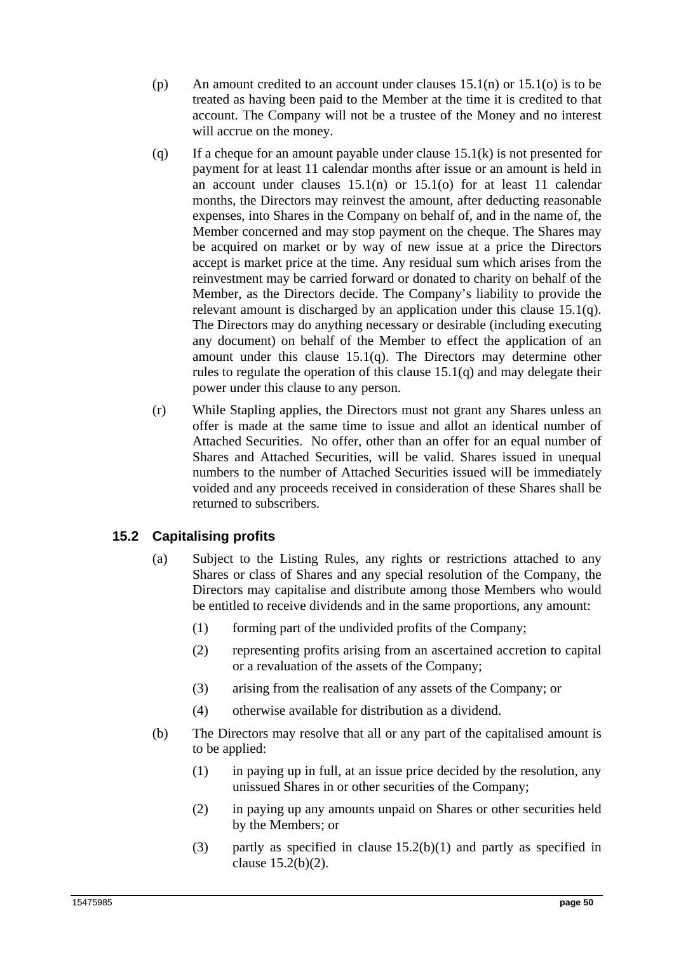- (p) An amount credited to an account under clauses  $15.1(n)$  or  $15.1(o)$  is to be treated as having been paid to the Member at the time it is credited to that account. The Company will not be a trustee of the Money and no interest will accrue on the money.
- (q) If a cheque for an amount payable under clause 15.1(k) is not presented for payment for at least 11 calendar months after issue or an amount is held in an account under clauses 15.1(n) or 15.1(o) for at least 11 calendar months, the Directors may reinvest the amount, after deducting reasonable expenses, into Shares in the Company on behalf of, and in the name of, the Member concerned and may stop payment on the cheque. The Shares may be acquired on market or by way of new issue at a price the Directors accept is market price at the time. Any residual sum which arises from the reinvestment may be carried forward or donated to charity on behalf of the Member, as the Directors decide. The Company's liability to provide the relevant amount is discharged by an application under this clause 15.1(q). The Directors may do anything necessary or desirable (including executing any document) on behalf of the Member to effect the application of an amount under this clause 15.1(q). The Directors may determine other rules to regulate the operation of this clause 15.1(q) and may delegate their power under this clause to any person.
- (r) While Stapling applies, the Directors must not grant any Shares unless an offer is made at the same time to issue and allot an identical number of Attached Securities. No offer, other than an offer for an equal number of Shares and Attached Securities, will be valid. Shares issued in unequal numbers to the number of Attached Securities issued will be immediately voided and any proceeds received in consideration of these Shares shall be returned to subscribers.

# **15.2 Capitalising profits**

- (a) Subject to the Listing Rules, any rights or restrictions attached to any Shares or class of Shares and any special resolution of the Company, the Directors may capitalise and distribute among those Members who would be entitled to receive dividends and in the same proportions, any amount:
	- (1) forming part of the undivided profits of the Company;
	- (2) representing profits arising from an ascertained accretion to capital or a revaluation of the assets of the Company;
	- (3) arising from the realisation of any assets of the Company; or
	- (4) otherwise available for distribution as a dividend.
- (b) The Directors may resolve that all or any part of the capitalised amount is to be applied:
	- (1) in paying up in full, at an issue price decided by the resolution, any unissued Shares in or other securities of the Company;
	- (2) in paying up any amounts unpaid on Shares or other securities held by the Members; or
	- (3) partly as specified in clause  $15.2(b)(1)$  and partly as specified in clause 15.2(b)(2).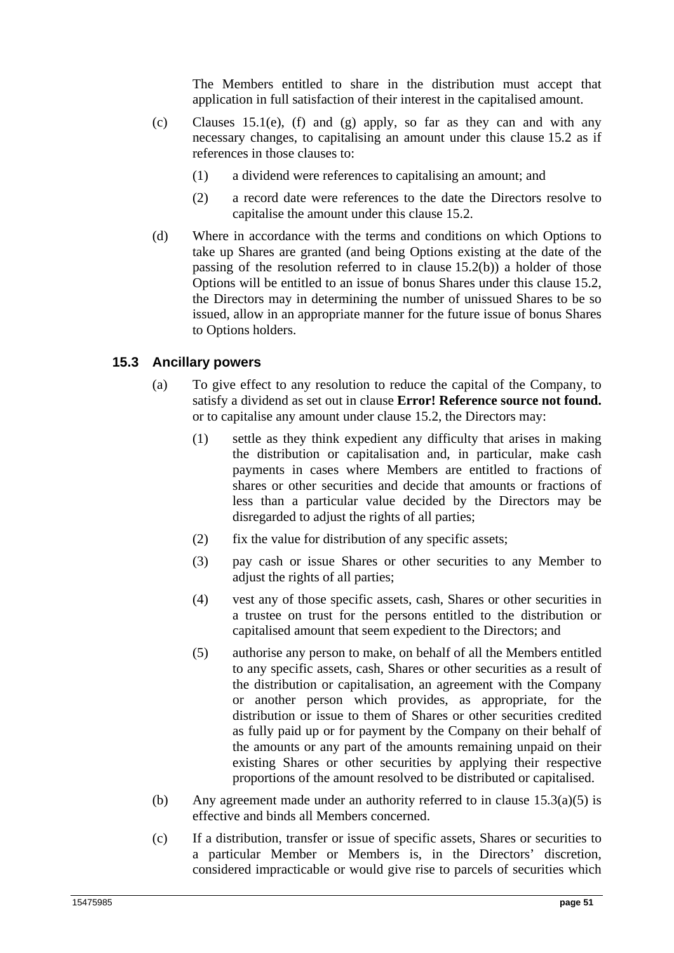The Members entitled to share in the distribution must accept that application in full satisfaction of their interest in the capitalised amount.

- (c) Clauses 15.1(e), (f) and (g) apply, so far as they can and with any necessary changes, to capitalising an amount under this clause 15.2 as if references in those clauses to:
	- (1) a dividend were references to capitalising an amount; and
	- (2) a record date were references to the date the Directors resolve to capitalise the amount under this clause 15.2.
- (d) Where in accordance with the terms and conditions on which Options to take up Shares are granted (and being Options existing at the date of the passing of the resolution referred to in clause 15.2(b)) a holder of those Options will be entitled to an issue of bonus Shares under this clause 15.2, the Directors may in determining the number of unissued Shares to be so issued, allow in an appropriate manner for the future issue of bonus Shares to Options holders.

#### **15.3 Ancillary powers**

- (a) To give effect to any resolution to reduce the capital of the Company, to satisfy a dividend as set out in clause **Error! Reference source not found.** or to capitalise any amount under clause 15.2, the Directors may:
	- (1) settle as they think expedient any difficulty that arises in making the distribution or capitalisation and, in particular, make cash payments in cases where Members are entitled to fractions of shares or other securities and decide that amounts or fractions of less than a particular value decided by the Directors may be disregarded to adjust the rights of all parties;
	- $(2)$  fix the value for distribution of any specific assets:
	- (3) pay cash or issue Shares or other securities to any Member to adjust the rights of all parties;
	- (4) vest any of those specific assets, cash, Shares or other securities in a trustee on trust for the persons entitled to the distribution or capitalised amount that seem expedient to the Directors; and
	- (5) authorise any person to make, on behalf of all the Members entitled to any specific assets, cash, Shares or other securities as a result of the distribution or capitalisation, an agreement with the Company or another person which provides, as appropriate, for the distribution or issue to them of Shares or other securities credited as fully paid up or for payment by the Company on their behalf of the amounts or any part of the amounts remaining unpaid on their existing Shares or other securities by applying their respective proportions of the amount resolved to be distributed or capitalised.
- (b) Any agreement made under an authority referred to in clause 15.3(a)(5) is effective and binds all Members concerned.
- (c) If a distribution, transfer or issue of specific assets, Shares or securities to a particular Member or Members is, in the Directors' discretion, considered impracticable or would give rise to parcels of securities which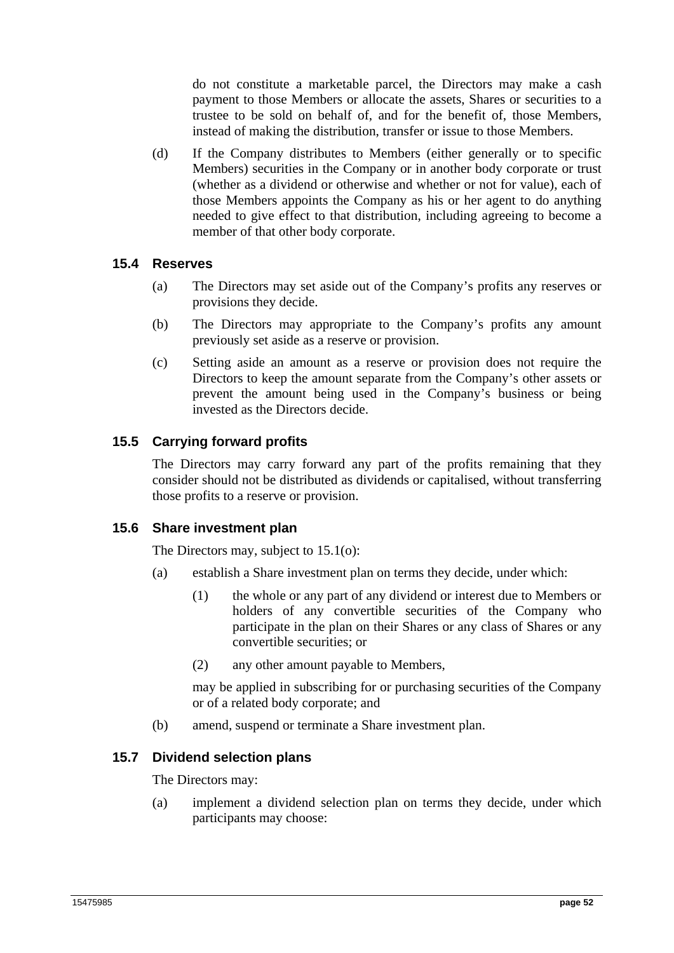do not constitute a marketable parcel, the Directors may make a cash payment to those Members or allocate the assets, Shares or securities to a trustee to be sold on behalf of, and for the benefit of, those Members, instead of making the distribution, transfer or issue to those Members.

(d) If the Company distributes to Members (either generally or to specific Members) securities in the Company or in another body corporate or trust (whether as a dividend or otherwise and whether or not for value), each of those Members appoints the Company as his or her agent to do anything needed to give effect to that distribution, including agreeing to become a member of that other body corporate.

### **15.4 Reserves**

- (a) The Directors may set aside out of the Company's profits any reserves or provisions they decide.
- (b) The Directors may appropriate to the Company's profits any amount previously set aside as a reserve or provision.
- (c) Setting aside an amount as a reserve or provision does not require the Directors to keep the amount separate from the Company's other assets or prevent the amount being used in the Company's business or being invested as the Directors decide.

## **15.5 Carrying forward profits**

The Directors may carry forward any part of the profits remaining that they consider should not be distributed as dividends or capitalised, without transferring those profits to a reserve or provision.

### **15.6 Share investment plan**

The Directors may, subject to 15.1(o):

- (a) establish a Share investment plan on terms they decide, under which:
	- (1) the whole or any part of any dividend or interest due to Members or holders of any convertible securities of the Company who participate in the plan on their Shares or any class of Shares or any convertible securities; or
	- (2) any other amount payable to Members,

may be applied in subscribing for or purchasing securities of the Company or of a related body corporate; and

(b) amend, suspend or terminate a Share investment plan.

### **15.7 Dividend selection plans**

The Directors may:

(a) implement a dividend selection plan on terms they decide, under which participants may choose: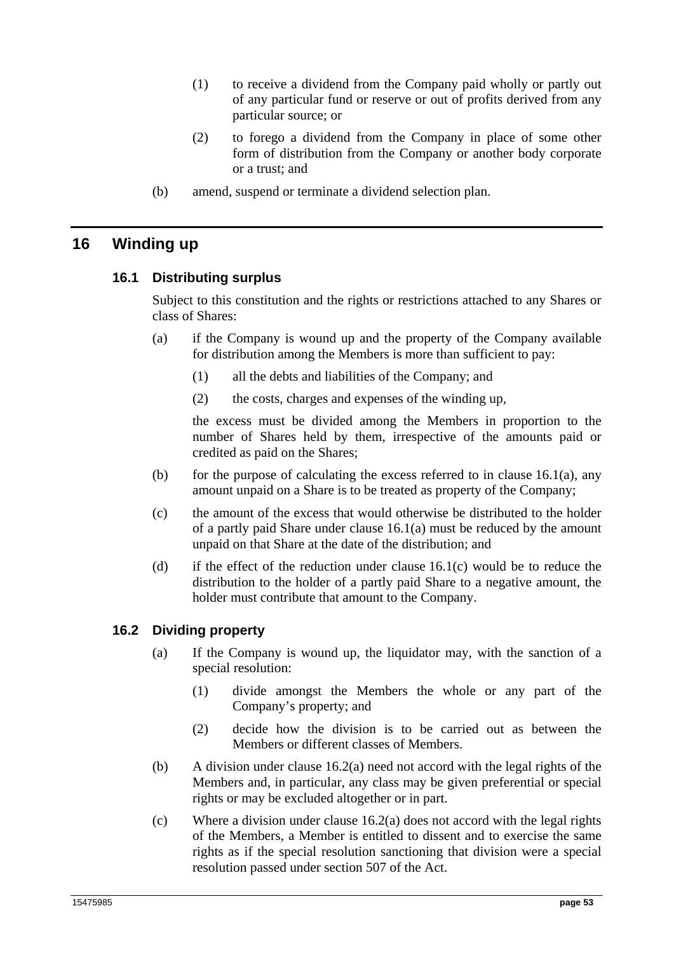- (1) to receive a dividend from the Company paid wholly or partly out of any particular fund or reserve or out of profits derived from any particular source; or
- (2) to forego a dividend from the Company in place of some other form of distribution from the Company or another body corporate or a trust; and
- (b) amend, suspend or terminate a dividend selection plan.

# **16 Winding up**

### **16.1 Distributing surplus**

Subject to this constitution and the rights or restrictions attached to any Shares or class of Shares:

- (a) if the Company is wound up and the property of the Company available for distribution among the Members is more than sufficient to pay:
	- (1) all the debts and liabilities of the Company; and
	- (2) the costs, charges and expenses of the winding up,

the excess must be divided among the Members in proportion to the number of Shares held by them, irrespective of the amounts paid or credited as paid on the Shares;

- (b) for the purpose of calculating the excess referred to in clause  $16.1(a)$ , any amount unpaid on a Share is to be treated as property of the Company;
- (c) the amount of the excess that would otherwise be distributed to the holder of a partly paid Share under clause 16.1(a) must be reduced by the amount unpaid on that Share at the date of the distribution; and
- (d) if the effect of the reduction under clause  $16.1(c)$  would be to reduce the distribution to the holder of a partly paid Share to a negative amount, the holder must contribute that amount to the Company.

### **16.2 Dividing property**

- (a) If the Company is wound up, the liquidator may, with the sanction of a special resolution:
	- (1) divide amongst the Members the whole or any part of the Company's property; and
	- (2) decide how the division is to be carried out as between the Members or different classes of Members.
- (b) A division under clause 16.2(a) need not accord with the legal rights of the Members and, in particular, any class may be given preferential or special rights or may be excluded altogether or in part.
- (c) Where a division under clause 16.2(a) does not accord with the legal rights of the Members, a Member is entitled to dissent and to exercise the same rights as if the special resolution sanctioning that division were a special resolution passed under section 507 of the Act.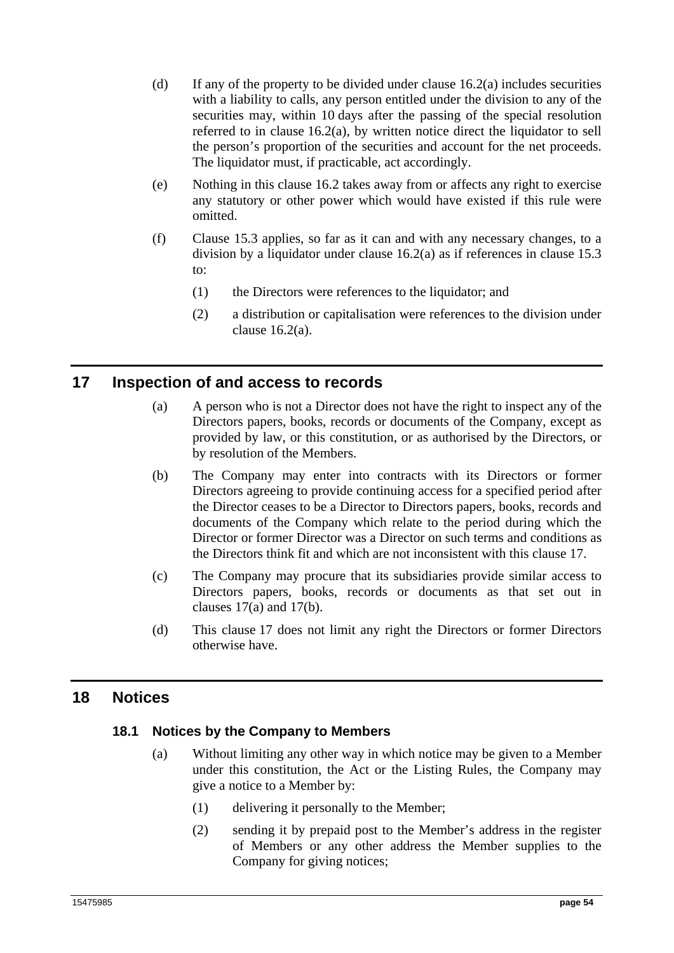- (d) If any of the property to be divided under clause  $16.2(a)$  includes securities with a liability to calls, any person entitled under the division to any of the securities may, within 10 days after the passing of the special resolution referred to in clause 16.2(a), by written notice direct the liquidator to sell the person's proportion of the securities and account for the net proceeds. The liquidator must, if practicable, act accordingly.
- (e) Nothing in this clause 16.2 takes away from or affects any right to exercise any statutory or other power which would have existed if this rule were omitted.
- (f) Clause 15.3 applies, so far as it can and with any necessary changes, to a division by a liquidator under clause 16.2(a) as if references in clause 15.3 to:
	- (1) the Directors were references to the liquidator; and
	- (2) a distribution or capitalisation were references to the division under clause 16.2(a).

# **17 Inspection of and access to records**

- (a) A person who is not a Director does not have the right to inspect any of the Directors papers, books, records or documents of the Company, except as provided by law, or this constitution, or as authorised by the Directors, or by resolution of the Members.
- (b) The Company may enter into contracts with its Directors or former Directors agreeing to provide continuing access for a specified period after the Director ceases to be a Director to Directors papers, books, records and documents of the Company which relate to the period during which the Director or former Director was a Director on such terms and conditions as the Directors think fit and which are not inconsistent with this clause 17.
- (c) The Company may procure that its subsidiaries provide similar access to Directors papers, books, records or documents as that set out in clauses 17(a) and 17(b).
- (d) This clause 17 does not limit any right the Directors or former Directors otherwise have.

# **18 Notices**

### **18.1 Notices by the Company to Members**

- (a) Without limiting any other way in which notice may be given to a Member under this constitution, the Act or the Listing Rules, the Company may give a notice to a Member by:
	- (1) delivering it personally to the Member;
	- (2) sending it by prepaid post to the Member's address in the register of Members or any other address the Member supplies to the Company for giving notices;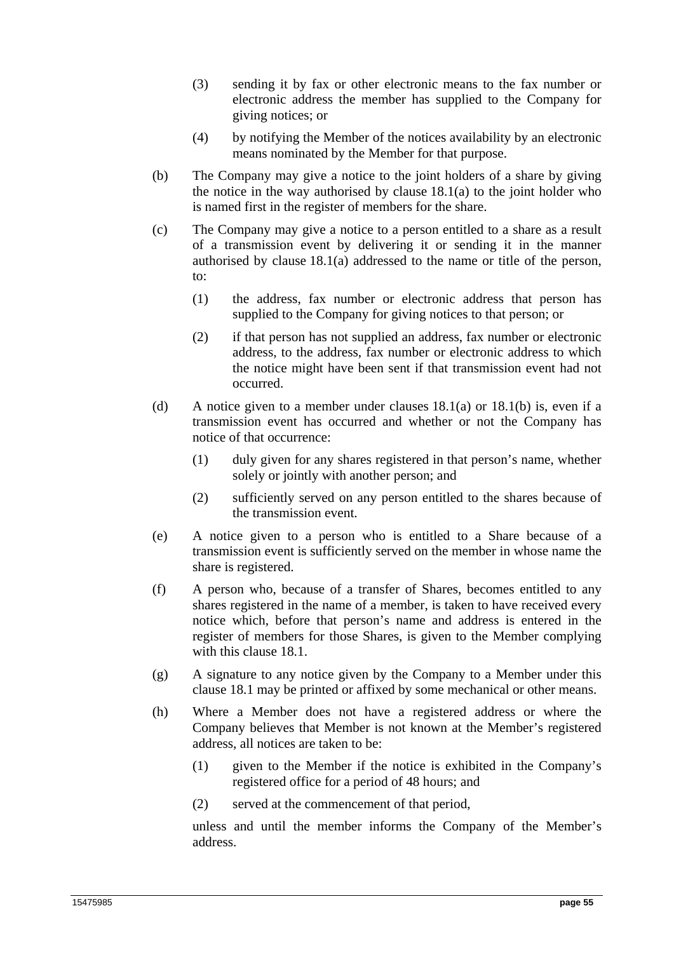- (3) sending it by fax or other electronic means to the fax number or electronic address the member has supplied to the Company for giving notices; or
- (4) by notifying the Member of the notices availability by an electronic means nominated by the Member for that purpose.
- (b) The Company may give a notice to the joint holders of a share by giving the notice in the way authorised by clause  $18.1(a)$  to the joint holder who is named first in the register of members for the share.
- (c) The Company may give a notice to a person entitled to a share as a result of a transmission event by delivering it or sending it in the manner authorised by clause 18.1(a) addressed to the name or title of the person, to:
	- (1) the address, fax number or electronic address that person has supplied to the Company for giving notices to that person; or
	- (2) if that person has not supplied an address, fax number or electronic address, to the address, fax number or electronic address to which the notice might have been sent if that transmission event had not occurred.
- (d) A notice given to a member under clauses  $18.1(a)$  or  $18.1(b)$  is, even if a transmission event has occurred and whether or not the Company has notice of that occurrence:
	- (1) duly given for any shares registered in that person's name, whether solely or jointly with another person; and
	- (2) sufficiently served on any person entitled to the shares because of the transmission event.
- (e) A notice given to a person who is entitled to a Share because of a transmission event is sufficiently served on the member in whose name the share is registered.
- (f) A person who, because of a transfer of Shares, becomes entitled to any shares registered in the name of a member, is taken to have received every notice which, before that person's name and address is entered in the register of members for those Shares, is given to the Member complying with this clause 18.1.
- (g) A signature to any notice given by the Company to a Member under this clause 18.1 may be printed or affixed by some mechanical or other means.
- (h) Where a Member does not have a registered address or where the Company believes that Member is not known at the Member's registered address, all notices are taken to be:
	- (1) given to the Member if the notice is exhibited in the Company's registered office for a period of 48 hours; and
	- (2) served at the commencement of that period,

unless and until the member informs the Company of the Member's address.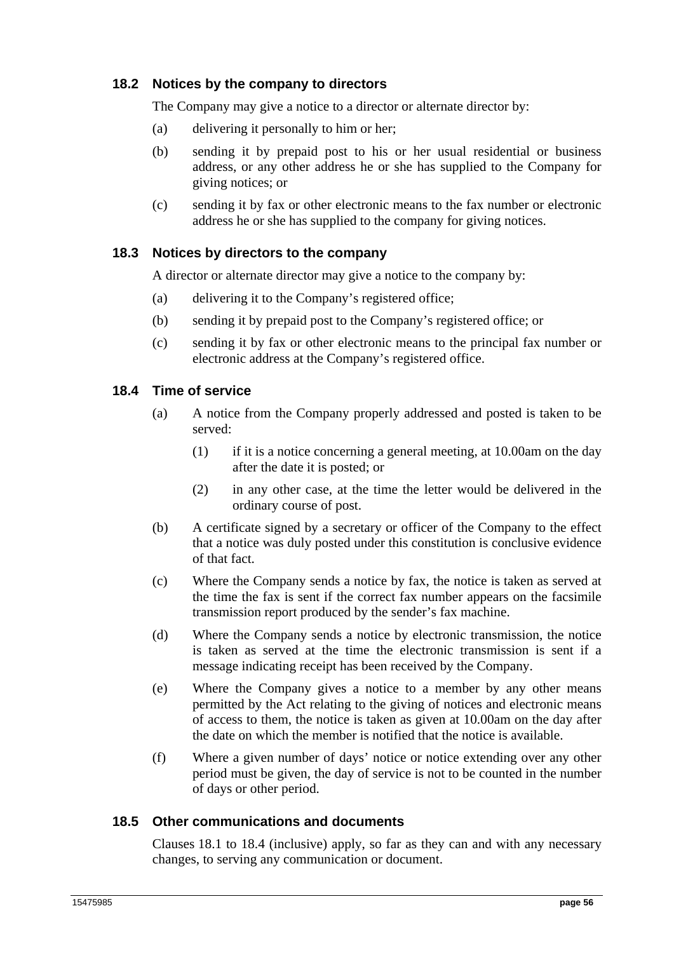## **18.2 Notices by the company to directors**

The Company may give a notice to a director or alternate director by:

- (a) delivering it personally to him or her;
- (b) sending it by prepaid post to his or her usual residential or business address, or any other address he or she has supplied to the Company for giving notices; or
- (c) sending it by fax or other electronic means to the fax number or electronic address he or she has supplied to the company for giving notices.

## **18.3 Notices by directors to the company**

A director or alternate director may give a notice to the company by:

- (a) delivering it to the Company's registered office;
- (b) sending it by prepaid post to the Company's registered office; or
- (c) sending it by fax or other electronic means to the principal fax number or electronic address at the Company's registered office.

### **18.4 Time of service**

- (a) A notice from the Company properly addressed and posted is taken to be served:
	- (1) if it is a notice concerning a general meeting, at 10.00am on the day after the date it is posted; or
	- (2) in any other case, at the time the letter would be delivered in the ordinary course of post.
- (b) A certificate signed by a secretary or officer of the Company to the effect that a notice was duly posted under this constitution is conclusive evidence of that fact.
- (c) Where the Company sends a notice by fax, the notice is taken as served at the time the fax is sent if the correct fax number appears on the facsimile transmission report produced by the sender's fax machine.
- (d) Where the Company sends a notice by electronic transmission, the notice is taken as served at the time the electronic transmission is sent if a message indicating receipt has been received by the Company.
- (e) Where the Company gives a notice to a member by any other means permitted by the Act relating to the giving of notices and electronic means of access to them, the notice is taken as given at 10.00am on the day after the date on which the member is notified that the notice is available.
- (f) Where a given number of days' notice or notice extending over any other period must be given, the day of service is not to be counted in the number of days or other period.

### **18.5 Other communications and documents**

Clauses 18.1 to 18.4 (inclusive) apply, so far as they can and with any necessary changes, to serving any communication or document.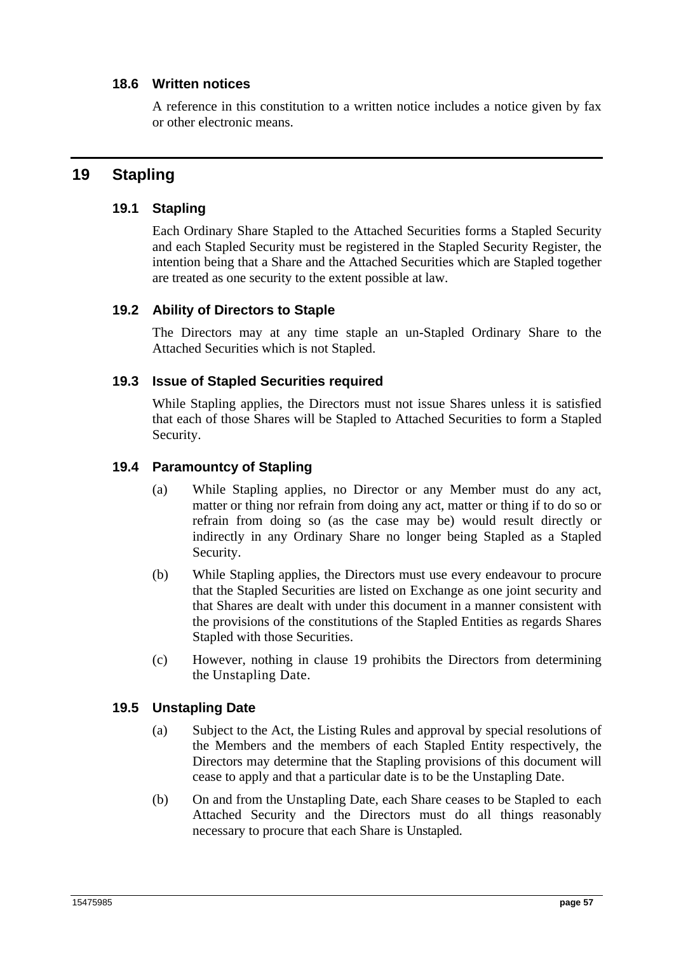### **18.6 Written notices**

A reference in this constitution to a written notice includes a notice given by fax or other electronic means.

# **19 Stapling**

## **19.1 Stapling**

Each Ordinary Share Stapled to the Attached Securities forms a Stapled Security and each Stapled Security must be registered in the Stapled Security Register, the intention being that a Share and the Attached Securities which are Stapled together are treated as one security to the extent possible at law.

## **19.2 Ability of Directors to Staple**

The Directors may at any time staple an un-Stapled Ordinary Share to the Attached Securities which is not Stapled.

## **19.3 Issue of Stapled Securities required**

While Stapling applies, the Directors must not issue Shares unless it is satisfied that each of those Shares will be Stapled to Attached Securities to form a Stapled Security.

## **19.4 Paramountcy of Stapling**

- (a) While Stapling applies, no Director or any Member must do any act, matter or thing nor refrain from doing any act, matter or thing if to do so or refrain from doing so (as the case may be) would result directly or indirectly in any Ordinary Share no longer being Stapled as a Stapled Security.
- (b) While Stapling applies, the Directors must use every endeavour to procure that the Stapled Securities are listed on Exchange as one joint security and that Shares are dealt with under this document in a manner consistent with the provisions of the constitutions of the Stapled Entities as regards Shares Stapled with those Securities.
- (c) However, nothing in clause 19 prohibits the Directors from determining the Unstapling Date.

# **19.5 Unstapling Date**

- (a) Subject to the Act, the Listing Rules and approval by special resolutions of the Members and the members of each Stapled Entity respectively, the Directors may determine that the Stapling provisions of this document will cease to apply and that a particular date is to be the Unstapling Date.
- (b) On and from the Unstapling Date, each Share ceases to be Stapled to each Attached Security and the Directors must do all things reasonably necessary to procure that each Share is Unstapled.